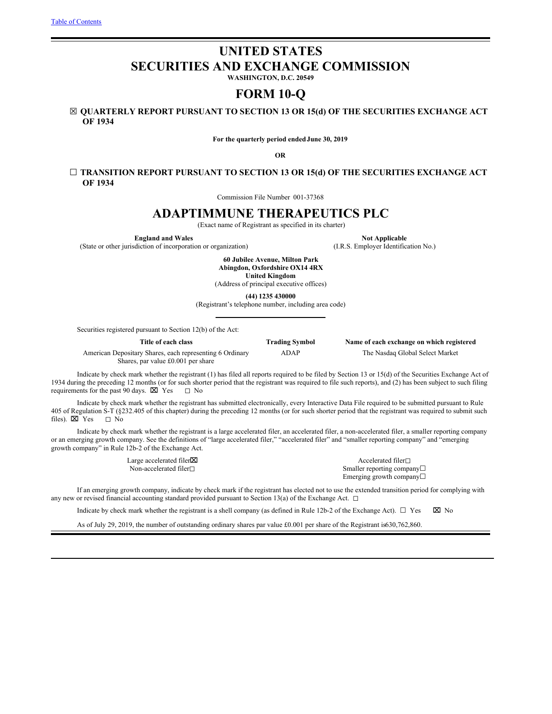# **UNITED STATES SECURITIES AND EXCHANGE COMMISSION**

**WASHINGTON, D.C. 20549**

# **FORM 10-Q**

<span id="page-0-0"></span>**☒ QUARTERLY REPORT PURSUANT TO SECTION 13 OR 15(d) OF THE SECURITIES EXCHANGE ACT OF 1934**

**For the quarterly period endedJune 30, 2019**

**OR**

# **☐ TRANSITION REPORT PURSUANT TO SECTION 13 OR 15(d) OF THE SECURITIES EXCHANGE ACT OF 1934**

Commission File Number 001-37368

# **ADAPTIMMUNE THERAPEUTICS PLC**

(Exact name of Registrant as specified in its charter)

**England and** Wales **Note Applicable** 

(State or other jurisdiction of incorporation or organization) (I.R.S. Employer Identification No.)

**60 Jubilee Avenue, Milton Park Abingdon, Oxfordshire OX14 4RX United Kingdom**

(Address of principal executive offices)

**(44) 1235 430000**

(Registrant's telephone number, including area code)

Securities registered pursuant to Section 12(b) of the Act:

## **Title of each class Trading Symbol Name of each exchange on which registered** American Depositary Shares, each representing 6 Ordinary

Shares, par value £0.001 per share

ADAP The Nasdaq Global Select Market

Indicate by check mark whether the registrant (1) has filed all reports required to be filed by Section 13 or 15(d) of the Securities Exchange Act of 1934 during the preceding 12 months (or for such shorter period that the registrant was required to file such reports), and (2) has been subject to such filing requirements for the past 90 days.  $\boxtimes$  Yes  $\Box$  No requirements for the past  $90$  days.  $\boxtimes$  Yes

Indicate by check mark whether the registrant has submitted electronically, every Interactive Data File required to be submitted pursuant to Rule 405 of Regulation S-T (§232.405 of this chapter) during the preceding 12 months (or for such shorter period that the registrant was required to submit such files). **⊠** Yes □ No

Indicate by check mark whether the registrant is a large accelerated filer, an accelerated filer, a non-accelerated filer, a smaller reporting company or an emerging growth company. See the definitions of "large accelerated filer," "accelerated filer" and "smaller reporting company" and "emerging growth company" in Rule 12b-2 of the Exchange Act.

Large accelerated filer**⊠** accelerated filer**□** 

Non-accelerated filer□ Smaller reporting company□ Emerging growth company☐

If an emerging growth company, indicate by check mark if the registrant has elected not to use the extended transition period for complying with any new or revised financial accounting standard provided pursuant to Section 13(a) of the Exchange Act.  $\Box$ 

Indicate by check mark whether the registrant is a shell company (as defined in Rule 12b-2 of the Exchange Act).  $\Box$  Yes  $\boxtimes$  No

As of July 29, 2019, the number of outstanding ordinary shares par value £0.001 per share of the Registrant is630,762,860.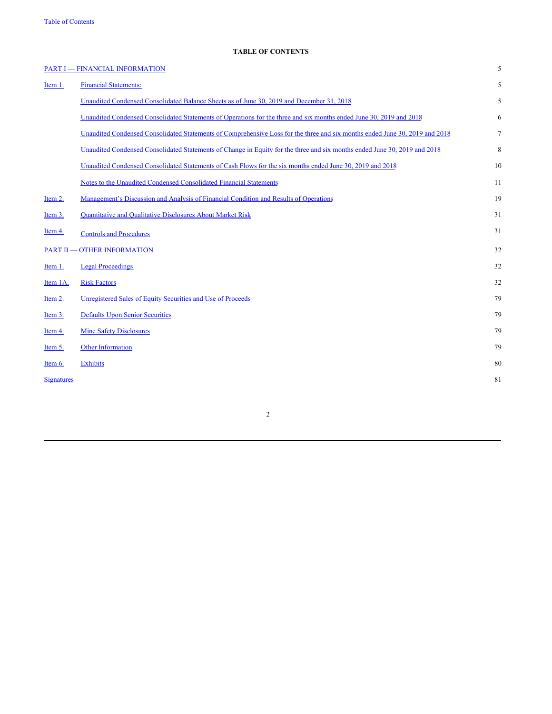# **TABLE OF CONTENTS**

# PART I — FINANCIAL [INFORMATION](#page-0-0) 5

| Item 1.           | <b>Financial Statements:</b>                                                                                                | 5  |
|-------------------|-----------------------------------------------------------------------------------------------------------------------------|----|
|                   | Unaudited Condensed Consolidated Balance Sheets as of June 30, 2019 and December 31, 2018                                   | 5  |
|                   | Unaudited Condensed Consolidated Statements of Operations for the three and six months ended June 30, 2019 and 2018         | 6  |
|                   | Unaudited Condensed Consolidated Statements of Comprehensive Loss for the three and six months ended June 30, 2019 and 2018 | 7  |
|                   | Unaudited Condensed Consolidated Statements of Change in Equity for the three and six months ended June 30, 2019 and 2018   | 8  |
|                   | Unaudited Condensed Consolidated Statements of Cash Flows for the six months ended June 30, 2019 and 2018                   | 10 |
|                   | Notes to the Unaudited Condensed Consolidated Financial Statements                                                          | 11 |
| Item 2.           | Management's Discussion and Analysis of Financial Condition and Results of Operations                                       | 19 |
| Item 3.           | <b>Quantitative and Qualitative Disclosures About Market Risk</b>                                                           | 31 |
| Item 4.           | <b>Controls and Procedures</b>                                                                                              | 31 |
| <b>PART II</b>    | <b>OTHER INFORMATION</b>                                                                                                    | 32 |
| Item 1.           | <b>Legal Proceedings</b>                                                                                                    | 32 |
| Item 1A.          | <b>Risk Factors</b>                                                                                                         | 32 |
| Item 2.           | Unregistered Sales of Equity Securities and Use of Proceeds                                                                 | 79 |
| Item 3.           | <b>Defaults Upon Senior Securities</b>                                                                                      | 79 |
| Item 4.           | <b>Mine Safety Disclosures</b>                                                                                              | 79 |
| Item 5.           | Other Information                                                                                                           | 79 |
| Item 6.           | <b>Exhibits</b>                                                                                                             | 80 |
| <b>Signatures</b> |                                                                                                                             | 81 |
|                   |                                                                                                                             |    |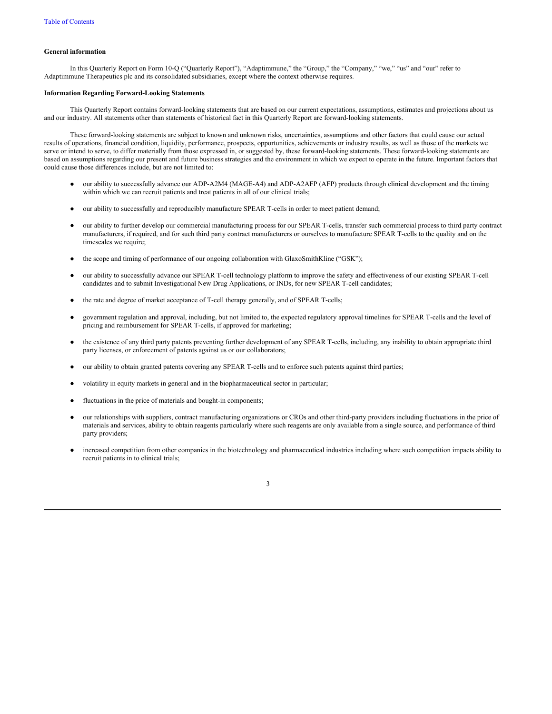#### **General information**

In this Quarterly Report on Form 10-Q ("Quarterly Report"), "Adaptimmune," the "Group," the "Company," "we," "us" and "our" refer to Adaptimmune Therapeutics plc and its consolidated subsidiaries, except where the context otherwise requires.

## **Information Regarding Forward-Looking Statements**

This Quarterly Report contains forward-looking statements that are based on our current expectations, assumptions, estimates and projections about us and our industry. All statements other than statements of historical fact in this Quarterly Report are forward-looking statements.

These forward-looking statements are subject to known and unknown risks, uncertainties, assumptions and other factors that could cause our actual results of operations, financial condition, liquidity, performance, prospects, opportunities, achievements or industry results, as well as those of the markets we serve or intend to serve, to differ materially from those expressed in, or suggested by, these forward-looking statements. These forward-looking statements are based on assumptions regarding our present and future business strategies and the environment in which we expect to operate in the future. Important factors that could cause those differences include, but are not limited to:

- our ability to successfully advance our ADP-A2M4 (MAGE-A4) and ADP-A2AFP (AFP) products through clinical development and the timing within which we can recruit patients and treat patients in all of our clinical trials;
- our ability to successfully and reproducibly manufacture SPEAR T-cells in order to meet patient demand;
- our ability to further develop our commercial manufacturing process for our SPEAR T-cells, transfer such commercial process to third party contract manufacturers, if required, and for such third party contract manufacturers or ourselves to manufacture SPEAR T-cells to the quality and on the timescales we require;
- the scope and timing of performance of our ongoing collaboration with GlaxoSmithKline ("GSK");
- our ability to successfully advance our SPEAR T-cell technology platform to improve the safety and effectiveness of our existing SPEAR T-cell candidates and to submit Investigational New Drug Applications, or INDs, for new SPEAR T-cell candidates;
- the rate and degree of market acceptance of T-cell therapy generally, and of SPEAR T-cells;
- government regulation and approval, including, but not limited to, the expected regulatory approval timelines for SPEAR T-cells and the level of pricing and reimbursement for SPEAR T-cells, if approved for marketing;
- the existence of any third party patents preventing further development of any SPEAR T-cells, including, any inability to obtain appropriate third party licenses, or enforcement of patents against us or our collaborators;
- our ability to obtain granted patents covering any SPEAR T-cells and to enforce such patents against third parties;
- volatility in equity markets in general and in the biopharmaceutical sector in particular;
- fluctuations in the price of materials and bought-in components;
- our relationships with suppliers, contract manufacturing organizations or CROs and other third-party providers including fluctuations in the price of materials and services, ability to obtain reagents particularly where such reagents are only available from a single source, and performance of third party providers;
- increased competition from other companies in the biotechnology and pharmaceutical industries including where such competition impacts ability to recruit patients in to clinical trials;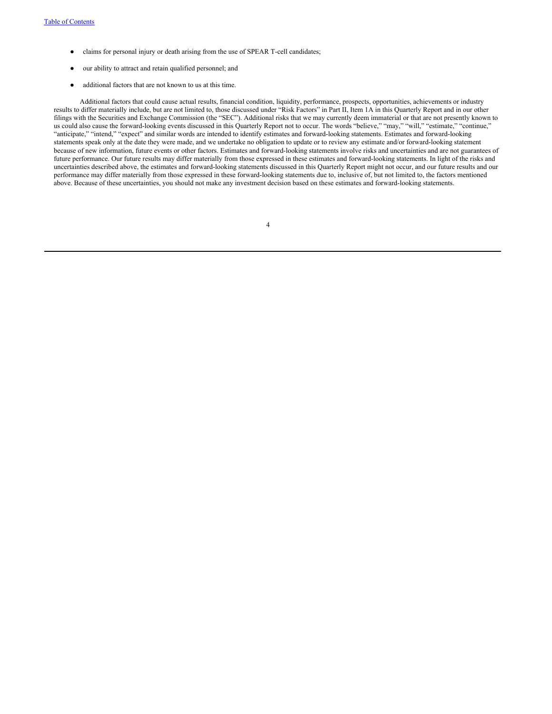- claims for personal injury or death arising from the use of SPEAR T-cell candidates;
- our ability to attract and retain qualified personnel; and
- additional factors that are not known to us at this time.

Additional factors that could cause actual results, financial condition, liquidity, performance, prospects, opportunities, achievements or industry results to differ materially include, but are not limited to, those discussed under "Risk Factors" in Part II, Item 1A in this Quarterly Report and in our other filings with the Securities and Exchange Commission (the "SEC"). Additional risks that we may currently deem immaterial or that are not presently known to us could also cause the forward-looking events discussed in this Quarterly Report not to occur. The words "believe," "may," "will," "estimate," "continue," "anticipate," "intend," "expect" and similar words are intended to identify estimates and forward-looking statements. Estimates and forward-looking statements speak only at the date they were made, and we undertake no obligation to update or to review any estimate and/or forward-looking statement because of new information, future events or other factors. Estimates and forward-looking statements involve risks and uncertainties and are not guarantees of future performance. Our future results may differ materially from those expressed in these estimates and forward-looking statements. In light of the risks and uncertainties described above, the estimates and forward-looking statements discussed in this Quarterly Report might not occur, and our future results and our performance may differ materially from those expressed in these forward-looking statements due to, inclusive of, but not limited to, the factors mentioned above. Because of these uncertainties, you should not make any investment decision based on these estimates and forward-looking statements.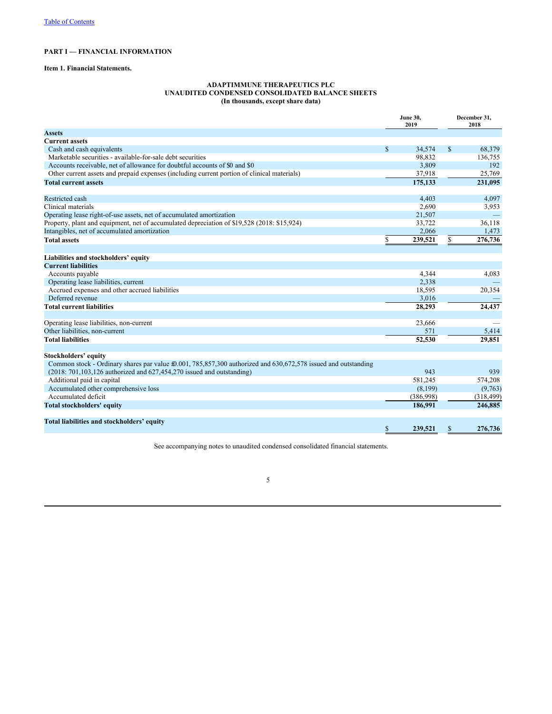# **PART I — FINANCIAL INFORMATION**

**Item 1. Financial Statements.**

### **ADAPTIMMUNE THERAPEUTICS PLC UNAUDITED CONDENSED CONSOLIDATED BALANCE SHEETS (In thousands, except share data)**

|                                                                                                                                      |              | <b>June 30,</b><br>2019 | December 31,<br>2018 |
|--------------------------------------------------------------------------------------------------------------------------------------|--------------|-------------------------|----------------------|
| <b>Assets</b>                                                                                                                        |              |                         |                      |
| <b>Current assets</b>                                                                                                                |              |                         |                      |
| Cash and cash equivalents                                                                                                            | $\mathbf S$  | 34.574                  | \$<br>68,379         |
| Marketable securities - available-for-sale debt securities                                                                           |              | 98,832                  | 136,755              |
| Accounts receivable, net of allowance for doubtful accounts of \$0 and \$0                                                           |              | 3,809                   | 192                  |
| Other current assets and prepaid expenses (including current portion of clinical materials)                                          |              | 37,918                  | 25.769               |
| <b>Total current assets</b>                                                                                                          |              | 175,133                 | 231,095              |
| <b>Restricted cash</b>                                                                                                               |              | 4.403                   | 4,097                |
| Clinical materials                                                                                                                   |              | 2,690                   | 3,953                |
| Operating lease right-of-use assets, net of accumulated amortization                                                                 |              | 21,507                  |                      |
| Property, plant and equipment, net of accumulated depreciation of \$19,528 (2018: \$15,924)                                          |              | 33,722                  | 36,118               |
| Intangibles, net of accumulated amortization                                                                                         |              | 2,066                   | 1,473                |
| <b>Total assets</b>                                                                                                                  | \$           | 239,521                 | \$<br>276,736        |
|                                                                                                                                      |              |                         |                      |
| Liabilities and stockholders' equity                                                                                                 |              |                         |                      |
| <b>Current liabilities</b>                                                                                                           |              |                         |                      |
| Accounts payable                                                                                                                     |              | 4,344                   | 4,083                |
| Operating lease liabilities, current                                                                                                 |              | 2,338                   |                      |
| Accrued expenses and other accrued liabilities                                                                                       |              | 18,595                  | 20,354               |
| Deferred revenue                                                                                                                     |              | 3,016                   |                      |
| <b>Total current liabilities</b>                                                                                                     |              | 28,293                  | 24,437               |
| Operating lease liabilities, non-current                                                                                             |              | 23,666                  |                      |
| Other liabilities, non-current                                                                                                       |              | 571                     | 5,414                |
| <b>Total liabilities</b>                                                                                                             |              | 52,530                  | 29,851               |
|                                                                                                                                      |              |                         |                      |
| <b>Stockholders' equity</b>                                                                                                          |              |                         |                      |
| Common stock - Ordinary shares par value $\text{\textsterling}0.001$ , 785,857,300 authorized and 630,672,578 issued and outstanding |              |                         |                      |
| $(2018: 701, 103, 126$ authorized and $627, 454, 270$ issued and outstanding)                                                        |              | 943                     | 939                  |
| Additional paid in capital                                                                                                           |              | 581,245                 | 574,208              |
| Accumulated other comprehensive loss                                                                                                 |              | (8,199)                 | (9,763)              |
| Accumulated deficit                                                                                                                  |              | (386,998)               | (318, 499)           |
| <b>Total stockholders' equity</b>                                                                                                    |              | 186,991                 | 246,885              |
| Total liabilities and stockholders' equity                                                                                           |              |                         |                      |
|                                                                                                                                      | $\mathbb{S}$ | 239,521                 | \$<br>276.736        |

See accompanying notes to unaudited condensed consolidated financial statements.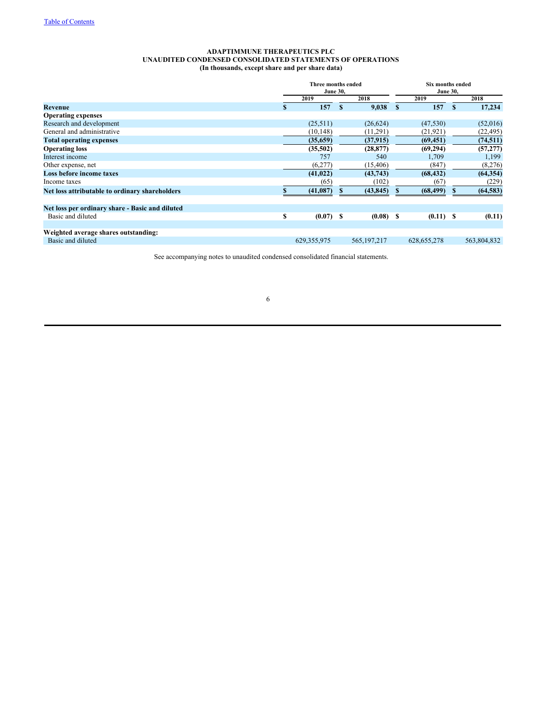#### **ADAPTIMMUNE THERAPEUTICS PLC UNAUDITED CONDENSED CONSOLIDATED STATEMENTS OF OPERATIONS (In thousands, except share and per share data)**

|                                                 |    | Three months ended<br><b>June 30,</b> |   |               |   | Six months ended<br><b>June 30,</b> |              |             |  |
|-------------------------------------------------|----|---------------------------------------|---|---------------|---|-------------------------------------|--------------|-------------|--|
|                                                 |    | 2019                                  |   | 2018          |   | 2019                                |              | 2018        |  |
| <b>Revenue</b>                                  | S. | 157                                   | S | 9,038         | S | 157                                 | $\mathbf{s}$ | 17,234      |  |
| <b>Operating expenses</b>                       |    |                                       |   |               |   |                                     |              |             |  |
| Research and development                        |    | (25,511)                              |   | (26, 624)     |   | (47, 530)                           |              | (52,016)    |  |
| General and administrative                      |    | (10, 148)                             |   | (11,291)      |   | (21, 921)                           |              | (22, 495)   |  |
| <b>Total operating expenses</b>                 |    | (35,659)                              |   | (37, 915)     |   | (69, 451)                           |              | (74, 511)   |  |
| <b>Operating loss</b>                           |    | (35,502)                              |   | (28, 877)     |   | (69,294)                            |              | (57, 277)   |  |
| Interest income                                 |    | 757                                   |   | 540           |   | 1,709                               |              | 1,199       |  |
| Other expense, net                              |    | (6,277)                               |   | (15, 406)     |   | (847)                               |              | (8,276)     |  |
| <b>Loss before income taxes</b>                 |    | (41, 022)                             |   | (43,743)      |   | (68, 432)                           |              | (64, 354)   |  |
| Income taxes                                    |    | (65)                                  |   | (102)         |   | (67                                 |              | (229)       |  |
| Net loss attributable to ordinary shareholders  |    | (41,087)                              |   | (43, 845)     |   | (68, 499)                           |              | (64, 583)   |  |
|                                                 |    |                                       |   |               |   |                                     |              |             |  |
| Net loss per ordinary share - Basic and diluted |    |                                       |   |               |   |                                     |              |             |  |
| Basic and diluted                               | \$ | $(0.07)$ \$                           |   | $(0.08)$ \$   |   | (0.11) S                            |              | (0.11)      |  |
|                                                 |    |                                       |   |               |   |                                     |              |             |  |
| Weighted average shares outstanding:            |    |                                       |   |               |   |                                     |              |             |  |
| Basic and diluted                               |    | 629, 355, 975                         |   | 565, 197, 217 |   | 628, 655, 278                       |              | 563,804,832 |  |

See accompanying notes to unaudited condensed consolidated financial statements.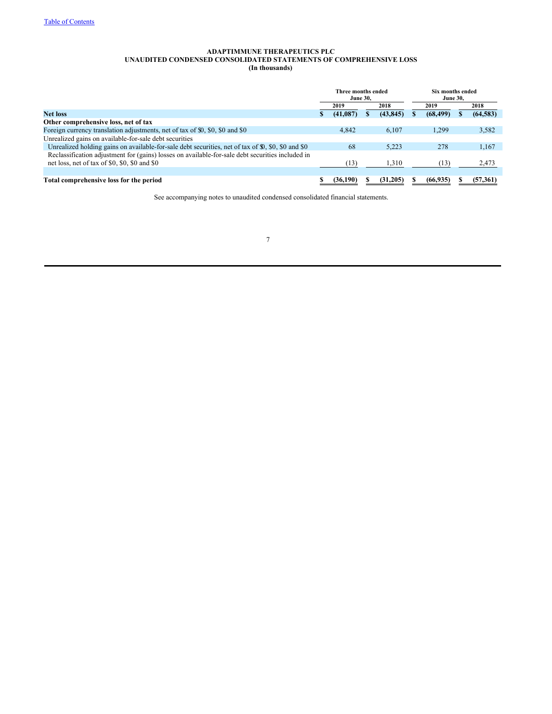## **ADAPTIMMUNE THERAPEUTICS PLC UNAUDITED CONDENSED CONSOLIDATED STATEMENTS OF COMPREHENSIVE LOSS (In thousands)**

|                                                                                                                           | Three months ended<br><b>June 30.</b> |  |          |      | Six months ended<br><b>June 30.</b> |           |
|---------------------------------------------------------------------------------------------------------------------------|---------------------------------------|--|----------|------|-------------------------------------|-----------|
|                                                                                                                           | 2019                                  |  | 2018     | 2019 |                                     | 2018      |
| <b>Net loss</b>                                                                                                           | (41.087)                              |  | (43.845) |      | (68, 499)                           | (64, 583) |
| Other comprehensive loss, net of tax                                                                                      |                                       |  |          |      |                                     |           |
| Foreign currency translation adjustments, net of tax of \$0, \$0, \$0 and \$0                                             | 4.842                                 |  | 6.107    |      | 1.299                               | 3,582     |
| Unrealized gains on available-for-sale debt securities                                                                    |                                       |  |          |      |                                     |           |
| Unrealized holding gains on available-for-sale debt securities, net of tax of $\Omega$ , $\Omega$ , $\Omega$ and $\Omega$ | 68                                    |  | 5,223    |      | 278                                 | 1,167     |
| $\mathbf{a}$ and $\mathbf{a}$ and $\mathbf{a}$ and $\mathbf{a}$                                                           |                                       |  |          |      |                                     |           |

**Total comprehensive loss for the period \$ (36,190) \$ (31,205) \$ (66,935) \$ (57,361)**

Reclassification adjustment for (gains) losses on available-for-sale debt securities included in

See accompanying notes to unaudited condensed consolidated financial statements.

net loss, net of tax of \$0, \$0, \$0 and \$0 (13) 1,310 (13) 2,473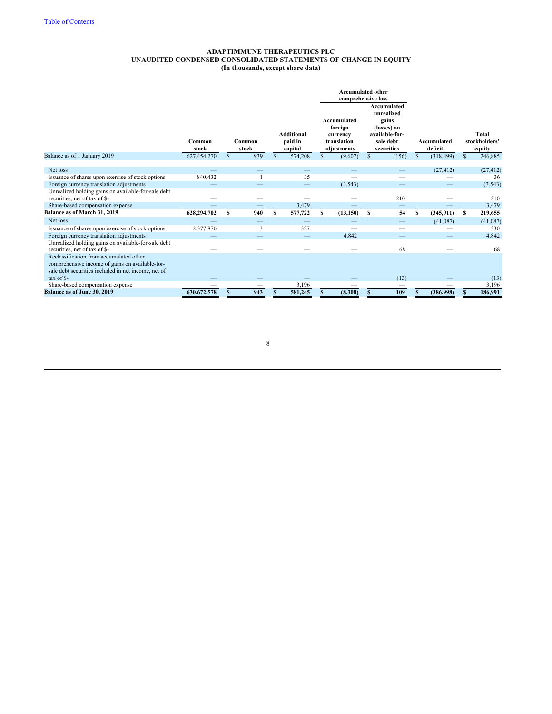#### **ADAPTIMMUNE THERAPEUTICS PLC UNAUDITED CONDENSED CONSOLIDATED STATEMENTS OF CHANGE IN EQUITY (In thousands, except share data)**

|                                                                                                                                                   |                 |              |                                                     |               |                                                                  |              | <b>Accumulated other</b><br>comprehensive loss                                                 |              |                          |                        |            |                                  |           |
|---------------------------------------------------------------------------------------------------------------------------------------------------|-----------------|--------------|-----------------------------------------------------|---------------|------------------------------------------------------------------|--------------|------------------------------------------------------------------------------------------------|--------------|--------------------------|------------------------|------------|----------------------------------|-----------|
|                                                                                                                                                   | Common<br>stock |              | Additional<br>paid in<br>Common<br>stock<br>capital |               | Accumulated<br>foreign<br>currency<br>translation<br>adjustments |              | Accumulated<br>unrealized<br>gains<br>(losses) on<br>available-for-<br>sale debt<br>securities |              |                          | Accumulated<br>deficit |            | Total<br>stockholders'<br>equity |           |
| Balance as of 1 January 2019                                                                                                                      | 627,454,270     | $\mathbb{S}$ | 939                                                 | $\mathcal{S}$ | 574,208                                                          | $\mathbb{S}$ | (9,607)                                                                                        | $\mathbb{S}$ | (156)                    | $\mathbb{S}$           | (318, 499) | $\mathbf{s}$                     | 246,885   |
| Net loss                                                                                                                                          |                 |              |                                                     |               |                                                                  |              |                                                                                                |              |                          |                        | (27, 412)  |                                  | (27, 412) |
| Issuance of shares upon exercise of stock options                                                                                                 | 840,432         |              |                                                     |               | 35                                                               |              |                                                                                                |              | --                       |                        |            |                                  | 36        |
| Foreign currency translation adjustments                                                                                                          |                 |              |                                                     |               |                                                                  |              | (3,543)                                                                                        |              |                          |                        |            |                                  | (3, 543)  |
| Unrealized holding gains on available-for-sale debt<br>securities, net of tax of \$-                                                              |                 |              |                                                     |               |                                                                  |              |                                                                                                |              | 210                      |                        |            |                                  | 210       |
| Share-based compensation expense                                                                                                                  |                 |              |                                                     |               | 3,479                                                            |              |                                                                                                |              | $\overline{\phantom{m}}$ |                        |            |                                  | 3,479     |
| Balance as of March 31, 2019                                                                                                                      | 628,294,702     | S            | 940                                                 | S             | 577,722                                                          | S            | (13, 150)                                                                                      | S.           | 54                       |                        | (345, 911) | S                                | 219,655   |
| Net loss                                                                                                                                          |                 |              |                                                     |               |                                                                  |              |                                                                                                |              |                          |                        | (41,087)   |                                  | (41,087)  |
| Issuance of shares upon exercise of stock options                                                                                                 | 2,377,876       |              | 3                                                   |               | 327                                                              |              |                                                                                                |              |                          |                        |            |                                  | 330       |
| Foreign currency translation adjustments                                                                                                          |                 |              |                                                     |               |                                                                  |              | 4,842                                                                                          |              |                          |                        |            |                                  | 4,842     |
| Unrealized holding gains on available-for-sale debt<br>securities, net of tax of \$-                                                              |                 |              |                                                     |               |                                                                  |              |                                                                                                |              | 68                       |                        |            |                                  | 68        |
| Reclassification from accumulated other<br>comprehensive income of gains on available-for-<br>sale debt securities included in net income, net of |                 |              |                                                     |               |                                                                  |              |                                                                                                |              |                          |                        |            |                                  |           |
| tax of \$-                                                                                                                                        |                 |              |                                                     |               |                                                                  |              |                                                                                                |              | (13)                     |                        |            |                                  | (13)      |
| Share-based compensation expense                                                                                                                  |                 |              |                                                     |               | 3,196                                                            |              |                                                                                                |              |                          |                        |            |                                  | 3,196     |
| Balance as of June 30, 2019                                                                                                                       | 630, 672, 578   | S            | 943                                                 | S             | 581,245                                                          | S.           | (8,308)                                                                                        | S            | 109                      |                        | (386,998)  | <b>S</b>                         | 186,991   |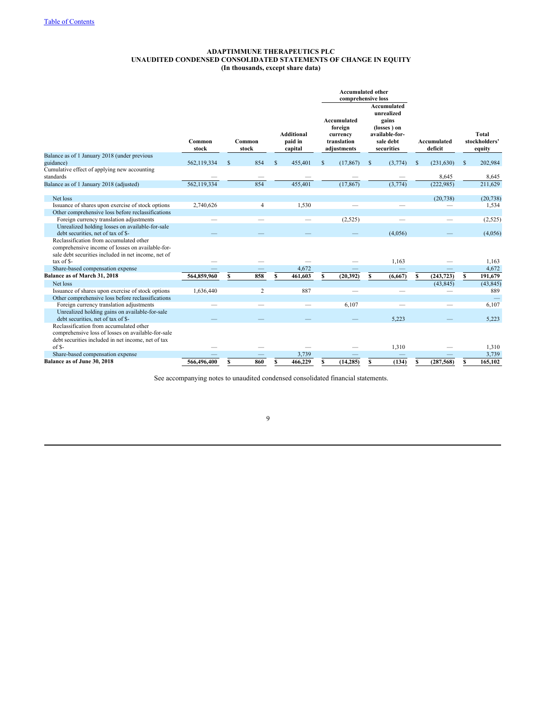## **ADAPTIMMUNE THERAPEUTICS PLC UNAUDITED CONDENSED CONSOLIDATED STATEMENTS OF CHANGE IN EQUITY (In thousands, except share data)**

|                                                                                                                                                     |                 |   |                 |              |                                         |                                                                  | <b>Accumulated other</b><br>comprehensive loss |    |                                                                                                |    |                        |              |                                         |
|-----------------------------------------------------------------------------------------------------------------------------------------------------|-----------------|---|-----------------|--------------|-----------------------------------------|------------------------------------------------------------------|------------------------------------------------|----|------------------------------------------------------------------------------------------------|----|------------------------|--------------|-----------------------------------------|
|                                                                                                                                                     | Common<br>stock |   | Common<br>stock |              | <b>Additional</b><br>paid in<br>capital | Accumulated<br>foreign<br>currency<br>translation<br>adjustments |                                                |    | Accumulated<br>unrealized<br>gains<br>(losses) on<br>available-for-<br>sale debt<br>securities |    | Accumulated<br>deficit |              | <b>Total</b><br>stockholders'<br>equity |
| Balance as of 1 January 2018 (under previous                                                                                                        |                 |   |                 |              |                                         |                                                                  |                                                |    |                                                                                                |    |                        |              |                                         |
| guidance)                                                                                                                                           | 562,119,334     | S | 854             | $\mathbb{S}$ | 455,401                                 | $\mathbb{S}$                                                     | (17, 867)                                      | \$ | (3,774)                                                                                        | -S | (231, 630)             | $\mathbb{S}$ | 202,984                                 |
| Cumulative effect of applying new accounting                                                                                                        |                 |   |                 |              |                                         |                                                                  |                                                |    |                                                                                                |    |                        |              |                                         |
| standards                                                                                                                                           |                 |   |                 |              |                                         |                                                                  |                                                |    |                                                                                                |    | 8,645                  |              | 8,645                                   |
| Balance as of 1 January 2018 (adjusted)                                                                                                             | 562,119,334     |   | 854             |              | 455,401                                 |                                                                  | (17, 867)                                      |    | (3,774)                                                                                        |    | (222,985)              |              | 211,629                                 |
| Net loss                                                                                                                                            |                 |   |                 |              |                                         |                                                                  |                                                |    |                                                                                                |    | (20, 738)              |              | (20, 738)                               |
| Issuance of shares upon exercise of stock options                                                                                                   | 2,740,626       |   | $\overline{4}$  |              | 1,530                                   |                                                                  |                                                |    |                                                                                                |    |                        |              | 1,534                                   |
| Other comprehensive loss before reclassifications                                                                                                   |                 |   |                 |              |                                         |                                                                  |                                                |    |                                                                                                |    |                        |              |                                         |
| Foreign currency translation adjustments                                                                                                            |                 |   |                 |              |                                         |                                                                  | (2,525)                                        |    |                                                                                                |    |                        |              | (2,525)                                 |
| Unrealized holding losses on available-for-sale<br>debt securities, net of tax of \$-                                                               |                 |   |                 |              |                                         |                                                                  |                                                |    | (4,056)                                                                                        |    |                        |              | (4,056)                                 |
| Reclassification from accumulated other<br>comprehensive income of losses on available-for-<br>sale debt securities included in net income, net of  |                 |   |                 |              |                                         |                                                                  |                                                |    |                                                                                                |    |                        |              |                                         |
| tax of \$-                                                                                                                                          |                 |   |                 |              |                                         |                                                                  |                                                |    | 1,163                                                                                          |    |                        |              | 1,163                                   |
| Share-based compensation expense                                                                                                                    |                 |   |                 |              | 4,672                                   |                                                                  |                                                |    |                                                                                                |    |                        |              | 4,672                                   |
| Balance as of March 31, 2018                                                                                                                        | 564,859,960     | s | 858             | S            | 461,603                                 | s                                                                | (20, 392)                                      | S. | (6,667)                                                                                        | S. | (243, 723)             | s            | 191,679                                 |
| Net loss                                                                                                                                            |                 |   |                 |              |                                         |                                                                  |                                                |    |                                                                                                |    | (43, 845)              |              | (43, 845)                               |
| Issuance of shares upon exercise of stock options                                                                                                   | 1,636,440       |   | $\overline{2}$  |              | 887                                     |                                                                  |                                                |    |                                                                                                |    |                        |              | 889                                     |
| Other comprehensive loss before reclassifications                                                                                                   |                 |   |                 |              |                                         |                                                                  |                                                |    |                                                                                                |    |                        |              |                                         |
| Foreign currency translation adjustments                                                                                                            |                 |   |                 |              |                                         |                                                                  | 6,107                                          |    | $\overline{\phantom{a}}$                                                                       |    |                        |              | 6,107                                   |
| Unrealized holding gains on available-for-sale                                                                                                      |                 |   |                 |              |                                         |                                                                  |                                                |    |                                                                                                |    |                        |              |                                         |
| debt securities, net of tax of \$-                                                                                                                  |                 |   |                 |              |                                         |                                                                  |                                                |    | 5,223                                                                                          |    |                        |              | 5,223                                   |
| Reclassification from accumulated other<br>comprehensive loss of losses on available-for-sale<br>debt securities included in net income, net of tax |                 |   |                 |              |                                         |                                                                  |                                                |    |                                                                                                |    |                        |              |                                         |
| $of$ \$-                                                                                                                                            |                 |   |                 |              |                                         |                                                                  |                                                |    | 1,310                                                                                          |    |                        |              | 1,310                                   |
| Share-based compensation expense                                                                                                                    |                 |   |                 |              | 3,739                                   |                                                                  |                                                |    |                                                                                                |    |                        |              | 3,739                                   |
| Balance as of June 30, 2018                                                                                                                         | 566,496,400     | s | 860             | s            | 466,229                                 | s                                                                | (14, 285)                                      | s  | (134)                                                                                          | S  | (287, 568)             | s            | 165,102                                 |

See accompanying notes to unaudited condensed consolidated financial statements.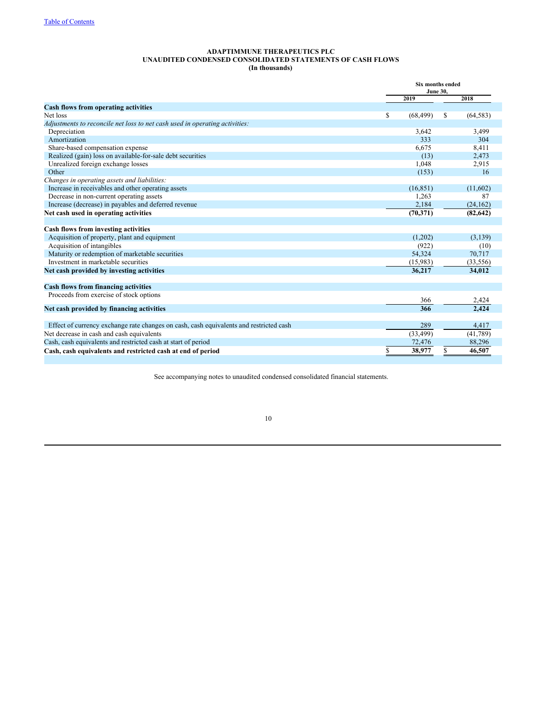#### **ADAPTIMMUNE THERAPEUTICS PLC UNAUDITED CONDENSED CONSOLIDATED STATEMENTS OF CASH FLOWS (In thousands)**

|                                                                                        | Six months ended<br><b>June 30.</b> |   |           |  |  |
|----------------------------------------------------------------------------------------|-------------------------------------|---|-----------|--|--|
|                                                                                        | 2019                                |   | 2018      |  |  |
| <b>Cash flows from operating activities</b>                                            |                                     |   |           |  |  |
| Net loss                                                                               | \$<br>(68, 499)                     | S | (64, 583) |  |  |
| Adjustments to reconcile net loss to net cash used in operating activities:            |                                     |   |           |  |  |
| Depreciation                                                                           | 3.642                               |   | 3,499     |  |  |
| Amortization                                                                           | 333                                 |   | 304       |  |  |
| Share-based compensation expense                                                       | 6,675                               |   | 8,411     |  |  |
| Realized (gain) loss on available-for-sale debt securities                             | (13)                                |   | 2,473     |  |  |
| Unrealized foreign exchange losses                                                     | 1.048                               |   | 2,915     |  |  |
| Other                                                                                  | (153)                               |   | 16        |  |  |
| Changes in operating assets and liabilities:                                           |                                     |   |           |  |  |
| Increase in receivables and other operating assets                                     | (16, 851)                           |   | (11,602)  |  |  |
| Decrease in non-current operating assets                                               | 1,263                               |   | 87        |  |  |
| Increase (decrease) in payables and deferred revenue                                   | 2.184                               |   | (24, 162) |  |  |
| Net cash used in operating activities                                                  | (70, 371)                           |   | (82, 642) |  |  |
|                                                                                        |                                     |   |           |  |  |
| Cash flows from investing activities                                                   |                                     |   |           |  |  |
| Acquisition of property, plant and equipment                                           | (1,202)                             |   | (3, 139)  |  |  |
| Acquisition of intangibles                                                             | (922)                               |   | (10)      |  |  |
| Maturity or redemption of marketable securities                                        | 54,324                              |   | 70,717    |  |  |
| Investment in marketable securities                                                    | (15,983)                            |   | (33, 556) |  |  |
| Net cash provided by investing activities                                              | 36,217                              |   | 34,012    |  |  |
| <b>Cash flows from financing activities</b>                                            |                                     |   |           |  |  |
| Proceeds from exercise of stock options                                                |                                     |   |           |  |  |
|                                                                                        | 366                                 |   | 2,424     |  |  |
| Net cash provided by financing activities                                              | 366                                 |   | 2,424     |  |  |
|                                                                                        |                                     |   |           |  |  |
| Effect of currency exchange rate changes on cash, cash equivalents and restricted cash | 289                                 |   | 4,417     |  |  |
| Net decrease in cash and cash equivalents                                              | (33, 499)                           |   | (41,789)  |  |  |
| Cash, cash equivalents and restricted cash at start of period                          | 72,476                              |   | 88,296    |  |  |
| Cash, cash equivalents and restricted cash at end of period                            | \$<br>38,977                        | S | 46,507    |  |  |

See accompanying notes to unaudited condensed consolidated financial statements.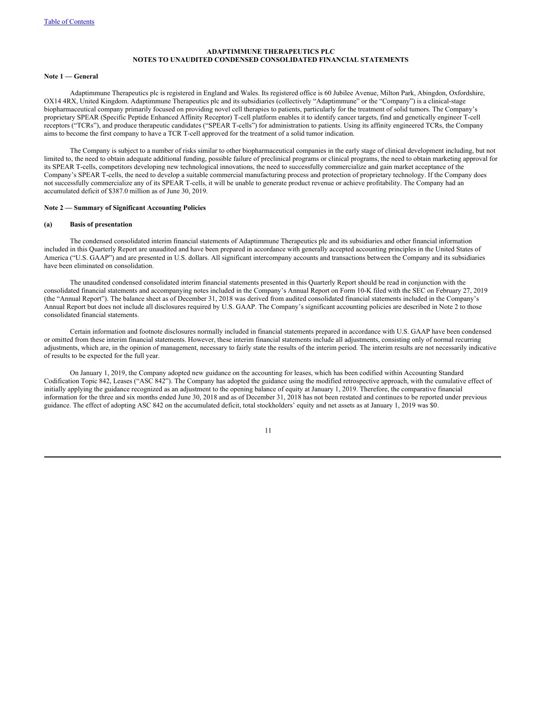## **ADAPTIMMUNE THERAPEUTICS PLC NOTES TO UNAUDITED CONDENSED CONSOLIDATED FINANCIAL STATEMENTS**

## **Note 1 — General**

Adaptimmune Therapeutics plc is registered in England and Wales. Its registered office is 60 Jubilee Avenue, Milton Park, Abingdon, Oxfordshire, OX14 4RX, United Kingdom. Adaptimmune Therapeutics plc and its subsidiaries (collectively "Adaptimmune" or the "Company") is a clinical-stage biopharmaceutical company primarily focused on providing novel cell therapies to patients, particularly for the treatment of solid tumors. The Company's proprietary SPEAR (Specific Peptide Enhanced Affinity Receptor) T-cell platform enables it to identify cancer targets, find and genetically engineer T-cell receptors ("TCRs"), and produce therapeutic candidates ("SPEAR T-cells") for administration to patients. Using its affinity engineered TCRs, the Company aims to become the first company to have a TCR T-cell approved for the treatment of a solid tumor indication.

The Company is subject to a number of risks similar to other biopharmaceutical companies in the early stage of clinical development including, but not limited to, the need to obtain adequate additional funding, possible failure of preclinical programs or clinical programs, the need to obtain marketing approval for its SPEAR T-cells, competitors developing new technological innovations, the need to successfully commercialize and gain market acceptance of the Company's SPEAR T-cells, the need to develop a suitable commercial manufacturing process and protection of proprietary technology. If the Company does not successfully commercialize any of its SPEAR T-cells, it will be unable to generate product revenue or achieve profitability. The Company had an accumulated deficit of \$387.0 million as of June 30, 2019.

## **Note 2 — Summary of Significant Accounting Policies**

#### **(a) Basis of presentation**

The condensed consolidated interim financial statements of Adaptimmune Therapeutics plc and its subsidiaries and other financial information included in this Quarterly Report are unaudited and have been prepared in accordance with generally accepted accounting principles in the United States of America ("U.S. GAAP") and are presented in U.S. dollars. All significant intercompany accounts and transactions between the Company and its subsidiaries have been eliminated on consolidation.

The unaudited condensed consolidated interim financial statements presented in this Quarterly Report should be read in conjunction with the consolidated financial statements and accompanying notes included in the Company's Annual Report on Form 10-K filed with the SEC on February 27, 2019 (the "Annual Report"). The balance sheet as of December 31, 2018 was derived from audited consolidated financial statements included in the Company's Annual Report but does not include all disclosures required by U.S. GAAP. The Company's significant accounting policies are described in Note 2 to those consolidated financial statements.

Certain information and footnote disclosures normally included in financial statements prepared in accordance with U.S. GAAP have been condensed or omitted from these interim financial statements. However, these interim financial statements include all adjustments, consisting only of normal recurring adjustments, which are, in the opinion of management, necessary to fairly state the results of the interim period. The interim results are not necessarily indicative of results to be expected for the full year.

On January 1, 2019, the Company adopted new guidance on the accounting for leases, which has been codified within Accounting Standard Codification Topic 842, Leases ("ASC 842"). The Company has adopted the guidance using the modified retrospective approach, with the cumulative effect of initially applying the guidance recognized as an adjustment to the opening balance of equity at January 1, 2019. Therefore, the comparative financial information for the three and six months ended June 30, 2018 and as of December 31, 2018 has not been restated and continues to be reported under previous guidance. The effect of adopting ASC 842 on the accumulated deficit, total stockholders' equity and net assets as at January 1, 2019 was \$0.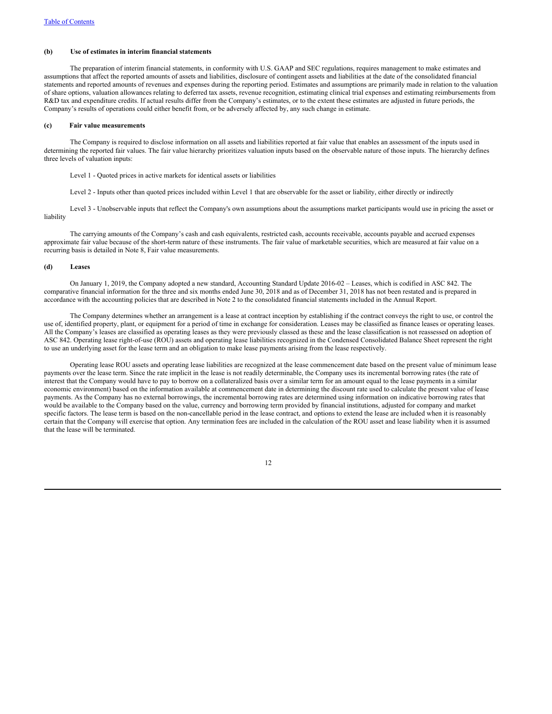## **(b) Use of estimates in interim financial statements**

The preparation of interim financial statements, in conformity with U.S. GAAP and SEC regulations, requires management to make estimates and assumptions that affect the reported amounts of assets and liabilities, disclosure of contingent assets and liabilities at the date of the consolidated financial statements and reported amounts of revenues and expenses during the reporting period. Estimates and assumptions are primarily made in relation to the valuation of share options, valuation allowances relating to deferred tax assets, revenue recognition, estimating clinical trial expenses and estimating reimbursements from R&D tax and expenditure credits. If actual results differ from the Company's estimates, or to the extent these estimates are adjusted in future periods, the Company's results of operations could either benefit from, or be adversely affected by, any such change in estimate.

#### **(c) Fair value measurements**

The Company is required to disclose information on all assets and liabilities reported at fair value that enables an assessment of the inputs used in determining the reported fair values. The fair value hierarchy prioritizes valuation inputs based on the observable nature of those inputs. The hierarchy defines three levels of valuation inputs:

Level 1 - Quoted prices in active markets for identical assets or liabilities

Level 2 - Inputs other than quoted prices included within Level 1 that are observable for the asset or liability, either directly or indirectly

Level 3 - Unobservable inputs that reflect the Company's own assumptions about the assumptions market participants would use in pricing the asset or liability

The carrying amounts of the Company's cash and cash equivalents, restricted cash, accounts receivable, accounts payable and accrued expenses approximate fair value because of the short-term nature of these instruments. The fair value of marketable securities, which are measured at fair value on a recurring basis is detailed in Note 8, Fair value measurements.

## **(d) Leases**

On January 1, 2019, the Company adopted a new standard, Accounting Standard Update 2016-02 – Leases, which is codified in ASC 842. The comparative financial information for the three and six months ended June 30, 2018 and as of December 31, 2018 has not been restated and is prepared in accordance with the accounting policies that are described in Note 2 to the consolidated financial statements included in the Annual Report.

The Company determines whether an arrangement is a lease at contract inception by establishing if the contract conveys the right to use, or control the use of, identified property, plant, or equipment for a period of time in exchange for consideration. Leases may be classified as finance leases or operating leases. All the Company's leases are classified as operating leases as they were previously classed as these and the lease classification is not reassessed on adoption of ASC 842. Operating lease right-of-use (ROU) assets and operating lease liabilities recognized in the Condensed Consolidated Balance Sheet represent the right to use an underlying asset for the lease term and an obligation to make lease payments arising from the lease respectively.

Operating lease ROU assets and operating lease liabilities are recognized at the lease commencement date based on the present value of minimum lease payments over the lease term. Since the rate implicit in the lease is not readily determinable, the Company uses its incremental borrowing rates (the rate of interest that the Company would have to pay to borrow on a collateralized basis over a similar term for an amount equal to the lease payments in a similar economic environment) based on the information available at commencement date in determining the discount rate used to calculate the present value of lease payments. As the Company has no external borrowings, the incremental borrowing rates are determined using information on indicative borrowing rates that would be available to the Company based on the value, currency and borrowing term provided by financial institutions, adjusted for company and market specific factors. The lease term is based on the non-cancellable period in the lease contract, and options to extend the lease are included when it is reasonably certain that the Company will exercise that option. Any termination fees are included in the calculation of the ROU asset and lease liability when it is assumed that the lease will be terminated.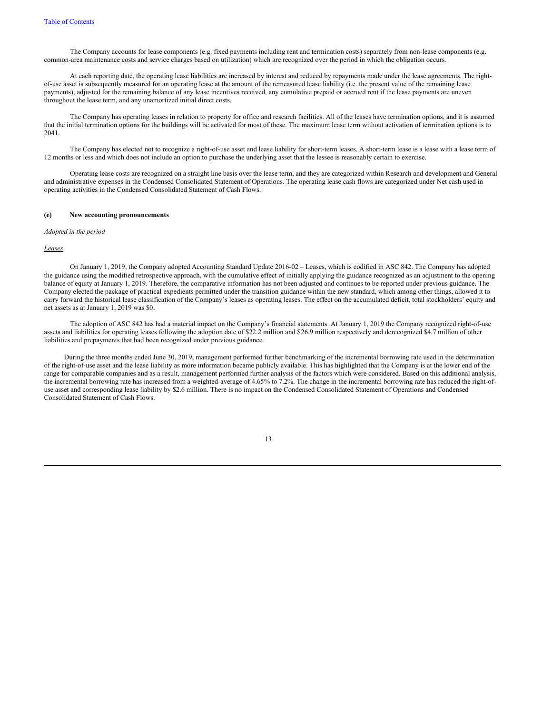The Company accounts for lease components (e.g. fixed payments including rent and termination costs) separately from non-lease components (e.g. common-area maintenance costs and service charges based on utilization) which are recognized over the period in which the obligation occurs.

At each reporting date, the operating lease liabilities are increased by interest and reduced by repayments made under the lease agreements. The rightof-use asset is subsequently measured for an operating lease at the amount of the remeasured lease liability (i.e. the present value of the remaining lease payments), adjusted for the remaining balance of any lease incentives received, any cumulative prepaid or accrued rent if the lease payments are uneven throughout the lease term, and any unamortized initial direct costs.

The Company has operating leases in relation to property for office and research facilities. All of the leases have termination options, and it is assumed that the initial termination options for the buildings will be activated for most of these. The maximum lease term without activation of termination options is to 2041.

The Company has elected not to recognize a right-of-use asset and lease liability for short-term leases. A short-term lease is a lease with a lease term of 12 months or less and which does not include an option to purchase the underlying asset that the lessee is reasonably certain to exercise.

Operating lease costs are recognized on a straight line basis over the lease term, and they are categorized within Research and development and General and administrative expenses in the Condensed Consolidated Statement of Operations. The operating lease cash flows are categorized under Net cash used in operating activities in the Condensed Consolidated Statement of Cash Flows.

#### **(e) New accounting pronouncements**

## *Adopted in the period*

#### *Leases*

On January 1, 2019, the Company adopted Accounting Standard Update 2016-02 – Leases, which is codified in ASC 842. The Company has adopted the guidance using the modified retrospective approach, with the cumulative effect of initially applying the guidance recognized as an adjustment to the opening balance of equity at January 1, 2019. Therefore, the comparative information has not been adjusted and continues to be reported under previous guidance. The Company elected the package of practical expedients permitted under the transition guidance within the new standard, which among other things, allowed it to carry forward the historical lease classification of the Company's leases as operating leases. The effect on the accumulated deficit, total stockholders' equity and net assets as at January 1, 2019 was \$0.

The adoption of ASC 842 has had a material impact on the Company's financial statements. At January 1, 2019 the Company recognized right-of-use assets and liabilities for operating leases following the adoption date of \$22.2 million and \$26.9 million respectively and derecognized \$4.7 million of other liabilities and prepayments that had been recognized under previous guidance.

During the three months ended June 30, 2019, management performed further benchmarking of the incremental borrowing rate used in the determination of the right-of-use asset and the lease liability as more information became publicly available. This has highlighted that the Company is at the lower end of the range for comparable companies and as a result, management performed further analysis of the factors which were considered. Based on this additional analysis, the incremental borrowing rate has increased from a weighted-average of 4.65% to 7.2%. The change in the incremental borrowing rate has reduced the right-ofuse asset and corresponding lease liability by \$2.6 million. There is no impact on the Condensed Consolidated Statement of Operations and Condensed Consolidated Statement of Cash Flows.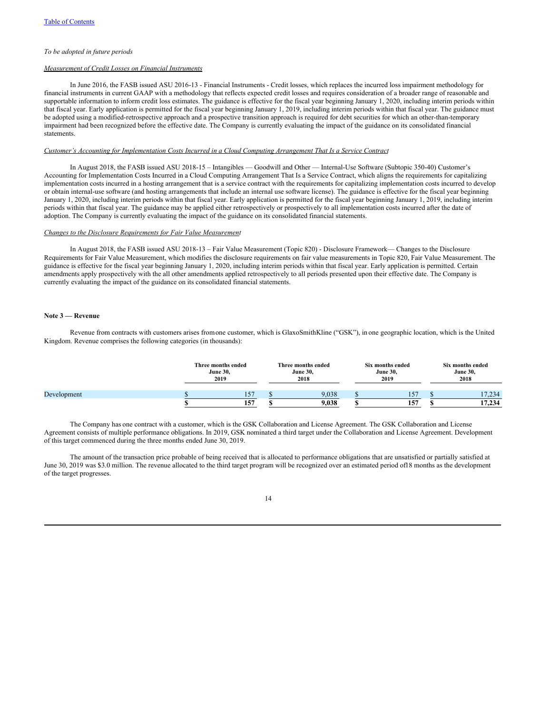#### *To be adopted in future periods*

#### *Measurement of Credit Losses on Financial Instruments*

In June 2016, the FASB issued ASU 2016-13 - Financial Instruments - Credit losses, which replaces the incurred loss impairment methodology for financial instruments in current GAAP with a methodology that reflects expected credit losses and requires consideration of a broader range of reasonable and supportable information to inform credit loss estimates. The guidance is effective for the fiscal year beginning January 1, 2020, including interim periods within that fiscal year. Early application is permitted for the fiscal year beginning January 1, 2019, including interim periods within that fiscal year. The guidance must be adopted using a modified-retrospective approach and a prospective transition approach is required for debt securities for which an other-than-temporary impairment had been recognized before the effective date. The Company is currently evaluating the impact of the guidance on its consolidated financial statements.

#### Customer's Accounting for Implementation Costs Incurred in a Cloud Computing Arrangement That Is a Service Contract

In August 2018, the FASB issued ASU 2018-15 – Intangibles — Goodwill and Other — Internal-Use Software (Subtopic 350-40) Customer's Accounting for Implementation Costs Incurred in a Cloud Computing Arrangement That Is a Service Contract, which aligns the requirements for capitalizing implementation costs incurred in a hosting arrangement that is a service contract with the requirements for capitalizing implementation costs incurred to develop or obtain internal-use software (and hosting arrangements that include an internal use software license). The guidance is effective for the fiscal year beginning January 1, 2020, including interim periods within that fiscal year. Early application is permitted for the fiscal year beginning January 1, 2019, including interim periods within that fiscal year. The guidance may be applied either retrospectively or prospectively to all implementation costs incurred after the date of adoption. The Company is currently evaluating the impact of the guidance on its consolidated financial statements.

## *Changes to the Disclosure Requirements for Fair Value Measurement*

In August 2018, the FASB issued ASU 2018-13 – Fair Value Measurement (Topic 820) - Disclosure Framework— Changes to the Disclosure Requirements for Fair Value Measurement, which modifies the disclosure requirements on fair value measurements in Topic 820, Fair Value Measurement. The guidance is effective for the fiscal year beginning January 1, 2020, including interim periods within that fiscal year. Early application is permitted. Certain amendments apply prospectively with the all other amendments applied retrospectively to all periods presented upon their effective date. The Company is currently evaluating the impact of the guidance on its consolidated financial statements.

### **Note 3 — Revenue**

Revenue from contracts with customers arises fromone customer, which is GlaxoSmithKline ("GSK"), in one geographic location, which is the United Kingdom. Revenue comprises the following categories (in thousands):

|             | Three months ended<br><b>June 30,</b><br>2019 |  | Three months ended<br><b>June 30,</b><br>2018 | Six months ended<br><b>June 30,</b><br>2019 | Six months ended<br><b>June 30,</b><br>2018 |        |  |
|-------------|-----------------------------------------------|--|-----------------------------------------------|---------------------------------------------|---------------------------------------------|--------|--|
| Development | 157                                           |  | 9.038                                         |                                             |                                             | 17,234 |  |
|             | 157                                           |  | 9.038                                         | 157                                         |                                             | 17.234 |  |

The Company has one contract with a customer, which is the GSK Collaboration and License Agreement. The GSK Collaboration and License Agreement consists of multiple performance obligations. In 2019, GSK nominated a third target under the Collaboration and License Agreement. Development of this target commenced during the three months ended June 30, 2019.

The amount of the transaction price probable of being received that is allocated to performance obligations that are unsatisfied or partially satisfied at June 30, 2019 was \$3.0 million. The revenue allocated to the third target program will be recognized over an estimated period of18 months as the development of the target progresses.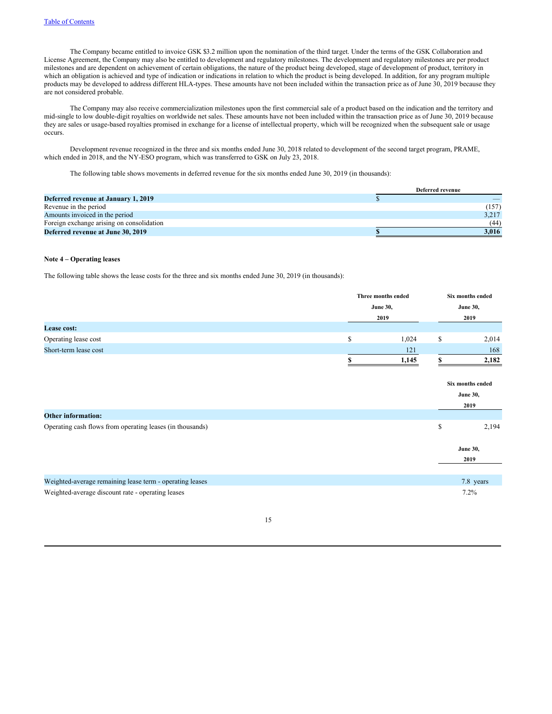The Company became entitled to invoice GSK \$3.2 million upon the nomination of the third target. Under the terms of the GSK Collaboration and License Agreement, the Company may also be entitled to development and regulatory milestones. The development and regulatory milestones are per product milestones and are dependent on achievement of certain obligations, the nature of the product being developed, stage of development of product, territory in which an obligation is achieved and type of indication or indications in relation to which the product is being developed. In addition, for any program multiple products may be developed to address different HLA-types. These amounts have not been included within the transaction price as of June 30, 2019 because they are not considered probable.

The Company may also receive commercialization milestones upon the first commercial sale of a product based on the indication and the territory and mid-single to low double-digit royalties on worldwide net sales. These amounts have not been included within the transaction price as of June 30, 2019 because they are sales or usage-based royalties promised in exchange for a license of intellectual property, which will be recognized when the subsequent sale or usage occurs.

Development revenue recognized in the three and six months ended June 30, 2018 related to development of the second target program, PRAME, which ended in 2018, and the NY-ESO program, which was transferred to GSK on July 23, 2018.

The following table shows movements in deferred revenue for the six months ended June 30, 2019 (in thousands):

|                                           | Deferred revenue |
|-------------------------------------------|------------------|
| Deferred revenue at January 1, 2019       |                  |
| Revenue in the period                     | (157)            |
| Amounts invoiced in the period            | 3,217            |
| Foreign exchange arising on consolidation | (44)             |
| Deferred revenue at June 30, 2019         | 3.016            |

## **Note 4 – Operating leases**

The following table shows the lease costs for the three and six months ended June 30, 2019 (in thousands):

|                                                           | Three months ended | Six months ended |  |
|-----------------------------------------------------------|--------------------|------------------|--|
|                                                           | June 30,           | <b>June 30,</b>  |  |
|                                                           | 2019               | 2019             |  |
| Lease cost:                                               |                    |                  |  |
| Operating lease cost                                      | \$<br>1,024        | \$<br>2,014      |  |
| Short-term lease cost                                     | 121                | 168              |  |
|                                                           | 1,145              | 2,182            |  |
|                                                           |                    |                  |  |
|                                                           |                    | Six months ended |  |
|                                                           |                    | <b>June 30,</b>  |  |
|                                                           |                    | 2019             |  |
| <b>Other information:</b>                                 |                    |                  |  |
| Operating cash flows from operating leases (in thousands) |                    | \$<br>2,194      |  |
|                                                           |                    |                  |  |
|                                                           |                    | <b>June 30,</b>  |  |
|                                                           |                    | 2019             |  |
|                                                           |                    |                  |  |
| Weighted-average remaining lease term - operating leases  |                    | 7.8 years        |  |
| Weighted-average discount rate - operating leases         |                    | 7.2%             |  |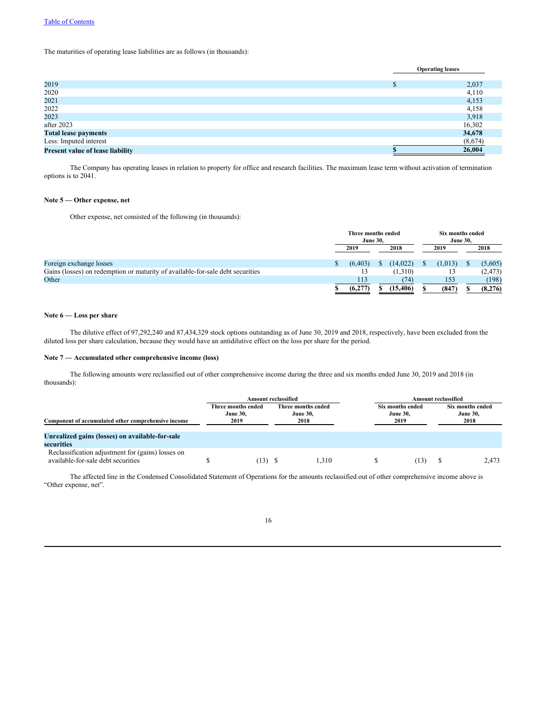The maturities of operating lease liabilities are as follows (in thousands):

|                                  | <b>Operating leases</b> |         |  |  |  |  |  |
|----------------------------------|-------------------------|---------|--|--|--|--|--|
| 2019                             |                         | 2,037   |  |  |  |  |  |
| 2020                             |                         | 4,110   |  |  |  |  |  |
| 2021                             |                         | 4,153   |  |  |  |  |  |
| 2022                             |                         | 4,158   |  |  |  |  |  |
| 2023                             |                         | 3,918   |  |  |  |  |  |
| after 2023                       |                         | 16,302  |  |  |  |  |  |
| <b>Total lease payments</b>      |                         | 34,678  |  |  |  |  |  |
| Less: Imputed interest           |                         | (8,674) |  |  |  |  |  |
| Present value of lease liability |                         | 26,004  |  |  |  |  |  |
|                                  |                         |         |  |  |  |  |  |

The Company has operating leases in relation to property for office and research facilities. The maximum lease term without activation of termination options is to 2041.

## **Note 5 — Other expense, net**

Other expense, net consisted of the following (in thousands):

|                                                                                | Three months ended<br><b>June 30.</b> |  |           |  | Six months ended<br><b>June 30.</b> |  |          |  |
|--------------------------------------------------------------------------------|---------------------------------------|--|-----------|--|-------------------------------------|--|----------|--|
|                                                                                | 2019                                  |  | 2018      |  | 2019                                |  | 2018     |  |
| Foreign exchange losses                                                        | (6.403)                               |  | (14.022)  |  | 1.013)                              |  | (5,605)  |  |
| Gains (losses) on redemption or maturity of available-for-sale debt securities |                                       |  | (1,310)   |  |                                     |  | (2, 473) |  |
| Other                                                                          | 113                                   |  | (74)      |  | 153                                 |  | (198)    |  |
|                                                                                | (6,277)                               |  | (15, 406) |  | (847)                               |  | (8,276)  |  |

## **Note 6 — Loss per share**

The dilutive effect of 97,292,240 and 87,434,329 stock options outstanding as of June 30, 2019 and 2018, respectively, have been excluded from the diluted loss per share calculation, because they would have an antidilutive effect on the loss per share for the period.

## **Note 7 — Accumulated other comprehensive income (loss)**

The following amounts were reclassified out of other comprehensive income during the three and six months ended June 30, 2019 and 2018 (in thousands):

|                                                                                         |                                               | <b>Amount reclassified</b>                    |       |                                             |      | <b>Amount reclassified</b>          |       |  |
|-----------------------------------------------------------------------------------------|-----------------------------------------------|-----------------------------------------------|-------|---------------------------------------------|------|-------------------------------------|-------|--|
| Component of accumulated other comprehensive income                                     | Three months ended<br><b>June 30.</b><br>2019 | Three months ended<br><b>June 30,</b><br>2018 |       | Six months ended<br><b>June 30,</b><br>2019 |      | Six months ended<br><b>June 30,</b> | 2018  |  |
| Unrealized gains (losses) on available-for-sale<br>securities                           |                                               |                                               |       |                                             |      |                                     |       |  |
| Reclassification adjustment for (gains) losses on<br>available-for-sale debt securities |                                               | $(13)$ \$                                     | 1.310 |                                             | (13) |                                     | 2.473 |  |

The affected line in the Condensed Consolidated Statement of Operations for the amounts reclassified out of other comprehensive income above is "Other expense, net".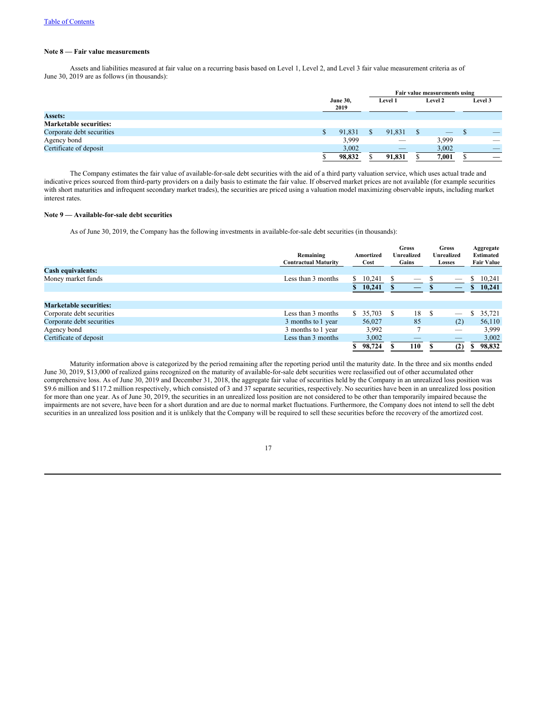## **Note 8 — Fair value measurements**

Assets and liabilities measured at fair value on a recurring basis based on Level 1, Level 2, and Level 3 fair value measurement criteria as of June 30, 2019 are as follows (in thousands):

|                               |  |                         |         |        | Fair value measurements using |         |         |                          |  |  |
|-------------------------------|--|-------------------------|---------|--------|-------------------------------|---------|---------|--------------------------|--|--|
|                               |  | <b>June 30,</b><br>2019 | Level 1 |        |                               | Level 2 | Level 3 |                          |  |  |
| <b>Assets:</b>                |  |                         |         |        |                               |         |         |                          |  |  |
| <b>Marketable securities:</b> |  |                         |         |        |                               |         |         |                          |  |  |
| Corporate debt securities     |  | 91,831                  |         | 91,831 |                               |         |         | $\overline{\phantom{a}}$ |  |  |
| Agency bond                   |  | 3,999                   |         | _      |                               | 3,999   |         | _                        |  |  |
| Certificate of deposit        |  | 3,002                   |         | _      |                               | 3,002   |         | $\overline{\phantom{a}}$ |  |  |
|                               |  | 98,832                  |         | 91,831 |                               | 7,001   |         |                          |  |  |

The Company estimates the fair value of available-for-sale debt securities with the aid of a third party valuation service, which uses actual trade and indicative prices sourced from third-party providers on a daily basis to estimate the fair value. If observed market prices are not available (for example securities with short maturities and infrequent secondary market trades), the securities are priced using a valuation model maximizing observable inputs, including market interest rates.

## **Note 9 — Available-for-sale debt securities**

As of June 30, 2019, the Company has the following investments in available-for-sale debt securities (in thousands):

| Remaining<br>Unrealized<br>Unrealized<br>Amortized<br><b>Contractual Maturity</b>       |                          | <b>Estimated</b><br><b>Fair Value</b> |
|-----------------------------------------------------------------------------------------|--------------------------|---------------------------------------|
| Cost<br>Gains                                                                           | <b>Losses</b>            |                                       |
| <b>Cash equivalents:</b>                                                                |                          |                                       |
| Money market funds<br>\$10,241<br>Less than 3 months<br>$\hspace{0.1mm}-\hspace{0.1mm}$ |                          | 10,241                                |
| 10,241                                                                                  |                          | 10,241                                |
|                                                                                         |                          |                                       |
| <b>Marketable securities:</b>                                                           |                          |                                       |
| \$35,703<br>18<br>Corporate debt securities<br>Less than 3 months<br>- S<br>- \$        |                          | 35,721<br>S.                          |
| Corporate debt securities<br>85<br>3 months to 1 year<br>56,027                         | (2)                      | 56,110                                |
| 3 months to 1 year<br>Agency bond<br>3,992                                              |                          | 3,999                                 |
| Certificate of deposit<br>Less than 3 months<br>3,002                                   | $\qquad \qquad - \qquad$ | 3,002                                 |
| 98,724<br>110                                                                           | (2)                      | 98,832                                |

Maturity information above is categorized by the period remaining after the reporting period until the maturity date. In the three and six months ended June 30, 2019, \$13,000 of realized gains recognized on the maturity of available-for-sale debt securities were reclassified out of other accumulated other comprehensive loss. As of June 30, 2019 and December 31, 2018, the aggregate fair value of securities held by the Company in an unrealized loss position was \$9.6 million and \$117.2 million respectively, which consisted of 3 and 37 separate securities, respectively. No securities have been in an unrealized loss position for more than one year. As of June 30, 2019, the securities in an unrealized loss position are not considered to be other than temporarily impaired because the impairments are not severe, have been for a short duration and are due to normal market fluctuations. Furthermore, the Company does not intend to sell the debt securities in an unrealized loss position and it is unlikely that the Company will be required to sell these securities before the recovery of the amortized cost.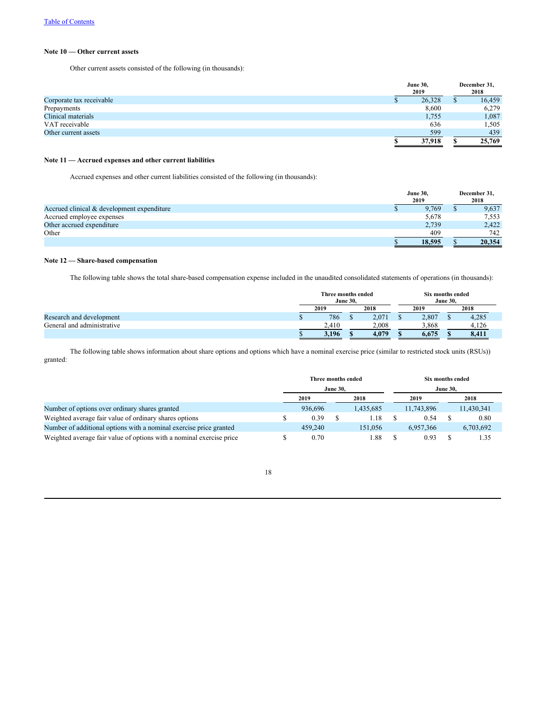## **Note 10 — Other current assets**

Other current assets consisted of the following (in thousands):

|                          | <b>June 30,</b><br>2019 | December 31,<br>2018 |        |  |
|--------------------------|-------------------------|----------------------|--------|--|
| Corporate tax receivable | 26,328                  |                      | 16,459 |  |
| Prepayments              | 8,600                   |                      | 6,279  |  |
| Clinical materials       | 1,755                   |                      | 1,087  |  |
| VAT receivable           | 636                     |                      | 1,505  |  |
| Other current assets     | 599                     |                      | 439    |  |
|                          | 37,918                  |                      | 25,769 |  |

# **Note 11 — Accrued expenses and other current liabilities**

Accrued expenses and other current liabilities consisted of the following (in thousands):

|                                            | <b>June 30.</b><br>2019 | December 31,<br>2018 |  |
|--------------------------------------------|-------------------------|----------------------|--|
| Accrued clinical & development expenditure | 9,769                   | 9,637                |  |
| Accrued employee expenses                  | 5.678                   | 7.553                |  |
| Other accrued expenditure                  | 2,739                   | 2.422                |  |
| Other                                      | 409                     | 742                  |  |
|                                            | 18.595                  | 20.354               |  |

## **Note 12 — Share-based compensation**

The following table shows the total share-based compensation expense included in the unaudited consolidated statements of operations (in thousands):

|                            | Three months ended | <b>June 30.</b> |       |  | Six months ended |  |       |
|----------------------------|--------------------|-----------------|-------|--|------------------|--|-------|
|                            | 2019               |                 | 2018  |  | 2019             |  | 2018  |
| Research and development   | 786                |                 | 2.071 |  | 2.807            |  | 4,285 |
| General and administrative | 2.410              |                 | 2.008 |  | 3.868            |  | 4.126 |
|                            | 3,196              |                 | 4.079 |  | 6,675            |  | 8.411 |

The following table shows information about share options and options which have a nominal exercise price (similar to restricted stock units (RSUs)) granted:

|                                                                      | Three months ended |         |  |           |  |                 |  | Six months ended |  |  |
|----------------------------------------------------------------------|--------------------|---------|--|-----------|--|-----------------|--|------------------|--|--|
|                                                                      | <b>June 30.</b>    |         |  |           |  | <b>June 30.</b> |  |                  |  |  |
|                                                                      | 2019               |         |  | 2018      |  | 2019            |  | 2018             |  |  |
| Number of options over ordinary shares granted                       |                    | 936,696 |  | 1.435.685 |  | 11.743.896      |  | 11,430,341       |  |  |
| Weighted average fair value of ordinary shares options               |                    | 0.39    |  | 1.18      |  | 0.54            |  | 0.80             |  |  |
| Number of additional options with a nominal exercise price granted   |                    | 459,240 |  | 151.056   |  | 6.957.366       |  | 6,703,692        |  |  |
| Weighted average fair value of options with a nominal exercise price |                    | 0.70    |  | . .88     |  | 0.93            |  | 1.35             |  |  |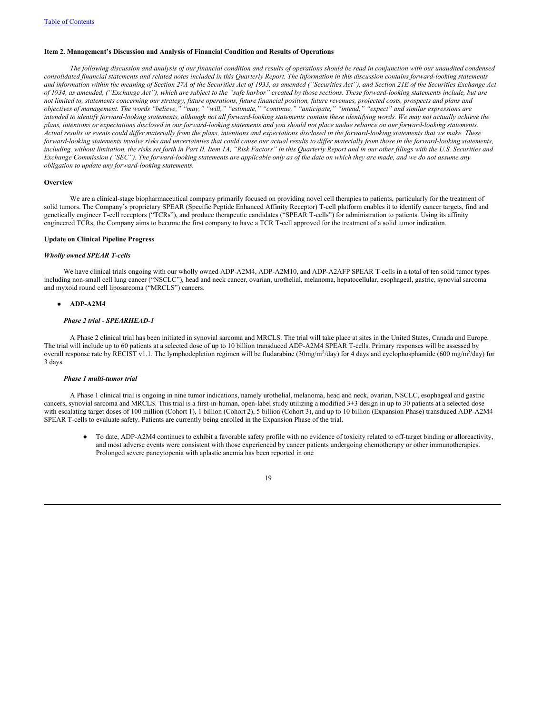### **Item 2. Management's Discussion and Analysis of Financial Condition and Results of Operations**

The following discussion and analysis of our financial condition and results of operations should be read in conjunction with our unaudited condensed consolidated financial statements and related notes included in this Ouarterly Report. The information in this discussion contains forward-looking statements and information within the meaning of Section 27A of the Securities Act of 1933, as amended ("Securities Act"), and Section 21E of the Securities Exchange Act of 1934, as amended, ("Exchange Act"), which are subject to the "safe harbor" created by those sections. These forward-looking statements include, but are not limited to, statements concerning our strategy, future operations, future financial position, future revenues, projected costs, prospects and plans and objectives of management. The words "believe," "may," "will," "estimate," "continue," "anticipate," "intend," "expect" and similar expressions are intended to identify forward-looking statements, although not all forward-looking statements contain these identifying words. We may not actually achieve the plans, intentions or expectations disclosed in our forward-looking statements and you should not place undue reliance on our forward-looking statements. .<br>Actual results or events could differ materially from the plans, intentions and expectations disclosed in the forward-looking statements that we make. These forward-looking statements involve risks and uncertainties that could cause our actual results to differ materially from those in the forward-looking statements, including, without limitation, the risks set forth in Part II, Item 1A, "Risk Factors" in this Quarterly Report and in our other filings with the U.S. Securities and Exchange Commission ("SEC"). The forward-looking statements are applicable only as of the date on which they are made, and we do not assume any *obligation to update any forward-looking statements.*

#### **Overview**

We are a clinical-stage biopharmaceutical company primarily focused on providing novel cell therapies to patients, particularly for the treatment of solid tumors. The Company's proprietary SPEAR (Specific Peptide Enhanced Affinity Receptor) T-cell platform enables it to identify cancer targets, find and genetically engineer T-cell receptors ("TCRs"), and produce therapeutic candidates ("SPEAR T-cells") for administration to patients. Using its affinity engineered TCRs, the Company aims to become the first company to have a TCR T-cell approved for the treatment of a solid tumor indication.

#### **Update on Clinical Pipeline Progress**

#### *Wholly owned SPEAR T-cells*

We have clinical trials ongoing with our wholly owned ADP-A2M4, ADP-A2M10, and ADP-A2AFP SPEAR T-cells in a total of ten solid tumor types including non-small cell lung cancer ("NSCLC"), head and neck cancer, ovarian, urothelial, melanoma, hepatocellular, esophageal, gastric, synovial sarcoma and myxoid round cell liposarcoma ("MRCLS") cancers.

#### ● **ADP-A2M4**

## *Phase 2 trial - SPEARHEAD-1*

A Phase 2 clinical trial has been initiated in synovial sarcoma and MRCLS. The trial will take place at sites in the United States, Canada and Europe. The trial will include up to 60 patients at a selected dose of up to 10 billion transduced ADP-A2M4 SPEAR T-cells. Primary responses will be assessed by overall response rate by RECIST v1.1. The lymphodepletion regimen will be fludarabine (30mg/m<sup>2</sup>/day) for 4 days and cyclophosphamide (600 mg/m<sup>2</sup>/day) for 3 days.

#### *Phase 1 multi-tumor trial*

A Phase 1 clinical trial is ongoing in nine tumor indications, namely urothelial, melanoma, head and neck, ovarian, NSCLC, esophageal and gastric cancers, synovial sarcoma and MRCLS. This trial is a first-in-human, open-label study utilizing a modified 3+3 design in up to 30 patients at a selected dose with escalating target doses of 100 million (Cohort 1), 1 billion (Cohort 2), 5 billion (Cohort 3), and up to 10 billion (Expansion Phase) transduced ADP-A2M4 SPEAR T-cells to evaluate safety. Patients are currently being enrolled in the Expansion Phase of the trial.

To date, ADP-A2M4 continues to exhibit a favorable safety profile with no evidence of toxicity related to off-target binding or alloreactivity, and most adverse events were consistent with those experienced by cancer patients undergoing chemotherapy or other immunotherapies. Prolonged severe pancytopenia with aplastic anemia has been reported in one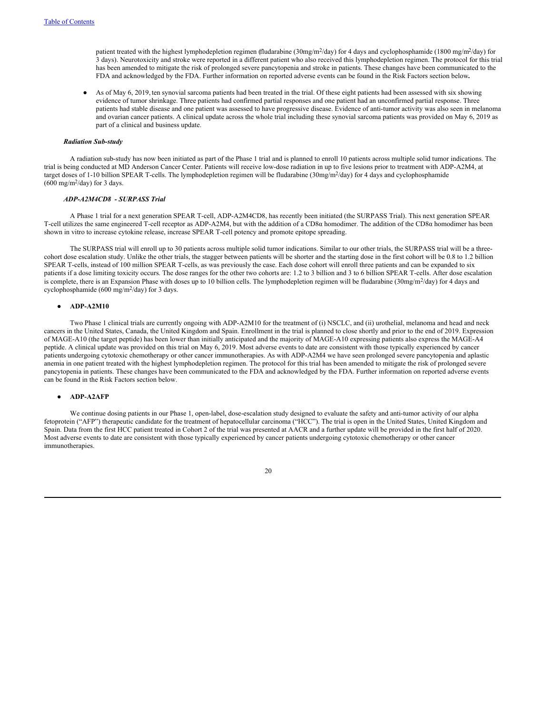patient treated with the highest lymphodepletion regimen (fludarabine (30mg/m2/day) for 4 days and cyclophosphamide (1800 mg/m2/day) for 3 days). Neurotoxicity and stroke were reported in a different patient who also received this lymphodepletion regimen. The protocol for this trial has been amended to mitigate the risk of prolonged severe pancytopenia and stroke in patients. These changes have been communicated to the FDA and acknowledged by the FDA. Further information on reported adverse events can be found in the Risk Factors section below*.*

As of May 6, 2019, ten synovial sarcoma patients had been treated in the trial. Of these eight patients had been assessed with six showing evidence of tumor shrinkage. Three patients had confirmed partial responses and one patient had an unconfirmed partial response. Three patients had stable disease and one patient was assessed to have progressive disease. Evidence of anti-tumor activity was also seen in melanoma and ovarian cancer patients. A clinical update across the whole trial including these synovial sarcoma patients was provided on May 6, 2019 as part of a clinical and business update.

#### *Radiation Sub-study*

A radiation sub-study has now been initiated as part of the Phase 1 trial and is planned to enroll 10 patients across multiple solid tumor indications. The trial is being conducted at MD Anderson Cancer Center. Patients will receive low-dose radiation in up to five lesions prior to treatment with ADP-A2M4, at target doses of 1-10 billion SPEAR T-cells. The lymphodepletion regimen will be fludarabine (30mg/m2/day) for 4 days and cyclophosphamide  $(600 \text{ mg/m}^2/\text{day})$  for 3 days.

#### *ADP-A2M4CD8 - SURPASS Trial*

A Phase 1 trial for a next generation SPEAR T-cell, ADP-A2M4CD8, has recently been initiated (the SURPASS Trial). This next generation SPEAR T-cell utilizes the same engineered T-cell receptor as ADP-A2M4, but with the addition of a CD8α homodimer. The addition of the CD8α homodimer has been shown in vitro to increase cytokine release, increase SPEAR T-cell potency and promote epitope spreading.

The SURPASS trial will enroll up to 30 patients across multiple solid tumor indications. Similar to our other trials, the SURPASS trial will be a threecohort dose escalation study. Unlike the other trials, the stagger between patients will be shorter and the starting dose in the first cohort will be 0.8 to 1.2 billion SPEAR T-cells, instead of 100 million SPEAR T-cells, as was previously the case. Each dose cohort will enroll three patients and can be expanded to six patients if a dose limiting toxicity occurs. The dose ranges for the other two cohorts are: 1.2 to 3 billion and 3 to 6 billion SPEAR T-cells. After dose escalation is complete, there is an Expansion Phase with doses up to 10 billion cells. The lymphodepletion regimen will be fludarabine (30mg/m<sup>2</sup>/day) for 4 days and cyclophosphamide (600 mg/m2/day) for 3 days.

## ● **ADP-A2M10**

Two Phase 1 clinical trials are currently ongoing with ADP-A2M10 for the treatment of (i) NSCLC, and (ii) urothelial, melanoma and head and neck cancers in the United States, Canada, the United Kingdom and Spain. Enrollment in the trial is planned to close shortly and prior to the end of 2019. Expression of MAGE-A10 (the target peptide) has been lower than initially anticipated and the majority of MAGE-A10 expressing patients also express the MAGE-A4 peptide. A clinical update was provided on this trial on May 6, 2019. Most adverse events to date are consistent with those typically experienced by cancer patients undergoing cytotoxic chemotherapy or other cancer immunotherapies. As with ADP-A2M4 we have seen prolonged severe pancytopenia and aplastic anemia in one patient treated with the highest lymphodepletion regimen. The protocol for this trial has been amended to mitigate the risk of prolonged severe pancytopenia in patients. These changes have been communicated to the FDA and acknowledged by the FDA. Further information on reported adverse events can be found in the Risk Factors section below.

## ● **ADP-A2AFP**

We continue dosing patients in our Phase 1, open-label, dose-escalation study designed to evaluate the safety and anti-tumor activity of our alpha fetoprotein ("AFP") therapeutic candidate for the treatment of hepatocellular carcinoma ("HCC"). The trial is open in the United States, United Kingdom and Spain. Data from the first HCC patient treated in Cohort 2 of the trial was presented at AACR and a further update will be provided in the first half of 2020. Most adverse events to date are consistent with those typically experienced by cancer patients undergoing cytotoxic chemotherapy or other cancer immunotherapies.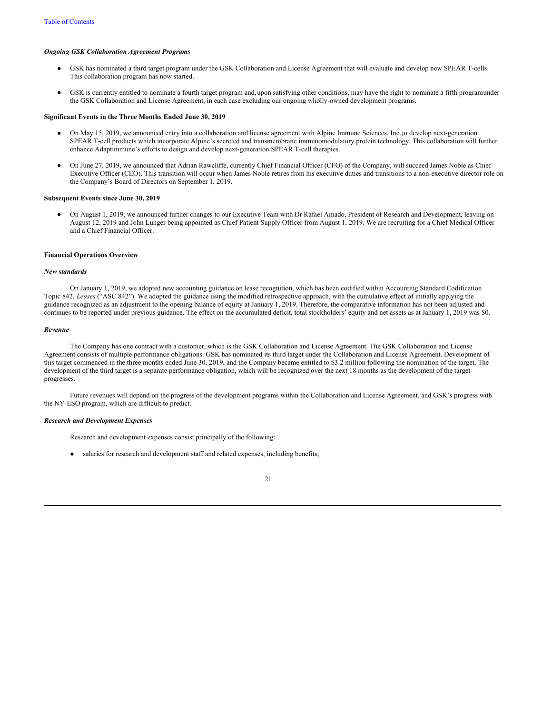### *Ongoing GSK Collaboration Agreement Programs*

- GSK has nominated a third target program under the GSK Collaboration and License Agreement that will evaluate and develop new SPEAR T-cells. This collaboration program has now started.
- GSK is currently entitled to nominate a fourth target program and,upon satisfying other conditions, may have the right to nominate a fifth programunder the GSK Collaboration and License Agreement, in each case excluding our ongoing wholly-owned development programs.

#### **Significant Events in the Three Months Ended June 30, 2019**

- On May 15, 2019, we announced entry into a collaboration and license agreement with Alpine Immune Sciences, Inc.,to develop next-generation SPEAR T-cell products which incorporate Alpine's secreted and transmembrane immunomodulatory protein technology. This collaboration will further enhance Adaptimmune's efforts to design and develop next-generation SPEAR T-cell therapies.
- On June 27, 2019, we announced that Adrian Rawcliffe, currently Chief Financial Officer (CFO) of the Company, will succeed James Noble as Chief Executive Officer (CEO). This transition will occur when James Noble retires from his executive duties and transitions to a non-executive director role on the Company's Board of Directors on September 1, 2019.

## **Subsequent Events since June 30, 2019**

On August 1, 2019, we announced further changes to our Executive Team with Dr Rafael Amado, President of Research and Development, leaving on August 12, 2019 and John Lunger being appointed as Chief Patient Supply Officer from August 1, 2019. We are recruiting for a Chief Medical Officer and a Chief Financial Officer.

#### **Financial Operations Overview**

## *New standards*

On January 1, 2019, we adopted new accounting guidance on lease recognition, which has been codified within Accounting Standard Codification Topic 842, *Leases* ("ASC 842"). We adopted the guidance using the modified retrospective approach, with the cumulative effect of initially applying the guidance recognized as an adjustment to the opening balance of equity at January 1, 2019. Therefore, the comparative information has not been adjusted and continues to be reported under previous guidance. The effect on the accumulated deficit, total stockholders' equity and net assets as at January 1, 2019 was \$0.

#### *Revenue*

The Company has one contract with a customer, which is the GSK Collaboration and License Agreement. The GSK Collaboration and License Agreement consists of multiple performance obligations. GSK has nominated its third target under the Collaboration and License Agreement. Development of this target commenced in the three months ended June 30, 2019, and the Company became entitled to \$3.2 million following the nomination of the target. The development of the third target is a separate performance obligation, which will be recognized over the next 18 months as the development of the target progresses.

Future revenues will depend on the progress of the development programs within the Collaboration and License Agreement, and GSK's progress with the NY-ESO program, which are difficult to predict.

#### *Research and Development Expenses*

Research and development expenses consist principally of the following:

salaries for research and development staff and related expenses, including benefits;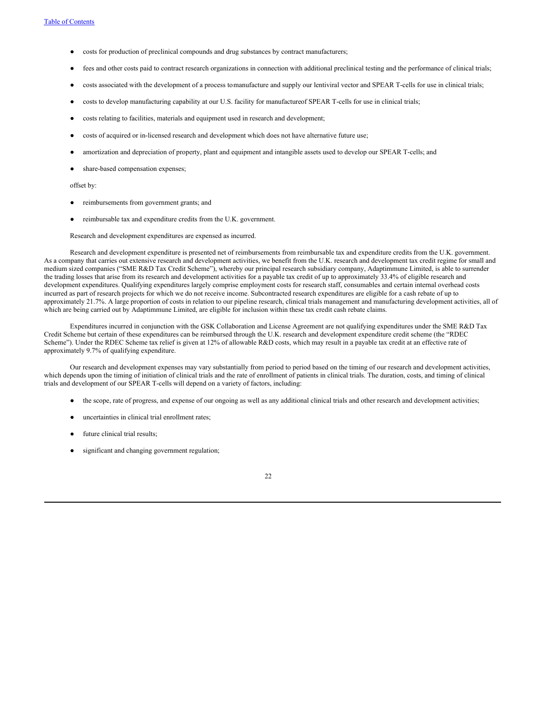- costs for production of preclinical compounds and drug substances by contract manufacturers;
- fees and other costs paid to contract research organizations in connection with additional preclinical testing and the performance of clinical trials;
- costs associated with the development of a process tomanufacture and supply our lentiviral vector and SPEAR T-cells for use in clinical trials;
- costs to develop manufacturing capability at our U.S. facility for manufactureof SPEAR T-cells for use in clinical trials;
- costs relating to facilities, materials and equipment used in research and development;
- costs of acquired or in-licensed research and development which does not have alternative future use;
- amortization and depreciation of property, plant and equipment and intangible assets used to develop our SPEAR T-cells; and
- share-based compensation expenses;

offset by:

- reimbursements from government grants; and
- reimbursable tax and expenditure credits from the U.K. government.

Research and development expenditures are expensed as incurred.

Research and development expenditure is presented net of reimbursements from reimbursable tax and expenditure credits from the U.K. government. As a company that carries out extensive research and development activities, we benefit from the U.K. research and development tax credit regime for small and medium sized companies ("SME R&D Tax Credit Scheme"), whereby our principal research subsidiary company, Adaptimmune Limited, is able to surrender the trading losses that arise from its research and development activities for a payable tax credit of up to approximately 33.4% of eligible research and development expenditures. Qualifying expenditures largely comprise employment costs for research staff, consumables and certain internal overhead costs incurred as part of research projects for which we do not receive income. Subcontracted research expenditures are eligible for a cash rebate of up to approximately 21.7%. A large proportion of costs in relation to our pipeline research, clinical trials management and manufacturing development activities, all of which are being carried out by Adaptimmune Limited, are eligible for inclusion within these tax credit cash rebate claims.

Expenditures incurred in conjunction with the GSK Collaboration and License Agreement are not qualifying expenditures under the SME R&D Tax Credit Scheme but certain of these expenditures can be reimbursed through the U.K. research and development expenditure credit scheme (the "RDEC Scheme"). Under the RDEC Scheme tax relief is given at 12% of allowable R&D costs, which may result in a payable tax credit at an effective rate of approximately 9.7% of qualifying expenditure.

Our research and development expenses may vary substantially from period to period based on the timing of our research and development activities, which depends upon the timing of initiation of clinical trials and the rate of enrollment of patients in clinical trials. The duration, costs, and timing of clinical trials and development of our SPEAR T-cells will depend on a variety of factors, including:

- the scope, rate of progress, and expense of our ongoing as well as any additional clinical trials and other research and development activities;
- uncertainties in clinical trial enrollment rates;
- future clinical trial results:
- significant and changing government regulation;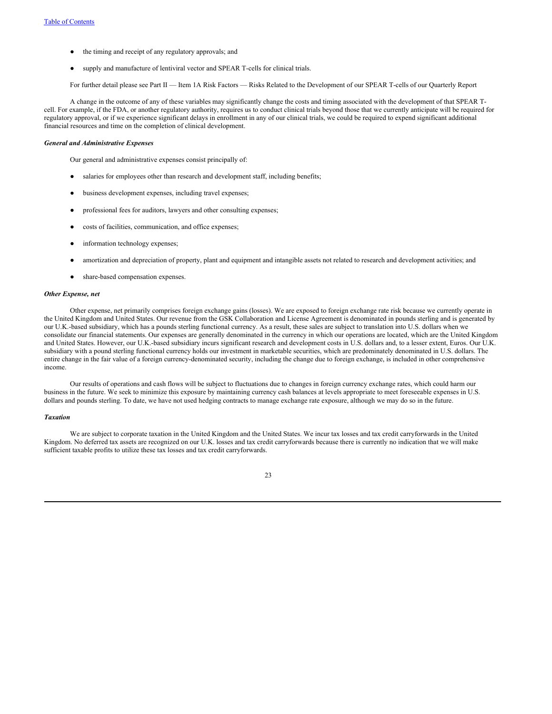- the timing and receipt of any regulatory approvals; and
- supply and manufacture of lentiviral vector and SPEAR T-cells for clinical trials.

For further detail please see Part II — Item 1A Risk Factors — Risks Related to the Development of our SPEAR T-cells of our Quarterly Report

A change in the outcome of any of these variables may significantly change the costs and timing associated with the development of that SPEAR Tcell. For example, if the FDA, or another regulatory authority, requires us to conduct clinical trials beyond those that we currently anticipate will be required for regulatory approval, or if we experience significant delays in enrollment in any of our clinical trials, we could be required to expend significant additional financial resources and time on the completion of clinical development.

## *General and Administrative Expenses*

Our general and administrative expenses consist principally of:

- salaries for employees other than research and development staff, including benefits;
- business development expenses, including travel expenses;
- professional fees for auditors, lawyers and other consulting expenses;
- costs of facilities, communication, and office expenses;
- information technology expenses;
- amortization and depreciation of property, plant and equipment and intangible assets not related to research and development activities; and
- share-based compensation expenses.

#### *Other Expense, net*

Other expense, net primarily comprises foreign exchange gains (losses). We are exposed to foreign exchange rate risk because we currently operate in the United Kingdom and United States. Our revenue from the GSK Collaboration and License Agreement is denominated in pounds sterling and is generated by our U.K.-based subsidiary, which has a pounds sterling functional currency. As a result, these sales are subject to translation into U.S. dollars when we consolidate our financial statements. Our expenses are generally denominated in the currency in which our operations are located, which are the United Kingdom and United States. However, our U.K.-based subsidiary incurs significant research and development costs in U.S. dollars and, to a lesser extent, Euros. Our U.K. subsidiary with a pound sterling functional currency holds our investment in marketable securities, which are predominately denominated in U.S. dollars. The entire change in the fair value of a foreign currency-denominated security, including the change due to foreign exchange, is included in other comprehensive income.

Our results of operations and cash flows will be subject to fluctuations due to changes in foreign currency exchange rates, which could harm our business in the future. We seek to minimize this exposure by maintaining currency cash balances at levels appropriate to meet foreseeable expenses in U.S. dollars and pounds sterling. To date, we have not used hedging contracts to manage exchange rate exposure, although we may do so in the future.

## *Taxation*

We are subject to corporate taxation in the United Kingdom and the United States. We incur tax losses and tax credit carryforwards in the United Kingdom. No deferred tax assets are recognized on our U.K. losses and tax credit carryforwards because there is currently no indication that we will make sufficient taxable profits to utilize these tax losses and tax credit carryforwards.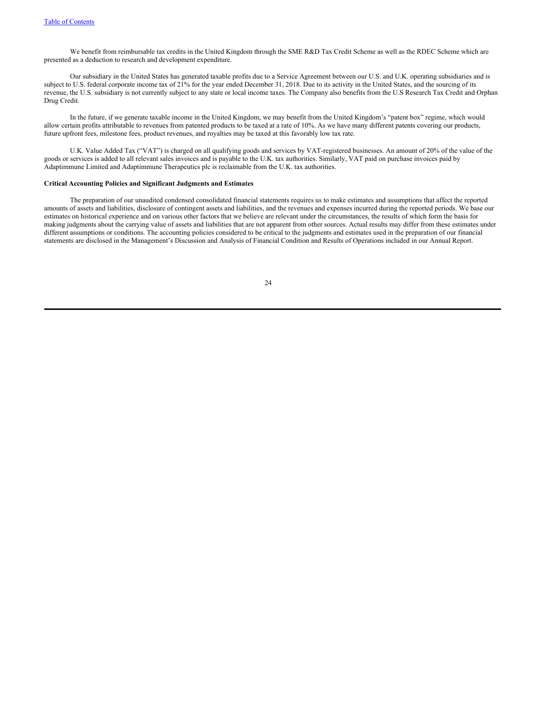We benefit from reimbursable tax credits in the United Kingdom through the SME R&D Tax Credit Scheme as well as the RDEC Scheme which are presented as a deduction to research and development expenditure.

Our subsidiary in the United States has generated taxable profits due to a Service Agreement between our U.S. and U.K. operating subsidiaries and is subject to U.S. federal corporate income tax of 21% for the year ended December 31, 2018. Due to its activity in the United States, and the sourcing of its revenue, the U.S. subsidiary is not currently subject to any state or local income taxes. The Company also benefits from the U.S Research Tax Credit and Orphan Drug Credit.

In the future, if we generate taxable income in the United Kingdom, we may benefit from the United Kingdom's "patent box" regime, which would allow certain profits attributable to revenues from patented products to be taxed at a rate of 10%. As we have many different patents covering our products, future upfront fees, milestone fees, product revenues, and royalties may be taxed at this favorably low tax rate.

U.K. Value Added Tax ("VAT") is charged on all qualifying goods and services by VAT-registered businesses. An amount of 20% of the value of the goods or services is added to all relevant sales invoices and is payable to the U.K. tax authorities. Similarly, VAT paid on purchase invoices paid by Adaptimmune Limited and Adaptimmune Therapeutics plc is reclaimable from the U.K. tax authorities.

## **Critical Accounting Policies and Significant Judgments and Estimates**

The preparation of our unaudited condensed consolidated financial statements requires us to make estimates and assumptions that affect the reported amounts of assets and liabilities, disclosure of contingent assets and liabilities, and the revenues and expenses incurred during the reported periods. We base our estimates on historical experience and on various other factors that we believe are relevant under the circumstances, the results of which form the basis for making judgments about the carrying value of assets and liabilities that are not apparent from other sources. Actual results may differ from these estimates under different assumptions or conditions. The accounting policies considered to be critical to the judgments and estimates used in the preparation of our financial statements are disclosed in the Management's Discussion and Analysis of Financial Condition and Results of Operations included in our Annual Report.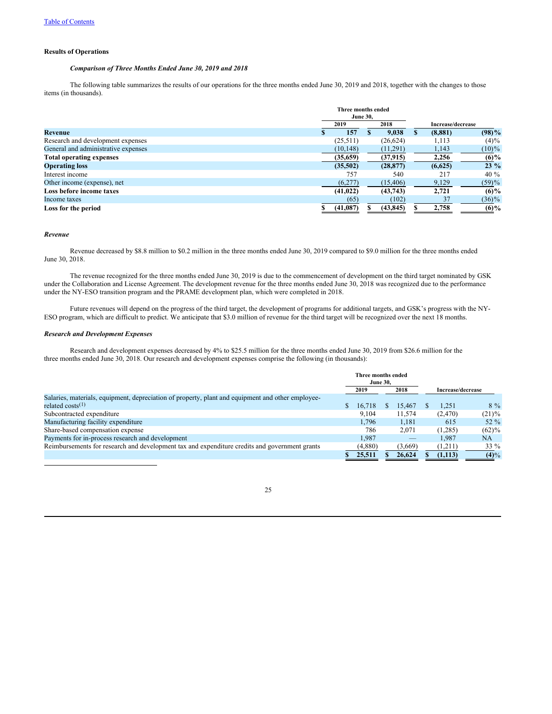## **Results of Operations**

## *Comparison of Three Months Ended June 30, 2019 and 2018*

The following table summarizes the results of our operations for the three months ended June 30, 2019 and 2018, together with the changes to those items (in thousands).

|                                     |      | Three months ended |  |           |   |                   |          |
|-------------------------------------|------|--------------------|--|-----------|---|-------------------|----------|
|                                     |      | <b>June 30.</b>    |  |           |   |                   |          |
|                                     | 2019 |                    |  | 2018      |   | Increase/decrease |          |
| Revenue                             |      | 157                |  | 9.038     | S | (8,881)           | $(98)\%$ |
| Research and development expenses   |      | (25,511)           |  | (26, 624) |   | 1,113             | $(4)\%$  |
| General and administrative expenses |      | (10, 148)          |  | (11,291)  |   | 1,143             | $(10)\%$ |
| <b>Total operating expenses</b>     |      | (35,659)           |  | (37, 915) |   | 2,256             | $(6)\%$  |
| <b>Operating loss</b>               |      | (35,502)           |  | (28, 877) |   | (6,625)           | $23\%$   |
| Interest income                     |      | 757                |  | 540       |   | 217               | 40 $\%$  |
| Other income (expense), net         |      | (6,277)            |  | (15, 406) |   | 9,129             | (59)%    |
| Loss before income taxes            |      | (41, 022)          |  | (43, 743) |   | 2.721             | $(6)\%$  |
| Income taxes                        |      | (65)               |  | (102)     |   | 37                | $(36)\%$ |
| Loss for the period                 |      | (41,087)           |  | (43, 845) |   | 2,758             | $(6)\%$  |

## *Revenue*

Revenue decreased by \$8.8 million to \$0.2 million in the three months ended June 30, 2019 compared to \$9.0 million for the three months ended June 30, 2018.

The revenue recognized for the three months ended June 30, 2019 is due to the commencement of development on the third target nominated by GSK under the Collaboration and License Agreement. The development revenue for the three months ended June 30, 2018 was recognized due to the performance under the NY-ESO transition program and the PRAME development plan, which were completed in 2018.

Future revenues will depend on the progress of the third target, the development of programs for additional targets, and GSK's progress with the NY-ESO program, which are difficult to predict. We anticipate that \$3.0 million of revenue for the third target will be recognized over the next 18 months.

## *Research and Development Expenses*

Research and development expenses decreased by 4% to \$25.5 million for the three months ended June 30, 2019 from \$26.6 million for the three months ended June 30, 2018. Our research and development expenses comprise the following (in thousands):

|                                                                                                   | Three months ended<br><b>June 30,</b> |  |                          |                   |         |           |
|---------------------------------------------------------------------------------------------------|---------------------------------------|--|--------------------------|-------------------|---------|-----------|
|                                                                                                   | 2018<br>2019                          |  |                          | Increase/decrease |         |           |
| Salaries, materials, equipment, depreciation of property, plant and equipment and other employee- |                                       |  |                          |                   |         |           |
| related $costs^{(1)}$                                                                             | 16.718                                |  | 15.467                   |                   | 1.251   | $8\%$     |
| Subcontracted expenditure                                                                         | 9.104                                 |  | 11.574                   |                   | (2,470) | $(21)\%$  |
| Manufacturing facility expenditure                                                                | 1.796                                 |  | 1,181                    |                   | 615     | $52\%$    |
| Share-based compensation expense                                                                  | 786                                   |  | 2.071                    |                   | (1,285) | $(62) \%$ |
| Payments for in-process research and development                                                  | 1.987                                 |  | $\overline{\phantom{a}}$ |                   | 1.987   | <b>NA</b> |
| Reimbursements for research and development tax and expenditure credits and government grants     | (4,880)                               |  | (3,669)                  |                   | (1,211) | $33\%$    |
|                                                                                                   | 25,511                                |  | 26,624                   |                   | (1,113) | $(4)\%$   |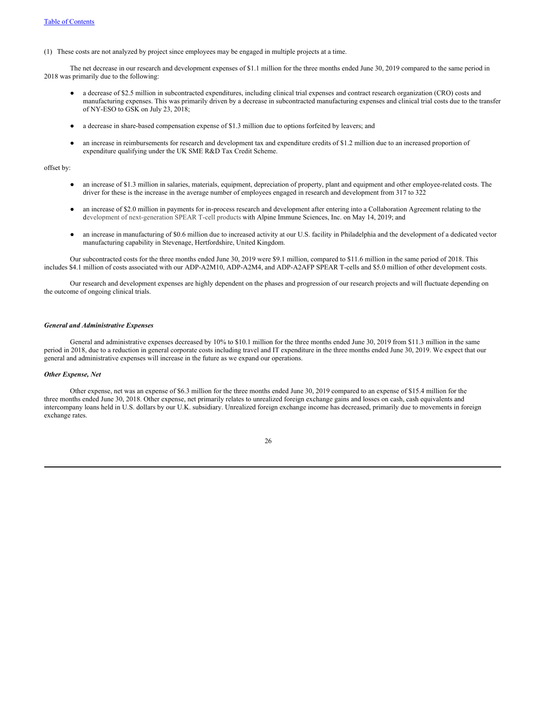(1) These costs are not analyzed by project since employees may be engaged in multiple projects at a time.

The net decrease in our research and development expenses of \$1.1 million for the three months ended June 30, 2019 compared to the same period in 2018 was primarily due to the following:

- a decrease of \$2.5 million in subcontracted expenditures, including clinical trial expenses and contract research organization (CRO) costs and manufacturing expenses. This was primarily driven by a decrease in subcontracted manufacturing expenses and clinical trial costs due to the transfer of NY-ESO to GSK on July 23, 2018;
- a decrease in share-based compensation expense of \$1.3 million due to options forfeited by leavers; and
- an increase in reimbursements for research and development tax and expenditure credits of \$1.2 million due to an increased proportion of expenditure qualifying under the UK SME R&D Tax Credit Scheme.

offset by:

- an increase of \$1.3 million in salaries, materials, equipment, depreciation of property, plant and equipment and other employee-related costs. The driver for these is the increase in the average number of employees engaged in research and development from 317 to 322
- an increase of \$2.0 million in payments for in-process research and development after entering into a Collaboration Agreement relating to the development of next-generation SPEAR T-cell products with Alpine Immune Sciences, Inc. on May 14, 2019; and
- an increase in manufacturing of \$0.6 million due to increased activity at our U.S. facility in Philadelphia and the development of a dedicated vector manufacturing capability in Stevenage, Hertfordshire, United Kingdom.

Our subcontracted costs for the three months ended June 30, 2019 were \$9.1 million, compared to \$11.6 million in the same period of 2018. This includes \$4.1 million of costs associated with our ADP-A2M10, ADP-A2M4, and ADP-A2AFP SPEAR T-cells and \$5.0 million of other development costs.

Our research and development expenses are highly dependent on the phases and progression of our research projects and will fluctuate depending on the outcome of ongoing clinical trials.

#### *General and Administrative Expenses*

General and administrative expenses decreased by 10% to \$10.1 million for the three months ended June 30, 2019 from \$11.3 million in the same period in 2018, due to a reduction in general corporate costs including travel and IT expenditure in the three months ended June 30, 2019. We expect that our general and administrative expenses will increase in the future as we expand our operations.

## *Other Expense, Net*

Other expense, net was an expense of \$6.3 million for the three months ended June 30, 2019 compared to an expense of \$15.4 million for the three months ended June 30, 2018. Other expense, net primarily relates to unrealized foreign exchange gains and losses on cash, cash equivalents and intercompany loans held in U.S. dollars by our U.K. subsidiary. Unrealized foreign exchange income has decreased, primarily due to movements in foreign exchange rates.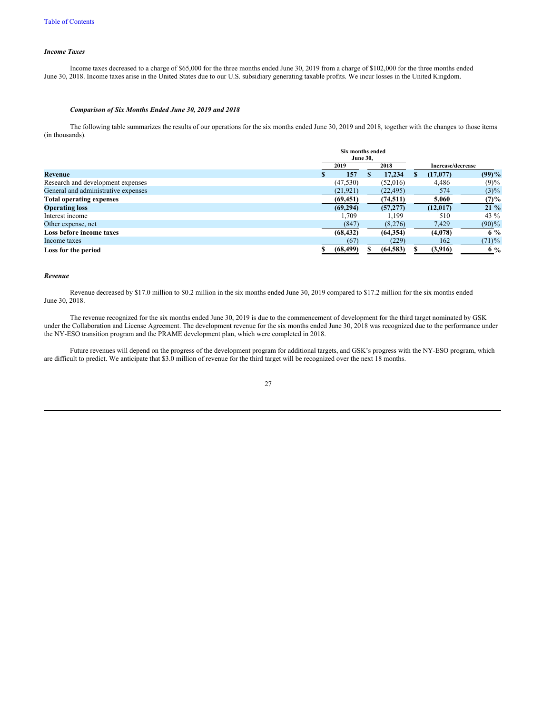#### *Income Taxes*

Income taxes decreased to a charge of \$65,000 for the three months ended June 30, 2019 from a charge of \$102,000 for the three months ended June 30, 2018. Income taxes arise in the United States due to our U.S. subsidiary generating taxable profits. We incur losses in the United Kingdom.

## *Comparison of Six Months Ended June 30, 2019 and 2018*

The following table summarizes the results of our operations for the six months ended June 30, 2019 and 2018, together with the changes to those items (in thousands).

|                                     |      | Six months ended<br><b>June 30.</b> |      |           |                   |          |
|-------------------------------------|------|-------------------------------------|------|-----------|-------------------|----------|
|                                     | 2019 |                                     | 2018 |           | Increase/decrease |          |
| Revenue                             |      | 157                                 |      | 17,234    | (17,077)          | $(99)\%$ |
| Research and development expenses   |      | (47, 530)                           |      | (52,016)  | 4,486             | (9)%     |
| General and administrative expenses |      | (21, 921)                           |      | (22, 495) | 574               | $(3)\%$  |
| <b>Total operating expenses</b>     |      | (69, 451)                           |      | (74, 511) | 5,060             | (7)%     |
| <b>Operating loss</b>               |      | (69, 294)                           |      | (57, 277) | (12, 017)         | $21\%$   |
| Interest income                     |      | 1,709                               |      | 1.199     | 510               | 43 $%$   |
| Other expense, net                  |      | (847)                               |      | (8,276)   | 7,429             | $(90)\%$ |
| Loss before income taxes            |      | (68, 432)                           |      | (64, 354) | (4,078)           | $6\%$    |
| Income taxes                        |      | (67)                                |      | (229)     | 162               | (71)%    |
| Loss for the period                 |      | (68, 499)                           |      | (64, 583) | (3,916)           | 6 %      |

## *Revenue*

Revenue decreased by \$17.0 million to \$0.2 million in the six months ended June 30, 2019 compared to \$17.2 million for the six months ended June 30, 2018.

The revenue recognized for the six months ended June 30, 2019 is due to the commencement of development for the third target nominated by GSK under the Collaboration and License Agreement. The development revenue for the six months ended June 30, 2018 was recognized due to the performance under the NY-ESO transition program and the PRAME development plan, which were completed in 2018.

Future revenues will depend on the progress of the development program for additional targets, and GSK's progress with the NY-ESO program, which are difficult to predict. We anticipate that \$3.0 million of revenue for the third target will be recognized over the next 18 months.

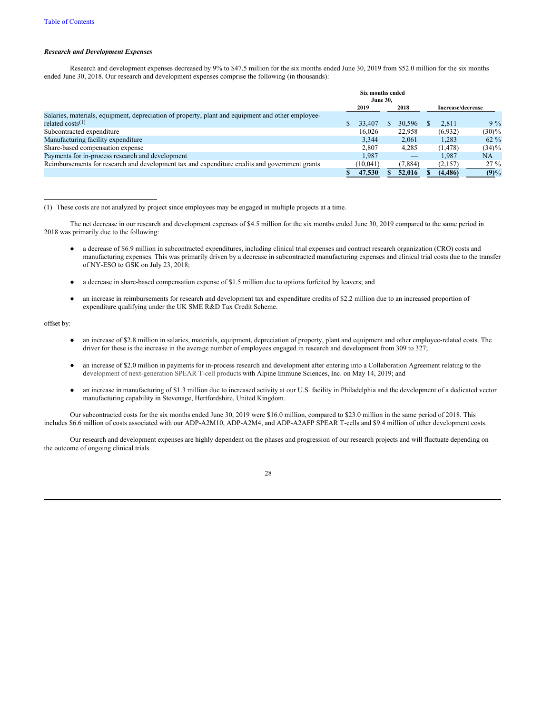## *Research and Development Expenses*

Research and development expenses decreased by 9% to \$47.5 million for the six months ended June 30, 2019 from \$52.0 million for the six months ended June 30, 2018. Our research and development expenses comprise the following (in thousands):

|                                                                                                   | Six months ended<br><b>June 30.</b> |           |      |         |  |                   |           |  |
|---------------------------------------------------------------------------------------------------|-------------------------------------|-----------|------|---------|--|-------------------|-----------|--|
|                                                                                                   |                                     | 2019      | 2018 |         |  | Increase/decrease |           |  |
| Salaries, materials, equipment, depreciation of property, plant and equipment and other employee- |                                     |           |      |         |  |                   |           |  |
| related $costs^{(1)}$                                                                             |                                     | 33,407    |      | 30.596  |  | 2.811             | $9\%$     |  |
| Subcontracted expenditure                                                                         |                                     | 16.026    |      | 22,958  |  | (6,932)           | $(30)\%$  |  |
| Manufacturing facility expenditure                                                                |                                     | 3.344     |      | 2,061   |  | 1,283             | $62 \%$   |  |
| Share-based compensation expense                                                                  |                                     | 2.807     |      | 4.285   |  | (1, 478)          | $(34)\%$  |  |
| Payments for in-process research and development                                                  |                                     | 1.987     |      | _       |  | 1.987             | <b>NA</b> |  |
| Reimbursements for research and development tax and expenditure credits and government grants     |                                     | (10, 041) |      | (7,884) |  | (2, 157)          | $27\%$    |  |
|                                                                                                   |                                     | 47,530    |      | 52,016  |  | (4, 486)          | $(9)\%$   |  |

<sup>(1)</sup> These costs are not analyzed by project since employees may be engaged in multiple projects at a time.

The net decrease in our research and development expenses of \$4.5 million for the six months ended June 30, 2019 compared to the same period in 2018 was primarily due to the following:

- a decrease of \$6.9 million in subcontracted expenditures, including clinical trial expenses and contract research organization (CRO) costs and manufacturing expenses. This was primarily driven by a decrease in subcontracted manufacturing expenses and clinical trial costs due to the transfer of NY-ESO to GSK on July 23, 2018;
- a decrease in share-based compensation expense of \$1.5 million due to options forfeited by leavers; and
- an increase in reimbursements for research and development tax and expenditure credits of \$2.2 million due to an increased proportion of expenditure qualifying under the UK SME R&D Tax Credit Scheme.

offset by:

- an increase of \$2.8 million in salaries, materials, equipment, depreciation of property, plant and equipment and other employee-related costs. The driver for these is the increase in the average number of employees engaged in research and development from 309 to 327;
- an increase of \$2.0 million in payments for in-process research and development after entering into a Collaboration Agreement relating to the development of next-generation SPEAR T-cell products with Alpine Immune Sciences, Inc. on May 14, 2019; and
- an increase in manufacturing of \$1.3 million due to increased activity at our U.S. facility in Philadelphia and the development of a dedicated vector manufacturing capability in Stevenage, Hertfordshire, United Kingdom.

Our subcontracted costs for the six months ended June 30, 2019 were \$16.0 million, compared to \$23.0 million in the same period of 2018. This includes \$6.6 million of costs associated with our ADP-A2M10, ADP-A2M4, and ADP-A2AFP SPEAR T-cells and \$9.4 million of other development costs.

Our research and development expenses are highly dependent on the phases and progression of our research projects and will fluctuate depending on the outcome of ongoing clinical trials.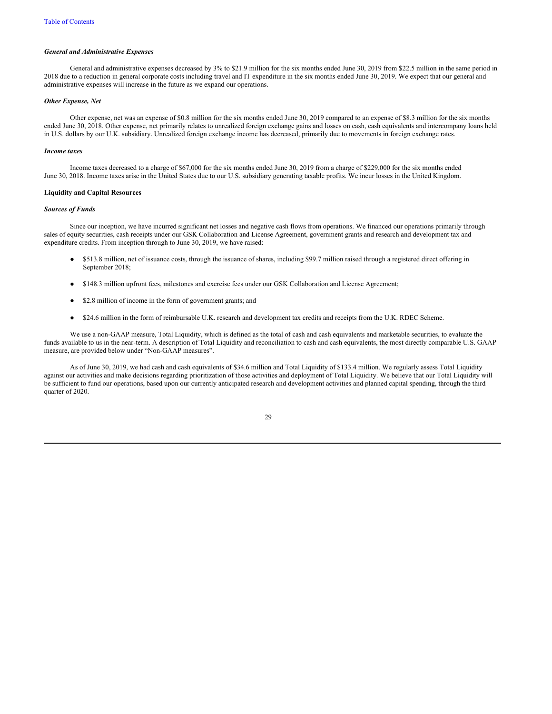#### *General and Administrative Expenses*

General and administrative expenses decreased by 3% to \$21.9 million for the six months ended June 30, 2019 from \$22.5 million in the same period in 2018 due to a reduction in general corporate costs including travel and IT expenditure in the six months ended June 30, 2019. We expect that our general and administrative expenses will increase in the future as we expand our operations.

#### *Other Expense, Net*

Other expense, net was an expense of \$0.8 million for the six months ended June 30, 2019 compared to an expense of \$8.3 million for the six months ended June 30, 2018. Other expense, net primarily relates to unrealized foreign exchange gains and losses on cash, cash equivalents and intercompany loans held in U.S. dollars by our U.K. subsidiary. Unrealized foreign exchange income has decreased, primarily due to movements in foreign exchange rates.

#### *Income taxes*

Income taxes decreased to a charge of \$67,000 for the six months ended June 30, 2019 from a charge of \$229,000 for the six months ended June 30, 2018. Income taxes arise in the United States due to our U.S. subsidiary generating taxable profits. We incur losses in the United Kingdom.

## **Liquidity and Capital Resources**

#### *Sources of Funds*

Since our inception, we have incurred significant net losses and negative cash flows from operations. We financed our operations primarily through sales of equity securities, cash receipts under our GSK Collaboration and License Agreement, government grants and research and development tax and expenditure credits. From inception through to June 30, 2019, we have raised:

- \$513.8 million, net of issuance costs, through the issuance of shares, including \$99.7 million raised through a registered direct offering in September 2018;
- \$148.3 million upfront fees, milestones and exercise fees under our GSK Collaboration and License Agreement;
- \$2.8 million of income in the form of government grants; and
- \$24.6 million in the form of reimbursable U.K. research and development tax credits and receipts from the U.K. RDEC Scheme.

We use a non-GAAP measure, Total Liquidity, which is defined as the total of cash and cash equivalents and marketable securities, to evaluate the funds available to us in the near-term. A description of Total Liquidity and reconciliation to cash and cash equivalents, the most directly comparable U.S. GAAP measure, are provided below under "Non-GAAP measures".

As of June 30, 2019, we had cash and cash equivalents of \$34.6 million and Total Liquidity of \$133.4 million. We regularly assess Total Liquidity against our activities and make decisions regarding prioritization of those activities and deployment of Total Liquidity. We believe that our Total Liquidity will be sufficient to fund our operations, based upon our currently anticipated research and development activities and planned capital spending, through the third quarter of 2020.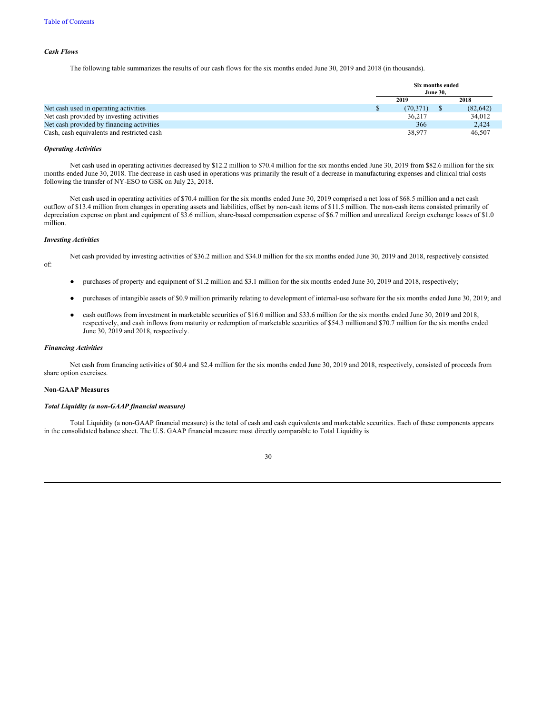#### *Cash Flows*

The following table summarizes the results of our cash flows for the six months ended June 30, 2019 and 2018 (in thousands).

|                                            | Six months ended | <b>June 30.</b> |           |
|--------------------------------------------|------------------|-----------------|-----------|
|                                            | 2019             |                 | 2018      |
| Net cash used in operating activities      | (70, 371)        |                 | (82, 642) |
| Net cash provided by investing activities  | 36.217           |                 | 34,012    |
| Net cash provided by financing activities  | 366              |                 | 2.424     |
| Cash, cash equivalents and restricted cash | 38,977           |                 | 46,507    |

## *Operating Activities*

Net cash used in operating activities decreased by \$12.2 million to \$70.4 million for the six months ended June 30, 2019 from \$82.6 million for the six months ended June 30, 2018. The decrease in cash used in operations was primarily the result of a decrease in manufacturing expenses and clinical trial costs following the transfer of NY-ESO to GSK on July 23, 2018.

Net cash used in operating activities of \$70.4 million for the six months ended June 30, 2019 comprised a net loss of \$68.5 million and a net cash outflow of \$13.4 million from changes in operating assets and liabilities, offset by non-cash items of \$11.5 million. The non-cash items consisted primarily of depreciation expense on plant and equipment of \$3.6 million, share-based compensation expense of \$6.7 million and unrealized foreign exchange losses of \$1.0 million.

#### *Investing Activities*

Net cash provided by investing activities of \$36.2 million and \$34.0 million for the six months ended June 30, 2019 and 2018, respectively consisted of:

- purchases of property and equipment of \$1.2 million and \$3.1 million for the six months ended June 30, 2019 and 2018, respectively;
- purchases of intangible assets of \$0.9 million primarily relating to development of internal-use software for the six months ended June 30, 2019; and
- cash outflows from investment in marketable securities of \$16.0 million and \$33.6 million for the six months ended June 30, 2019 and 2018, respectively, and cash inflows from maturity or redemption of marketable securities of \$54.3 million and \$70.7 million for the six months ended June 30, 2019 and 2018, respectively.

## *Financing Activities*

Net cash from financing activities of \$0.4 and \$2.4 million for the six months ended June 30, 2019 and 2018, respectively, consisted of proceeds from share option exercises.

## **Non-GAAP Measures**

## *Total Liquidity (a non-GAAP financial measure)*

Total Liquidity (a non-GAAP financial measure) is the total of cash and cash equivalents and marketable securities. Each of these components appears in the consolidated balance sheet. The U.S. GAAP financial measure most directly comparable to Total Liquidity is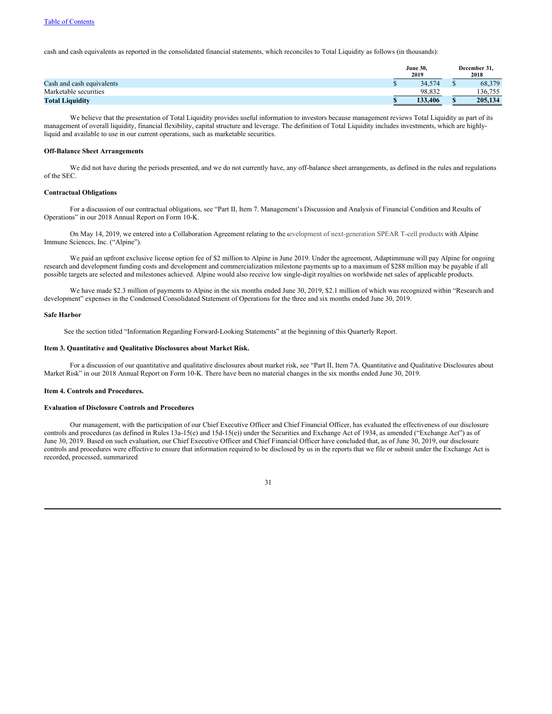cash and cash equivalents as reported in the consolidated financial statements, which reconciles to Total Liquidity as follows (in thousands):

|                           |  | <b>June 30,</b><br>2019 |  | December 31.<br>2018 |  |
|---------------------------|--|-------------------------|--|----------------------|--|
| Cash and cash equivalents |  | 34.574                  |  | 68.379               |  |
| Marketable securities     |  | 98.832                  |  | 136.755              |  |
| <b>Total Liquidity</b>    |  | 133.406                 |  | 205,134              |  |

We believe that the presentation of Total Liquidity provides useful information to investors because management reviews Total Liquidity as part of its management of overall liquidity, financial flexibility, capital structure and leverage. The definition of Total Liquidity includes investments, which are highlyliquid and available to use in our current operations, such as marketable securities.

### **Off-Balance Sheet Arrangements**

We did not have during the periods presented, and we do not currently have, any off-balance sheet arrangements, as defined in the rules and regulations of the SEC.

## **Contractual Obligations**

For a discussion of our contractual obligations, see "Part II, Item 7. Management's Discussion and Analysis of Financial Condition and Results of Operations" in our 2018 Annual Report on Form 10-K.

On May 14, 2019, we entered into a Collaboration Agreement relating to the development of next-generation SPEAR T-cell products with Alpine Immune Sciences, Inc. ("Alpine").

We paid an upfront exclusive license option fee of \$2 million to Alpine in June 2019. Under the agreement, Adaptimmune will pay Alpine for ongoing research and development funding costs and development and commercialization milestone payments up to a maximum of \$288 million may be payable if all possible targets are selected and milestones achieved. Alpine would also receive low single-digit royalties on worldwide net sales of applicable products.

We have made \$2.3 million of payments to Alpine in the six months ended June 30, 2019, \$2.1 million of which was recognized within "Research and development" expenses in the Condensed Consolidated Statement of Operations for the three and six months ended June 30, 2019.

## **Safe Harbor**

See the section titled "Information Regarding Forward-Looking Statements" at the beginning of this Quarterly Report.

#### **Item 3. Quantitative and Qualitative Disclosures about Market Risk.**

For a discussion of our quantitative and qualitative disclosures about market risk, see "Part II, Item 7A. Quantitative and Qualitative Disclosures about Market Risk" in our 2018 Annual Report on Form 10-K. There have been no material changes in the six months ended June 30, 2019.

## **Item 4. Controls and Procedures.**

## **Evaluation of Disclosure Controls and Procedures**

Our management, with the participation of our Chief Executive Officer and Chief Financial Officer, has evaluated the effectiveness of our disclosure controls and procedures (as defined in Rules 13a-15(e) and 15d-15(e)) under the Securities and Exchange Act of 1934, as amended ("Exchange Act") as of June 30, 2019. Based on such evaluation, our Chief Executive Officer and Chief Financial Officer have concluded that, as of June 30, 2019, our disclosure controls and procedures were effective to ensure that information required to be disclosed by us in the reports that we file or submit under the Exchange Act is recorded, processed, summarized

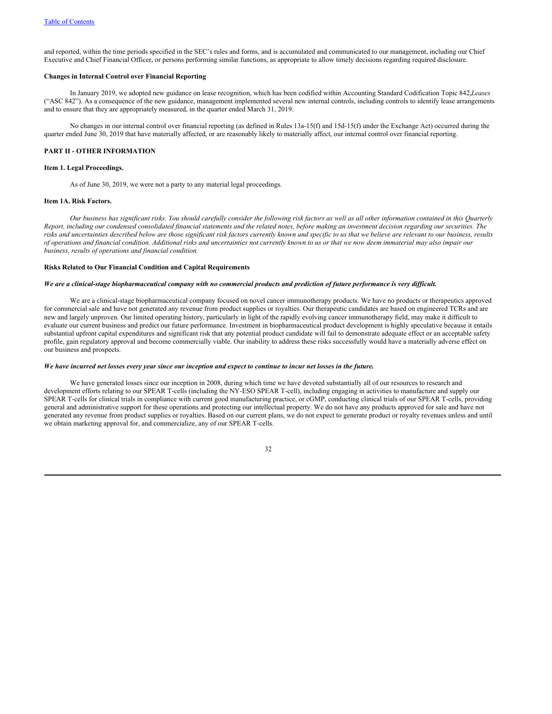and reported, within the time periods specified in the SEC's rules and forms, and is accumulated and communicated to our management, including our Chief Executive and Chief Financial Officer, or persons performing similar functions, as appropriate to allow timely decisions regarding required disclosure.

### **Changes in Internal Control over Financial Reporting**

In January 2019, we adopted new guidance on lease recognition, which has been codified within Accounting Standard Codification Topic 842,*Leases* ("ASC 842"). As a consequence of the new guidance, management implemented several new internal controls, including controls to identify lease arrangements and to ensure that they are appropriately measured, in the quarter ended March 31, 2019.

No changes in our internal control over financial reporting (as defined in Rules 13a-15(f) and 15d-15(f) under the Exchange Act) occurred during the quarter ended June 30, 2019 that have materially affected, or are reasonably likely to materially affect, our internal control over financial reporting.

#### **PART II - OTHER INFORMATION**

#### **Item 1. Legal Proceedings.**

As of June 30, 2019, we were not a party to any material legal proceedings.

#### **Item 1A. Risk Factors.**

Our business has significant risks. You should carefully consider the following risk factors as well as all other information contained in this Quarterly Report, including our condensed consolidated financial statements and the related notes, before making an investment decision regarding our securities. The risks and uncertainties described below are those significant risk factors currently known and specific to us that we believe are relevant to our business, results of operations and financial condition. Additional risks and uncertainties not currently known to us or that we now deem immaterial may also impair our *business, results of operations and financial condition.*

## **Risks Related to Our Financial Condition and Capital Requirements**

#### We are a clinical-stage biopharmaceutical company with no commercial products and prediction of future performance is very difficult.

We are a clinical-stage biopharmaceutical company focused on novel cancer immunotherapy products. We have no products or therapeutics approved for commercial sale and have not generated any revenue from product supplies or royalties. Our therapeutic candidates are based on engineered TCRs and are new and largely unproven. Our limited operating history, particularly in light of the rapidly evolving cancer immunotherapy field, may make it difficult to evaluate our current business and predict our future performance. Investment in biopharmaceutical product development is highly speculative because it entails substantial upfront capital expenditures and significant risk that any potential product candidate will fail to demonstrate adequate effect or an acceptable safety profile, gain regulatory approval and become commercially viable. Our inability to address these risks successfully would have a materially adverse effect on our business and prospects.

## We have incurred net losses every year since our inception and expect to continue to incur net losses in the future.

We have generated losses since our inception in 2008, during which time we have devoted substantially all of our resources to research and development efforts relating to our SPEAR T-cells (including the NY-ESO SPEAR T-cell), including engaging in activities to manufacture and supply our SPEAR T-cells for clinical trials in compliance with current good manufacturing practice, or cGMP, conducting clinical trials of our SPEAR T-cells, providing general and administrative support for these operations and protecting our intellectual property. We do not have any products approved for sale and have not generated any revenue from product supplies or royalties. Based on our current plans, we do not expect to generate product or royalty revenues unless and until we obtain marketing approval for, and commercialize, any of our SPEAR T-cells.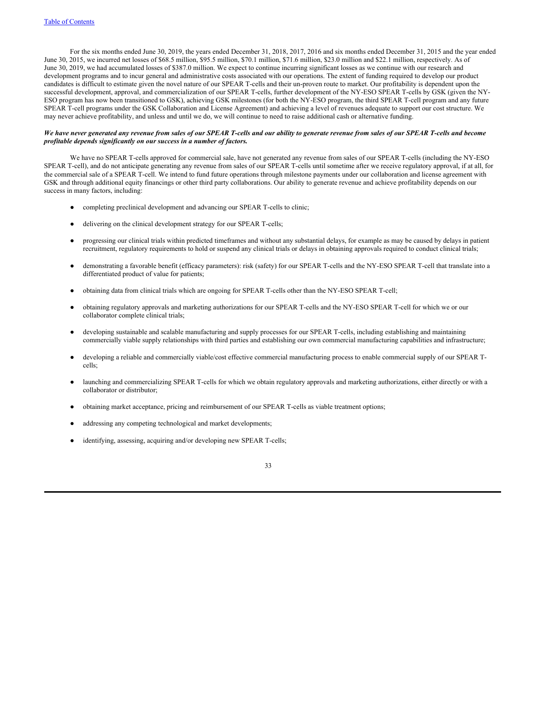For the six months ended June 30, 2019, the years ended December 31, 2018, 2017, 2016 and six months ended December 31, 2015 and the year ended June 30, 2015, we incurred net losses of \$68.5 million, \$95.5 million, \$70.1 million, \$71.6 million, \$23.0 million and \$22.1 million, respectively. As of June 30, 2019, we had accumulated losses of \$387.0 million. We expect to continue incurring significant losses as we continue with our research and development programs and to incur general and administrative costs associated with our operations. The extent of funding required to develop our product candidates is difficult to estimate given the novel nature of our SPEAR T-cells and their un-proven route to market. Our profitability is dependent upon the successful development, approval, and commercialization of our SPEAR T-cells, further development of the NY-ESO SPEAR T-cells by GSK (given the NY-ESO program has now been transitioned to GSK), achieving GSK milestones (for both the NY-ESO program, the third SPEAR T-cell program and any future SPEAR T-cell programs under the GSK Collaboration and License Agreement) and achieving a level of revenues adequate to support our cost structure. We may never achieve profitability, and unless and until we do, we will continue to need to raise additional cash or alternative funding.

## We have never generated any revenue from sales of our SPEAR T-cells and our ability to generate revenue from sales of our SPEAR T-cells and become *profitable depends significantly on our success in a number of factors.*

We have no SPEAR T-cells approved for commercial sale, have not generated any revenue from sales of our SPEAR T-cells (including the NY-ESO SPEAR T-cell), and do not anticipate generating any revenue from sales of our SPEAR T-cells until sometime after we receive regulatory approval, if at all, for the commercial sale of a SPEAR T-cell. We intend to fund future operations through milestone payments under our collaboration and license agreement with GSK and through additional equity financings or other third party collaborations. Our ability to generate revenue and achieve profitability depends on our success in many factors, including:

- completing preclinical development and advancing our SPEAR T-cells to clinic;
- delivering on the clinical development strategy for our SPEAR T-cells;
- progressing our clinical trials within predicted timeframes and without any substantial delays, for example as may be caused by delays in patient recruitment, regulatory requirements to hold or suspend any clinical trials or delays in obtaining approvals required to conduct clinical trials;
- demonstrating a favorable benefit (efficacy parameters): risk (safety) for our SPEAR T-cells and the NY-ESO SPEAR T-cell that translate into a differentiated product of value for patients;
- obtaining data from clinical trials which are ongoing for SPEAR T-cells other than the NY-ESO SPEAR T-cell;
- obtaining regulatory approvals and marketing authorizations for our SPEAR T-cells and the NY-ESO SPEAR T-cell for which we or our collaborator complete clinical trials;
- developing sustainable and scalable manufacturing and supply processes for our SPEAR T-cells, including establishing and maintaining commercially viable supply relationships with third parties and establishing our own commercial manufacturing capabilities and infrastructure;
- developing a reliable and commercially viable/cost effective commercial manufacturing process to enable commercial supply of our SPEAR Tcells;
- launching and commercializing SPEAR T-cells for which we obtain regulatory approvals and marketing authorizations, either directly or with a collaborator or distributor;
- obtaining market acceptance, pricing and reimbursement of our SPEAR T-cells as viable treatment options;
- addressing any competing technological and market developments;
- identifying, assessing, acquiring and/or developing new SPEAR T-cells;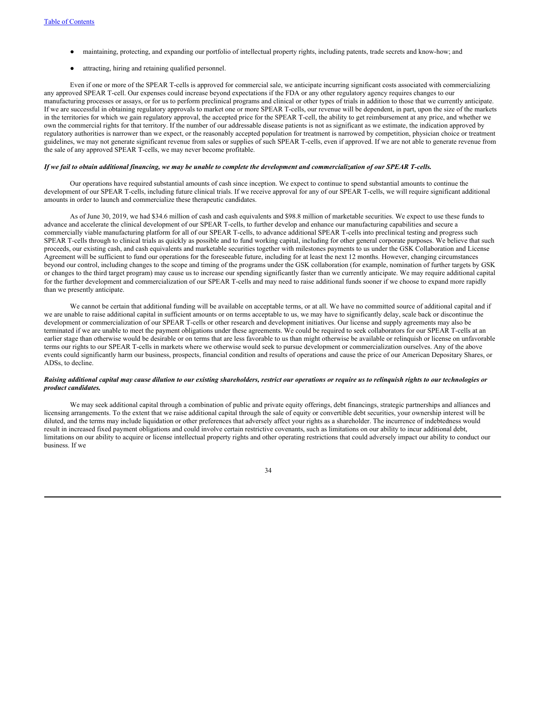- maintaining, protecting, and expanding our portfolio of intellectual property rights, including patents, trade secrets and know-how; and
- attracting, hiring and retaining qualified personnel.

Even if one or more of the SPEAR T-cells is approved for commercial sale, we anticipate incurring significant costs associated with commercializing any approved SPEAR T-cell. Our expenses could increase beyond expectations if the FDA or any other regulatory agency requires changes to our manufacturing processes or assays, or for us to perform preclinical programs and clinical or other types of trials in addition to those that we currently anticipate. If we are successful in obtaining regulatory approvals to market one or more SPEAR T-cells, our revenue will be dependent, in part, upon the size of the markets in the territories for which we gain regulatory approval, the accepted price for the SPEAR T-cell, the ability to get reimbursement at any price, and whether we own the commercial rights for that territory. If the number of our addressable disease patients is not as significant as we estimate, the indication approved by regulatory authorities is narrower than we expect, or the reasonably accepted population for treatment is narrowed by competition, physician choice or treatment guidelines, we may not generate significant revenue from sales or supplies of such SPEAR T-cells, even if approved. If we are not able to generate revenue from the sale of any approved SPEAR T-cells, we may never become profitable.

#### If we fail to obtain additional financing, we may be unable to complete the development and commercialization of our SPEAR T-cells.

Our operations have required substantial amounts of cash since inception. We expect to continue to spend substantial amounts to continue the development of our SPEAR T-cells, including future clinical trials. If we receive approval for any of our SPEAR T-cells, we will require significant additional amounts in order to launch and commercialize these therapeutic candidates.

As of June 30, 2019, we had \$34.6 million of cash and cash equivalents and \$98.8 million of marketable securities. We expect to use these funds to advance and accelerate the clinical development of our SPEAR T-cells, to further develop and enhance our manufacturing capabilities and secure a commercially viable manufacturing platform for all of our SPEAR T-cells, to advance additional SPEAR T-cells into preclinical testing and progress such SPEAR T-cells through to clinical trials as quickly as possible and to fund working capital, including for other general corporate purposes. We believe that such proceeds, our existing cash, and cash equivalents and marketable securities together with milestones payments to us under the GSK Collaboration and License Agreement will be sufficient to fund our operations for the foreseeable future, including for at least the next 12 months. However, changing circumstances beyond our control, including changes to the scope and timing of the programs under the GSK collaboration (for example, nomination of further targets by GSK or changes to the third target program) may cause us to increase our spending significantly faster than we currently anticipate. We may require additional capital for the further development and commercialization of our SPEAR T-cells and may need to raise additional funds sooner if we choose to expand more rapidly than we presently anticipate.

We cannot be certain that additional funding will be available on acceptable terms, or at all. We have no committed source of additional capital and if we are unable to raise additional capital in sufficient amounts or on terms acceptable to us, we may have to significantly delay, scale back or discontinue the development or commercialization of our SPEAR T-cells or other research and development initiatives. Our license and supply agreements may also be terminated if we are unable to meet the payment obligations under these agreements. We could be required to seek collaborators for our SPEAR T-cells at an earlier stage than otherwise would be desirable or on terms that are less favorable to us than might otherwise be available or relinquish or license on unfavorable terms our rights to our SPEAR T-cells in markets where we otherwise would seek to pursue development or commercialization ourselves. Any of the above events could significantly harm our business, prospects, financial condition and results of operations and cause the price of our American Depositary Shares, or ADSs, to decline.

#### Raising additional capital may cause dilution to our existing shareholders, restrict our operations or require us to relinquish rights to our technologies or *product candidates.*

We may seek additional capital through a combination of public and private equity offerings, debt financings, strategic partnerships and alliances and licensing arrangements. To the extent that we raise additional capital through the sale of equity or convertible debt securities, your ownership interest will be diluted, and the terms may include liquidation or other preferences that adversely affect your rights as a shareholder. The incurrence of indebtedness would result in increased fixed payment obligations and could involve certain restrictive covenants, such as limitations on our ability to incur additional debt, limitations on our ability to acquire or license intellectual property rights and other operating restrictions that could adversely impact our ability to conduct our business. If we

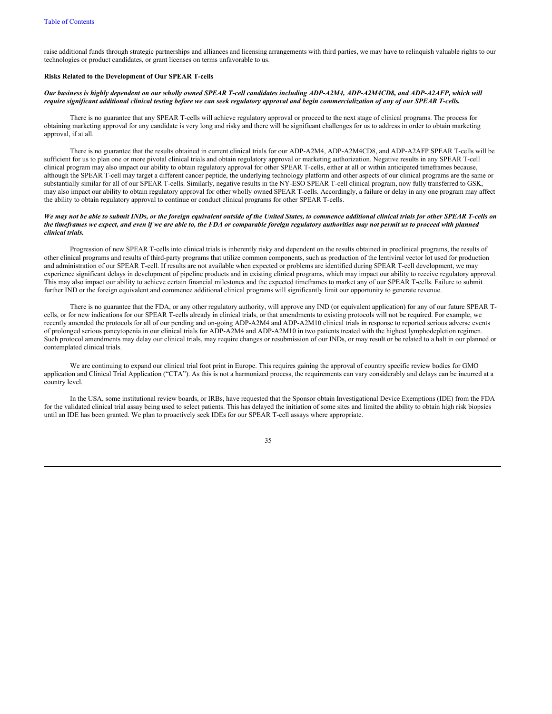raise additional funds through strategic partnerships and alliances and licensing arrangements with third parties, we may have to relinquish valuable rights to our technologies or product candidates, or grant licenses on terms unfavorable to us.

## **Risks Related to the Development of Our SPEAR T-cells**

## Our business is highly dependent on our wholly owned SPEAR T-cell candidates including ADP-A2M4, ADP-A2M4CD8, and ADP-A2AFP, which will require significant additional clinical testing before we can seek regulatory approval and begin commercialization of any of our SPEAR T-cells.

There is no guarantee that any SPEAR T-cells will achieve regulatory approval or proceed to the next stage of clinical programs. The process for obtaining marketing approval for any candidate is very long and risky and there will be significant challenges for us to address in order to obtain marketing approval, if at all.

There is no guarantee that the results obtained in current clinical trials for our ADP-A2M4, ADP-A2M4CD8, and ADP-A2AFP SPEAR T-cells will be sufficient for us to plan one or more pivotal clinical trials and obtain regulatory approval or marketing authorization. Negative results in any SPEAR T-cell clinical program may also impact our ability to obtain regulatory approval for other SPEAR T-cells, either at all or within anticipated timeframes because, although the SPEAR T-cell may target a different cancer peptide, the underlying technology platform and other aspects of our clinical programs are the same or substantially similar for all of our SPEAR T-cells. Similarly, negative results in the NY-ESO SPEAR T-cell clinical program, now fully transferred to GSK, may also impact our ability to obtain regulatory approval for other wholly owned SPEAR T-cells. Accordingly, a failure or delay in any one program may affect the ability to obtain regulatory approval to continue or conduct clinical programs for other SPEAR T-cells.

#### We may not be able to submit INDs, or the foreign equivalent outside of the United States, to commence additional clinical trials for other SPEAR T-cells on the timeframes we expect, and even if we are able to, the FDA or comparable foreign regulatory authorities may not permit us to proceed with planned *clinical trials.*

Progression of new SPEAR T-cells into clinical trials is inherently risky and dependent on the results obtained in preclinical programs, the results of other clinical programs and results of third-party programs that utilize common components, such as production of the lentiviral vector lot used for production and administration of our SPEAR T-cell. If results are not available when expected or problems are identified during SPEAR T-cell development, we may experience significant delays in development of pipeline products and in existing clinical programs, which may impact our ability to receive regulatory approval. This may also impact our ability to achieve certain financial milestones and the expected timeframes to market any of our SPEAR T-cells. Failure to submit further IND or the foreign equivalent and commence additional clinical programs will significantly limit our opportunity to generate revenue.

There is no guarantee that the FDA, or any other regulatory authority, will approve any IND (or equivalent application) for any of our future SPEAR Tcells, or for new indications for our SPEAR T-cells already in clinical trials, or that amendments to existing protocols will not be required. For example, we recently amended the protocols for all of our pending and on-going ADP-A2M4 and ADP-A2M10 clinical trials in response to reported serious adverse events of prolonged serious pancytopenia in our clinical trials for ADP-A2M4 and ADP-A2M10 in two patients treated with the highest lymphodepletion regimen. Such protocol amendments may delay our clinical trials, may require changes or resubmission of our INDs, or may result or be related to a halt in our planned or contemplated clinical trials.

We are continuing to expand our clinical trial foot print in Europe. This requires gaining the approval of country specific review bodies for GMO application and Clinical Trial Application ("CTA"). As this is not a harmonized process, the requirements can vary considerably and delays can be incurred at a country level.

In the USA, some institutional review boards, or IRBs, have requested that the Sponsor obtain Investigational Device Exemptions (IDE) from the FDA for the validated clinical trial assay being used to select patients. This has delayed the initiation of some sites and limited the ability to obtain high risk biopsies until an IDE has been granted. We plan to proactively seek IDEs for our SPEAR T-cell assays where appropriate.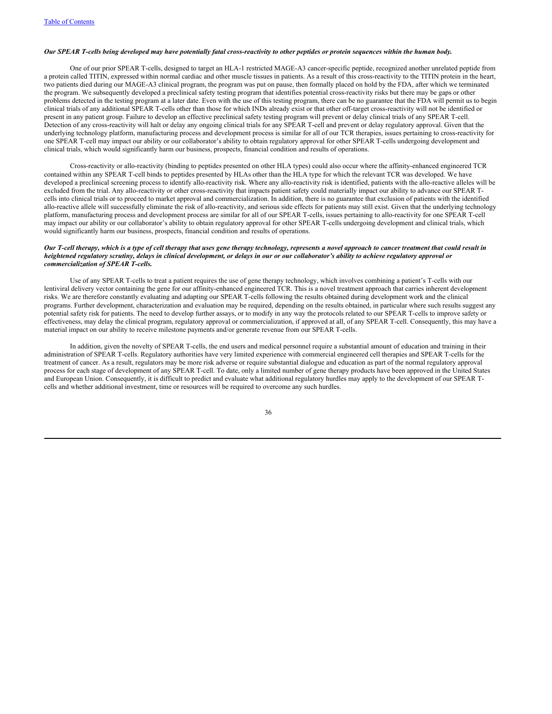#### Our SPEAR T-cells being developed may have potentially fatal cross-reactivity to other peptides or protein sequences within the human body.

One of our prior SPEAR T-cells, designed to target an HLA-1 restricted MAGE-A3 cancer-specific peptide, recognized another unrelated peptide from a protein called TITIN, expressed within normal cardiac and other muscle tissues in patients. As a result of this cross-reactivity to the TITIN protein in the heart, two patients died during our MAGE-A3 clinical program, the program was put on pause, then formally placed on hold by the FDA, after which we terminated the program. We subsequently developed a preclinical safety testing program that identifies potential cross-reactivity risks but there may be gaps or other problems detected in the testing program at a later date. Even with the use of this testing program, there can be no guarantee that the FDA will permit us to begin clinical trials of any additional SPEAR T-cells other than those for which INDs already exist or that other off-target cross-reactivity will not be identified or present in any patient group. Failure to develop an effective preclinical safety testing program will prevent or delay clinical trials of any SPEAR T-cell. Detection of any cross-reactivity will halt or delay any ongoing clinical trials for any SPEAR T-cell and prevent or delay regulatory approval. Given that the underlying technology platform, manufacturing process and development process is similar for all of our TCR therapies, issues pertaining to cross-reactivity for one SPEAR T-cell may impact our ability or our collaborator's ability to obtain regulatory approval for other SPEAR T-cells undergoing development and clinical trials, which would significantly harm our business, prospects, financial condition and results of operations.

Cross-reactivity or allo-reactivity (binding to peptides presented on other HLA types) could also occur where the affinity-enhanced engineered TCR contained within any SPEAR T-cell binds to peptides presented by HLAs other than the HLA type for which the relevant TCR was developed. We have developed a preclinical screening process to identify allo-reactivity risk. Where any allo-reactivity risk is identified, patients with the allo-reactive alleles will be excluded from the trial. Any allo-reactivity or other cross-reactivity that impacts patient safety could materially impact our ability to advance our SPEAR Tcells into clinical trials or to proceed to market approval and commercialization. In addition, there is no guarantee that exclusion of patients with the identified allo-reactive allele will successfully eliminate the risk of allo-reactivity, and serious side effects for patients may still exist. Given that the underlying technology platform, manufacturing process and development process are similar for all of our SPEAR T-cells, issues pertaining to allo-reactivity for one SPEAR T-cell may impact our ability or our collaborator's ability to obtain regulatory approval for other SPEAR T-cells undergoing development and clinical trials, which would significantly harm our business, prospects, financial condition and results of operations.

## Our T-cell therapy, which is a type of cell therapy that uses gene therapy technology, represents a novel approach to cancer treatment that could result in heightened regulatory scrutiny, delays in clinical development, or delays in our or our collaborator's ability to achieve regulatory approval or *commercialization of SPEAR T-cells.*

Use of any SPEAR T-cells to treat a patient requires the use of gene therapy technology, which involves combining a patient's T-cells with our lentiviral delivery vector containing the gene for our affinity-enhanced engineered TCR. This is a novel treatment approach that carries inherent development risks. We are therefore constantly evaluating and adapting our SPEAR T-cells following the results obtained during development work and the clinical programs. Further development, characterization and evaluation may be required, depending on the results obtained, in particular where such results suggest any potential safety risk for patients. The need to develop further assays, or to modify in any way the protocols related to our SPEAR T-cells to improve safety or effectiveness, may delay the clinical program, regulatory approval or commercialization, if approved at all, of any SPEAR T-cell. Consequently, this may have a material impact on our ability to receive milestone payments and/or generate revenue from our SPEAR T-cells.

In addition, given the novelty of SPEAR T-cells, the end users and medical personnel require a substantial amount of education and training in their administration of SPEAR T-cells. Regulatory authorities have very limited experience with commercial engineered cell therapies and SPEAR T-cells for the treatment of cancer. As a result, regulators may be more risk adverse or require substantial dialogue and education as part of the normal regulatory approval process for each stage of development of any SPEAR T-cell. To date, only a limited number of gene therapy products have been approved in the United States and European Union. Consequently, it is difficult to predict and evaluate what additional regulatory hurdles may apply to the development of our SPEAR Tcells and whether additional investment, time or resources will be required to overcome any such hurdles.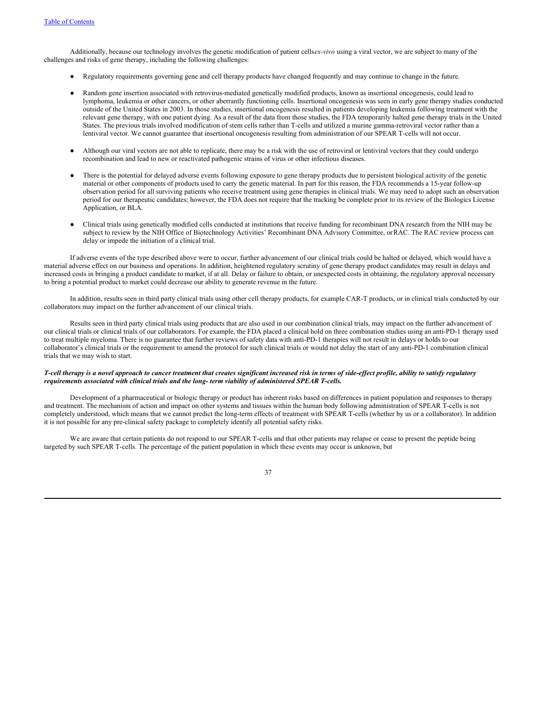Additionally, because our technology involves the genetic modification of patient cells*ex-vivo* using a viral vector, we are subject to many of the challenges and risks of gene therapy, including the following challenges:

- Regulatory requirements governing gene and cell therapy products have changed frequently and may continue to change in the future.
- Random gene insertion associated with retrovirus-mediated genetically modified products, known as insertional oncogenesis, could lead to lymphoma, leukemia or other cancers, or other aberrantly functioning cells. Insertional oncogenesis was seen in early gene therapy studies conducted outside of the United States in 2003. In those studies, insertional oncogenesis resulted in patients developing leukemia following treatment with the relevant gene therapy, with one patient dying. As a result of the data from those studies, the FDA temporarily halted gene therapy trials in the United States. The previous trials involved modification of stem cells rather than T-cells and utilized a murine gamma-retroviral vector rather than a lentiviral vector. We cannot guarantee that insertional oncogenesis resulting from administration of our SPEAR T-cells will not occur.
- Although our viral vectors are not able to replicate, there may be a risk with the use of retroviral or lentiviral vectors that they could undergo recombination and lead to new or reactivated pathogenic strains of virus or other infectious diseases.
- There is the potential for delayed adverse events following exposure to gene therapy products due to persistent biological activity of the genetic material or other components of products used to carry the genetic material. In part for this reason, the FDA recommends a 15-year follow-up observation period for all surviving patients who receive treatment using gene therapies in clinical trials. We may need to adopt such an observation period for our therapeutic candidates; however, the FDA does not require that the tracking be complete prior to its review of the Biologics License Application, or BLA.
- Clinical trials using genetically modified cells conducted at institutions that receive funding for recombinant DNA research from the NIH may be subject to review by the NIH Office of Biotechnology Activities' Recombinant DNA Advisory Committee, orRAC. The RAC review process can delay or impede the initiation of a clinical trial.

If adverse events of the type described above were to occur, further advancement of our clinical trials could be halted or delayed, which would have a material adverse effect on our business and operations. In addition, heightened regulatory scrutiny of gene therapy product candidates may result in delays and increased costs in bringing a product candidate to market, if at all. Delay or failure to obtain, or unexpected costs in obtaining, the regulatory approval necessary to bring a potential product to market could decrease our ability to generate revenue in the future.

In addition, results seen in third party clinical trials using other cell therapy products, for example CAR-T products, or in clinical trials conducted by our collaborators may impact on the further advancement of our clinical trials.

Results seen in third party clinical trials using products that are also used in our combination clinical trials, may impact on the further advancement of our clinical trials or clinical trials of our collaborators. For example, the FDA placed a clinical hold on three combination studies using an anti-PD-1 therapy used to treat multiple myeloma. There is no guarantee that further reviews of safety data with anti-PD-1 therapies will not result in delays or holds to our collaborator's clinical trials or the requirement to amend the protocol for such clinical trials or would not delay the start of any anti-PD-1 combination clinical trials that we may wish to start.

### T-cell therapy is a novel approach to cancer treatment that creates significant increased risk in terms of side-effect profile, ability to satisfy regulatory *requirements associated with clinical trials and the long- term viability of administered SPEAR T-cells.*

Development of a pharmaceutical or biologic therapy or product has inherent risks based on differences in patient population and responses to therapy and treatment. The mechanism of action and impact on other systems and tissues within the human body following administration of SPEAR T-cells is not completely understood, which means that we cannot predict the long-term effects of treatment with SPEAR T-cells (whether by us or a collaborator). In addition it is not possible for any pre-clinical safety package to completely identify all potential safety risks.

We are aware that certain patients do not respond to our SPEAR T-cells and that other patients may relapse or cease to present the peptide being targeted by such SPEAR T-cells. The percentage of the patient population in which these events may occur is unknown, but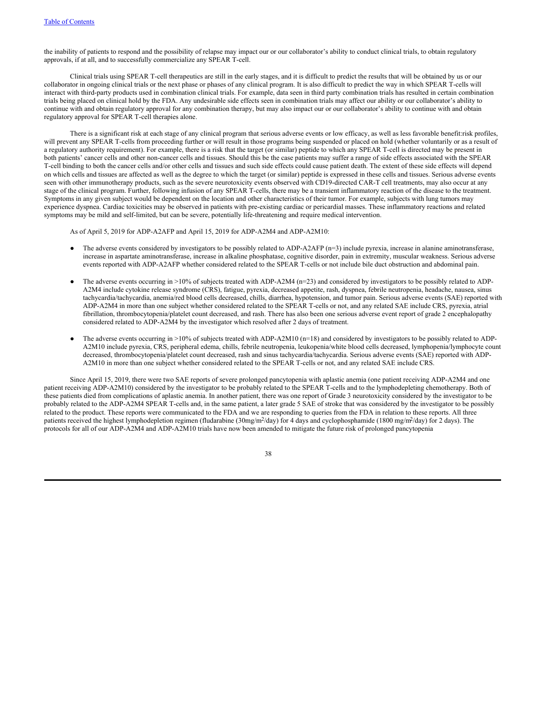the inability of patients to respond and the possibility of relapse may impact our or our collaborator's ability to conduct clinical trials, to obtain regulatory approvals, if at all, and to successfully commercialize any SPEAR T-cell.

Clinical trials using SPEAR T-cell therapeutics are still in the early stages, and it is difficult to predict the results that will be obtained by us or our collaborator in ongoing clinical trials or the next phase or phases of any clinical program. It is also difficult to predict the way in which SPEAR T-cells will interact with third-party products used in combination clinical trials. For example, data seen in third party combination trials has resulted in certain combination trials being placed on clinical hold by the FDA. Any undesirable side effects seen in combination trials may affect our ability or our collaborator's ability to continue with and obtain regulatory approval for any combination therapy, but may also impact our or our collaborator's ability to continue with and obtain regulatory approval for SPEAR T-cell therapies alone.

There is a significant risk at each stage of any clinical program that serious adverse events or low efficacy, as well as less favorable benefit:risk profiles, will prevent any SPEAR T-cells from proceeding further or will result in those programs being suspended or placed on hold (whether voluntarily or as a result of a regulatory authority requirement). For example, there is a risk that the target (or similar) peptide to which any SPEAR T-cell is directed may be present in both patients' cancer cells and other non-cancer cells and tissues. Should this be the case patients may suffer a range of side effects associated with the SPEAR T-cell binding to both the cancer cells and/or other cells and tissues and such side effects could cause patient death. The extent of these side effects will depend on which cells and tissues are affected as well as the degree to which the target (or similar) peptide is expressed in these cells and tissues. Serious adverse events seen with other immunotherapy products, such as the severe neurotoxicity events observed with CD19-directed CAR-T cell treatments, may also occur at any stage of the clinical program. Further, following infusion of any SPEAR T-cells, there may be a transient inflammatory reaction of the disease to the treatment. Symptoms in any given subject would be dependent on the location and other characteristics of their tumor. For example, subjects with lung tumors may experience dyspnea. Cardiac toxicities may be observed in patients with pre-existing cardiac or pericardial masses. These inflammatory reactions and related symptoms may be mild and self-limited, but can be severe, potentially life-threatening and require medical intervention.

As of April 5, 2019 for ADP-A2AFP and April 15, 2019 for ADP-A2M4 and ADP-A2M10:

- The adverse events considered by investigators to be possibly related to ADP-A2AFP (n=3) include pyrexia, increase in alanine aminotransferase, increase in aspartate aminotransferase, increase in alkaline phosphatase, cognitive disorder, pain in extremity, muscular weakness. Serious adverse events reported with ADP-A2AFP whether considered related to the SPEAR T-cells or not include bile duct obstruction and abdominal pain.
- The adverse events occurring in  $>10\%$  of subjects treated with ADP-A2M4 (n=23) and considered by investigators to be possibly related to ADP-A2M4 include cytokine release syndrome (CRS), fatigue, pyrexia, decreased appetite, rash, dyspnea, febrile neutropenia, headache, nausea, sinus tachycardia/tachycardia, anemia/red blood cells decreased, chills, diarrhea, hypotension, and tumor pain. Serious adverse events (SAE) reported with ADP-A2M4 in more than one subject whether considered related to the SPEAR T-cells or not, and any related SAE include CRS, pyrexia, atrial fibrillation, thrombocytopenia/platelet count decreased, and rash. There has also been one serious adverse event report of grade 2 encephalopathy considered related to ADP-A2M4 by the investigator which resolved after 2 days of treatment.
- The adverse events occurring in >10% of subjects treated with ADP-A2M10 ( $n=18$ ) and considered by investigators to be possibly related to ADP-A2M10 include pyrexia, CRS, peripheral edema, chills, febrile neutropenia, leukopenia/white blood cells decreased, lymphopenia/lymphocyte count decreased, thrombocytopenia/platelet count decreased, rash and sinus tachycardia/tachycardia. Serious adverse events (SAE) reported with ADP-A2M10 in more than one subject whether considered related to the SPEAR T-cells or not, and any related SAE include CRS.

Since April 15, 2019, there were two SAE reports of severe prolonged pancytopenia with aplastic anemia (one patient receiving ADP-A2M4 and one patient receiving ADP-A2M10) considered by the investigator to be probably related to the SPEAR T-cells and to the lymphodepleting chemotherapy. Both of these patients died from complications of aplastic anemia. In another patient, there was one report of Grade 3 neurotoxicity considered by the investigator to be probably related to the ADP-A2M4 SPEAR T-cells and, in the same patient, a later grade 5 SAE of stroke that was considered by the investigator to be possibly related to the product. These reports were communicated to the FDA and we are responding to queries from the FDA in relation to these reports. All three patients received the highest lymphodepletion regimen (fludarabine (30mg/m2/day) for 4 days and cyclophosphamide (1800 mg/m2/day) for 2 days). The protocols for all of our ADP-A2M4 and ADP-A2M10 trials have now been amended to mitigate the future risk of prolonged pancytopenia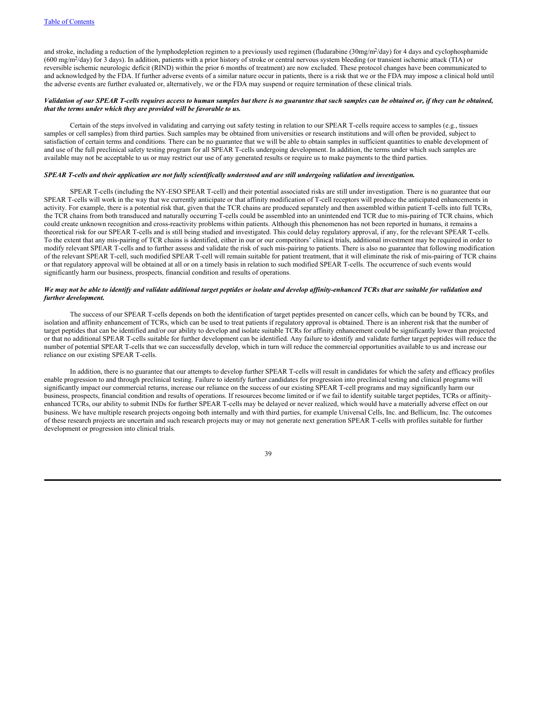and stroke, including a reduction of the lymphodepletion regimen to a previously used regimen (fludarabine (30mg/m<sup>2</sup>/day) for 4 days and cyclophosphamide (600 mg/m2/day) for 3 days). In addition, patients with a prior history of stroke or central nervous system bleeding (or transient ischemic attack (TIA) or reversible ischemic neurologic deficit (RIND) within the prior 6 months of treatment) are now excluded. These protocol changes have been communicated to and acknowledged by the FDA. If further adverse events of a similar nature occur in patients, there is a risk that we or the FDA may impose a clinical hold until the adverse events are further evaluated or, alternatively, we or the FDA may suspend or require termination of these clinical trials.

### Validation of our SPEAR T-cells requires access to human samples but there is no guarantee that such samples can be obtained or, if they can be obtained, *that the terms under which they are provided will be favorable to us.*

Certain of the steps involved in validating and carrying out safety testing in relation to our SPEAR T-cells require access to samples (e.g., tissues samples or cell samples) from third parties. Such samples may be obtained from universities or research institutions and will often be provided, subject to satisfaction of certain terms and conditions. There can be no guarantee that we will be able to obtain samples in sufficient quantities to enable development of and use of the full preclinical safety testing program for all SPEAR T-cells undergoing development. In addition, the terms under which such samples are available may not be acceptable to us or may restrict our use of any generated results or require us to make payments to the third parties.

#### SPEAR T-cells and their application are not fully scientifically understood and are still undergoing validation and investigation.

SPEAR T-cells (including the NY-ESO SPEAR T-cell) and their potential associated risks are still under investigation. There is no guarantee that our SPEAR T-cells will work in the way that we currently anticipate or that affinity modification of T-cell receptors will produce the anticipated enhancements in activity. For example, there is a potential risk that, given that the TCR chains are produced separately and then assembled within patient T-cells into full TCRs, the TCR chains from both transduced and naturally occurring T-cells could be assembled into an unintended end TCR due to mis-pairing of TCR chains, which could create unknown recognition and cross-reactivity problems within patients. Although this phenomenon has not been reported in humans, it remains a theoretical risk for our SPEAR T-cells and is still being studied and investigated. This could delay regulatory approval, if any, for the relevant SPEAR T-cells. To the extent that any mis-pairing of TCR chains is identified, either in our or our competitors' clinical trials, additional investment may be required in order to modify relevant SPEAR T-cells and to further assess and validate the risk of such mis-pairing to patients. There is also no guarantee that following modification of the relevant SPEAR T-cell, such modified SPEAR T-cell will remain suitable for patient treatment, that it will eliminate the risk of mis-pairing of TCR chains or that regulatory approval will be obtained at all or on a timely basis in relation to such modified SPEAR T-cells. The occurrence of such events would significantly harm our business, prospects, financial condition and results of operations.

#### We may not be able to identify and validate additional target peptides or isolate and develop affinity-enhanced TCRs that are suitable for validation and *further development.*

The success of our SPEAR T-cells depends on both the identification of target peptides presented on cancer cells, which can be bound by TCRs, and isolation and affinity enhancement of TCRs, which can be used to treat patients if regulatory approval is obtained. There is an inherent risk that the number of target peptides that can be identified and/or our ability to develop and isolate suitable TCRs for affinity enhancement could be significantly lower than projected or that no additional SPEAR T-cells suitable for further development can be identified. Any failure to identify and validate further target peptides will reduce the number of potential SPEAR T-cells that we can successfully develop, which in turn will reduce the commercial opportunities available to us and increase our reliance on our existing SPEAR T-cells.

In addition, there is no guarantee that our attempts to develop further SPEAR T-cells will result in candidates for which the safety and efficacy profiles enable progression to and through preclinical testing. Failure to identify further candidates for progression into preclinical testing and clinical programs will significantly impact our commercial returns, increase our reliance on the success of our existing SPEAR T-cell programs and may significantly harm our business, prospects, financial condition and results of operations. If resources become limited or if we fail to identify suitable target peptides, TCRs or affinityenhanced TCRs, our ability to submit INDs for further SPEAR T-cells may be delayed or never realized, which would have a materially adverse effect on our business. We have multiple research projects ongoing both internally and with third parties, for example Universal Cells, Inc. and Bellicum, Inc. The outcomes of these research projects are uncertain and such research projects may or may not generate next generation SPEAR T-cells with profiles suitable for further development or progression into clinical trials.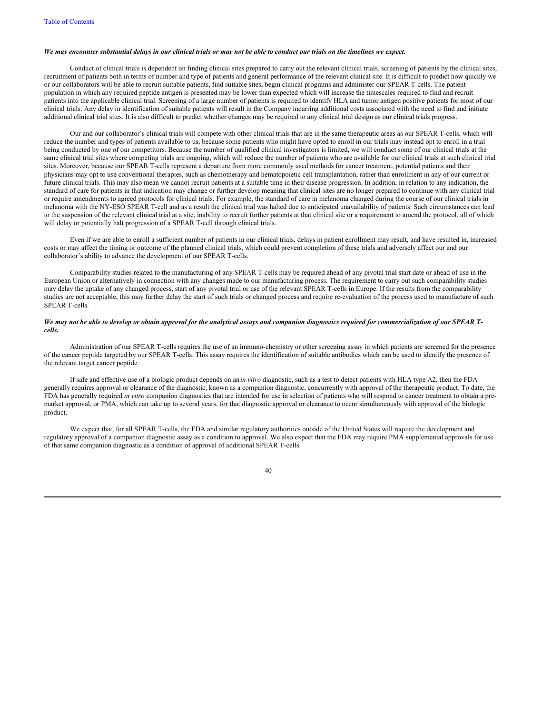#### We may encounter substantial delays in our clinical trials or may not be able to conduct our trials on the timelines we expect.

Conduct of clinical trials is dependent on finding clinical sites prepared to carry out the relevant clinical trials, screening of patients by the clinical sites, recruitment of patients both in terms of number and type of patients and general performance of the relevant clinical site. It is difficult to predict how quickly we or our collaborators will be able to recruit suitable patients, find suitable sites, begin clinical programs and administer our SPEAR T-cells. The patient population in which any required peptide antigen is presented may be lower than expected which will increase the timescales required to find and recruit patients into the applicable clinical trial. Screening of a large number of patients is required to identify HLA and tumor antigen positive patients for most of our clinical trials. Any delay in identification of suitable patients will result in the Company incurring additional costs associated with the need to find and initiate additional clinical trial sites. It is also difficult to predict whether changes may be required to any clinical trial design as our clinical trials progress.

Our and our collaborator's clinical trials will compete with other clinical trials that are in the same therapeutic areas as our SPEAR T-cells, which will reduce the number and types of patients available to us, because some patients who might have opted to enroll in our trials may instead opt to enroll in a trial being conducted by one of our competitors. Because the number of qualified clinical investigators is limited, we will conduct some of our clinical trials at the same clinical trial sites where competing trials are ongoing, which will reduce the number of patients who are available for our clinical trials at such clinical trial sites. Moreover, because our SPEAR T-cells represent a departure from more commonly used methods for cancer treatment, potential patients and their physicians may opt to use conventional therapies, such as chemotherapy and hematopoietic cell transplantation, rather than enrollment in any of our current or future clinical trials. This may also mean we cannot recruit patients at a suitable time in their disease progression. In addition, in relation to any indication, the standard of care for patients in that indication may change or further develop meaning that clinical sites are no longer prepared to continue with any clinical trial or require amendments to agreed protocols for clinical trials. For example, the standard of care in melanoma changed during the course of our clinical trials in melanoma with the NY-ESO SPEAR T-cell and as a result the clinical trial was halted due to anticipated unavailability of patients. Such circumstances can lead to the suspension of the relevant clinical trial at a site, inability to recruit further patients at that clinical site or a requirement to amend the protocol, all of which will delay or potentially halt progression of a SPEAR T-cell through clinical trials.

Even if we are able to enroll a sufficient number of patients in our clinical trials, delays in patient enrollment may result, and have resulted in, increased costs or may affect the timing or outcome of the planned clinical trials, which could prevent completion of these trials and adversely affect our and our collaborator's ability to advance the development of our SPEAR T-cells.

Comparability studies related to the manufacturing of any SPEAR T-cells may be required ahead of any pivotal trial start date or ahead of use in the European Union or alternatively in connection with any changes made to our manufacturing process. The requirement to carry out such comparability studies may delay the uptake of any changed process, start of any pivotal trial or use of the relevant SPEAR T-cells in Europe. If the results from the comparability studies are not acceptable, this may further delay the start of such trials or changed process and require re-evaluation of the process used to manufacture of such SPEAR T-cells.

#### We may not be able to develop or obtain approval for the analytical assays and companion diagnostics required for commercialization of our SPEAR T*cells.*

Administration of our SPEAR T-cells requires the use of an immuno-chemistry or other screening assay in which patients are screened for the presence of the cancer peptide targeted by our SPEAR T-cells. This assay requires the identification of suitable antibodies which can be used to identify the presence of the relevant target cancer peptide.

If safe and effective use of a biologic product depends on an*in vitro* diagnostic, such as a test to detect patients with HLA type A2, then the FDA generally requires approval or clearance of the diagnostic, known as a companion diagnostic, concurrently with approval of the therapeutic product. To date, the FDA has generally required *in vitro* companion diagnostics that are intended for use in selection of patients who will respond to cancer treatment to obtain a premarket approval, or PMA, which can take up to several years, for that diagnostic approval or clearance to occur simultaneously with approval of the biologic product.

We expect that, for all SPEAR T-cells, the FDA and similar regulatory authorities outside of the United States will require the development and regulatory approval of a companion diagnostic assay as a condition to approval. We also expect that the FDA may require PMA supplemental approvals for use of that same companion diagnostic as a condition of approval of additional SPEAR T-cells.

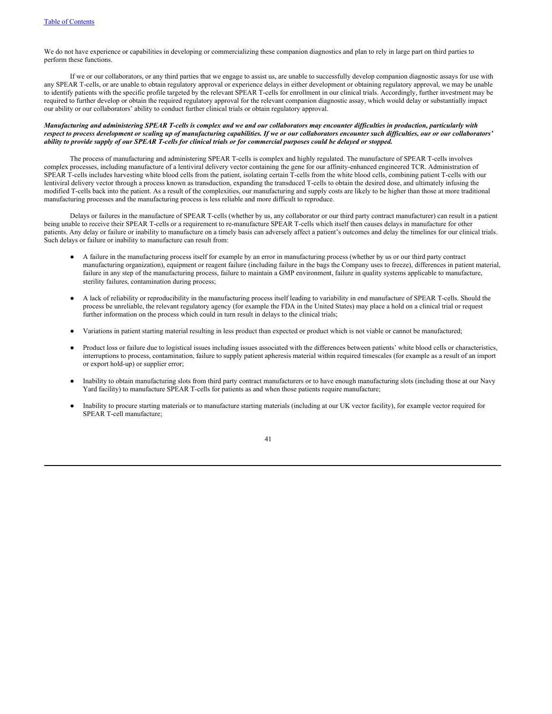We do not have experience or capabilities in developing or commercializing these companion diagnostics and plan to rely in large part on third parties to perform these functions.

If we or our collaborators, or any third parties that we engage to assist us, are unable to successfully develop companion diagnostic assays for use with any SPEAR T-cells, or are unable to obtain regulatory approval or experience delays in either development or obtaining regulatory approval, we may be unable to identify patients with the specific profile targeted by the relevant SPEAR T-cells for enrollment in our clinical trials. Accordingly, further investment may be required to further develop or obtain the required regulatory approval for the relevant companion diagnostic assay, which would delay or substantially impact our ability or our collaborators' ability to conduct further clinical trials or obtain regulatory approval.

# Manufacturing and administering SPEAR T-cells is complex and we and our collaborators may encounter difficulties in production, particularly with respect to process development or scaling up of manufacturing capabilities. If we or our collaborators encounter such difficulties, our or our collaborators' ability to provide supply of our SPEAR T-cells for clinical trials or for commercial purposes could be delayed or stopped.

The process of manufacturing and administering SPEAR T-cells is complex and highly regulated. The manufacture of SPEAR T-cells involves complex processes, including manufacture of a lentiviral delivery vector containing the gene for our affinity-enhanced engineered TCR. Administration of SPEAR T-cells includes harvesting white blood cells from the patient, isolating certain T-cells from the white blood cells, combining patient T-cells with our lentiviral delivery vector through a process known as transduction, expanding the transduced T-cells to obtain the desired dose, and ultimately infusing the modified T-cells back into the patient. As a result of the complexities, our manufacturing and supply costs are likely to be higher than those at more traditional manufacturing processes and the manufacturing process is less reliable and more difficult to reproduce.

Delays or failures in the manufacture of SPEAR T-cells (whether by us, any collaborator or our third party contract manufacturer) can result in a patient being unable to receive their SPEAR T-cells or a requirement to re-manufacture SPEAR T-cells which itself then causes delays in manufacture for other patients. Any delay or failure or inability to manufacture on a timely basis can adversely affect a patient's outcomes and delay the timelines for our clinical trials. Such delays or failure or inability to manufacture can result from:

- A failure in the manufacturing process itself for example by an error in manufacturing process (whether by us or our third party contract manufacturing organization), equipment or reagent failure (including failure in the bags the Company uses to freeze), differences in patient material, failure in any step of the manufacturing process, failure to maintain a GMP environment, failure in quality systems applicable to manufacture, sterility failures, contamination during process;
- A lack of reliability or reproducibility in the manufacturing process itself leading to variability in end manufacture of SPEAR T-cells. Should the process be unreliable, the relevant regulatory agency (for example the FDA in the United States) may place a hold on a clinical trial or request further information on the process which could in turn result in delays to the clinical trials;
- Variations in patient starting material resulting in less product than expected or product which is not viable or cannot be manufactured;
- Product loss or failure due to logistical issues including issues associated with the differences between patients' white blood cells or characteristics, interruptions to process, contamination, failure to supply patient apheresis material within required timescales (for example as a result of an import or export hold-up) or supplier error;
- Inability to obtain manufacturing slots from third party contract manufacturers or to have enough manufacturing slots (including those at our Navy Yard facility) to manufacture SPEAR T-cells for patients as and when those patients require manufacture;
- Inability to procure starting materials or to manufacture starting materials (including at our UK vector facility), for example vector required for SPEAR T-cell manufacture;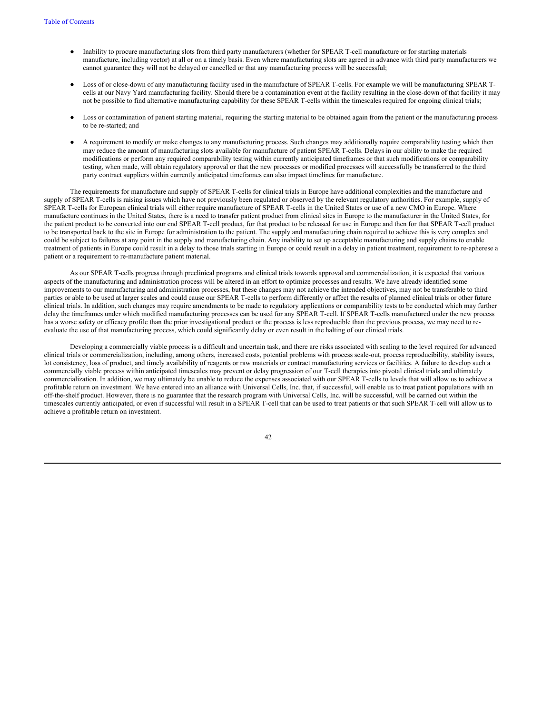- Inability to procure manufacturing slots from third party manufacturers (whether for SPEAR T-cell manufacture or for starting materials manufacture, including vector) at all or on a timely basis. Even where manufacturing slots are agreed in advance with third party manufacturers we cannot guarantee they will not be delayed or cancelled or that any manufacturing process will be successful;
- Loss of or close-down of any manufacturing facility used in the manufacture of SPEAR T-cells. For example we will be manufacturing SPEAR Tcells at our Navy Yard manufacturing facility. Should there be a contamination event at the facility resulting in the close-down of that facility it may not be possible to find alternative manufacturing capability for these SPEAR T-cells within the timescales required for ongoing clinical trials;
- Loss or contamination of patient starting material, requiring the starting material to be obtained again from the patient or the manufacturing process to be re-started; and
- A requirement to modify or make changes to any manufacturing process. Such changes may additionally require comparability testing which then may reduce the amount of manufacturing slots available for manufacture of patient SPEAR T-cells. Delays in our ability to make the required modifications or perform any required comparability testing within currently anticipated timeframes or that such modifications or comparability testing, when made, will obtain regulatory approval or that the new processes or modified processes will successfully be transferred to the third party contract suppliers within currently anticipated timeframes can also impact timelines for manufacture.

The requirements for manufacture and supply of SPEAR T-cells for clinical trials in Europe have additional complexities and the manufacture and supply of SPEAR T-cells is raising issues which have not previously been regulated or observed by the relevant regulatory authorities. For example, supply of SPEAR T-cells for European clinical trials will either require manufacture of SPEAR T-cells in the United States or use of a new CMO in Europe. Where manufacture continues in the United States, there is a need to transfer patient product from clinical sites in Europe to the manufacturer in the United States, for the patient product to be converted into our end SPEAR T-cell product, for that product to be released for use in Europe and then for that SPEAR T-cell product to be transported back to the site in Europe for administration to the patient. The supply and manufacturing chain required to achieve this is very complex and could be subject to failures at any point in the supply and manufacturing chain. Any inability to set up acceptable manufacturing and supply chains to enable treatment of patients in Europe could result in a delay to those trials starting in Europe or could result in a delay in patient treatment, requirement to re-apherese a patient or a requirement to re-manufacture patient material.

As our SPEAR T-cells progress through preclinical programs and clinical trials towards approval and commercialization, it is expected that various aspects of the manufacturing and administration process will be altered in an effort to optimize processes and results. We have already identified some improvements to our manufacturing and administration processes, but these changes may not achieve the intended objectives, may not be transferable to third parties or able to be used at larger scales and could cause our SPEAR T-cells to perform differently or affect the results of planned clinical trials or other future clinical trials. In addition, such changes may require amendments to be made to regulatory applications or comparability tests to be conducted which may further delay the timeframes under which modified manufacturing processes can be used for any SPEAR T-cell. If SPEAR T-cells manufactured under the new process has a worse safety or efficacy profile than the prior investigational product or the process is less reproducible than the previous process, we may need to reevaluate the use of that manufacturing process, which could significantly delay or even result in the halting of our clinical trials.

Developing a commercially viable process is a difficult and uncertain task, and there are risks associated with scaling to the level required for advanced clinical trials or commercialization, including, among others, increased costs, potential problems with process scale-out, process reproducibility, stability issues, lot consistency, loss of product, and timely availability of reagents or raw materials or contract manufacturing services or facilities. A failure to develop such a commercially viable process within anticipated timescales may prevent or delay progression of our T-cell therapies into pivotal clinical trials and ultimately commercialization. In addition, we may ultimately be unable to reduce the expenses associated with our SPEAR T-cells to levels that will allow us to achieve a profitable return on investment. We have entered into an alliance with Universal Cells, Inc. that, if successful, will enable us to treat patient populations with an off-the-shelf product. However, there is no guarantee that the research program with Universal Cells, Inc. will be successful, will be carried out within the timescales currently anticipated, or even if successful will result in a SPEAR T-cell that can be used to treat patients or that such SPEAR T-cell will allow us to achieve a profitable return on investment.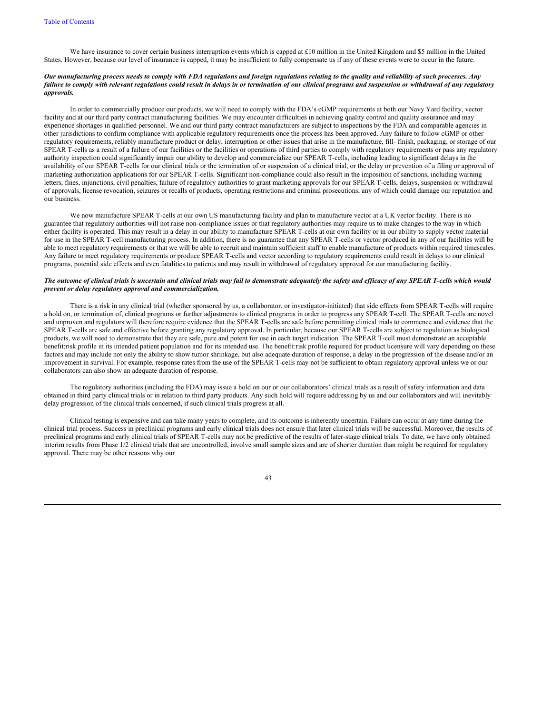We have insurance to cover certain business interruption events which is capped at £10 million in the United Kingdom and \$5 million in the United States. However, because our level of insurance is capped, it may be insufficient to fully compensate us if any of these events were to occur in the future.

## Our manufacturing process needs to comply with FDA regulations and foreign regulations relating to the quality and reliability of such processes. Any failure to comply with relevant regulations could result in delays in or termination of our clinical programs and suspension or withdrawal of any regulatory *approvals.*

In order to commercially produce our products, we will need to comply with the FDA's cGMP requirements at both our Navy Yard facility, vector facility and at our third party contract manufacturing facilities. We may encounter difficulties in achieving quality control and quality assurance and may experience shortages in qualified personnel. We and our third party contract manufacturers are subject to inspections by the FDA and comparable agencies in other jurisdictions to confirm compliance with applicable regulatory requirements once the process has been approved. Any failure to follow cGMP or other regulatory requirements, reliably manufacture product or delay, interruption or other issues that arise in the manufacture, fill- finish, packaging, or storage of our SPEAR T-cells as a result of a failure of our facilities or the facilities or operations of third parties to comply with regulatory requirements or pass any regulatory authority inspection could significantly impair our ability to develop and commercialize our SPEAR T-cells, including leading to significant delays in the availability of our SPEAR T-cells for our clinical trials or the termination of or suspension of a clinical trial, or the delay or prevention of a filing or approval of marketing authorization applications for our SPEAR T-cells. Significant non-compliance could also result in the imposition of sanctions, including warning letters, fines, injunctions, civil penalties, failure of regulatory authorities to grant marketing approvals for our SPEAR T-cells, delays, suspension or withdrawal of approvals, license revocation, seizures or recalls of products, operating restrictions and criminal prosecutions, any of which could damage our reputation and our business.

We now manufacture SPEAR T-cells at our own US manufacturing facility and plan to manufacture vector at a UK vector facility. There is no guarantee that regulatory authorities will not raise non-compliance issues or that regulatory authorities may require us to make changes to the way in which either facility is operated. This may result in a delay in our ability to manufacture SPEAR T-cells at our own facility or in our ability to supply vector material for use in the SPEAR T-cell manufacturing process. In addition, there is no guarantee that any SPEAR T-cells or vector produced in any of our facilities will be able to meet regulatory requirements or that we will be able to recruit and maintain sufficient staff to enable manufacture of products within required timescales. Any failure to meet regulatory requirements or produce SPEAR T-cells and vector according to regulatory requirements could result in delays to our clinical programs, potential side effects and even fatalities to patients and may result in withdrawal of regulatory approval for our manufacturing facility.

# The outcome of clinical trials is uncertain and clinical trials may fail to demonstrate adequately the safety and efficacy of any SPEAR T-cells which would *prevent or delay regulatory approval and commercialization.*

There is a risk in any clinical trial (whether sponsored by us, a collaborator. or investigator-initiated) that side effects from SPEAR T-cells will require a hold on, or termination of, clinical programs or further adjustments to clinical programs in order to progress any SPEAR T-cell. The SPEAR T-cells are novel and unproven and regulators will therefore require evidence that the SPEAR T-cells are safe before permitting clinical trials to commence and evidence that the SPEAR T-cells are safe and effective before granting any regulatory approval. In particular, because our SPEAR T-cells are subject to regulation as biological products, we will need to demonstrate that they are safe, pure and potent for use in each target indication. The SPEAR T-cell must demonstrate an acceptable benefit:risk profile in its intended patient population and for its intended use. The benefit:risk profile required for product licensure will vary depending on these factors and may include not only the ability to show tumor shrinkage, but also adequate duration of response, a delay in the progression of the disease and/or an improvement in survival. For example, response rates from the use of the SPEAR T-cells may not be sufficient to obtain regulatory approval unless we or our collaborators can also show an adequate duration of response.

The regulatory authorities (including the FDA) may issue a hold on our or our collaborators' clinical trials as a result of safety information and data obtained in third party clinical trials or in relation to third party products. Any such hold will require addressing by us and our collaborators and will inevitably delay progression of the clinical trials concerned, if such clinical trials progress at all.

Clinical testing is expensive and can take many years to complete, and its outcome is inherently uncertain. Failure can occur at any time during the clinical trial process. Success in preclinical programs and early clinical trials does not ensure that later clinical trials will be successful. Moreover, the results of preclinical programs and early clinical trials of SPEAR T-cells may not be predictive of the results of later-stage clinical trials. To date, we have only obtained interim results from Phase 1/2 clinical trials that are uncontrolled, involve small sample sizes and are of shorter duration than might be required for regulatory approval. There may be other reasons why our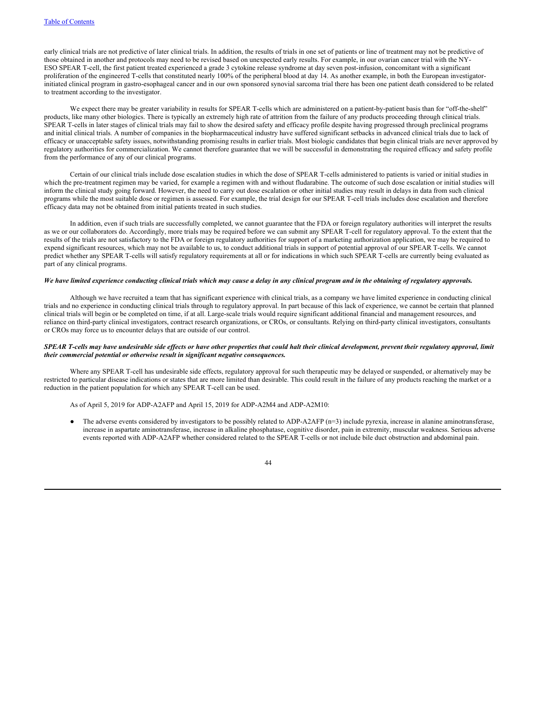early clinical trials are not predictive of later clinical trials. In addition, the results of trials in one set of patients or line of treatment may not be predictive of those obtained in another and protocols may need to be revised based on unexpected early results. For example, in our ovarian cancer trial with the NY-ESO SPEAR T-cell, the first patient treated experienced a grade 3 cytokine release syndrome at day seven post-infusion, concomitant with a significant proliferation of the engineered T-cells that constituted nearly 100% of the peripheral blood at day 14. As another example, in both the European investigatorinitiated clinical program in gastro-esophageal cancer and in our own sponsored synovial sarcoma trial there has been one patient death considered to be related to treatment according to the investigator.

We expect there may be greater variability in results for SPEAR T-cells which are administered on a patient-by-patient basis than for "off-the-shelf" products, like many other biologics. There is typically an extremely high rate of attrition from the failure of any products proceeding through clinical trials. SPEAR T-cells in later stages of clinical trials may fail to show the desired safety and efficacy profile despite having progressed through preclinical programs and initial clinical trials. A number of companies in the biopharmaceutical industry have suffered significant setbacks in advanced clinical trials due to lack of efficacy or unacceptable safety issues, notwithstanding promising results in earlier trials. Most biologic candidates that begin clinical trials are never approved by regulatory authorities for commercialization. We cannot therefore guarantee that we will be successful in demonstrating the required efficacy and safety profile from the performance of any of our clinical programs.

Certain of our clinical trials include dose escalation studies in which the dose of SPEAR T-cells administered to patients is varied or initial studies in which the pre-treatment regimen may be varied, for example a regimen with and without fludarabine. The outcome of such dose escalation or initial studies will inform the clinical study going forward. However, the need to carry out dose escalation or other initial studies may result in delays in data from such clinical programs while the most suitable dose or regimen is assessed. For example, the trial design for our SPEAR T-cell trials includes dose escalation and therefore efficacy data may not be obtained from initial patients treated in such studies.

In addition, even if such trials are successfully completed, we cannot guarantee that the FDA or foreign regulatory authorities will interpret the results as we or our collaborators do. Accordingly, more trials may be required before we can submit any SPEAR T-cell for regulatory approval. To the extent that the results of the trials are not satisfactory to the FDA or foreign regulatory authorities for support of a marketing authorization application, we may be required to expend significant resources, which may not be available to us, to conduct additional trials in support of potential approval of our SPEAR T-cells. We cannot predict whether any SPEAR T-cells will satisfy regulatory requirements at all or for indications in which such SPEAR T-cells are currently being evaluated as part of any clinical programs.

# We have limited experience conducting clinical trials which may cause a delay in any clinical program and in the obtaining of regulatory approvals.

Although we have recruited a team that has significant experience with clinical trials, as a company we have limited experience in conducting clinical trials and no experience in conducting clinical trials through to regulatory approval. In part because of this lack of experience, we cannot be certain that planned clinical trials will begin or be completed on time, if at all. Large-scale trials would require significant additional financial and management resources, and reliance on third-party clinical investigators, contract research organizations, or CROs, or consultants. Relying on third-party clinical investigators, consultants or CROs may force us to encounter delays that are outside of our control.

#### SPEAR T-cells may have undesirable side effects or have other properties that could halt their clinical development, prevent their regulatory approval, limit *their commercial potential or otherwise result in significant negative consequences.*

Where any SPEAR T-cell has undesirable side effects, regulatory approval for such therapeutic may be delayed or suspended, or alternatively may be restricted to particular disease indications or states that are more limited than desirable. This could result in the failure of any products reaching the market or a reduction in the patient population for which any SPEAR T-cell can be used.

As of April 5, 2019 for ADP-A2AFP and April 15, 2019 for ADP-A2M4 and ADP-A2M10:

The adverse events considered by investigators to be possibly related to ADP-A2AFP ( $n=3$ ) include pyrexia, increase in alanine aminotransferase, increase in aspartate aminotransferase, increase in alkaline phosphatase, cognitive disorder, pain in extremity, muscular weakness. Serious adverse events reported with ADP-A2AFP whether considered related to the SPEAR T-cells or not include bile duct obstruction and abdominal pain.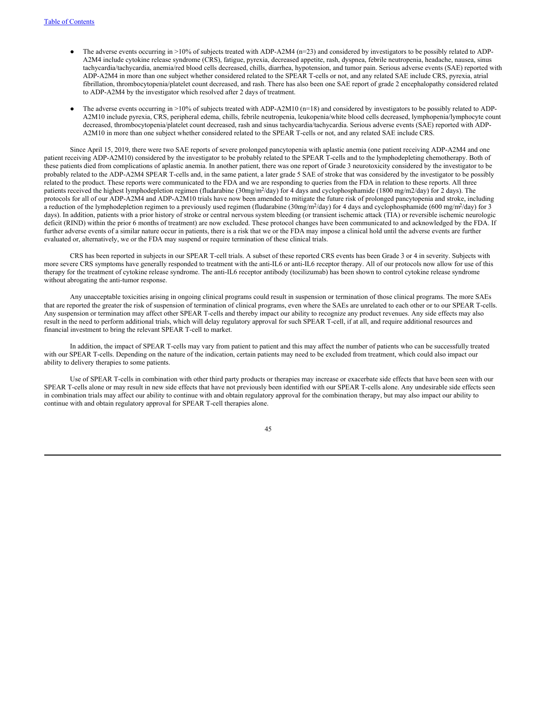- The adverse events occurring in >10% of subjects treated with ADP-A2M4 (n=23) and considered by investigators to be possibly related to ADP-A2M4 include cytokine release syndrome (CRS), fatigue, pyrexia, decreased appetite, rash, dyspnea, febrile neutropenia, headache, nausea, sinus tachycardia/tachycardia, anemia/red blood cells decreased, chills, diarrhea, hypotension, and tumor pain. Serious adverse events (SAE) reported with ADP-A2M4 in more than one subject whether considered related to the SPEAR T-cells or not, and any related SAE include CRS, pyrexia, atrial fibrillation, thrombocytopenia/platelet count decreased, and rash. There has also been one SAE report of grade 2 encephalopathy considered related to ADP-A2M4 by the investigator which resolved after 2 days of treatment.
- The adverse events occurring in >10% of subjects treated with ADP-A2M10 (n=18) and considered by investigators to be possibly related to ADP-A2M10 include pyrexia, CRS, peripheral edema, chills, febrile neutropenia, leukopenia/white blood cells decreased, lymphopenia/lymphocyte count decreased, thrombocytopenia/platelet count decreased, rash and sinus tachycardia/tachycardia. Serious adverse events (SAE) reported with ADP-A2M10 in more than one subject whether considered related to the SPEAR T-cells or not, and any related SAE include CRS.

Since April 15, 2019, there were two SAE reports of severe prolonged pancytopenia with aplastic anemia (one patient receiving ADP-A2M4 and one patient receiving ADP-A2M10) considered by the investigator to be probably related to the SPEAR T-cells and to the lymphodepleting chemotherapy. Both of these patients died from complications of aplastic anemia. In another patient, there was one report of Grade 3 neurotoxicity considered by the investigator to be probably related to the ADP-A2M4 SPEAR T-cells and, in the same patient, a later grade 5 SAE of stroke that was considered by the investigator to be possibly related to the product. These reports were communicated to the FDA and we are responding to queries from the FDA in relation to these reports. All three patients received the highest lymphodepletion regimen (fludarabine (30mg/m2/day) for 4 days and cyclophosphamide (1800 mg/m2/day) for 2 days). The protocols for all of our ADP-A2M4 and ADP-A2M10 trials have now been amended to mitigate the future risk of prolonged pancytopenia and stroke, including a reduction of the lymphodepletion regimen to a previously used regimen (fludarabine (30mg/m2/day) for 4 days and cyclophosphamide (600 mg/m2/day) for 3 days). In addition, patients with a prior history of stroke or central nervous system bleeding (or transient ischemic attack (TIA) or reversible ischemic neurologic deficit (RIND) within the prior 6 months of treatment) are now excluded. These protocol changes have been communicated to and acknowledged by the FDA. If further adverse events of a similar nature occur in patients, there is a risk that we or the FDA may impose a clinical hold until the adverse events are further evaluated or, alternatively, we or the FDA may suspend or require termination of these clinical trials.

CRS has been reported in subjects in our SPEAR T-cell trials. A subset of these reported CRS events has been Grade 3 or 4 in severity. Subjects with more severe CRS symptoms have generally responded to treatment with the anti-IL6 or anti-IL6 receptor therapy. All of our protocols now allow for use of this therapy for the treatment of cytokine release syndrome. The anti-IL6 receptor antibody (tocilizumab) has been shown to control cytokine release syndrome without abrogating the anti-tumor response.

Any unacceptable toxicities arising in ongoing clinical programs could result in suspension or termination of those clinical programs. The more SAEs that are reported the greater the risk of suspension of termination of clinical programs, even where the SAEs are unrelated to each other or to our SPEAR T-cells. Any suspension or termination may affect other SPEAR T-cells and thereby impact our ability to recognize any product revenues. Any side effects may also result in the need to perform additional trials, which will delay regulatory approval for such SPEAR T-cell, if at all, and require additional resources and financial investment to bring the relevant SPEAR T-cell to market.

In addition, the impact of SPEAR T-cells may vary from patient to patient and this may affect the number of patients who can be successfully treated with our SPEAR T-cells. Depending on the nature of the indication, certain patients may need to be excluded from treatment, which could also impact our ability to delivery therapies to some patients.

Use of SPEAR T-cells in combination with other third party products or therapies may increase or exacerbate side effects that have been seen with our SPEAR T-cells alone or may result in new side effects that have not previously been identified with our SPEAR T-cells alone. Any undesirable side effects seen in combination trials may affect our ability to continue with and obtain regulatory approval for the combination therapy, but may also impact our ability to continue with and obtain regulatory approval for SPEAR T-cell therapies alone.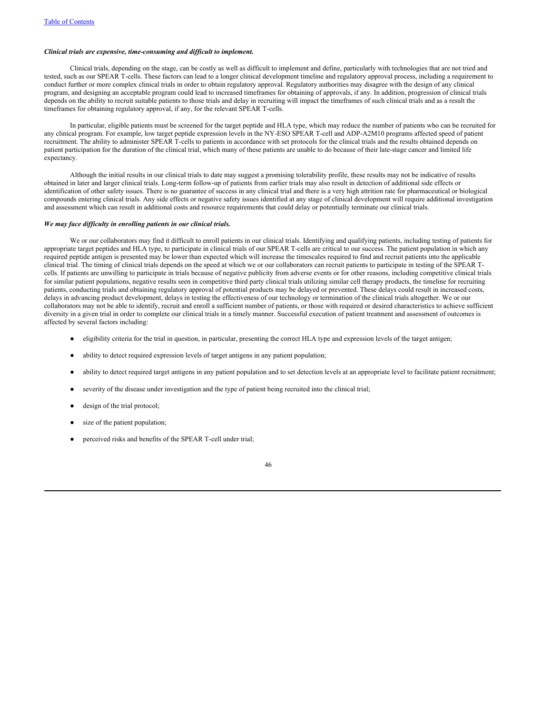## *Clinical trials are expensive, time-consuming and dif icult to implement.*

Clinical trials, depending on the stage, can be costly as well as difficult to implement and define, particularly with technologies that are not tried and tested, such as our SPEAR T-cells. These factors can lead to a longer clinical development timeline and regulatory approval process, including a requirement to conduct further or more complex clinical trials in order to obtain regulatory approval. Regulatory authorities may disagree with the design of any clinical program, and designing an acceptable program could lead to increased timeframes for obtaining of approvals, if any. In addition, progression of clinical trials depends on the ability to recruit suitable patients to those trials and delay in recruiting will impact the timeframes of such clinical trials and as a result the timeframes for obtaining regulatory approval, if any, for the relevant SPEAR T-cells.

In particular, eligible patients must be screened for the target peptide and HLA type, which may reduce the number of patients who can be recruited for any clinical program. For example, low target peptide expression levels in the NY-ESO SPEAR T-cell and ADP-A2M10 programs affected speed of patient recruitment. The ability to administer SPEAR T-cells to patients in accordance with set protocols for the clinical trials and the results obtained depends on patient participation for the duration of the clinical trial, which many of these patients are unable to do because of their late-stage cancer and limited life expectancy.

Although the initial results in our clinical trials to date may suggest a promising tolerability profile, these results may not be indicative of results obtained in later and larger clinical trials. Long-term follow-up of patients from earlier trials may also result in detection of additional side effects or identification of other safety issues. There is no guarantee of success in any clinical trial and there is a very high attrition rate for pharmaceutical or biological compounds entering clinical trials. Any side effects or negative safety issues identified at any stage of clinical development will require additional investigation and assessment which can result in additional costs and resource requirements that could delay or potentially terminate our clinical trials.

# *We may face dif iculty in enrolling patients in our clinical trials.*

We or our collaborators may find it difficult to enroll patients in our clinical trials. Identifying and qualifying patients, including testing of patients for appropriate target peptides and HLA type, to participate in clinical trials of our SPEAR T-cells are critical to our success. The patient population in which any required peptide antigen is presented may be lower than expected which will increase the timescales required to find and recruit patients into the applicable clinical trial. The timing of clinical trials depends on the speed at which we or our collaborators can recruit patients to participate in testing of the SPEAR Tcells. If patients are unwilling to participate in trials because of negative publicity from adverse events or for other reasons, including competitive clinical trials for similar patient populations, negative results seen in competitive third party clinical trials utilizing similar cell therapy products, the timeline for recruiting patients, conducting trials and obtaining regulatory approval of potential products may be delayed or prevented. These delays could result in increased costs, delays in advancing product development, delays in testing the effectiveness of our technology or termination of the clinical trials altogether. We or our collaborators may not be able to identify, recruit and enroll a sufficient number of patients, or those with required or desired characteristics to achieve sufficient diversity in a given trial in order to complete our clinical trials in a timely manner. Successful execution of patient treatment and assessment of outcomes is affected by several factors including:

- eligibility criteria for the trial in question, in particular, presenting the correct HLA type and expression levels of the target antigen;
- ability to detect required expression levels of target antigens in any patient population;
- ability to detect required target antigens in any patient population and to set detection levels at an appropriate level to facilitate patient recruitment;
- severity of the disease under investigation and the type of patient being recruited into the clinical trial;
- design of the trial protocol;
- size of the patient population;
- perceived risks and benefits of the SPEAR T-cell under trial;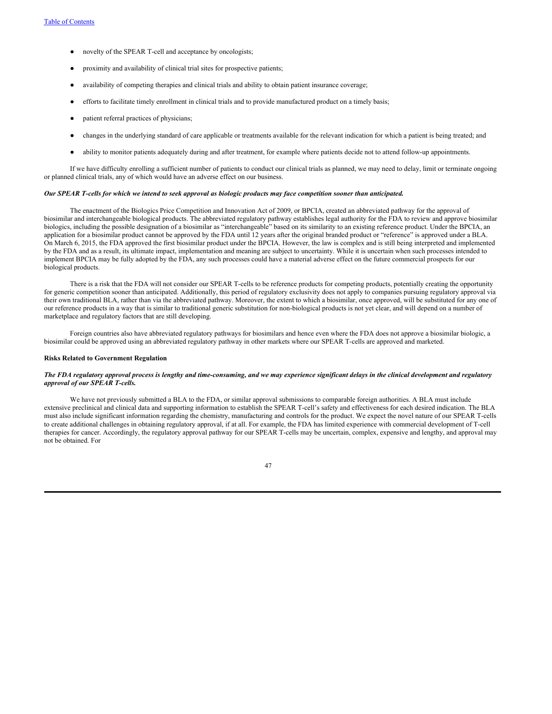- novelty of the SPEAR T-cell and acceptance by oncologists;
- proximity and availability of clinical trial sites for prospective patients;
- availability of competing therapies and clinical trials and ability to obtain patient insurance coverage;
- efforts to facilitate timely enrollment in clinical trials and to provide manufactured product on a timely basis;
- patient referral practices of physicians;
- changes in the underlying standard of care applicable or treatments available for the relevant indication for which a patient is being treated; and
- ability to monitor patients adequately during and after treatment, for example where patients decide not to attend follow-up appointments.

If we have difficulty enrolling a sufficient number of patients to conduct our clinical trials as planned, we may need to delay, limit or terminate ongoing or planned clinical trials, any of which would have an adverse effect on our business.

#### Our SPEAR T-cells for which we intend to seek approval as biologic products may face competition sooner than anticipated.

The enactment of the Biologics Price Competition and Innovation Act of 2009, or BPCIA, created an abbreviated pathway for the approval of biosimilar and interchangeable biological products. The abbreviated regulatory pathway establishes legal authority for the FDA to review and approve biosimilar biologics, including the possible designation of a biosimilar as "interchangeable" based on its similarity to an existing reference product. Under the BPCIA, an application for a biosimilar product cannot be approved by the FDA until 12 years after the original branded product or "reference" is approved under a BLA. On March 6, 2015, the FDA approved the first biosimilar product under the BPCIA. However, the law is complex and is still being interpreted and implemented by the FDA and as a result, its ultimate impact, implementation and meaning are subject to uncertainty. While it is uncertain when such processes intended to implement BPCIA may be fully adopted by the FDA, any such processes could have a material adverse effect on the future commercial prospects for our biological products.

There is a risk that the FDA will not consider our SPEAR T-cells to be reference products for competing products, potentially creating the opportunity for generic competition sooner than anticipated. Additionally, this period of regulatory exclusivity does not apply to companies pursuing regulatory approval via their own traditional BLA, rather than via the abbreviated pathway. Moreover, the extent to which a biosimilar, once approved, will be substituted for any one of our reference products in a way that is similar to traditional generic substitution for non-biological products is not yet clear, and will depend on a number of marketplace and regulatory factors that are still developing.

Foreign countries also have abbreviated regulatory pathways for biosimilars and hence even where the FDA does not approve a biosimilar biologic, a biosimilar could be approved using an abbreviated regulatory pathway in other markets where our SPEAR T-cells are approved and marketed.

### **Risks Related to Government Regulation**

# The FDA regulatory approval process is lengthy and time-consuming, and we may experience significant delays in the clinical development and regulatory *approval of our SPEAR T-cells.*

We have not previously submitted a BLA to the FDA, or similar approval submissions to comparable foreign authorities. A BLA must include extensive preclinical and clinical data and supporting information to establish the SPEAR T-cell's safety and effectiveness for each desired indication. The BLA must also include significant information regarding the chemistry, manufacturing and controls for the product. We expect the novel nature of our SPEAR T-cells to create additional challenges in obtaining regulatory approval, if at all. For example, the FDA has limited experience with commercial development of T-cell therapies for cancer. Accordingly, the regulatory approval pathway for our SPEAR T-cells may be uncertain, complex, expensive and lengthy, and approval may not be obtained. For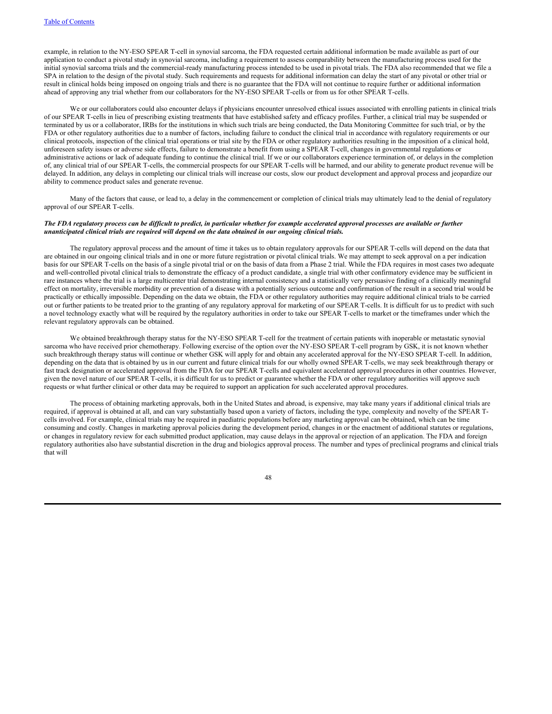example, in relation to the NY-ESO SPEAR T-cell in synovial sarcoma, the FDA requested certain additional information be made available as part of our application to conduct a pivotal study in synovial sarcoma, including a requirement to assess comparability between the manufacturing process used for the initial synovial sarcoma trials and the commercial-ready manufacturing process intended to be used in pivotal trials. The FDA also recommended that we file a SPA in relation to the design of the pivotal study. Such requirements and requests for additional information can delay the start of any pivotal or other trial or result in clinical holds being imposed on ongoing trials and there is no guarantee that the FDA will not continue to require further or additional information ahead of approving any trial whether from our collaborators for the NY-ESO SPEAR T-cells or from us for other SPEAR T-cells.

We or our collaborators could also encounter delays if physicians encounter unresolved ethical issues associated with enrolling patients in clinical trials of our SPEAR T-cells in lieu of prescribing existing treatments that have established safety and efficacy profiles. Further, a clinical trial may be suspended or terminated by us or a collaborator, IRBs for the institutions in which such trials are being conducted, the Data Monitoring Committee for such trial, or by the FDA or other regulatory authorities due to a number of factors, including failure to conduct the clinical trial in accordance with regulatory requirements or our clinical protocols, inspection of the clinical trial operations or trial site by the FDA or other regulatory authorities resulting in the imposition of a clinical hold, unforeseen safety issues or adverse side effects, failure to demonstrate a benefit from using a SPEAR T-cell, changes in governmental regulations or administrative actions or lack of adequate funding to continue the clinical trial. If we or our collaborators experience termination of, or delays in the completion of, any clinical trial of our SPEAR T-cells, the commercial prospects for our SPEAR T-cells will be harmed, and our ability to generate product revenue will be delayed. In addition, any delays in completing our clinical trials will increase our costs, slow our product development and approval process and jeopardize our ability to commence product sales and generate revenue.

Many of the factors that cause, or lead to, a delay in the commencement or completion of clinical trials may ultimately lead to the denial of regulatory approval of our SPEAR T-cells.

# The FDA regulatory process can be difficult to predict, in particular whether for example accelerated approval processes are available or further *unanticipated clinical trials are required will depend on the data obtained in our ongoing clinical trials.*

The regulatory approval process and the amount of time it takes us to obtain regulatory approvals for our SPEAR T-cells will depend on the data that are obtained in our ongoing clinical trials and in one or more future registration or pivotal clinical trials. We may attempt to seek approval on a per indication basis for our SPEAR T-cells on the basis of a single pivotal trial or on the basis of data from a Phase 2 trial. While the FDA requires in most cases two adequate and well-controlled pivotal clinical trials to demonstrate the efficacy of a product candidate, a single trial with other confirmatory evidence may be sufficient in rare instances where the trial is a large multicenter trial demonstrating internal consistency and a statistically very persuasive finding of a clinically meaningful effect on mortality, irreversible morbidity or prevention of a disease with a potentially serious outcome and confirmation of the result in a second trial would be practically or ethically impossible. Depending on the data we obtain, the FDA or other regulatory authorities may require additional clinical trials to be carried out or further patients to be treated prior to the granting of any regulatory approval for marketing of our SPEAR T-cells. It is difficult for us to predict with such a novel technology exactly what will be required by the regulatory authorities in order to take our SPEAR T-cells to market or the timeframes under which the relevant regulatory approvals can be obtained.

We obtained breakthrough therapy status for the NY-ESO SPEAR T-cell for the treatment of certain patients with inoperable or metastatic synovial sarcoma who have received prior chemotherapy. Following exercise of the option over the NY-ESO SPEAR T-cell program by GSK, it is not known whether such breakthrough therapy status will continue or whether GSK will apply for and obtain any accelerated approval for the NY-ESO SPEAR T-cell. In addition, depending on the data that is obtained by us in our current and future clinical trials for our wholly owned SPEAR T-cells, we may seek breakthrough therapy or fast track designation or accelerated approval from the FDA for our SPEAR T-cells and equivalent accelerated approval procedures in other countries. However, given the novel nature of our SPEAR T-cells, it is difficult for us to predict or guarantee whether the FDA or other regulatory authorities will approve such requests or what further clinical or other data may be required to support an application for such accelerated approval procedures.

The process of obtaining marketing approvals, both in the United States and abroad, is expensive, may take many years if additional clinical trials are required, if approval is obtained at all, and can vary substantially based upon a variety of factors, including the type, complexity and novelty of the SPEAR Tcells involved. For example, clinical trials may be required in paediatric populations before any marketing approval can be obtained, which can be time consuming and costly. Changes in marketing approval policies during the development period, changes in or the enactment of additional statutes or regulations, or changes in regulatory review for each submitted product application, may cause delays in the approval or rejection of an application. The FDA and foreign regulatory authorities also have substantial discretion in the drug and biologics approval process. The number and types of preclinical programs and clinical trials that will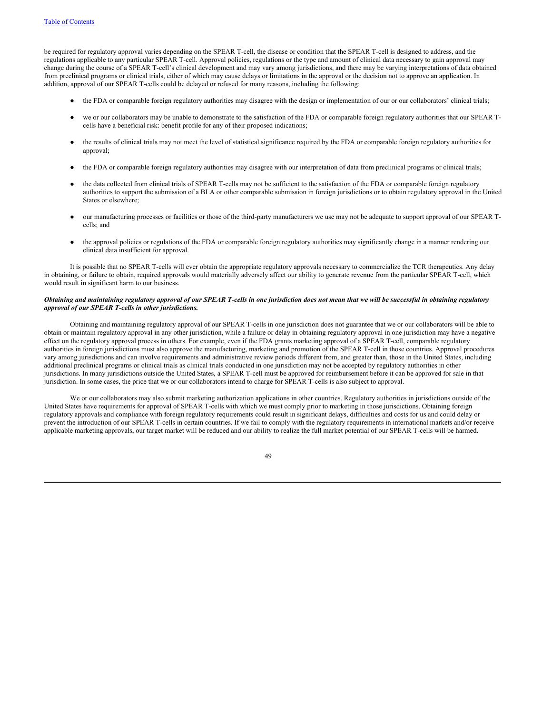be required for regulatory approval varies depending on the SPEAR T-cell, the disease or condition that the SPEAR T-cell is designed to address, and the regulations applicable to any particular SPEAR T-cell. Approval policies, regulations or the type and amount of clinical data necessary to gain approval may change during the course of a SPEAR T-cell's clinical development and may vary among jurisdictions, and there may be varying interpretations of data obtained from preclinical programs or clinical trials, either of which may cause delays or limitations in the approval or the decision not to approve an application. In addition, approval of our SPEAR T-cells could be delayed or refused for many reasons, including the following:

- the FDA or comparable foreign regulatory authorities may disagree with the design or implementation of our or our collaborators' clinical trials;
- we or our collaborators may be unable to demonstrate to the satisfaction of the FDA or comparable foreign regulatory authorities that our SPEAR Tcells have a beneficial risk: benefit profile for any of their proposed indications;
- the results of clinical trials may not meet the level of statistical significance required by the FDA or comparable foreign regulatory authorities for approval;
- the FDA or comparable foreign regulatory authorities may disagree with our interpretation of data from preclinical programs or clinical trials;
- the data collected from clinical trials of SPEAR T-cells may not be sufficient to the satisfaction of the FDA or comparable foreign regulatory authorities to support the submission of a BLA or other comparable submission in foreign jurisdictions or to obtain regulatory approval in the United States or elsewhere;
- our manufacturing processes or facilities or those of the third-party manufacturers we use may not be adequate to support approval of our SPEAR Tcells; and
- the approval policies or regulations of the FDA or comparable foreign regulatory authorities may significantly change in a manner rendering our clinical data insufficient for approval.

It is possible that no SPEAR T-cells will ever obtain the appropriate regulatory approvals necessary to commercialize the TCR therapeutics. Any delay in obtaining, or failure to obtain, required approvals would materially adversely affect our ability to generate revenue from the particular SPEAR T-cell, which would result in significant harm to our business.

### Obtaining and maintaining regulatory approval of our SPEAR T-cells in one jurisdiction does not mean that we will be successful in obtaining regulatory *approval of our SPEAR T-cells in other jurisdictions.*

Obtaining and maintaining regulatory approval of our SPEAR T-cells in one jurisdiction does not guarantee that we or our collaborators will be able to obtain or maintain regulatory approval in any other jurisdiction, while a failure or delay in obtaining regulatory approval in one jurisdiction may have a negative effect on the regulatory approval process in others. For example, even if the FDA grants marketing approval of a SPEAR T-cell, comparable regulatory authorities in foreign jurisdictions must also approve the manufacturing, marketing and promotion of the SPEAR T-cell in those countries. Approval procedures vary among jurisdictions and can involve requirements and administrative review periods different from, and greater than, those in the United States, including additional preclinical programs or clinical trials as clinical trials conducted in one jurisdiction may not be accepted by regulatory authorities in other jurisdictions. In many jurisdictions outside the United States, a SPEAR T-cell must be approved for reimbursement before it can be approved for sale in that jurisdiction. In some cases, the price that we or our collaborators intend to charge for SPEAR T-cells is also subject to approval.

We or our collaborators may also submit marketing authorization applications in other countries. Regulatory authorities in jurisdictions outside of the United States have requirements for approval of SPEAR T-cells with which we must comply prior to marketing in those jurisdictions. Obtaining foreign regulatory approvals and compliance with foreign regulatory requirements could result in significant delays, difficulties and costs for us and could delay or prevent the introduction of our SPEAR T-cells in certain countries. If we fail to comply with the regulatory requirements in international markets and/or receive applicable marketing approvals, our target market will be reduced and our ability to realize the full market potential of our SPEAR T-cells will be harmed.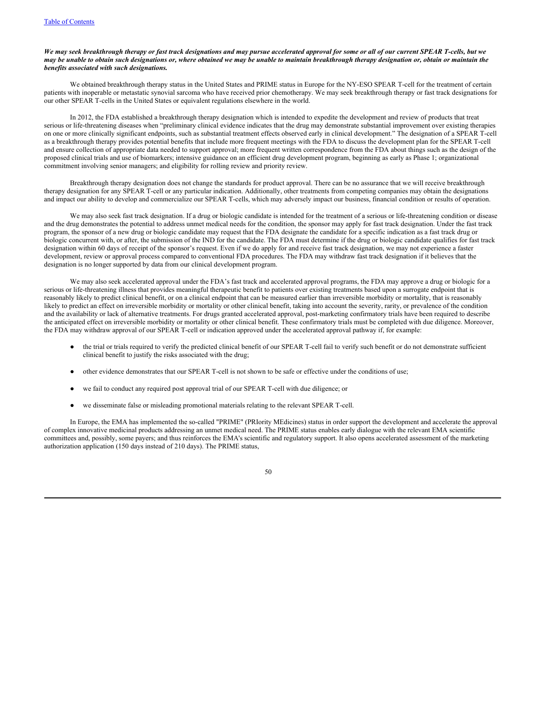### We may seek breakthrough therapy or fast track designations and may pursue accelerated approval for some or all of our current SPEAR T-cells, but we may be unable to obtain such designations or, where obtained we may be unable to maintain breakthrough therapy designation or, obtain or maintain the *benefits associated with such designations.*

We obtained breakthrough therapy status in the United States and PRIME status in Europe for the NY-ESO SPEAR T-cell for the treatment of certain patients with inoperable or metastatic synovial sarcoma who have received prior chemotherapy. We may seek breakthrough therapy or fast track designations for our other SPEAR T-cells in the United States or equivalent regulations elsewhere in the world.

In 2012, the FDA established a breakthrough therapy designation which is intended to expedite the development and review of products that treat serious or life-threatening diseases when "preliminary clinical evidence indicates that the drug may demonstrate substantial improvement over existing therapies on one or more clinically significant endpoints, such as substantial treatment effects observed early in clinical development." The designation of a SPEAR T-cell as a breakthrough therapy provides potential benefits that include more frequent meetings with the FDA to discuss the development plan for the SPEAR T-cell and ensure collection of appropriate data needed to support approval; more frequent written correspondence from the FDA about things such as the design of the proposed clinical trials and use of biomarkers; intensive guidance on an efficient drug development program, beginning as early as Phase 1; organizational commitment involving senior managers; and eligibility for rolling review and priority review.

Breakthrough therapy designation does not change the standards for product approval. There can be no assurance that we will receive breakthrough therapy designation for any SPEAR T-cell or any particular indication. Additionally, other treatments from competing companies may obtain the designations and impact our ability to develop and commercialize our SPEAR T-cells, which may adversely impact our business, financial condition or results of operation.

We may also seek fast track designation. If a drug or biologic candidate is intended for the treatment of a serious or life-threatening condition or disease and the drug demonstrates the potential to address unmet medical needs for the condition, the sponsor may apply for fast track designation. Under the fast track program, the sponsor of a new drug or biologic candidate may request that the FDA designate the candidate for a specific indication as a fast track drug or biologic concurrent with, or after, the submission of the IND for the candidate. The FDA must determine if the drug or biologic candidate qualifies for fast track designation within 60 days of receipt of the sponsor's request. Even if we do apply for and receive fast track designation, we may not experience a faster development, review or approval process compared to conventional FDA procedures. The FDA may withdraw fast track designation if it believes that the designation is no longer supported by data from our clinical development program.

We may also seek accelerated approval under the FDA's fast track and accelerated approval programs, the FDA may approve a drug or biologic for a serious or life-threatening illness that provides meaningful therapeutic benefit to patients over existing treatments based upon a surrogate endpoint that is reasonably likely to predict clinical benefit, or on a clinical endpoint that can be measured earlier than irreversible morbidity or mortality, that is reasonably likely to predict an effect on irreversible morbidity or mortality or other clinical benefit, taking into account the severity, rarity, or prevalence of the condition and the availability or lack of alternative treatments. For drugs granted accelerated approval, post-marketing confirmatory trials have been required to describe the anticipated effect on irreversible morbidity or mortality or other clinical benefit. These confirmatory trials must be completed with due diligence. Moreover, the FDA may withdraw approval of our SPEAR T-cell or indication approved under the accelerated approval pathway if, for example:

- the trial or trials required to verify the predicted clinical benefit of our SPEAR T-cell fail to verify such benefit or do not demonstrate sufficient clinical benefit to justify the risks associated with the drug;
- other evidence demonstrates that our SPEAR T-cell is not shown to be safe or effective under the conditions of use;
- we fail to conduct any required post approval trial of our SPEAR T-cell with due diligence; or
- we disseminate false or misleading promotional materials relating to the relevant SPEAR T-cell.

In Europe, the EMA has implemented the so-called "PRIME" (PRIority MEdicines) status in order support the development and accelerate the approval of complex innovative medicinal products addressing an unmet medical need. The PRIME status enables early dialogue with the relevant EMA scientific committees and, possibly, some payers; and thus reinforces the EMA's scientific and regulatory support. It also opens accelerated assessment of the marketing authorization application (150 days instead of 210 days). The PRIME status,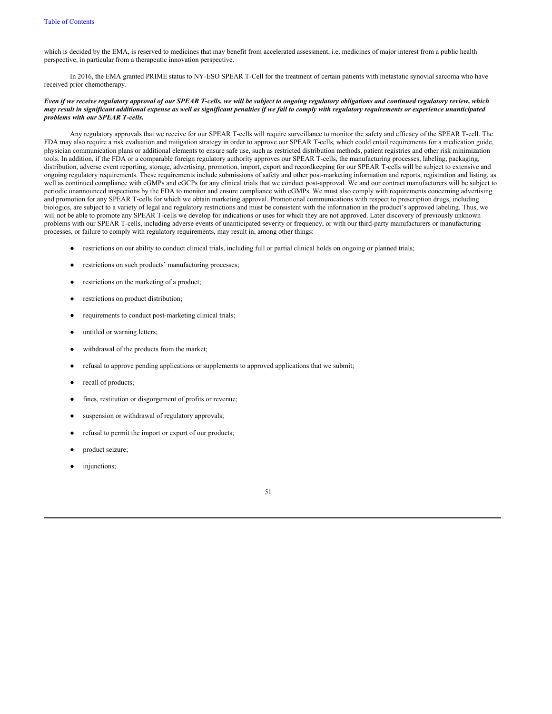which is decided by the EMA, is reserved to medicines that may benefit from accelerated assessment, i.e. medicines of major interest from a public health perspective, in particular from a therapeutic innovation perspective.

In 2016, the EMA granted PRIME status to NY-ESO SPEAR T-Cell for the treatment of certain patients with metastatic synovial sarcoma who have received prior chemotherapy.

# Even if we receive regulatory approval of our SPEAR T-cells, we will be subject to ongoing regulatory obligations and continued regulatory review, which may result in significant additional expense as well as significant penalties if we fail to comply with regulatory requirements or experience unanticipated *problems with our SPEAR T-cells.*

Any regulatory approvals that we receive for our SPEAR T-cells will require surveillance to monitor the safety and efficacy of the SPEAR T-cell. The FDA may also require a risk evaluation and mitigation strategy in order to approve our SPEAR T-cells, which could entail requirements for a medication guide, physician communication plans or additional elements to ensure safe use, such as restricted distribution methods, patient registries and other risk minimization tools. In addition, if the FDA or a comparable foreign regulatory authority approves our SPEAR T-cells, the manufacturing processes, labeling, packaging, distribution, adverse event reporting, storage, advertising, promotion, import, export and recordkeeping for our SPEAR T-cells will be subject to extensive and ongoing regulatory requirements. These requirements include submissions of safety and other post-marketing information and reports, registration and listing, as well as continued compliance with cGMPs and cGCPs for any clinical trials that we conduct post-approval. We and our contract manufacturers will be subject to periodic unannounced inspections by the FDA to monitor and ensure compliance with cGMPs. We must also comply with requirements concerning advertising and promotion for any SPEAR T-cells for which we obtain marketing approval. Promotional communications with respect to prescription drugs, including biologics, are subject to a variety of legal and regulatory restrictions and must be consistent with the information in the product's approved labeling. Thus, we will not be able to promote any SPEAR T-cells we develop for indications or uses for which they are not approved. Later discovery of previously unknown problems with our SPEAR T-cells, including adverse events of unanticipated severity or frequency, or with our third-party manufacturers or manufacturing processes, or failure to comply with regulatory requirements, may result in, among other things:

- restrictions on our ability to conduct clinical trials, including full or partial clinical holds on ongoing or planned trials;
- restrictions on such products' manufacturing processes;
- restrictions on the marketing of a product;
- restrictions on product distribution;
- requirements to conduct post-marketing clinical trials;
- untitled or warning letters;
- withdrawal of the products from the market;
- refusal to approve pending applications or supplements to approved applications that we submit;
- recall of products;
- fines, restitution or disgorgement of profits or revenue;
- suspension or withdrawal of regulatory approvals;
- refusal to permit the import or export of our products;
- product seizure;
- injunctions;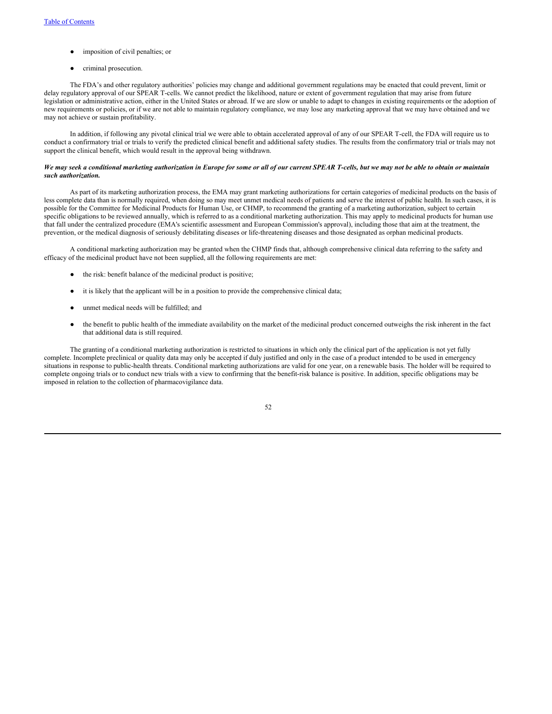- imposition of civil penalties; or
- criminal prosecution.

The FDA's and other regulatory authorities' policies may change and additional government regulations may be enacted that could prevent, limit or delay regulatory approval of our SPEAR T-cells. We cannot predict the likelihood, nature or extent of government regulation that may arise from future legislation or administrative action, either in the United States or abroad. If we are slow or unable to adapt to changes in existing requirements or the adoption of new requirements or policies, or if we are not able to maintain regulatory compliance, we may lose any marketing approval that we may have obtained and we may not achieve or sustain profitability.

In addition, if following any pivotal clinical trial we were able to obtain accelerated approval of any of our SPEAR T-cell, the FDA will require us to conduct a confirmatory trial or trials to verify the predicted clinical benefit and additional safety studies. The results from the confirmatory trial or trials may not support the clinical benefit, which would result in the approval being withdrawn.

### We may seek a conditional marketing authorization in Europe for some or all of our current SPEAR T-cells, but we may not be able to obtain or maintain *such authorization.*

As part of its marketing authorization process, the EMA may grant marketing authorizations for certain categories of medicinal products on the basis of less complete data than is normally required, when doing so may meet unmet medical needs of patients and serve the interest of public health. In such cases, it is possible for the Committee for Medicinal Products for Human Use, or CHMP, to recommend the granting of a marketing authorization, subject to certain specific obligations to be reviewed annually, which is referred to as a conditional marketing authorization. This may apply to medicinal products for human use that fall under the centralized procedure (EMA's scientific assessment and European Commission's approval), including those that aim at the treatment, the prevention, or the medical diagnosis of seriously debilitating diseases or life-threatening diseases and those designated as orphan medicinal products.

A conditional marketing authorization may be granted when the CHMP finds that, although comprehensive clinical data referring to the safety and efficacy of the medicinal product have not been supplied, all the following requirements are met:

- the risk: benefit balance of the medicinal product is positive;
- it is likely that the applicant will be in a position to provide the comprehensive clinical data;
- unmet medical needs will be fulfilled; and
- the benefit to public health of the immediate availability on the market of the medicinal product concerned outweighs the risk inherent in the fact that additional data is still required.

The granting of a conditional marketing authorization is restricted to situations in which only the clinical part of the application is not yet fully complete. Incomplete preclinical or quality data may only be accepted if duly justified and only in the case of a product intended to be used in emergency situations in response to public-health threats. Conditional marketing authorizations are valid for one year, on a renewable basis. The holder will be required to complete ongoing trials or to conduct new trials with a view to confirming that the benefit-risk balance is positive. In addition, specific obligations may be imposed in relation to the collection of pharmacovigilance data.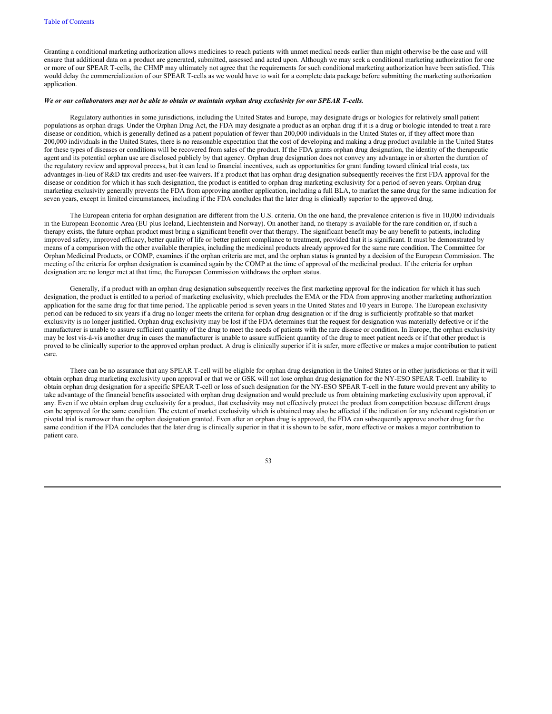Granting a conditional marketing authorization allows medicines to reach patients with unmet medical needs earlier than might otherwise be the case and will ensure that additional data on a product are generated, submitted, assessed and acted upon. Although we may seek a conditional marketing authorization for one or more of our SPEAR T-cells, the CHMP may ultimately not agree that the requirements for such conditional marketing authorization have been satisfied. This would delay the commercialization of our SPEAR T-cells as we would have to wait for a complete data package before submitting the marketing authorization application.

### We or our collaborators may not be able to obtain or maintain orphan drug exclusivity for our SPEAR T-cells.

Regulatory authorities in some jurisdictions, including the United States and Europe, may designate drugs or biologics for relatively small patient populations as orphan drugs. Under the Orphan Drug Act, the FDA may designate a product as an orphan drug if it is a drug or biologic intended to treat a rare disease or condition, which is generally defined as a patient population of fewer than 200,000 individuals in the United States or, if they affect more than 200,000 individuals in the United States, there is no reasonable expectation that the cost of developing and making a drug product available in the United States for these types of diseases or conditions will be recovered from sales of the product. If the FDA grants orphan drug designation, the identity of the therapeutic agent and its potential orphan use are disclosed publicly by that agency. Orphan drug designation does not convey any advantage in or shorten the duration of the regulatory review and approval process, but it can lead to financial incentives, such as opportunities for grant funding toward clinical trial costs, tax advantages in-lieu of R&D tax credits and user-fee waivers. If a product that has orphan drug designation subsequently receives the first FDA approval for the disease or condition for which it has such designation, the product is entitled to orphan drug marketing exclusivity for a period of seven years. Orphan drug marketing exclusivity generally prevents the FDA from approving another application, including a full BLA, to market the same drug for the same indication for seven years, except in limited circumstances, including if the FDA concludes that the later drug is clinically superior to the approved drug.

The European criteria for orphan designation are different from the U.S. criteria. On the one hand, the prevalence criterion is five in 10,000 individuals in the European Economic Area (EU plus Iceland, Liechtenstein and Norway). On another hand, no therapy is available for the rare condition or, if such a therapy exists, the future orphan product must bring a significant benefit over that therapy. The significant benefit may be any benefit to patients, including improved safety, improved efficacy, better quality of life or better patient compliance to treatment, provided that it is significant. It must be demonstrated by means of a comparison with the other available therapies, including the medicinal products already approved for the same rare condition. The Committee for Orphan Medicinal Products, or COMP, examines if the orphan criteria are met, and the orphan status is granted by a decision of the European Commission. The meeting of the criteria for orphan designation is examined again by the COMP at the time of approval of the medicinal product. If the criteria for orphan designation are no longer met at that time, the European Commission withdraws the orphan status.

Generally, if a product with an orphan drug designation subsequently receives the first marketing approval for the indication for which it has such designation, the product is entitled to a period of marketing exclusivity, which precludes the EMA or the FDA from approving another marketing authorization application for the same drug for that time period. The applicable period is seven years in the United States and 10 years in Europe. The European exclusivity period can be reduced to six years if a drug no longer meets the criteria for orphan drug designation or if the drug is sufficiently profitable so that market exclusivity is no longer justified. Orphan drug exclusivity may be lost if the FDA determines that the request for designation was materially defective or if the manufacturer is unable to assure sufficient quantity of the drug to meet the needs of patients with the rare disease or condition. In Europe, the orphan exclusivity may be lost vis-à-vis another drug in cases the manufacturer is unable to assure sufficient quantity of the drug to meet patient needs or if that other product is proved to be clinically superior to the approved orphan product. A drug is clinically superior if it is safer, more effective or makes a major contribution to patient care.

There can be no assurance that any SPEAR T-cell will be eligible for orphan drug designation in the United States or in other jurisdictions or that it will obtain orphan drug marketing exclusivity upon approval or that we or GSK will not lose orphan drug designation for the NY-ESO SPEAR T-cell. Inability to obtain orphan drug designation for a specific SPEAR T-cell or loss of such designation for the NY-ESO SPEAR T-cell in the future would prevent any ability to take advantage of the financial benefits associated with orphan drug designation and would preclude us from obtaining marketing exclusivity upon approval, if any. Even if we obtain orphan drug exclusivity for a product, that exclusivity may not effectively protect the product from competition because different drugs can be approved for the same condition. The extent of market exclusivity which is obtained may also be affected if the indication for any relevant registration or pivotal trial is narrower than the orphan designation granted. Even after an orphan drug is approved, the FDA can subsequently approve another drug for the same condition if the FDA concludes that the later drug is clinically superior in that it is shown to be safer, more effective or makes a major contribution to patient care.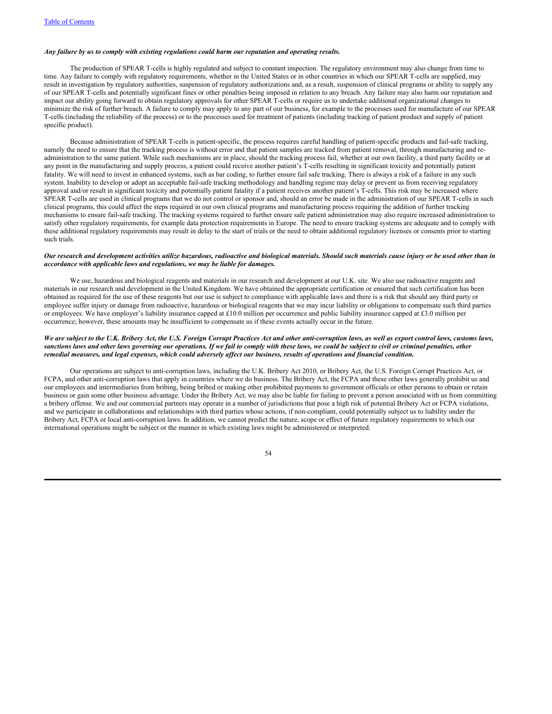### *Any failure by us to comply with existing regulations could harm our reputation and operating results.*

The production of SPEAR T-cells is highly regulated and subject to constant inspection. The regulatory environment may also change from time to time. Any failure to comply with regulatory requirements, whether in the United States or in other countries in which our SPEAR T-cells are supplied, may result in investigation by regulatory authorities, suspension of regulatory authorizations and, as a result, suspension of clinical programs or ability to supply any of our SPEAR T-cells and potentially significant fines or other penalties being imposed in relation to any breach. Any failure may also harm our reputation and impact our ability going forward to obtain regulatory approvals for other SPEAR T-cells or require us to undertake additional organizational changes to minimize the risk of further breach. A failure to comply may apply to any part of our business, for example to the processes used for manufacture of our SPEAR T-cells (including the reliability of the process) or to the processes used for treatment of patients (including tracking of patient product and supply of patient specific product).

Because administration of SPEAR T-cells is patient-specific, the process requires careful handling of patient-specific products and fail-safe tracking, namely the need to ensure that the tracking process is without error and that patient samples are tracked from patient removal, through manufacturing and readministration to the same patient. While such mechanisms are in place, should the tracking process fail, whether at our own facility, a third party facility or at any point in the manufacturing and supply process, a patient could receive another patient's T-cells resulting in significant toxicity and potentially patient fatality. We will need to invest in enhanced systems, such as bar coding, to further ensure fail safe tracking. There is always a risk of a failure in any such system. Inability to develop or adopt an acceptable fail-safe tracking methodology and handling regime may delay or prevent us from receiving regulatory approval and/or result in significant toxicity and potentially patient fatality if a patient receives another patient's T-cells. This risk may be increased where SPEAR T-cells are used in clinical programs that we do not control or sponsor and, should an error be made in the administration of our SPEAR T-cells in such clinical programs, this could affect the steps required in our own clinical programs and manufacturing process requiring the addition of further tracking mechanisms to ensure fail-safe tracking. The tracking systems required to further ensure safe patient administration may also require increased administration to satisfy other regulatory requirements, for example data protection requirements in Europe. The need to ensure tracking systems are adequate and to comply with these additional regulatory requirements may result in delay to the start of trials or the need to obtain additional regulatory licenses or consents prior to starting such trials.

#### Our research and development activities utilize hazardous, radioactive and biological materials. Should such materials cause injury or be used other than in *accordance with applicable laws and regulations, we may be liable for damages.*

We use, hazardous and biological reagents and materials in our research and development at our U.K. site. We also use radioactive reagents and materials in our research and development in the United Kingdom. We have obtained the appropriate certification or ensured that such certification has been obtained as required for the use of these reagents but our use is subject to compliance with applicable laws and there is a risk that should any third party or employee suffer injury or damage from radioactive, hazardous or biological reagents that we may incur liability or obligations to compensate such third parties or employees. We have employer's liability insurance capped at £10.0 million per occurrence and public liability insurance capped at £3.0 million per occurrence; however, these amounts may be insufficient to compensate us if these events actually occur in the future.

### We are subject to the U.K. Bribery Act, the U.S. Foreign Corrupt Practices Act and other anti-corruption laws, as well as export control laws, customs laws, sanctions laws and other laws governing our operations. If we fail to comply with these laws, we could be subject to civil or criminal penalties, other remedial measures, and legal expenses, which could adversely affect our business, results of operations and financial condition.

Our operations are subject to anti-corruption laws, including the U.K. Bribery Act 2010, or Bribery Act, the U.S. Foreign Corrupt Practices Act, or FCPA, and other anti-corruption laws that apply in countries where we do business. The Bribery Act, the FCPA and these other laws generally prohibit us and our employees and intermediaries from bribing, being bribed or making other prohibited payments to government officials or other persons to obtain or retain business or gain some other business advantage. Under the Bribery Act, we may also be liable for failing to prevent a person associated with us from committing a bribery offense. We and our commercial partners may operate in a number of jurisdictions that pose a high risk of potential Bribery Act or FCPA violations, and we participate in collaborations and relationships with third parties whose actions, if non-compliant, could potentially subject us to liability under the Bribery Act, FCPA or local anti-corruption laws. In addition, we cannot predict the nature, scope or effect of future regulatory requirements to which our international operations might be subject or the manner in which existing laws might be administered or interpreted.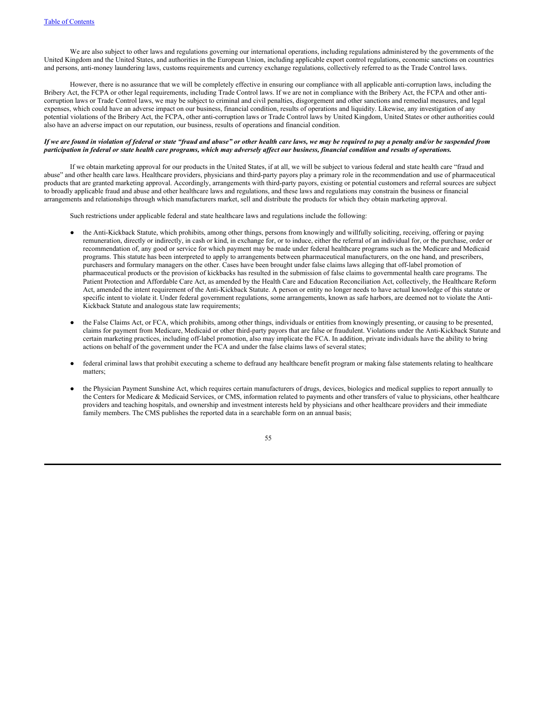We are also subject to other laws and regulations governing our international operations, including regulations administered by the governments of the United Kingdom and the United States, and authorities in the European Union, including applicable export control regulations, economic sanctions on countries and persons, anti-money laundering laws, customs requirements and currency exchange regulations, collectively referred to as the Trade Control laws.

However, there is no assurance that we will be completely effective in ensuring our compliance with all applicable anti-corruption laws, including the Bribery Act, the FCPA or other legal requirements, including Trade Control laws. If we are not in compliance with the Bribery Act, the FCPA and other anticorruption laws or Trade Control laws, we may be subject to criminal and civil penalties, disgorgement and other sanctions and remedial measures, and legal expenses, which could have an adverse impact on our business, financial condition, results of operations and liquidity. Likewise, any investigation of any potential violations of the Bribery Act, the FCPA, other anti-corruption laws or Trade Control laws by United Kingdom, United States or other authorities could also have an adverse impact on our reputation, our business, results of operations and financial condition.

### If we are found in violation of federal or state "fraud and abuse" or other health care laws, we may be required to pay a penalty and/or be suspended from participation in federal or state health care programs, which may adversely affect our business, financial condition and results of operations.

If we obtain marketing approval for our products in the United States, if at all, we will be subject to various federal and state health care "fraud and abuse" and other health care laws. Healthcare providers, physicians and third-party payors play a primary role in the recommendation and use of pharmaceutical products that are granted marketing approval. Accordingly, arrangements with third-party payors, existing or potential customers and referral sources are subject to broadly applicable fraud and abuse and other healthcare laws and regulations, and these laws and regulations may constrain the business or financial arrangements and relationships through which manufacturers market, sell and distribute the products for which they obtain marketing approval.

Such restrictions under applicable federal and state healthcare laws and regulations include the following:

- the Anti-Kickback Statute, which prohibits, among other things, persons from knowingly and willfully soliciting, receiving, offering or paying remuneration, directly or indirectly, in cash or kind, in exchange for, or to induce, either the referral of an individual for, or the purchase, order or recommendation of, any good or service for which payment may be made under federal healthcare programs such as the Medicare and Medicaid programs. This statute has been interpreted to apply to arrangements between pharmaceutical manufacturers, on the one hand, and prescribers, purchasers and formulary managers on the other. Cases have been brought under false claims laws alleging that off-label promotion of pharmaceutical products or the provision of kickbacks has resulted in the submission of false claims to governmental health care programs. The Patient Protection and Affordable Care Act, as amended by the Health Care and Education Reconciliation Act, collectively, the Healthcare Reform Act, amended the intent requirement of the Anti-Kickback Statute. A person or entity no longer needs to have actual knowledge of this statute or specific intent to violate it. Under federal government regulations, some arrangements, known as safe harbors, are deemed not to violate the Anti-Kickback Statute and analogous state law requirements;
- the False Claims Act, or FCA, which prohibits, among other things, individuals or entities from knowingly presenting, or causing to be presented, claims for payment from Medicare, Medicaid or other third-party payors that are false or fraudulent. Violations under the Anti-Kickback Statute and certain marketing practices, including off-label promotion, also may implicate the FCA. In addition, private individuals have the ability to bring actions on behalf of the government under the FCA and under the false claims laws of several states;
- federal criminal laws that prohibit executing a scheme to defraud any healthcare benefit program or making false statements relating to healthcare matters;
- the Physician Payment Sunshine Act, which requires certain manufacturers of drugs, devices, biologics and medical supplies to report annually to the Centers for Medicare & Medicaid Services, or CMS, information related to payments and other transfers of value to physicians, other healthcare providers and teaching hospitals, and ownership and investment interests held by physicians and other healthcare providers and their immediate family members. The CMS publishes the reported data in a searchable form on an annual basis;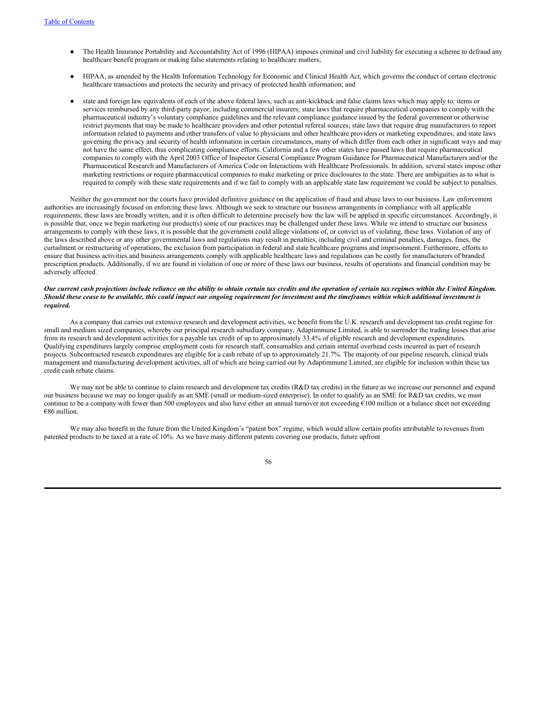- The Health Insurance Portability and Accountability Act of 1996 (HIPAA) imposes criminal and civil liability for executing a scheme to defraud any healthcare benefit program or making false statements relating to healthcare matters;
- HIPAA, as amended by the Health Information Technology for Economic and Clinical Health Act, which governs the conduct of certain electronic healthcare transactions and protects the security and privacy of protected health information; and
- state and foreign law equivalents of each of the above federal laws, such as anti-kickback and false claims laws which may apply to: items or services reimbursed by any third-party payor, including commercial insurers; state laws that require pharmaceutical companies to comply with the pharmaceutical industry's voluntary compliance guidelines and the relevant compliance guidance issued by the federal government or otherwise restrict payments that may be made to healthcare providers and other potential referral sources; state laws that require drug manufacturers to report information related to payments and other transfers of value to physicians and other healthcare providers or marketing expenditures; and state laws governing the privacy and security of health information in certain circumstances, many of which differ from each other in significant ways and may not have the same effect, thus complicating compliance efforts. California and a few other states have passed laws that require pharmaceutical companies to comply with the April 2003 Office of Inspector General Compliance Program Guidance for Pharmaceutical Manufacturers and/or the Pharmaceutical Research and Manufacturers of America Code on Interactions with Healthcare Professionals. In addition, several states impose other marketing restrictions or require pharmaceutical companies to make marketing or price disclosures to the state. There are ambiguities as to what is required to comply with these state requirements and if we fail to comply with an applicable state law requirement we could be subject to penalties.

Neither the government nor the courts have provided definitive guidance on the application of fraud and abuse laws to our business. Law enforcement authorities are increasingly focused on enforcing these laws. Although we seek to structure our business arrangements in compliance with all applicable requirements, these laws are broadly written, and it is often difficult to determine precisely how the law will be applied in specific circumstances. Accordingly, it is possible that, once we begin marketing our product(s) some of our practices may be challenged under these laws. While we intend to structure our business arrangements to comply with these laws, it is possible that the government could allege violations of, or convict us of violating, these laws. Violation of any of the laws described above or any other governmental laws and regulations may result in penalties, including civil and criminal penalties, damages, fines, the curtailment or restructuring of operations, the exclusion from participation in federal and state healthcare programs and imprisonment. Furthermore, efforts to ensure that business activities and business arrangements comply with applicable healthcare laws and regulations can be costly for manufacturers of branded prescription products. Additionally, if we are found in violation of one or more of these laws our business, results of operations and financial condition may be adversely affected.

#### Our current cash projections include reliance on the ability to obtain certain tax credits and the operation of certain tax regimes within the United Kingdom. Should these cease to be available, this could impact our ongoing requirement for investment and the timeframes within which additional investment is *required.*

As a company that carries out extensive research and development activities, we benefit from the U.K. research and development tax credit regime for small and medium sized companies, whereby our principal research subsidiary company, Adaptimmune Limited, is able to surrender the trading losses that arise from its research and development activities for a payable tax credit of up to approximately 33.4% of eligible research and development expenditures. Qualifying expenditures largely comprise employment costs for research staff, consumables and certain internal overhead costs incurred as part of research projects. Subcontracted research expenditures are eligible for a cash rebate of up to approximately 21.7%. The majority of our pipeline research, clinical trials management and manufacturing development activities, all of which are being carried out by Adaptimmune Limited, are eligible for inclusion within these tax credit cash rebate claims.

We may not be able to continue to claim research and development tax credits (R&D tax credits) in the future as we increase our personnel and expand our business because we may no longer qualify as an SME (small or medium-sized enterprise). In order to qualify as an SME for R&D tax credits, we must continue to be a company with fewer than 500 employees and also have either an annual turnover not exceeding  $6100$  million or a balance sheet not exceeding €86 million.

We may also benefit in the future from the United Kingdom's "patent box" regime, which would allow certain profits attributable to revenues from patented products to be taxed at a rate of 10%. As we have many different patents covering our products, future upfront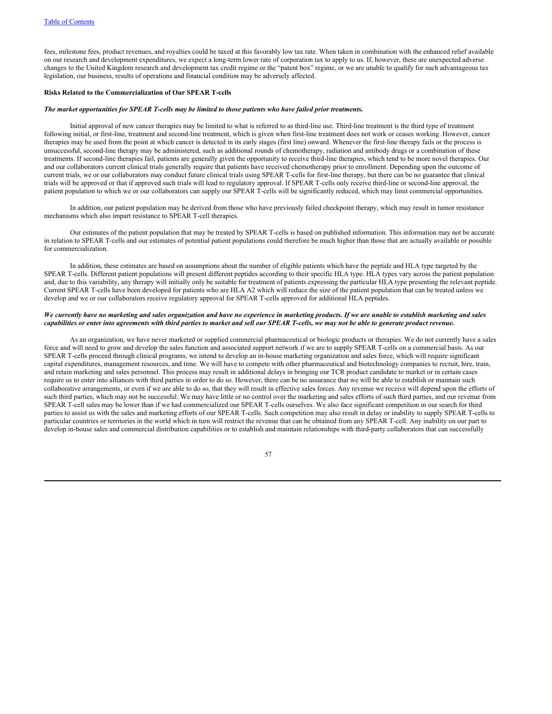fees, milestone fees, product revenues, and royalties could be taxed at this favorably low tax rate. When taken in combination with the enhanced relief available on our research and development expenditures, we expect a long-term lower rate of corporation tax to apply to us. If, however, there are unexpected adverse changes to the United Kingdom research and development tax credit regime or the "patent box" regime, or we are unable to qualify for such advantageous tax legislation, our business, results of operations and financial condition may be adversely affected.

#### **Risks Related to the Commercialization of Our SPEAR T-cells**

### The market opportunities for SPEAR T-cells may be limited to those patients who have failed prior treatments.

Initial approval of new cancer therapies may be limited to what is referred to as third-line use. Third-line treatment is the third type of treatment following initial, or first-line, treatment and second-line treatment, which is given when first-line treatment does not work or ceases working. However, cancer therapies may be used from the point at which cancer is detected in its early stages (first line) onward. Whenever the first-line therapy fails or the process is unsuccessful, second-line therapy may be administered, such as additional rounds of chemotherapy, radiation and antibody drugs or a combination of these treatments. If second-line therapies fail, patients are generally given the opportunity to receive third-line therapies, which tend to be more novel therapies. Our and our collaborators current clinical trials generally require that patients have received chemotherapy prior to enrollment. Depending upon the outcome of current trials, we or our collaborators may conduct future clinical trials using SPEAR T-cells for first-line therapy, but there can be no guarantee that clinical trials will be approved or that if approved such trials will lead to regulatory approval. If SPEAR T-cells only receive third-line or second-line approval, the patient population to which we or our collaborators can supply our SPEAR T-cells will be significantly reduced, which may limit commercial opportunities.

In addition, our patient population may be derived from those who have previously failed checkpoint therapy, which may result in tumor resistance mechanisms which also impart resistance to SPEAR T-cell therapies.

Our estimates of the patient population that may be treated by SPEAR T-cells is based on published information. This information may not be accurate in relation to SPEAR T-cells and our estimates of potential patient populations could therefore be much higher than those that are actually available or possible for commercialization.

In addition, these estimates are based on assumptions about the number of eligible patients which have the peptide and HLA type targeted by the SPEAR T-cells. Different patient populations will present different peptides according to their specific HLA type. HLA types vary across the patient population and, due to this variability, any therapy will initially only be suitable for treatment of patients expressing the particular HLA type presenting the relevant peptide. Current SPEAR T-cells have been developed for patients who are HLA A2 which will reduce the size of the patient population that can be treated unless we develop and we or our collaborators receive regulatory approval for SPEAR T-cells approved for additional HLA peptides.

### We currently have no marketing and sales organization and have no experience in marketing products. If we are unable to establish marketing and sales capabilities or enter into agreements with third parties to market and sell our SPEAR T-cells, we may not be able to generate product revenue.

As an organization, we have never marketed or supplied commercial pharmaceutical or biologic products or therapies. We do not currently have a sales force and will need to grow and develop the sales function and associated support network if we are to supply SPEAR T-cells on a commercial basis. As our SPEAR T-cells proceed through clinical programs, we intend to develop an in-house marketing organization and sales force, which will require significant capital expenditures, management resources, and time. We will have to compete with other pharmaceutical and biotechnology companies to recruit, hire, train, and retain marketing and sales personnel. This process may result in additional delays in bringing our TCR product candidate to market or in certain cases require us to enter into alliances with third parties in order to do so. However, there can be no assurance that we will be able to establish or maintain such collaborative arrangements, or even if we are able to do so, that they will result in effective sales forces. Any revenue we receive will depend upon the efforts of such third parties, which may not be successful. We may have little or no control over the marketing and sales efforts of such third parties, and our revenue from SPEAR T-cell sales may be lower than if we had commercialized our SPEAR T-cells ourselves. We also face significant competition in our search for third parties to assist us with the sales and marketing efforts of our SPEAR T-cells. Such competition may also result in delay or inability to supply SPEAR T-cells to particular countries or territories in the world which in turn will restrict the revenue that can be obtained from any SPEAR T-cell. Any inability on our part to develop in-house sales and commercial distribution capabilities or to establish and maintain relationships with third-party collaborators that can successfully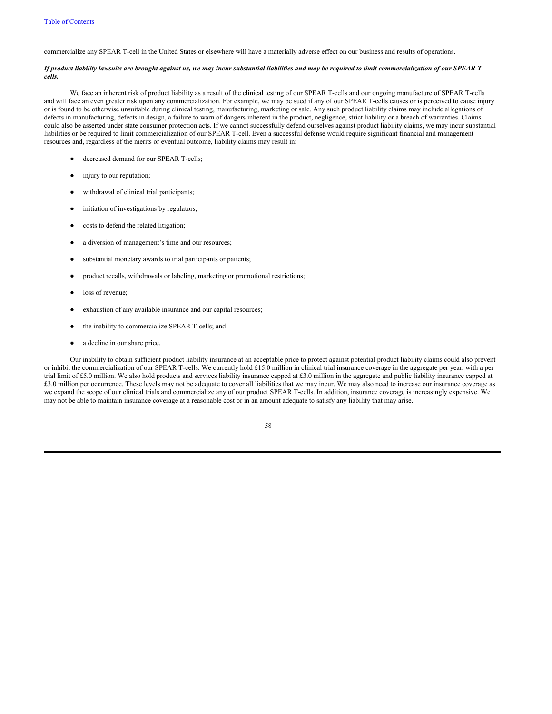commercialize any SPEAR T-cell in the United States or elsewhere will have a materially adverse effect on our business and results of operations.

### If product liability lawsuits are brought against us, we may incur substantial liabilities and may be required to limit commercialization of our SPEAR T*cells.*

We face an inherent risk of product liability as a result of the clinical testing of our SPEAR T-cells and our ongoing manufacture of SPEAR T-cells and will face an even greater risk upon any commercialization. For example, we may be sued if any of our SPEAR T-cells causes or is perceived to cause injury or is found to be otherwise unsuitable during clinical testing, manufacturing, marketing or sale. Any such product liability claims may include allegations of defects in manufacturing, defects in design, a failure to warn of dangers inherent in the product, negligence, strict liability or a breach of warranties. Claims could also be asserted under state consumer protection acts. If we cannot successfully defend ourselves against product liability claims, we may incur substantial liabilities or be required to limit commercialization of our SPEAR T-cell. Even a successful defense would require significant financial and management resources and, regardless of the merits or eventual outcome, liability claims may result in:

- decreased demand for our SPEAR T-cells;
- injury to our reputation;
- withdrawal of clinical trial participants;
- initiation of investigations by regulators;
- costs to defend the related litigation;
- a diversion of management's time and our resources;
- substantial monetary awards to trial participants or patients;
- product recalls, withdrawals or labeling, marketing or promotional restrictions;
- loss of revenue;
- exhaustion of any available insurance and our capital resources;
- the inability to commercialize SPEAR T-cells; and
- a decline in our share price.

Our inability to obtain sufficient product liability insurance at an acceptable price to protect against potential product liability claims could also prevent or inhibit the commercialization of our SPEAR T-cells. We currently hold £15.0 million in clinical trial insurance coverage in the aggregate per year, with a per trial limit of £5.0 million. We also hold products and services liability insurance capped at £3.0 million in the aggregate and public liability insurance capped at £3.0 million per occurrence. These levels may not be adequate to cover all liabilities that we may incur. We may also need to increase our insurance coverage as we expand the scope of our clinical trials and commercialize any of our product SPEAR T-cells. In addition, insurance coverage is increasingly expensive. We may not be able to maintain insurance coverage at a reasonable cost or in an amount adequate to satisfy any liability that may arise.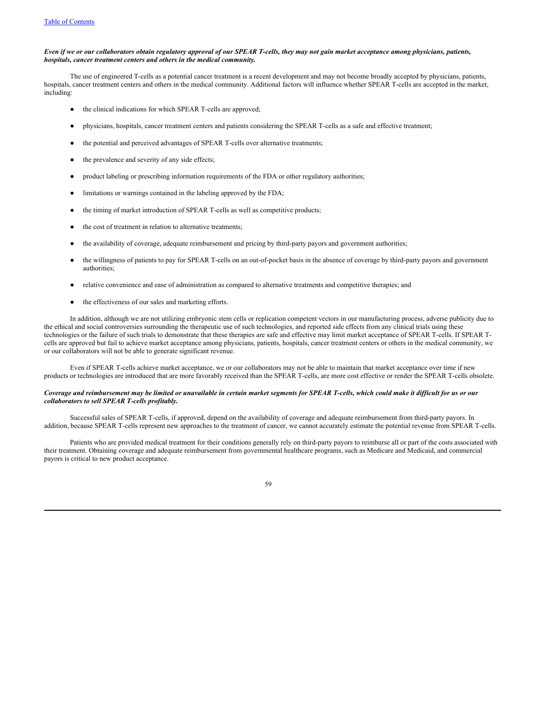### Even if we or our collaborators obtain regulatory approval of our SPEAR T-cells, they may not gain market acceptance among physicians, patients, *hospitals, cancer treatment centers and others in the medical community.*

The use of engineered T-cells as a potential cancer treatment is a recent development and may not become broadly accepted by physicians, patients, hospitals, cancer treatment centers and others in the medical community. Additional factors will influence whether SPEAR T-cells are accepted in the market, including:

- the clinical indications for which SPEAR T-cells are approved;
- physicians, hospitals, cancer treatment centers and patients considering the SPEAR T-cells as a safe and effective treatment;
- the potential and perceived advantages of SPEAR T-cells over alternative treatments;
- the prevalence and severity of any side effects;
- product labeling or prescribing information requirements of the FDA or other regulatory authorities;
- limitations or warnings contained in the labeling approved by the FDA;
- the timing of market introduction of SPEAR T-cells as well as competitive products;
- the cost of treatment in relation to alternative treatments;
- the availability of coverage, adequate reimbursement and pricing by third-party payors and government authorities;
- the willingness of patients to pay for SPEAR T-cells on an out-of-pocket basis in the absence of coverage by third-party payors and government authorities;
- relative convenience and ease of administration as compared to alternative treatments and competitive therapies; and
- the effectiveness of our sales and marketing efforts.

In addition, although we are not utilizing embryonic stem cells or replication competent vectors in our manufacturing process, adverse publicity due to the ethical and social controversies surrounding the therapeutic use of such technologies, and reported side effects from any clinical trials using these technologies or the failure of such trials to demonstrate that these therapies are safe and effective may limit market acceptance of SPEAR T-cells. If SPEAR Tcells are approved but fail to achieve market acceptance among physicians, patients, hospitals, cancer treatment centers or others in the medical community, we or our collaborators will not be able to generate significant revenue.

Even if SPEAR T-cells achieve market acceptance, we or our collaborators may not be able to maintain that market acceptance over time if new products or technologies are introduced that are more favorably received than the SPEAR T-cells, are more cost effective or render the SPEAR T-cells obsolete.

# Coverage and reimbursement may be limited or unavailable in certain market segments for SPEAR T-cells, which could make it difficult for us or our *collaborators to sell SPEAR T-cells profitably.*

Successful sales of SPEAR T-cells, if approved, depend on the availability of coverage and adequate reimbursement from third-party payors. In addition, because SPEAR T-cells represent new approaches to the treatment of cancer, we cannot accurately estimate the potential revenue from SPEAR T-cells.

Patients who are provided medical treatment for their conditions generally rely on third-party payors to reimburse all or part of the costs associated with their treatment. Obtaining coverage and adequate reimbursement from governmental healthcare programs, such as Medicare and Medicaid, and commercial payors is critical to new product acceptance.

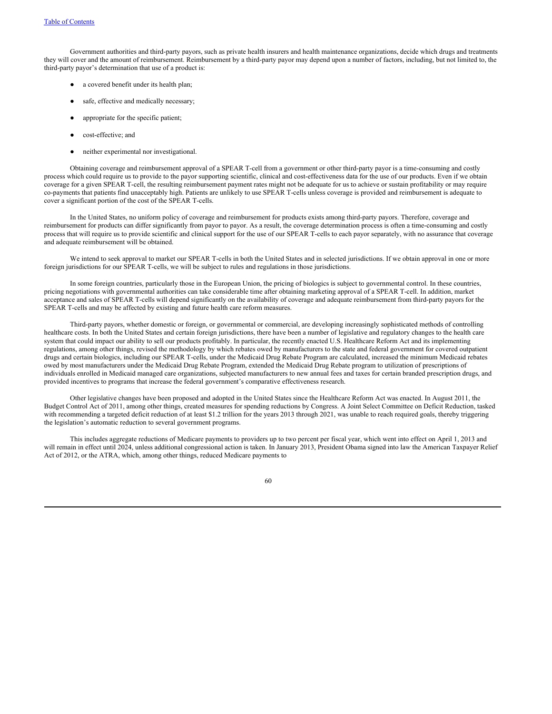Government authorities and third-party payors, such as private health insurers and health maintenance organizations, decide which drugs and treatments they will cover and the amount of reimbursement. Reimbursement by a third-party payor may depend upon a number of factors, including, but not limited to, the third-party payor's determination that use of a product is:

- a covered benefit under its health plan;
- safe, effective and medically necessary;
- appropriate for the specific patient;
- cost-effective; and
- neither experimental nor investigational.

Obtaining coverage and reimbursement approval of a SPEAR T-cell from a government or other third-party payor is a time-consuming and costly process which could require us to provide to the payor supporting scientific, clinical and cost-effectiveness data for the use of our products. Even if we obtain coverage for a given SPEAR T-cell, the resulting reimbursement payment rates might not be adequate for us to achieve or sustain profitability or may require co-payments that patients find unacceptably high. Patients are unlikely to use SPEAR T-cells unless coverage is provided and reimbursement is adequate to cover a significant portion of the cost of the SPEAR T-cells.

In the United States, no uniform policy of coverage and reimbursement for products exists among third-party payors. Therefore, coverage and reimbursement for products can differ significantly from payor to payor. As a result, the coverage determination process is often a time-consuming and costly process that will require us to provide scientific and clinical support for the use of our SPEAR T-cells to each payor separately, with no assurance that coverage and adequate reimbursement will be obtained.

We intend to seek approval to market our SPEAR T-cells in both the United States and in selected jurisdictions. If we obtain approval in one or more foreign jurisdictions for our SPEAR T-cells, we will be subject to rules and regulations in those jurisdictions.

In some foreign countries, particularly those in the European Union, the pricing of biologics is subject to governmental control. In these countries, pricing negotiations with governmental authorities can take considerable time after obtaining marketing approval of a SPEAR T-cell. In addition, market acceptance and sales of SPEAR T-cells will depend significantly on the availability of coverage and adequate reimbursement from third-party payors for the SPEAR T-cells and may be affected by existing and future health care reform measures.

Third-party payors, whether domestic or foreign, or governmental or commercial, are developing increasingly sophisticated methods of controlling healthcare costs. In both the United States and certain foreign jurisdictions, there have been a number of legislative and regulatory changes to the health care system that could impact our ability to sell our products profitably. In particular, the recently enacted U.S. Healthcare Reform Act and its implementing regulations, among other things, revised the methodology by which rebates owed by manufacturers to the state and federal government for covered outpatient drugs and certain biologics, including our SPEAR T-cells, under the Medicaid Drug Rebate Program are calculated, increased the minimum Medicaid rebates owed by most manufacturers under the Medicaid Drug Rebate Program, extended the Medicaid Drug Rebate program to utilization of prescriptions of individuals enrolled in Medicaid managed care organizations, subjected manufacturers to new annual fees and taxes for certain branded prescription drugs, and provided incentives to programs that increase the federal government's comparative effectiveness research.

Other legislative changes have been proposed and adopted in the United States since the Healthcare Reform Act was enacted. In August 2011, the Budget Control Act of 2011, among other things, created measures for spending reductions by Congress. A Joint Select Committee on Deficit Reduction, tasked with recommending a targeted deficit reduction of at least \$1.2 trillion for the years 2013 through 2021, was unable to reach required goals, thereby triggering the legislation's automatic reduction to several government programs.

This includes aggregate reductions of Medicare payments to providers up to two percent per fiscal year, which went into effect on April 1, 2013 and will remain in effect until 2024, unless additional congressional action is taken. In January 2013, President Obama signed into law the American Taxpayer Relief Act of 2012, or the ATRA, which, among other things, reduced Medicare payments to

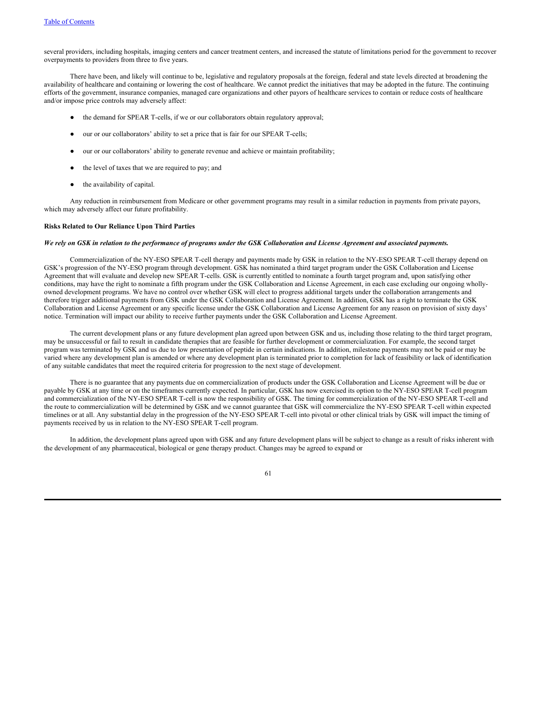several providers, including hospitals, imaging centers and cancer treatment centers, and increased the statute of limitations period for the government to recover overpayments to providers from three to five years.

There have been, and likely will continue to be, legislative and regulatory proposals at the foreign, federal and state levels directed at broadening the availability of healthcare and containing or lowering the cost of healthcare. We cannot predict the initiatives that may be adopted in the future. The continuing efforts of the government, insurance companies, managed care organizations and other payors of healthcare services to contain or reduce costs of healthcare and/or impose price controls may adversely affect:

- the demand for SPEAR T-cells, if we or our collaborators obtain regulatory approval;
- our or our collaborators' ability to set a price that is fair for our SPEAR T-cells;
- our or our collaborators' ability to generate revenue and achieve or maintain profitability;
- the level of taxes that we are required to pay; and
- the availability of capital.

Any reduction in reimbursement from Medicare or other government programs may result in a similar reduction in payments from private payors, which may adversely affect our future profitability.

#### **Risks Related to Our Reliance Upon Third Parties**

## We rely on GSK in relation to the performance of programs under the GSK Collaboration and License Agreement and associated payments.

Commercialization of the NY-ESO SPEAR T-cell therapy and payments made by GSK in relation to the NY-ESO SPEAR T-cell therapy depend on GSK's progression of the NY-ESO program through development. GSK has nominated a third target program under the GSK Collaboration and License Agreement that will evaluate and develop new SPEAR T-cells. GSK is currently entitled to nominate a fourth target program and, upon satisfying other conditions, may have the right to nominate a fifth program under the GSK Collaboration and License Agreement, in each case excluding our ongoing whollyowned development programs. We have no control over whether GSK will elect to progress additional targets under the collaboration arrangements and therefore trigger additional payments from GSK under the GSK Collaboration and License Agreement. In addition, GSK has a right to terminate the GSK Collaboration and License Agreement or any specific license under the GSK Collaboration and License Agreement for any reason on provision of sixty days' notice. Termination will impact our ability to receive further payments under the GSK Collaboration and License Agreement.

The current development plans or any future development plan agreed upon between GSK and us, including those relating to the third target program, may be unsuccessful or fail to result in candidate therapies that are feasible for further development or commercialization. For example, the second target program was terminated by GSK and us due to low presentation of peptide in certain indications. In addition, milestone payments may not be paid or may be varied where any development plan is amended or where any development plan is terminated prior to completion for lack of feasibility or lack of identification of any suitable candidates that meet the required criteria for progression to the next stage of development.

There is no guarantee that any payments due on commercialization of products under the GSK Collaboration and License Agreement will be due or payable by GSK at any time or on the timeframes currently expected. In particular, GSK has now exercised its option to the NY-ESO SPEAR T-cell program and commercialization of the NY-ESO SPEAR T-cell is now the responsibility of GSK. The timing for commercialization of the NY-ESO SPEAR T-cell and the route to commercialization will be determined by GSK and we cannot guarantee that GSK will commercialize the NY-ESO SPEAR T-cell within expected timelines or at all. Any substantial delay in the progression of the NY-ESO SPEAR T-cell into pivotal or other clinical trials by GSK will impact the timing of payments received by us in relation to the NY-ESO SPEAR T-cell program.

In addition, the development plans agreed upon with GSK and any future development plans will be subject to change as a result of risks inherent with the development of any pharmaceutical, biological or gene therapy product. Changes may be agreed to expand or

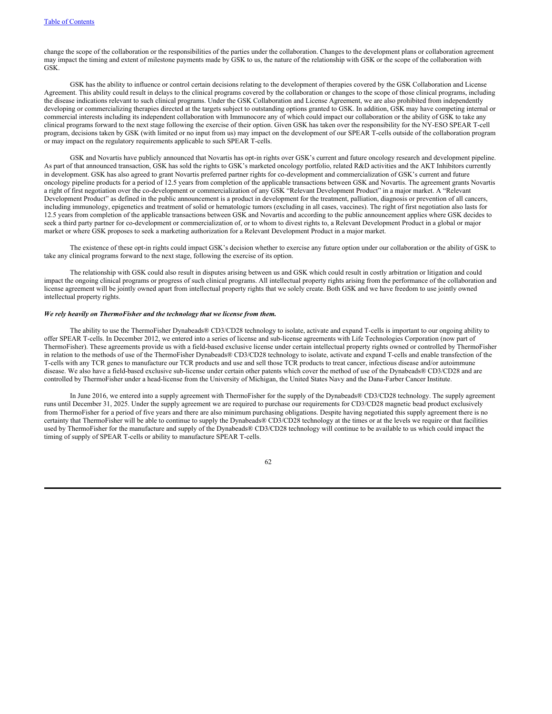change the scope of the collaboration or the responsibilities of the parties under the collaboration. Changes to the development plans or collaboration agreement may impact the timing and extent of milestone payments made by GSK to us, the nature of the relationship with GSK or the scope of the collaboration with GSK.

GSK has the ability to influence or control certain decisions relating to the development of therapies covered by the GSK Collaboration and License Agreement. This ability could result in delays to the clinical programs covered by the collaboration or changes to the scope of those clinical programs, including the disease indications relevant to such clinical programs. Under the GSK Collaboration and License Agreement, we are also prohibited from independently developing or commercializing therapies directed at the targets subject to outstanding options granted to GSK. In addition, GSK may have competing internal or commercial interests including its independent collaboration with Immunocore any of which could impact our collaboration or the ability of GSK to take any clinical programs forward to the next stage following the exercise of their option. Given GSK has taken over the responsibility for the NY-ESO SPEAR T-cell program, decisions taken by GSK (with limited or no input from us) may impact on the development of our SPEAR T-cells outside of the collaboration program or may impact on the regulatory requirements applicable to such SPEAR T-cells.

GSK and Novartis have publicly announced that Novartis has opt-in rights over GSK's current and future oncology research and development pipeline. As part of that announced transaction, GSK has sold the rights to GSK's marketed oncology portfolio, related R&D activities and the AKT Inhibitors currently in development. GSK has also agreed to grant Novartis preferred partner rights for co-development and commercialization of GSK's current and future oncology pipeline products for a period of 12.5 years from completion of the applicable transactions between GSK and Novartis. The agreement grants Novartis a right of first negotiation over the co-development or commercialization of any GSK "Relevant Development Product" in a major market. A "Relevant Development Product" as defined in the public announcement is a product in development for the treatment, palliation, diagnosis or prevention of all cancers, including immunology, epigenetics and treatment of solid or hematologic tumors (excluding in all cases, vaccines). The right of first negotiation also lasts for 12.5 years from completion of the applicable transactions between GSK and Novartis and according to the public announcement applies where GSK decides to seek a third party partner for co-development or commercialization of, or to whom to divest rights to, a Relevant Development Product in a global or major market or where GSK proposes to seek a marketing authorization for a Relevant Development Product in a major market.

The existence of these opt-in rights could impact GSK's decision whether to exercise any future option under our collaboration or the ability of GSK to take any clinical programs forward to the next stage, following the exercise of its option.

The relationship with GSK could also result in disputes arising between us and GSK which could result in costly arbitration or litigation and could impact the ongoing clinical programs or progress of such clinical programs. All intellectual property rights arising from the performance of the collaboration and license agreement will be jointly owned apart from intellectual property rights that we solely create. Both GSK and we have freedom to use jointly owned intellectual property rights.

#### *We rely heavily on ThermoFisher and the technology that we license from them.*

The ability to use the ThermoFisher Dynabeads® CD3/CD28 technology to isolate, activate and expand T-cells is important to our ongoing ability to offer SPEAR T-cells. In December 2012, we entered into a series of license and sub-license agreements with Life Technologies Corporation (now part of ThermoFisher). These agreements provide us with a field-based exclusive license under certain intellectual property rights owned or controlled by ThermoFisher in relation to the methods of use of the ThermoFisher Dynabeads® CD3/CD28 technology to isolate, activate and expand T-cells and enable transfection of the T-cells with any TCR genes to manufacture our TCR products and use and sell those TCR products to treat cancer, infectious disease and/or autoimmune disease. We also have a field-based exclusive sub-license under certain other patents which cover the method of use of the Dynabeads® CD3/CD28 and are controlled by ThermoFisher under a head-license from the University of Michigan, the United States Navy and the Dana-Farber Cancer Institute.

In June 2016, we entered into a supply agreement with ThermoFisher for the supply of the Dynabeads® CD3/CD28 technology. The supply agreement runs until December 31, 2025. Under the supply agreement we are required to purchase our requirements for CD3/CD28 magnetic bead product exclusively from ThermoFisher for a period of five years and there are also minimum purchasing obligations. Despite having negotiated this supply agreement there is no certainty that ThermoFisher will be able to continue to supply the Dynabeads® CD3/CD28 technology at the times or at the levels we require or that facilities used by ThermoFisher for the manufacture and supply of the Dynabeads® CD3/CD28 technology will continue to be available to us which could impact the timing of supply of SPEAR T-cells or ability to manufacture SPEAR T-cells.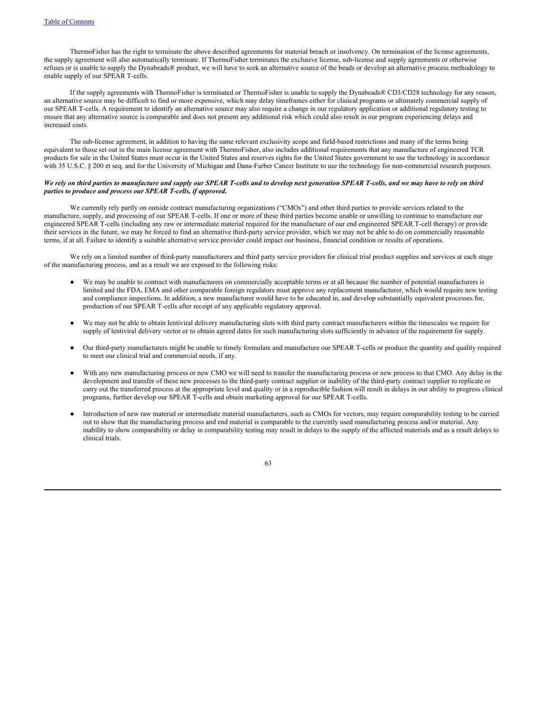ThermoFisher has the right to terminate the above described agreements for material breach or insolvency. On termination of the license agreements, the supply agreement will also automatically terminate. If ThermoFisher terminates the exclusive license, sub-license and supply agreements or otherwise refuses or is unable to supply the Dynabeads® product, we will have to seek an alternative source of the beads or develop an alternative process methodology to enable supply of our SPEAR T-cells.

If the supply agreements with ThermoFisher is terminated or ThermoFisher is unable to supply the Dynabeads® CD3/CD28 technology for any reason, an alternative source may be difficult to find or more expensive, which may delay timeframes either for clinical programs or ultimately commercial supply of our SPEAR T-cells. A requirement to identify an alternative source may also require a change in our regulatory application or additional regulatory testing to ensure that any alternative source is comparable and does not present any additional risk which could also result in our program experiencing delays and increased costs.

The sub-license agreement, in addition to having the same relevant exclusivity scope and field-based restrictions and many of the terms being equivalent to those set out in the main license agreement with ThermoFisher, also includes additional requirements that any manufacture of engineered TCR products for sale in the United States must occur in the United States and reserves rights for the United States government to use the technology in accordance with 35 U.S.C. § 200 et seq. and for the University of Michigan and Dana-Farber Cancer Institute to use the technology for non-commercial research purposes.

### We rely on third parties to manufacture and supply our SPEAR T-cells and to develop next generation SPEAR T-cells, and we may have to rely on third *parties to produce and process our SPEAR T-cells, if approved.*

We currently rely partly on outside contract manufacturing organizations ("CMOs") and other third parties to provide services related to the manufacture, supply, and processing of our SPEAR T-cells. If one or more of these third parties become unable or unwilling to continue to manufacture our engineered SPEAR T-cells (including any raw or intermediate material required for the manufacture of our end engineered SPEAR T-cell therapy) or provide their services in the future, we may be forced to find an alternative third-party service provider, which we may not be able to do on commercially reasonable terms, if at all. Failure to identify a suitable alternative service provider could impact our business, financial condition or results of operations.

We rely on a limited number of third-party manufacturers and third party service providers for clinical trial product supplies and services at each stage of the manufacturing process, and as a result we are exposed to the following risks:

- We may be unable to contract with manufacturers on commercially acceptable terms or at all because the number of potential manufacturers is limited and the FDA, EMA and other comparable foreign regulators must approve any replacement manufacturer, which would require new testing and compliance inspections. In addition, a new manufacturer would have to be educated in, and develop substantially equivalent processes for, production of our SPEAR T-cells after receipt of any applicable regulatory approval.
- We may not be able to obtain lentiviral delivery manufacturing slots with third party contract manufacturers within the timescales we require for supply of lentiviral delivery vector or to obtain agreed dates for such manufacturing slots sufficiently in advance of the requirement for supply.
- Our third-party manufacturers might be unable to timely formulate and manufacture our SPEAR T-cells or produce the quantity and quality required to meet our clinical trial and commercial needs, if any.
- With any new manufacturing process or new CMO we will need to transfer the manufacturing process or new process to that CMO. Any delay in the development and transfer of these new processes to the third-party contract supplier or inability of the third-party contract supplier to replicate or carry out the transferred process at the appropriate level and quality or in a reproducible fashion will result in delays in our ability to progress clinical programs, further develop our SPEAR T-cells and obtain marketing approval for our SPEAR T-cells.
- Introduction of new raw material or intermediate material manufacturers, such as CMOs for vectors, may require comparability testing to be carried out to show that the manufacturing process and end material is comparable to the currently used manufacturing process and/or material. Any inability to show comparability or delay in comparability testing may result in delays to the supply of the affected materials and as a result delays to clinical trials.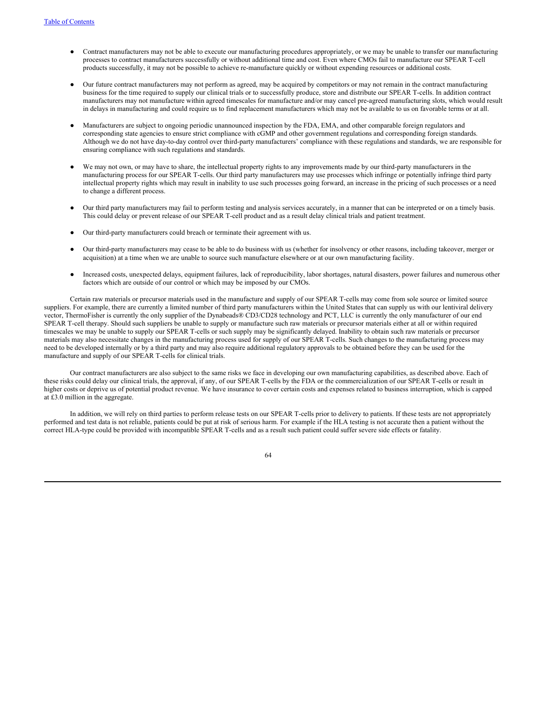- Contract manufacturers may not be able to execute our manufacturing procedures appropriately, or we may be unable to transfer our manufacturing processes to contract manufacturers successfully or without additional time and cost. Even where CMOs fail to manufacture our SPEAR T-cell products successfully, it may not be possible to achieve re-manufacture quickly or without expending resources or additional costs.
- Our future contract manufacturers may not perform as agreed, may be acquired by competitors or may not remain in the contract manufacturing business for the time required to supply our clinical trials or to successfully produce, store and distribute our SPEAR T-cells. In addition contract manufacturers may not manufacture within agreed timescales for manufacture and/or may cancel pre-agreed manufacturing slots, which would result in delays in manufacturing and could require us to find replacement manufacturers which may not be available to us on favorable terms or at all.
- Manufacturers are subject to ongoing periodic unannounced inspection by the FDA, EMA, and other comparable foreign regulators and corresponding state agencies to ensure strict compliance with cGMP and other government regulations and corresponding foreign standards. Although we do not have day-to-day control over third-party manufacturers' compliance with these regulations and standards, we are responsible for ensuring compliance with such regulations and standards.
- We may not own, or may have to share, the intellectual property rights to any improvements made by our third-party manufacturers in the manufacturing process for our SPEAR T-cells. Our third party manufacturers may use processes which infringe or potentially infringe third party intellectual property rights which may result in inability to use such processes going forward, an increase in the pricing of such processes or a need to change a different process.
- Our third party manufacturers may fail to perform testing and analysis services accurately, in a manner that can be interpreted or on a timely basis. This could delay or prevent release of our SPEAR T-cell product and as a result delay clinical trials and patient treatment.
- Our third-party manufacturers could breach or terminate their agreement with us.
- Our third-party manufacturers may cease to be able to do business with us (whether for insolvency or other reasons, including takeover, merger or acquisition) at a time when we are unable to source such manufacture elsewhere or at our own manufacturing facility.
- Increased costs, unexpected delays, equipment failures, lack of reproducibility, labor shortages, natural disasters, power failures and numerous other factors which are outside of our control or which may be imposed by our CMOs.

Certain raw materials or precursor materials used in the manufacture and supply of our SPEAR T-cells may come from sole source or limited source suppliers. For example, there are currently a limited number of third party manufacturers within the United States that can supply us with our lentiviral delivery vector, ThermoFisher is currently the only supplier of the Dynabeads® CD3/CD28 technology and PCT, LLC is currently the only manufacturer of our end SPEAR T-cell therapy. Should such suppliers be unable to supply or manufacture such raw materials or precursor materials either at all or within required timescales we may be unable to supply our SPEAR T-cells or such supply may be significantly delayed. Inability to obtain such raw materials or precursor materials may also necessitate changes in the manufacturing process used for supply of our SPEAR T-cells. Such changes to the manufacturing process may need to be developed internally or by a third party and may also require additional regulatory approvals to be obtained before they can be used for the manufacture and supply of our SPEAR T-cells for clinical trials.

Our contract manufacturers are also subject to the same risks we face in developing our own manufacturing capabilities, as described above. Each of these risks could delay our clinical trials, the approval, if any, of our SPEAR T-cells by the FDA or the commercialization of our SPEAR T-cells or result in higher costs or deprive us of potential product revenue. We have insurance to cover certain costs and expenses related to business interruption, which is capped at £3.0 million in the aggregate.

In addition, we will rely on third parties to perform release tests on our SPEAR T-cells prior to delivery to patients. If these tests are not appropriately performed and test data is not reliable, patients could be put at risk of serious harm. For example if the HLA testing is not accurate then a patient without the correct HLA-type could be provided with incompatible SPEAR T-cells and as a result such patient could suffer severe side effects or fatality.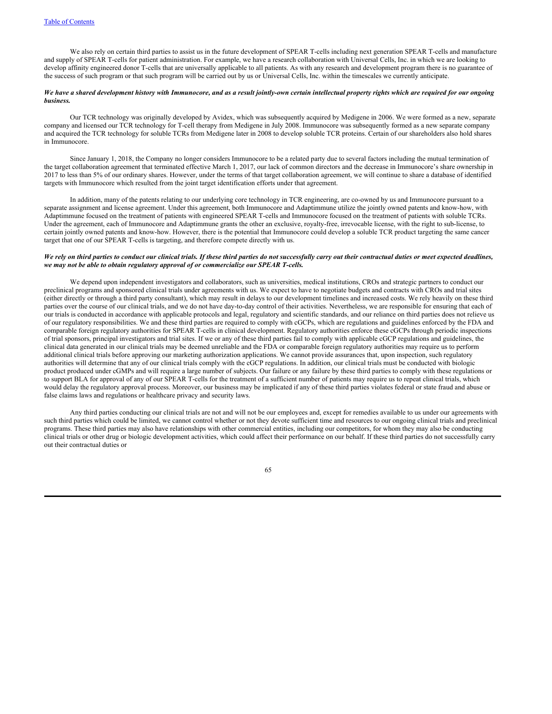We also rely on certain third parties to assist us in the future development of SPEAR T-cells including next generation SPEAR T-cells and manufacture and supply of SPEAR T-cells for patient administration. For example, we have a research collaboration with Universal Cells, Inc. in which we are looking to develop affinity engineered donor T-cells that are universally applicable to all patients. As with any research and development program there is no guarantee of the success of such program or that such program will be carried out by us or Universal Cells, Inc. within the timescales we currently anticipate.

### We have a shared development history with Immunocore, and as a result jointly-own certain intellectual property rights which are required for our ongoing *business.*

Our TCR technology was originally developed by Avidex, which was subsequently acquired by Medigene in 2006. We were formed as a new, separate company and licensed our TCR technology for T-cell therapy from Medigene in July 2008. Immunocore was subsequently formed as a new separate company and acquired the TCR technology for soluble TCRs from Medigene later in 2008 to develop soluble TCR proteins. Certain of our shareholders also hold shares in Immunocore.

Since January 1, 2018, the Company no longer considers Immunocore to be a related party due to several factors including the mutual termination of the target collaboration agreement that terminated effective March 1, 2017, our lack of common directors and the decrease in Immunocore's share ownership in 2017 to less than 5% of our ordinary shares. However, under the terms of that target collaboration agreement, we will continue to share a database of identified targets with Immunocore which resulted from the joint target identification efforts under that agreement.

In addition, many of the patents relating to our underlying core technology in TCR engineering, are co-owned by us and Immunocore pursuant to a separate assignment and license agreement. Under this agreement, both Immunocore and Adaptimmune utilize the jointly owned patents and know-how, with Adaptimmune focused on the treatment of patients with engineered SPEAR T-cells and Immunocore focused on the treatment of patients with soluble TCRs. Under the agreement, each of Immunocore and Adaptimmune grants the other an exclusive, royalty-free, irrevocable license, with the right to sub-license, to certain jointly owned patents and know-how. However, there is the potential that Immunocore could develop a soluble TCR product targeting the same cancer target that one of our SPEAR T-cells is targeting, and therefore compete directly with us.

# We rely on third parties to conduct our clinical trials. If these third parties do not successfully carry out their contractual duties or meet expected deadlines, *we may not be able to obtain regulatory approval of or commercialize our SPEAR T-cells.*

We depend upon independent investigators and collaborators, such as universities, medical institutions, CROs and strategic partners to conduct our preclinical programs and sponsored clinical trials under agreements with us. We expect to have to negotiate budgets and contracts with CROs and trial sites (either directly or through a third party consultant), which may result in delays to our development timelines and increased costs. We rely heavily on these third parties over the course of our clinical trials, and we do not have day-to-day control of their activities. Nevertheless, we are responsible for ensuring that each of our trials is conducted in accordance with applicable protocols and legal, regulatory and scientific standards, and our reliance on third parties does not relieve us of our regulatory responsibilities. We and these third parties are required to comply with cGCPs, which are regulations and guidelines enforced by the FDA and comparable foreign regulatory authorities for SPEAR T-cells in clinical development. Regulatory authorities enforce these cGCPs through periodic inspections of trial sponsors, principal investigators and trial sites. If we or any of these third parties fail to comply with applicable cGCP regulations and guidelines, the clinical data generated in our clinical trials may be deemed unreliable and the FDA or comparable foreign regulatory authorities may require us to perform additional clinical trials before approving our marketing authorization applications. We cannot provide assurances that, upon inspection, such regulatory authorities will determine that any of our clinical trials comply with the cGCP regulations. In addition, our clinical trials must be conducted with biologic product produced under cGMPs and will require a large number of subjects. Our failure or any failure by these third parties to comply with these regulations or to support BLA for approval of any of our SPEAR T-cells for the treatment of a sufficient number of patients may require us to repeat clinical trials, which would delay the regulatory approval process. Moreover, our business may be implicated if any of these third parties violates federal or state fraud and abuse or false claims laws and regulations or healthcare privacy and security laws.

Any third parties conducting our clinical trials are not and will not be our employees and, except for remedies available to us under our agreements with such third parties which could be limited, we cannot control whether or not they devote sufficient time and resources to our ongoing clinical trials and preclinical programs. These third parties may also have relationships with other commercial entities, including our competitors, for whom they may also be conducting clinical trials or other drug or biologic development activities, which could affect their performance on our behalf. If these third parties do not successfully carry out their contractual duties or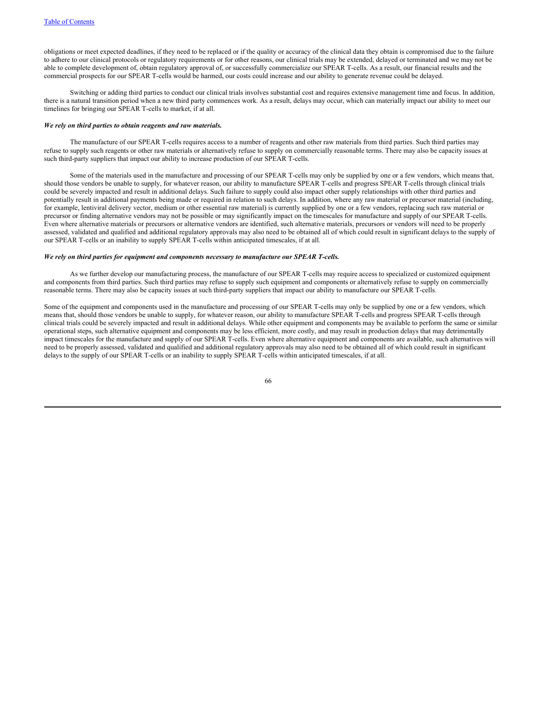obligations or meet expected deadlines, if they need to be replaced or if the quality or accuracy of the clinical data they obtain is compromised due to the failure to adhere to our clinical protocols or regulatory requirements or for other reasons, our clinical trials may be extended, delayed or terminated and we may not be able to complete development of, obtain regulatory approval of, or successfully commercialize our SPEAR T-cells. As a result, our financial results and the commercial prospects for our SPEAR T-cells would be harmed, our costs could increase and our ability to generate revenue could be delayed.

Switching or adding third parties to conduct our clinical trials involves substantial cost and requires extensive management time and focus. In addition, there is a natural transition period when a new third party commences work. As a result, delays may occur, which can materially impact our ability to meet our timelines for bringing our SPEAR T-cells to market, if at all.

#### *We rely on third parties to obtain reagents and raw materials.*

The manufacture of our SPEAR T-cells requires access to a number of reagents and other raw materials from third parties. Such third parties may refuse to supply such reagents or other raw materials or alternatively refuse to supply on commercially reasonable terms. There may also be capacity issues at such third-party suppliers that impact our ability to increase production of our SPEAR T-cells.

Some of the materials used in the manufacture and processing of our SPEAR T-cells may only be supplied by one or a few vendors, which means that, should those vendors be unable to supply, for whatever reason, our ability to manufacture SPEAR T-cells and progress SPEAR T-cells through clinical trials could be severely impacted and result in additional delays. Such failure to supply could also impact other supply relationships with other third parties and potentially result in additional payments being made or required in relation to such delays. In addition, where any raw material or precursor material (including, for example, lentiviral delivery vector, medium or other essential raw material) is currently supplied by one or a few vendors, replacing such raw material or precursor or finding alternative vendors may not be possible or may significantly impact on the timescales for manufacture and supply of our SPEAR T-cells. Even where alternative materials or precursors or alternative vendors are identified, such alternative materials, precursors or vendors will need to be properly assessed, validated and qualified and additional regulatory approvals may also need to be obtained all of which could result in significant delays to the supply of our SPEAR T-cells or an inability to supply SPEAR T-cells within anticipated timescales, if at all.

#### *We rely on third parties for equipment and components necessary to manufacture our SPEAR T-cells.*

As we further develop our manufacturing process, the manufacture of our SPEAR T-cells may require access to specialized or customized equipment and components from third parties. Such third parties may refuse to supply such equipment and components or alternatively refuse to supply on commercially reasonable terms. There may also be capacity issues at such third-party suppliers that impact our ability to manufacture our SPEAR T-cells.

Some of the equipment and components used in the manufacture and processing of our SPEAR T-cells may only be supplied by one or a few vendors, which means that, should those vendors be unable to supply, for whatever reason, our ability to manufacture SPEAR T-cells and progress SPEAR T-cells through clinical trials could be severely impacted and result in additional delays. While other equipment and components may be available to perform the same or similar operational steps, such alternative equipment and components may be less efficient, more costly, and may result in production delays that may detrimentally impact timescales for the manufacture and supply of our SPEAR T-cells. Even where alternative equipment and components are available, such alternatives will need to be properly assessed, validated and qualified and additional regulatory approvals may also need to be obtained all of which could result in significant delays to the supply of our SPEAR T-cells or an inability to supply SPEAR T-cells within anticipated timescales, if at all.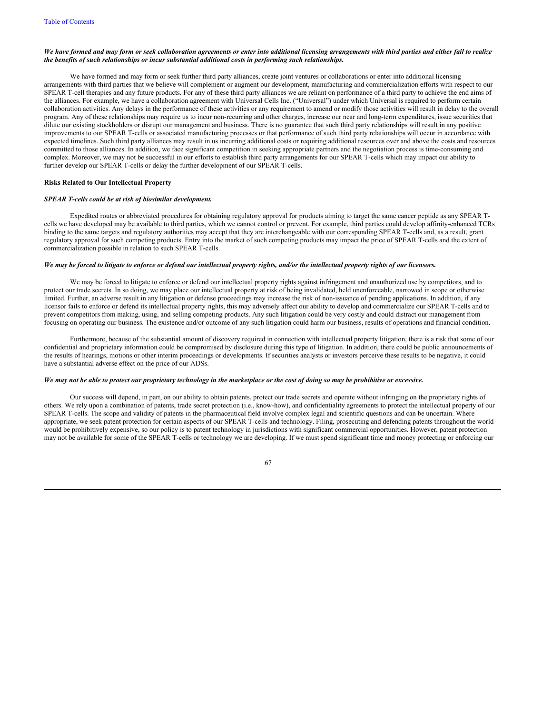### We have formed and may form or seek collaboration agreements or enter into additional licensing arrangements with third parties and either fail to realize *the benefits of such relationships or incur substantial additional costs in performing such relationships.*

We have formed and may form or seek further third party alliances, create joint ventures or collaborations or enter into additional licensing arrangements with third parties that we believe will complement or augment our development, manufacturing and commercialization efforts with respect to our SPEAR T-cell therapies and any future products. For any of these third party alliances we are reliant on performance of a third party to achieve the end aims of the alliances. For example, we have a collaboration agreement with Universal Cells Inc. ("Universal") under which Universal is required to perform certain collaboration activities. Any delays in the performance of these activities or any requirement to amend or modify those activities will result in delay to the overall program. Any of these relationships may require us to incur non-recurring and other charges, increase our near and long-term expenditures, issue securities that dilute our existing stockholders or disrupt our management and business. There is no guarantee that such third party relationships will result in any positive improvements to our SPEAR T-cells or associated manufacturing processes or that performance of such third party relationships will occur in accordance with expected timelines. Such third party alliances may result in us incurring additional costs or requiring additional resources over and above the costs and resources committed to those alliances. In addition, we face significant competition in seeking appropriate partners and the negotiation process is time-consuming and complex. Moreover, we may not be successful in our efforts to establish third party arrangements for our SPEAR T-cells which may impact our ability to further develop our SPEAR T-cells or delay the further development of our SPEAR T-cells.

### **Risks Related to Our Intellectual Property**

#### *SPEAR T-cells could be at risk of biosimilar development.*

Expedited routes or abbreviated procedures for obtaining regulatory approval for products aiming to target the same cancer peptide as any SPEAR Tcells we have developed may be available to third parties, which we cannot control or prevent. For example, third parties could develop affinity-enhanced TCRs binding to the same targets and regulatory authorities may accept that they are interchangeable with our corresponding SPEAR T-cells and, as a result, grant regulatory approval for such competing products. Entry into the market of such competing products may impact the price of SPEAR T-cells and the extent of commercialization possible in relation to such SPEAR T-cells.

#### We may be forced to litigate to enforce or defend our intellectual property rights, and/or the intellectual property rights of our licensors.

We may be forced to litigate to enforce or defend our intellectual property rights against infringement and unauthorized use by competitors, and to protect our trade secrets. In so doing, we may place our intellectual property at risk of being invalidated, held unenforceable, narrowed in scope or otherwise limited. Further, an adverse result in any litigation or defense proceedings may increase the risk of non-issuance of pending applications. In addition, if any licensor fails to enforce or defend its intellectual property rights, this may adversely affect our ability to develop and commercialize our SPEAR T-cells and to prevent competitors from making, using, and selling competing products. Any such litigation could be very costly and could distract our management from focusing on operating our business. The existence and/or outcome of any such litigation could harm our business, results of operations and financial condition.

Furthermore, because of the substantial amount of discovery required in connection with intellectual property litigation, there is a risk that some of our confidential and proprietary information could be compromised by disclosure during this type of litigation. In addition, there could be public announcements of the results of hearings, motions or other interim proceedings or developments. If securities analysts or investors perceive these results to be negative, it could have a substantial adverse effect on the price of our ADSs.

# We may not be able to protect our proprietary technology in the marketplace or the cost of doing so may be prohibitive or excessive.

Our success will depend, in part, on our ability to obtain patents, protect our trade secrets and operate without infringing on the proprietary rights of others. We rely upon a combination of patents, trade secret protection (i.e., know-how), and confidentiality agreements to protect the intellectual property of our SPEAR T-cells. The scope and validity of patents in the pharmaceutical field involve complex legal and scientific questions and can be uncertain. Where appropriate, we seek patent protection for certain aspects of our SPEAR T-cells and technology. Filing, prosecuting and defending patents throughout the world would be prohibitively expensive, so our policy is to patent technology in jurisdictions with significant commercial opportunities. However, patent protection may not be available for some of the SPEAR T-cells or technology we are developing. If we must spend significant time and money protecting or enforcing our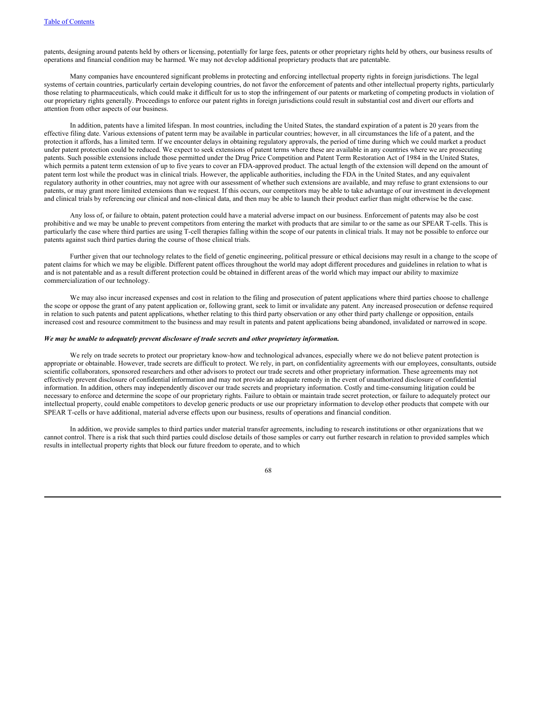patents, designing around patents held by others or licensing, potentially for large fees, patents or other proprietary rights held by others, our business results of operations and financial condition may be harmed. We may not develop additional proprietary products that are patentable.

Many companies have encountered significant problems in protecting and enforcing intellectual property rights in foreign jurisdictions. The legal systems of certain countries, particularly certain developing countries, do not favor the enforcement of patents and other intellectual property rights, particularly those relating to pharmaceuticals, which could make it difficult for us to stop the infringement of our patents or marketing of competing products in violation of our proprietary rights generally. Proceedings to enforce our patent rights in foreign jurisdictions could result in substantial cost and divert our efforts and attention from other aspects of our business.

In addition, patents have a limited lifespan. In most countries, including the United States, the standard expiration of a patent is 20 years from the effective filing date. Various extensions of patent term may be available in particular countries; however, in all circumstances the life of a patent, and the protection it affords, has a limited term. If we encounter delays in obtaining regulatory approvals, the period of time during which we could market a product under patent protection could be reduced. We expect to seek extensions of patent terms where these are available in any countries where we are prosecuting patents. Such possible extensions include those permitted under the Drug Price Competition and Patent Term Restoration Act of 1984 in the United States, which permits a patent term extension of up to five years to cover an FDA-approved product. The actual length of the extension will depend on the amount of patent term lost while the product was in clinical trials. However, the applicable authorities, including the FDA in the United States, and any equivalent regulatory authority in other countries, may not agree with our assessment of whether such extensions are available, and may refuse to grant extensions to our patents, or may grant more limited extensions than we request. If this occurs, our competitors may be able to take advantage of our investment in development and clinical trials by referencing our clinical and non-clinical data, and then may be able to launch their product earlier than might otherwise be the case.

Any loss of, or failure to obtain, patent protection could have a material adverse impact on our business. Enforcement of patents may also be cost prohibitive and we may be unable to prevent competitors from entering the market with products that are similar to or the same as our SPEAR T-cells. This is particularly the case where third parties are using T-cell therapies falling within the scope of our patents in clinical trials. It may not be possible to enforce our patents against such third parties during the course of those clinical trials.

Further given that our technology relates to the field of genetic engineering, political pressure or ethical decisions may result in a change to the scope of patent claims for which we may be eligible. Different patent offices throughout the world may adopt different procedures and guidelines in relation to what is and is not patentable and as a result different protection could be obtained in different areas of the world which may impact our ability to maximize commercialization of our technology.

We may also incur increased expenses and cost in relation to the filing and prosecution of patent applications where third parties choose to challenge the scope or oppose the grant of any patent application or, following grant, seek to limit or invalidate any patent. Any increased prosecution or defense required in relation to such patents and patent applications, whether relating to this third party observation or any other third party challenge or opposition, entails increased cost and resource commitment to the business and may result in patents and patent applications being abandoned, invalidated or narrowed in scope.

## *We may be unable to adequately prevent disclosure of trade secrets and other proprietary information.*

We rely on trade secrets to protect our proprietary know-how and technological advances, especially where we do not believe patent protection is appropriate or obtainable. However, trade secrets are difficult to protect. We rely, in part, on confidentiality agreements with our employees, consultants, outside scientific collaborators, sponsored researchers and other advisors to protect our trade secrets and other proprietary information. These agreements may not effectively prevent disclosure of confidential information and may not provide an adequate remedy in the event of unauthorized disclosure of confidential information. In addition, others may independently discover our trade secrets and proprietary information. Costly and time-consuming litigation could be necessary to enforce and determine the scope of our proprietary rights. Failure to obtain or maintain trade secret protection, or failure to adequately protect our intellectual property, could enable competitors to develop generic products or use our proprietary information to develop other products that compete with our SPEAR T-cells or have additional, material adverse effects upon our business, results of operations and financial condition.

In addition, we provide samples to third parties under material transfer agreements, including to research institutions or other organizations that we cannot control. There is a risk that such third parties could disclose details of those samples or carry out further research in relation to provided samples which results in intellectual property rights that block our future freedom to operate, and to which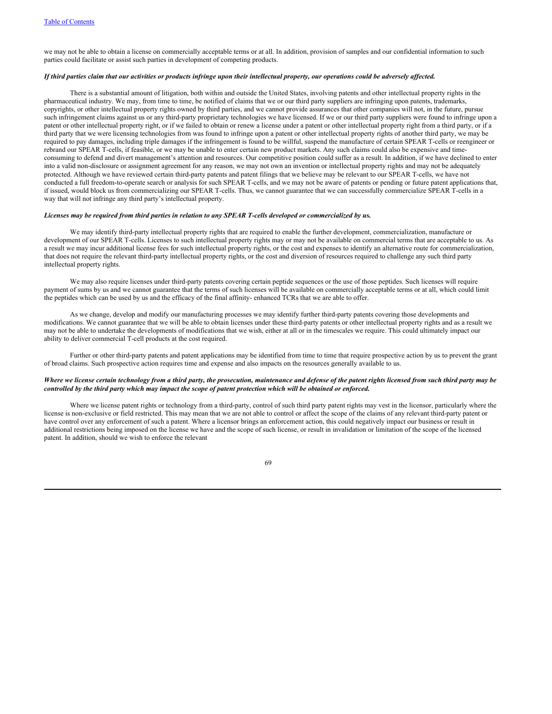we may not be able to obtain a license on commercially acceptable terms or at all. In addition, provision of samples and our confidential information to such parties could facilitate or assist such parties in development of competing products.

# If third parties claim that our activities or products infringe upon their intellectual property, our operations could be adversely affected.

There is a substantial amount of litigation, both within and outside the United States, involving patents and other intellectual property rights in the pharmaceutical industry. We may, from time to time, be notified of claims that we or our third party suppliers are infringing upon patents, trademarks, copyrights, or other intellectual property rights owned by third parties, and we cannot provide assurances that other companies will not, in the future, pursue such infringement claims against us or any third-party proprietary technologies we have licensed. If we or our third party suppliers were found to infringe upon a patent or other intellectual property right, or if we failed to obtain or renew a license under a patent or other intellectual property right from a third party, or if a third party that we were licensing technologies from was found to infringe upon a patent or other intellectual property rights of another third party, we may be required to pay damages, including triple damages if the infringement is found to be willful, suspend the manufacture of certain SPEAR T-cells or reengineer or rebrand our SPEAR T-cells, if feasible, or we may be unable to enter certain new product markets. Any such claims could also be expensive and timeconsuming to defend and divert management's attention and resources. Our competitive position could suffer as a result. In addition, if we have declined to enter into a valid non-disclosure or assignment agreement for any reason, we may not own an invention or intellectual property rights and may not be adequately protected. Although we have reviewed certain third-party patents and patent filings that we believe may be relevant to our SPEAR T-cells, we have not conducted a full freedom-to-operate search or analysis for such SPEAR T-cells, and we may not be aware of patents or pending or future patent applications that, if issued, would block us from commercializing our SPEAR T-cells. Thus, we cannot guarantee that we can successfully commercialize SPEAR T-cells in a way that will not infringe any third party's intellectual property.

#### Licenses may be required from third parties in relation to any SPEAR T-cells developed or commercialized by us.

We may identify third-party intellectual property rights that are required to enable the further development, commercialization, manufacture or development of our SPEAR T-cells. Licenses to such intellectual property rights may or may not be available on commercial terms that are acceptable to us. As a result we may incur additional license fees for such intellectual property rights, or the cost and expenses to identify an alternative route for commercialization, that does not require the relevant third-party intellectual property rights, or the cost and diversion of resources required to challenge any such third party intellectual property rights.

We may also require licenses under third-party patents covering certain peptide sequences or the use of those peptides. Such licenses will require payment of sums by us and we cannot guarantee that the terms of such licenses will be available on commercially acceptable terms or at all, which could limit the peptides which can be used by us and the efficacy of the final affinity- enhanced TCRs that we are able to offer.

As we change, develop and modify our manufacturing processes we may identify further third-party patents covering those developments and modifications. We cannot guarantee that we will be able to obtain licenses under these third-party patents or other intellectual property rights and as a result we may not be able to undertake the developments of modifications that we wish, either at all or in the timescales we require. This could ultimately impact our ability to deliver commercial T-cell products at the cost required.

Further or other third-party patents and patent applications may be identified from time to time that require prospective action by us to prevent the grant of broad claims. Such prospective action requires time and expense and also impacts on the resources generally available to us.

# Where we license certain technology from a third party, the prosecution, maintenance and defense of the patent rights licensed from such third party may be controlled by the third party which may impact the scope of patent protection which will be obtained or enforced.

Where we license patent rights or technology from a third-party, control of such third party patent rights may vest in the licensor, particularly where the license is non-exclusive or field restricted. This may mean that we are not able to control or affect the scope of the claims of any relevant third-party patent or have control over any enforcement of such a patent. Where a licensor brings an enforcement action, this could negatively impact our business or result in additional restrictions being imposed on the license we have and the scope of such license, or result in invalidation or limitation of the scope of the licensed patent. In addition, should we wish to enforce the relevant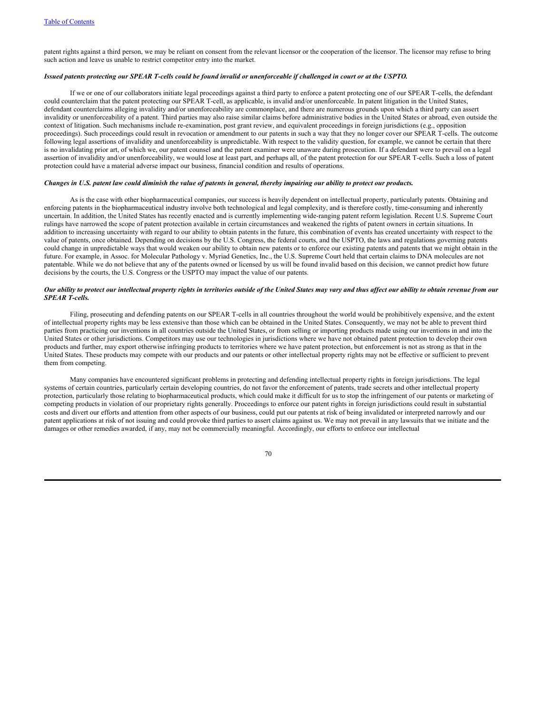patent rights against a third person, we may be reliant on consent from the relevant licensor or the cooperation of the licensor. The licensor may refuse to bring such action and leave us unable to restrict competitor entry into the market.

# Issued patents protecting our SPEAR T-cells could be found invalid or unenforceable if challenged in court or at the USPTO.

If we or one of our collaborators initiate legal proceedings against a third party to enforce a patent protecting one of our SPEAR T-cells, the defendant could counterclaim that the patent protecting our SPEAR T-cell, as applicable, is invalid and/or unenforceable. In patent litigation in the United States, defendant counterclaims alleging invalidity and/or unenforceability are commonplace, and there are numerous grounds upon which a third party can assert invalidity or unenforceability of a patent. Third parties may also raise similar claims before administrative bodies in the United States or abroad, even outside the context of litigation. Such mechanisms include re-examination, post grant review, and equivalent proceedings in foreign jurisdictions (e.g., opposition proceedings). Such proceedings could result in revocation or amendment to our patents in such a way that they no longer cover our SPEAR T-cells. The outcome following legal assertions of invalidity and unenforceability is unpredictable. With respect to the validity question, for example, we cannot be certain that there is no invalidating prior art, of which we, our patent counsel and the patent examiner were unaware during prosecution. If a defendant were to prevail on a legal assertion of invalidity and/or unenforceability, we would lose at least part, and perhaps all, of the patent protection for our SPEAR T-cells. Such a loss of patent protection could have a material adverse impact our business, financial condition and results of operations.

# Changes in U.S. patent law could diminish the value of patents in general, thereby impairing our ability to protect our products.

As is the case with other biopharmaceutical companies, our success is heavily dependent on intellectual property, particularly patents. Obtaining and enforcing patents in the biopharmaceutical industry involve both technological and legal complexity, and is therefore costly, time-consuming and inherently uncertain. In addition, the United States has recently enacted and is currently implementing wide-ranging patent reform legislation. Recent U.S. Supreme Court rulings have narrowed the scope of patent protection available in certain circumstances and weakened the rights of patent owners in certain situations. In addition to increasing uncertainty with regard to our ability to obtain patents in the future, this combination of events has created uncertainty with respect to the value of patents, once obtained. Depending on decisions by the U.S. Congress, the federal courts, and the USPTO, the laws and regulations governing patents could change in unpredictable ways that would weaken our ability to obtain new patents or to enforce our existing patents and patents that we might obtain in the future. For example, in Assoc. for Molecular Pathology v. Myriad Genetics, Inc., the U.S. Supreme Court held that certain claims to DNA molecules are not patentable. While we do not believe that any of the patents owned or licensed by us will be found invalid based on this decision, we cannot predict how future decisions by the courts, the U.S. Congress or the USPTO may impact the value of our patents.

#### Our ability to protect our intellectual property rights in territories outside of the United States may vary and thus affect our ability to obtain revenue from our *SPEAR T-cells.*

Filing, prosecuting and defending patents on our SPEAR T-cells in all countries throughout the world would be prohibitively expensive, and the extent of intellectual property rights may be less extensive than those which can be obtained in the United States. Consequently, we may not be able to prevent third parties from practicing our inventions in all countries outside the United States, or from selling or importing products made using our inventions in and into the United States or other jurisdictions. Competitors may use our technologies in jurisdictions where we have not obtained patent protection to develop their own products and further, may export otherwise infringing products to territories where we have patent protection, but enforcement is not as strong as that in the United States. These products may compete with our products and our patents or other intellectual property rights may not be effective or sufficient to prevent them from competing.

Many companies have encountered significant problems in protecting and defending intellectual property rights in foreign jurisdictions. The legal systems of certain countries, particularly certain developing countries, do not favor the enforcement of patents, trade secrets and other intellectual property protection, particularly those relating to biopharmaceutical products, which could make it difficult for us to stop the infringement of our patents or marketing of competing products in violation of our proprietary rights generally. Proceedings to enforce our patent rights in foreign jurisdictions could result in substantial costs and divert our efforts and attention from other aspects of our business, could put our patents at risk of being invalidated or interpreted narrowly and our patent applications at risk of not issuing and could provoke third parties to assert claims against us. We may not prevail in any lawsuits that we initiate and the damages or other remedies awarded, if any, may not be commercially meaningful. Accordingly, our efforts to enforce our intellectual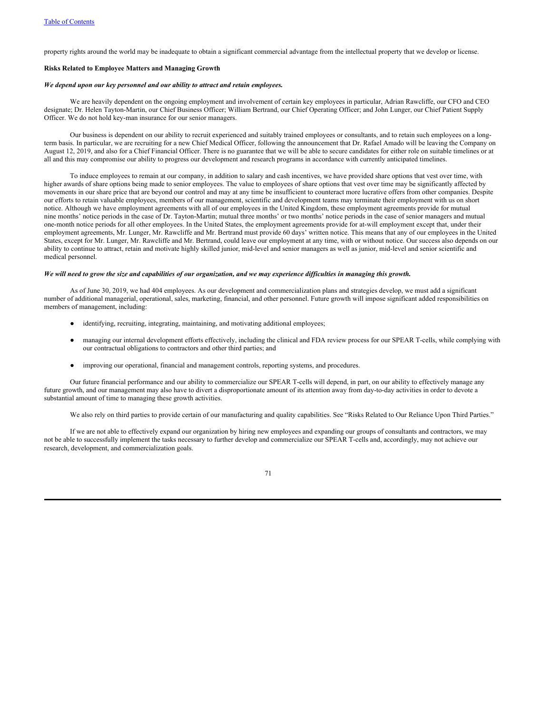property rights around the world may be inadequate to obtain a significant commercial advantage from the intellectual property that we develop or license.

#### **Risks Related to Employee Matters and Managing Growth**

#### *We depend upon our key personnel and our ability to attract and retain employees.*

We are heavily dependent on the ongoing employment and involvement of certain key employees in particular, Adrian Rawcliffe, our CFO and CEO designate; Dr. Helen Tayton-Martin, our Chief Business Officer; William Bertrand, our Chief Operating Officer; and John Lunger, our Chief Patient Supply Officer. We do not hold key-man insurance for our senior managers.

Our business is dependent on our ability to recruit experienced and suitably trained employees or consultants, and to retain such employees on a longterm basis. In particular, we are recruiting for a new Chief Medical Officer, following the announcement that Dr. Rafael Amado will be leaving the Company on August 12, 2019, and also for a Chief Financial Officer. There is no guarantee that we will be able to secure candidates for either role on suitable timelines or at all and this may compromise our ability to progress our development and research programs in accordance with currently anticipated timelines.

To induce employees to remain at our company, in addition to salary and cash incentives, we have provided share options that vest over time, with higher awards of share options being made to senior employees. The value to employees of share options that vest over time may be significantly affected by movements in our share price that are beyond our control and may at any time be insufficient to counteract more lucrative offers from other companies. Despite our efforts to retain valuable employees, members of our management, scientific and development teams may terminate their employment with us on short notice. Although we have employment agreements with all of our employees in the United Kingdom, these employment agreements provide for mutual nine months' notice periods in the case of Dr. Tayton-Martin; mutual three months' or two months' notice periods in the case of senior managers and mutual one-month notice periods for all other employees. In the United States, the employment agreements provide for at-will employment except that, under their employment agreements, Mr. Lunger, Mr. Rawcliffe and Mr. Bertrand must provide 60 days' written notice. This means that any of our employees in the United States, except for Mr. Lunger, Mr. Rawcliffe and Mr. Bertrand, could leave our employment at any time, with or without notice. Our success also depends on our ability to continue to attract, retain and motivate highly skilled junior, mid-level and senior managers as well as junior, mid-level and senior scientific and medical personnel.

### We will need to grow the size and capabilities of our organization, and we may experience difficulties in managing this growth.

As of June 30, 2019, we had 404 employees. As our development and commercialization plans and strategies develop, we must add a significant number of additional managerial, operational, sales, marketing, financial, and other personnel. Future growth will impose significant added responsibilities on members of management, including:

- identifying, recruiting, integrating, maintaining, and motivating additional employees;
- managing our internal development efforts effectively, including the clinical and FDA review process for our SPEAR T-cells, while complying with our contractual obligations to contractors and other third parties; and
- improving our operational, financial and management controls, reporting systems, and procedures.

Our future financial performance and our ability to commercialize our SPEAR T-cells will depend, in part, on our ability to effectively manage any future growth, and our management may also have to divert a disproportionate amount of its attention away from day-to-day activities in order to devote a substantial amount of time to managing these growth activities.

We also rely on third parties to provide certain of our manufacturing and quality capabilities. See "Risks Related to Our Reliance Upon Third Parties."

If we are not able to effectively expand our organization by hiring new employees and expanding our groups of consultants and contractors, we may not be able to successfully implement the tasks necessary to further develop and commercialize our SPEAR T-cells and, accordingly, may not achieve our research, development, and commercialization goals.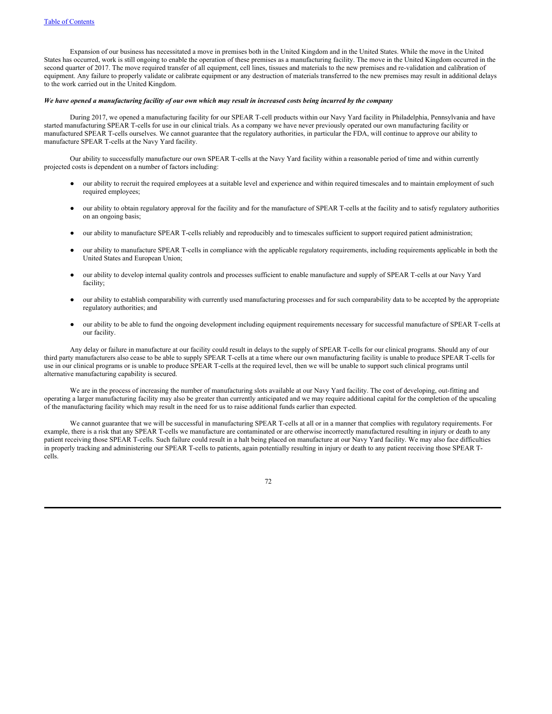Expansion of our business has necessitated a move in premises both in the United Kingdom and in the United States. While the move in the United States has occurred, work is still ongoing to enable the operation of these premises as a manufacturing facility. The move in the United Kingdom occurred in the second quarter of 2017. The move required transfer of all equipment, cell lines, tissues and materials to the new premises and re-validation and calibration of equipment. Any failure to properly validate or calibrate equipment or any destruction of materials transferred to the new premises may result in additional delays to the work carried out in the United Kingdom.

## We have opened a manufacturing facility of our own which may result in increased costs being incurred by the company

During 2017, we opened a manufacturing facility for our SPEAR T-cell products within our Navy Yard facility in Philadelphia, Pennsylvania and have started manufacturing SPEAR T-cells for use in our clinical trials. As a company we have never previously operated our own manufacturing facility or manufactured SPEAR T-cells ourselves. We cannot guarantee that the regulatory authorities, in particular the FDA, will continue to approve our ability to manufacture SPEAR T-cells at the Navy Yard facility.

Our ability to successfully manufacture our own SPEAR T-cells at the Navy Yard facility within a reasonable period of time and within currently projected costs is dependent on a number of factors including:

- our ability to recruit the required employees at a suitable level and experience and within required timescales and to maintain employment of such required employees;
- our ability to obtain regulatory approval for the facility and for the manufacture of SPEAR T-cells at the facility and to satisfy regulatory authorities on an ongoing basis;
- our ability to manufacture SPEAR T-cells reliably and reproducibly and to timescales sufficient to support required patient administration;
- our ability to manufacture SPEAR T-cells in compliance with the applicable regulatory requirements, including requirements applicable in both the United States and European Union;
- our ability to develop internal quality controls and processes sufficient to enable manufacture and supply of SPEAR T-cells at our Navy Yard facility;
- our ability to establish comparability with currently used manufacturing processes and for such comparability data to be accepted by the appropriate regulatory authorities; and
- our ability to be able to fund the ongoing development including equipment requirements necessary for successful manufacture of SPEAR T-cells at our facility.

Any delay or failure in manufacture at our facility could result in delays to the supply of SPEAR T-cells for our clinical programs. Should any of our third party manufacturers also cease to be able to supply SPEAR T-cells at a time where our own manufacturing facility is unable to produce SPEAR T-cells for use in our clinical programs or is unable to produce SPEAR T-cells at the required level, then we will be unable to support such clinical programs until alternative manufacturing capability is secured.

We are in the process of increasing the number of manufacturing slots available at our Navy Yard facility. The cost of developing, out-fitting and operating a larger manufacturing facility may also be greater than currently anticipated and we may require additional capital for the completion of the upscaling of the manufacturing facility which may result in the need for us to raise additional funds earlier than expected.

We cannot guarantee that we will be successful in manufacturing SPEAR T-cells at all or in a manner that complies with regulatory requirements. For example, there is a risk that any SPEAR T-cells we manufacture are contaminated or are otherwise incorrectly manufactured resulting in injury or death to any patient receiving those SPEAR T-cells. Such failure could result in a halt being placed on manufacture at our Navy Yard facility. We may also face difficulties in properly tracking and administering our SPEAR T-cells to patients, again potentially resulting in injury or death to any patient receiving those SPEAR Tcells.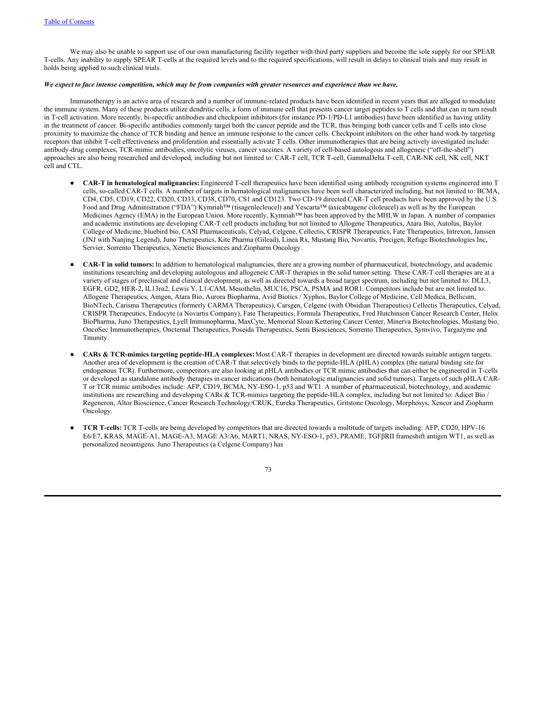We may also be unable to support use of our own manufacturing facility together with third party suppliers and become the sole supply for our SPEAR T-cells. Any inability to supply SPEAR T-cells at the required levels and to the required specifications, will result in delays to clinical trials and may result in holds being applied to such clinical trials.

#### We expect to face intense competition, which may be from companies with greater resources and experience than we have.

Immunotherapy is an active area of research and a number of immune-related products have been identified in recent years that are alleged to modulate the immune system. Many of these products utilize dendritic cells, a form of immune cell that presents cancer target peptides to T cells and that can in turn result in T-cell activation. More recently, bi-specific antibodies and checkpoint inhibitors (for instance PD-1/PD-L1 antibodies) have been identified as having utility in the treatment of cancer. Bi-specific antibodies commonly target both the cancer peptide and the TCR, thus bringing both cancer cells and T cells into close proximity to maximize the chance of TCR binding and hence an immune response to the cancer cells. Checkpoint inhibitors on the other hand work by targeting receptors that inhibit T-cell effectiveness and proliferation and essentially activate T cells. Other immunotherapies that are being actively investigated include: antibody-drug complexes, TCR-mimic antibodies, oncolytic viruses, cancer vaccines. A variety of cell-based autologous and allogeneic ("off-the-shelf") approaches are also being researched and developed, including but not limited to: CAR-T cell, TCR T-cell, GammaDelta T-cell, CAR-NK cell, NK cell, NKT cell and CTL.

- **CAR-T in hematological malignancies:** Engineered T-cell therapeutics have been identified using antibody recognition systems engineered into T cells, so-called CAR-T cells. A number of targets in hematological malignancies have been well characterized including, but not limited to: BCMA, CD4, CD5, CD19, CD22, CD20, CD33, CD38, CD70, CS1 and CD123. Two CD-19 directed CAR-T cell products have been approved by the U.S. Food and Drug Administration ("FDA") Kymriah™ (tisagenlecleucel) and Yescarta™ (axicabtagene ciloleucel) as well as by the European Medicines Agency (EMA) in the European Union. More recently, Kymriah™ has been approved by the MHLW in Japan. A number of companies and academic institutions are developing CAR-T cell products including but not limited to Allogene Therapeutics, Atara Bio, Autolus, Baylor College of Medicine, bluebird bio, CASI Pharmaceuticals, Celyad, Celgene, Cellectis, CRISPR Therapeutics, Fate Therapeutics, Intrexon, Janssen (JNJ with Nanjing Legend), Juno Therapeutics, Kite Pharma (Gilead), Linea Rx, Mustang Bio, Novartis, Precigen, Refuge Biotechnologies Inc, Servier, Sorrento Therapeutics, Xenetic Biosciences and Ziopharm Oncology.
- **CAR-T in solid tumors:** In addition to hematological malignancies, there are a growing number of pharmaceutical, biotechnology, and academic institutions researching and developing autologous and allogeneic CAR-T therapies in the solid tumor setting. These CAR-T cell therapies are at a variety of stages of preclinical and clinical development, as well as directed towards a broad target spectrum, including but not limited to: DLL3, EGFR, GD2, HER-2, IL13rα2, Lewis Y, L1-CAM, Mesothelin, MUC16, PSCA, PSMA and ROR1. Competitors include but are not limited to: Allogene Therapeutics, Amgen, Atara Bio, Aurora Biopharma, Avid Biotics / Xyphos, Baylor College of Medicine, Cell Medica, Bellicum, BioNTech, Carisma Therapeutics (formerly CARMA Therapeutics), Carsgen, Celgene (with Obsidian Therapeutics) Cellectis Therapeutics, Celyad, CRISPR Therapeutics, Endocyte (a Novartis Company), Fate Therapeutics, Formula Therapeutics, Fred Hutchinson Cancer Research Center, Helix BioPharma, Juno Therapeutics, Lyell Immunopharma, MaxCyte, Memorial Sloan Kettering Cancer Center, Minerva Biotechnologies, Mustang bio, OncoSec Immunotherapies, Oncternal Therapeutics, Poseida Therapeutics, Senti Biosciences, Sorrento Therapeutics, Symvivo, Targazyme and Tmunity.
- **CARs & TCR-mimics targeting peptide-HLA complexes:** Most CAR-T therapies in development are directed towards suitable antigen targets. Another area of development is the creation of CAR-T that selectively binds to the peptide-HLA (pHLA) complex (the natural binding site for endogenous TCR). Furthermore, competitors are also looking at pHLA antibodies or TCR mimic antibodies that can either be engineered in T-cells or developed as standalone antibody therapies in cancer indications (both hematologic malignancies and solid tumors). Targets of such pHLA CAR-T or TCR mimic antibodies include: AFP, CD19, BCMA, NY-ESO-1, p53 and WT1. A number of pharmaceutical, biotechnology, and academic institutions are researching and developing CARs & TCR-mimics targeting the peptide-HLA complex, including but not limited to: Adicet Bio / Regeneron, Altor Bioscience, Cancer Research Technology/CRUK, Eureka Therapeutics, Gritstone Oncology, Morphosys, Xencor and Ziopharm Oncology.
- **TCR T-cells:** TCR T-cells are being developed by competitors that are directed towards a multitude of targets including: AFP, CD20, HPV-16 E6/E7, KRAS, MAGE-A1, MAGE-A3, MAGE A3/A6, MART1, NRAS, NY-ESO-1, p53, PRAME, TGFβRII frameshift antigen WT1, as well as personalized neoantigens. Juno Therapeutics (a Celgene Company) has

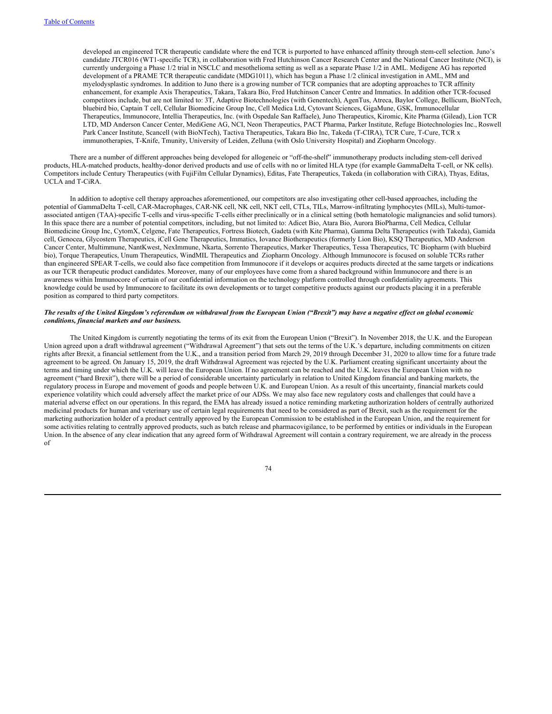developed an engineered TCR therapeutic candidate where the end TCR is purported to have enhanced affinity through stem-cell selection. Juno's candidate JTCR016 (WT1-specific TCR), in collaboration with Fred Hutchinson Cancer Research Center and the National Cancer Institute (NCI), is currently undergoing a Phase 1/2 trial in NSCLC and mesothelioma setting as well as a separate Phase 1/2 in AML. Medigene AG has reported development of a PRAME TCR therapeutic candidate (MDG1011), which has begun a Phase 1/2 clinical investigation in AML, MM and myelodysplastic syndromes. In addition to Juno there is a growing number of TCR companies that are adopting approaches to TCR affinity enhancement, for example Axis Therapeutics, Takara, Takara Bio, Fred Hutchinson Cancer Centre and Immatics. In addition other TCR-focused competitors include, but are not limited to: 3T, Adaptive Biotechnologies (with Genentech), AgenTus, Atreca, Baylor College, Bellicum, BioNTech, bluebird bio, Captain T cell, Cellular Biomedicine Group Inc, Cell Medica Ltd, Cytovant Sciences, GigaMune, GSK, Immunocellular Therapeutics, Immunocore, Intellia Therapeutics, Inc. (with Ospedale San Raffaele), Juno Therapeutics, Kiromic, Kite Pharma (Gilead), Lion TCR LTD, MD Anderson Cancer Center, MediGene AG, NCI, Neon Therapeutics, PACT Pharma, Parker Institute, Refuge Biotechnologies Inc., Roswell Park Cancer Institute, Scancell (with BioNTech), Tactiva Therapeutics, Takara Bio Inc, Takeda (T-CIRA), TCR Cure, T-Cure, TCR x immunotherapies, T-Knife, Tmunity, University of Leiden, Zelluna (with Oslo University Hospital) and Ziopharm Oncology.

There are a number of different approaches being developed for allogeneic or "off-the-shelf" immunotherapy products including stem-cell derived products, HLA-matched products, healthy-donor derived products and use of cells with no or limited HLA type (for example GammaDelta T-cell, or NK cells). Competitors include Century Therapeutics (with FujiFilm Cellular Dynamics), Editas, Fate Therapeutics, Takeda (in collaboration with CiRA), Thyas, Editas, UCLA and T-CiRA.

In addition to adoptive cell therapy approaches aforementioned, our competitors are also investigating other cell-based approaches, including the potential of GammaDelta T-cell, CAR-Macrophages, CAR-NK cell, NK cell, NKT cell, CTLs, TILs, Marrow-infiltrating lymphocytes (MILs), Multi-tumorassociated antigen (TAA)-specific T-cells and virus-specific T-cells either preclinically or in a clinical setting (both hematologic malignancies and solid tumors). In this space there are a number of potential competitors, including, but not limited to: Adicet Bio, Atara Bio, Aurora BioPharma, Cell Medica, Cellular Biomedicine Group Inc, CytomX, Celgene, Fate Therapeutics, Fortress Biotech, Gadeta (with Kite Pharma), Gamma Delta Therapeutics (with Takeda), Gamida cell, Genocea, Glycostem Therapeutics, iCell Gene Therapeutics, Immatics, Iovance Biotherapeutics (formerly Lion Bio), KSQ Therapeutics, MD Anderson Cancer Center, Multimmune, NantKwest, NexImmune, Nkarta, Sorrento Therapeutics, Marker Therapeutics, Tessa Therapeutics, TC Biopharm (with bluebird bio), Torque Therapeutics, Unum Therapeutics, WindMIL Therapeutics and Ziopharm Oncology. Although Immunocore is focused on soluble TCRs rather than engineered SPEAR T-cells, we could also face competition from Immunocore if it develops or acquires products directed at the same targets or indications as our TCR therapeutic product candidates. Moreover, many of our employees have come from a shared background within Immunocore and there is an awareness within Immunocore of certain of our confidential information on the technology platform controlled through confidentiality agreements. This knowledge could be used by Immunocore to facilitate its own developments or to target competitive products against our products placing it in a preferable position as compared to third party competitors.

#### The results of the United Kingdom's referendum on withdrawal from the European Union ("Brexit") may have a negative effect on global economic *conditions, financial markets and our business.*

The United Kingdom is currently negotiating the terms of its exit from the European Union ("Brexit"). In November 2018, the U.K. and the European Union agreed upon a draft withdrawal agreement ("Withdrawal Agreement") that sets out the terms of the U.K.'s departure, including commitments on citizen rights after Brexit, a financial settlement from the U.K., and a transition period from March 29, 2019 through December 31, 2020 to allow time for a future trade agreement to be agreed. On January 15, 2019, the draft Withdrawal Agreement was rejected by the U.K. Parliament creating significant uncertainty about the terms and timing under which the U.K. will leave the European Union. If no agreement can be reached and the U.K. leaves the European Union with no agreement ("hard Brexit"), there will be a period of considerable uncertainty particularly in relation to United Kingdom financial and banking markets, the regulatory process in Europe and movement of goods and people between U.K. and European Union. As a result of this uncertainty, financial markets could experience volatility which could adversely affect the market price of our ADSs. We may also face new regulatory costs and challenges that could have a material adverse effect on our operations. In this regard, the EMA has already issued a notice reminding marketing authorization holders of centrally authorized medicinal products for human and veterinary use of certain legal requirements that need to be considered as part of Brexit, such as the requirement for the marketing authorization holder of a product centrally approved by the European Commission to be established in the European Union, and the requirement for some activities relating to centrally approved products, such as batch release and pharmacovigilance, to be performed by entities or individuals in the European Union. In the absence of any clear indication that any agreed form of Withdrawal Agreement will contain a contrary requirement, we are already in the process of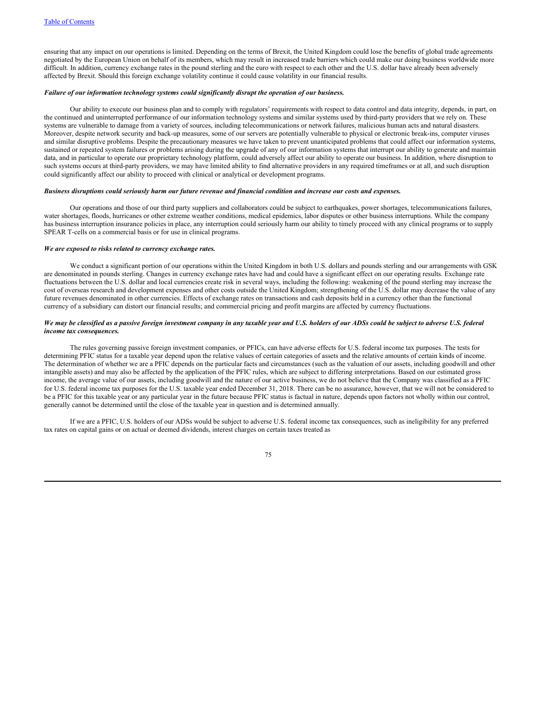ensuring that any impact on our operations is limited. Depending on the terms of Brexit, the United Kingdom could lose the benefits of global trade agreements negotiated by the European Union on behalf of its members, which may result in increased trade barriers which could make our doing business worldwide more difficult. In addition, currency exchange rates in the pound sterling and the euro with respect to each other and the U.S. dollar have already been adversely affected by Brexit. Should this foreign exchange volatility continue it could cause volatility in our financial results.

#### *Failure of our information technology systems could significantly disrupt the operation of our business.*

Our ability to execute our business plan and to comply with regulators' requirements with respect to data control and data integrity, depends, in part, on the continued and uninterrupted performance of our information technology systems and similar systems used by third-party providers that we rely on. These systems are vulnerable to damage from a variety of sources, including telecommunications or network failures, malicious human acts and natural disasters. Moreover, despite network security and back-up measures, some of our servers are potentially vulnerable to physical or electronic break-ins, computer viruses and similar disruptive problems. Despite the precautionary measures we have taken to prevent unanticipated problems that could affect our information systems, sustained or repeated system failures or problems arising during the upgrade of any of our information systems that interrupt our ability to generate and maintain data, and in particular to operate our proprietary technology platform, could adversely affect our ability to operate our business. In addition, where disruption to such systems occurs at third-party providers, we may have limited ability to find alternative providers in any required timeframes or at all, and such disruption could significantly affect our ability to proceed with clinical or analytical or development programs.

#### Business disruptions could seriously harm our future revenue and financial condition and increase our costs and expenses.

Our operations and those of our third party suppliers and collaborators could be subject to earthquakes, power shortages, telecommunications failures, water shortages, floods, hurricanes or other extreme weather conditions, medical epidemics, labor disputes or other business interruptions. While the company has business interruption insurance policies in place, any interruption could seriously harm our ability to timely proceed with any clinical programs or to supply SPEAR T-cells on a commercial basis or for use in clinical programs.

#### *We are exposed to risks related to currency exchange rates.*

We conduct a significant portion of our operations within the United Kingdom in both U.S. dollars and pounds sterling and our arrangements with GSK are denominated in pounds sterling. Changes in currency exchange rates have had and could have a significant effect on our operating results. Exchange rate fluctuations between the U.S. dollar and local currencies create risk in several ways, including the following: weakening of the pound sterling may increase the cost of overseas research and development expenses and other costs outside the United Kingdom; strengthening of the U.S. dollar may decrease the value of any future revenues denominated in other currencies. Effects of exchange rates on transactions and cash deposits held in a currency other than the functional currency of a subsidiary can distort our financial results; and commercial pricing and profit margins are affected by currency fluctuations.

#### We may be classified as a passive foreign investment company in any taxable year and U.S. holders of our ADSs could be subject to adverse U.S. federal *income tax consequences.*

The rules governing passive foreign investment companies, or PFICs, can have adverse effects for U.S. federal income tax purposes. The tests for determining PFIC status for a taxable year depend upon the relative values of certain categories of assets and the relative amounts of certain kinds of income. The determination of whether we are a PFIC depends on the particular facts and circumstances (such as the valuation of our assets, including goodwill and other intangible assets) and may also be affected by the application of the PFIC rules, which are subject to differing interpretations. Based on our estimated gross income, the average value of our assets, including goodwill and the nature of our active business, we do not believe that the Company was classified as a PFIC for U.S. federal income tax purposes for the U.S. taxable year ended December 31, 2018. There can be no assurance, however, that we will not be considered to be a PFIC for this taxable year or any particular year in the future because PFIC status is factual in nature, depends upon factors not wholly within our control, generally cannot be determined until the close of the taxable year in question and is determined annually.

If we are a PFIC, U.S. holders of our ADSs would be subject to adverse U.S. federal income tax consequences, such as ineligibility for any preferred tax rates on capital gains or on actual or deemed dividends, interest charges on certain taxes treated as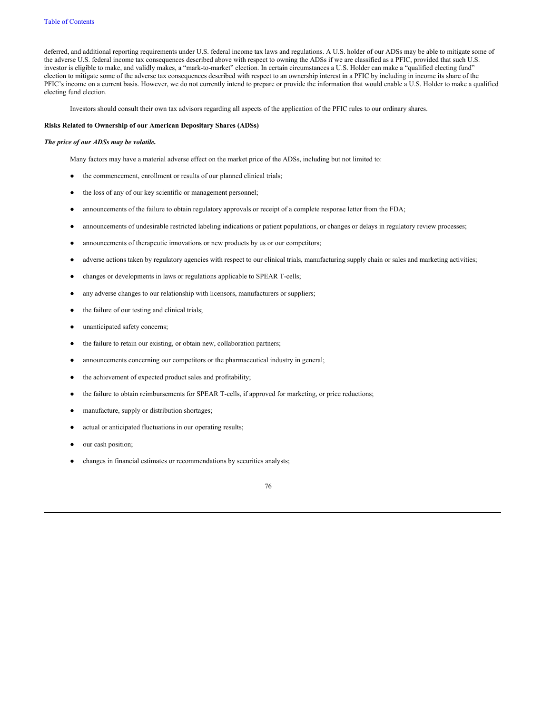deferred, and additional reporting requirements under U.S. federal income tax laws and regulations. A U.S. holder of our ADSs may be able to mitigate some of the adverse U.S. federal income tax consequences described above with respect to owning the ADSs if we are classified as a PFIC, provided that such U.S. investor is eligible to make, and validly makes, a "mark-to-market" election. In certain circumstances a U.S. Holder can make a "qualified electing fund" election to mitigate some of the adverse tax consequences described with respect to an ownership interest in a PFIC by including in income its share of the PFIC's income on a current basis. However, we do not currently intend to prepare or provide the information that would enable a U.S. Holder to make a qualified electing fund election.

Investors should consult their own tax advisors regarding all aspects of the application of the PFIC rules to our ordinary shares.

#### **Risks Related to Ownership of our American Depositary Shares (ADSs)**

#### *The price of our ADSs may be volatile.*

Many factors may have a material adverse effect on the market price of the ADSs, including but not limited to:

- the commencement, enrollment or results of our planned clinical trials;
- the loss of any of our key scientific or management personnel;
- announcements of the failure to obtain regulatory approvals or receipt of a complete response letter from the FDA;
- announcements of undesirable restricted labeling indications or patient populations, or changes or delays in regulatory review processes;
- announcements of therapeutic innovations or new products by us or our competitors;
- adverse actions taken by regulatory agencies with respect to our clinical trials, manufacturing supply chain or sales and marketing activities;
- changes or developments in laws or regulations applicable to SPEAR T-cells;
- any adverse changes to our relationship with licensors, manufacturers or suppliers;
- the failure of our testing and clinical trials;
- unanticipated safety concerns;
- the failure to retain our existing, or obtain new, collaboration partners;
- announcements concerning our competitors or the pharmaceutical industry in general;
- the achievement of expected product sales and profitability;
- the failure to obtain reimbursements for SPEAR T-cells, if approved for marketing, or price reductions;
- manufacture, supply or distribution shortages;
- actual or anticipated fluctuations in our operating results;
- our cash position;
- changes in financial estimates or recommendations by securities analysts;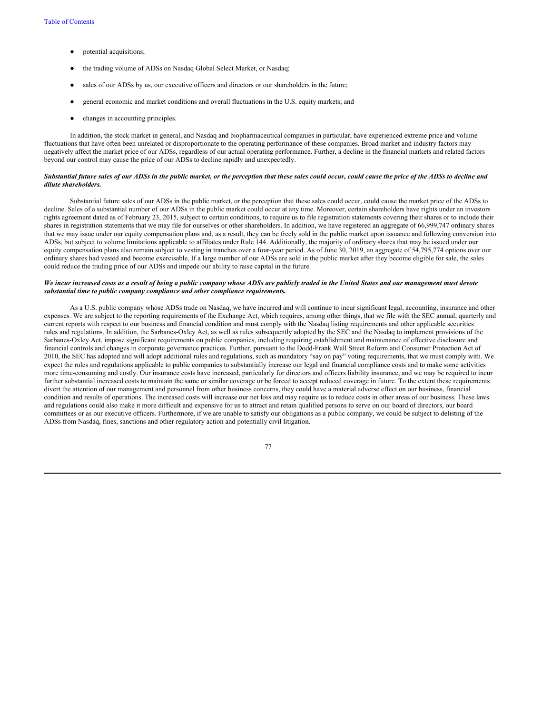- potential acquisitions;
- the trading volume of ADSs on Nasdaq Global Select Market, or Nasdaq;
- sales of our ADSs by us, our executive officers and directors or our shareholders in the future;
- general economic and market conditions and overall fluctuations in the U.S. equity markets; and
- changes in accounting principles.

In addition, the stock market in general, and Nasdaq and biopharmaceutical companies in particular, have experienced extreme price and volume fluctuations that have often been unrelated or disproportionate to the operating performance of these companies. Broad market and industry factors may negatively affect the market price of our ADSs, regardless of our actual operating performance. Further, a decline in the financial markets and related factors beyond our control may cause the price of our ADSs to decline rapidly and unexpectedly.

#### Substantial future sales of our ADSs in the public market, or the perception that these sales could occur, could cause the price of the ADSs to decline and *dilute shareholders.*

Substantial future sales of our ADSs in the public market, or the perception that these sales could occur, could cause the market price of the ADSs to decline. Sales of a substantial number of our ADSs in the public market could occur at any time. Moreover, certain shareholders have rights under an investors rights agreement dated as of February 23, 2015, subject to certain conditions, to require us to file registration statements covering their shares or to include their shares in registration statements that we may file for ourselves or other shareholders. In addition, we have registered an aggregate of 66,999,747 ordinary shares that we may issue under our equity compensation plans and, as a result, they can be freely sold in the public market upon issuance and following conversion into ADSs, but subject to volume limitations applicable to affiliates under Rule 144. Additionally, the majority of ordinary shares that may be issued under our equity compensation plans also remain subject to vesting in tranches over a four-year period. As of June 30, 2019, an aggregate of 54,795,774 options over our ordinary shares had vested and become exercisable. If a large number of our ADSs are sold in the public market after they become eligible for sale, the sales could reduce the trading price of our ADSs and impede our ability to raise capital in the future.

#### We incur increased costs as a result of being a public company whose ADSs are publicly traded in the United States and our management must devote *substantial time to public company compliance and other compliance requirements.*

As a U.S. public company whose ADSs trade on Nasdaq, we have incurred and will continue to incur significant legal, accounting, insurance and other expenses. We are subject to the reporting requirements of the Exchange Act, which requires, among other things, that we file with the SEC annual, quarterly and current reports with respect to our business and financial condition and must comply with the Nasdaq listing requirements and other applicable securities rules and regulations. In addition, the Sarbanes-Oxley Act, as well as rules subsequently adopted by the SEC and the Nasdaq to implement provisions of the Sarbanes-Oxley Act, impose significant requirements on public companies, including requiring establishment and maintenance of effective disclosure and financial controls and changes in corporate governance practices. Further, pursuant to the Dodd-Frank Wall Street Reform and Consumer Protection Act of 2010, the SEC has adopted and will adopt additional rules and regulations, such as mandatory "say on pay" voting requirements, that we must comply with. We expect the rules and regulations applicable to public companies to substantially increase our legal and financial compliance costs and to make some activities more time-consuming and costly. Our insurance costs have increased, particularly for directors and officers liability insurance, and we may be required to incur further substantial increased costs to maintain the same or similar coverage or be forced to accept reduced coverage in future. To the extent these requirements divert the attention of our management and personnel from other business concerns, they could have a material adverse effect on our business, financial condition and results of operations. The increased costs will increase our net loss and may require us to reduce costs in other areas of our business. These laws and regulations could also make it more difficult and expensive for us to attract and retain qualified persons to serve on our board of directors, our board committees or as our executive officers. Furthermore, if we are unable to satisfy our obligations as a public company, we could be subject to delisting of the ADSs from Nasdaq, fines, sanctions and other regulatory action and potentially civil litigation.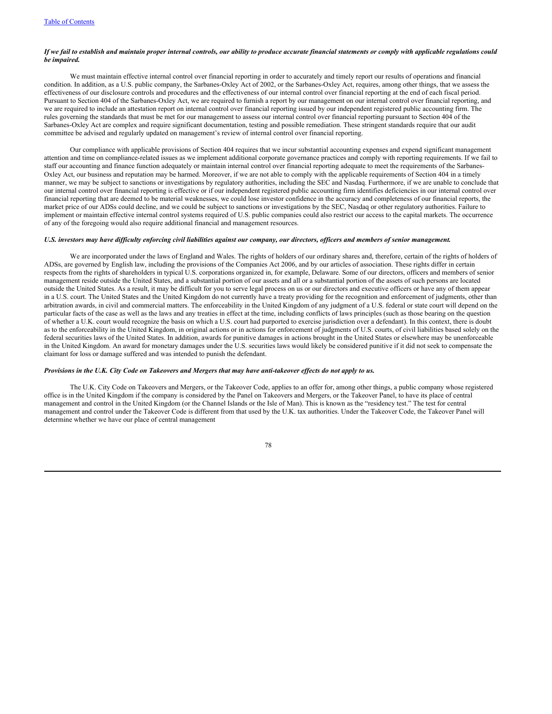#### If we fail to establish and maintain proper internal controls, our ability to produce accurate financial statements or comply with applicable regulations could *be impaired.*

We must maintain effective internal control over financial reporting in order to accurately and timely report our results of operations and financial condition. In addition, as a U.S. public company, the Sarbanes-Oxley Act of 2002, or the Sarbanes-Oxley Act, requires, among other things, that we assess the effectiveness of our disclosure controls and procedures and the effectiveness of our internal control over financial reporting at the end of each fiscal period. Pursuant to Section 404 of the Sarbanes-Oxley Act, we are required to furnish a report by our management on our internal control over financial reporting, and we are required to include an attestation report on internal control over financial reporting issued by our independent registered public accounting firm. The rules governing the standards that must be met for our management to assess our internal control over financial reporting pursuant to Section 404 of the Sarbanes-Oxley Act are complex and require significant documentation, testing and possible remediation. These stringent standards require that our audit committee be advised and regularly updated on management's review of internal control over financial reporting.

Our compliance with applicable provisions of Section 404 requires that we incur substantial accounting expenses and expend significant management attention and time on compliance-related issues as we implement additional corporate governance practices and comply with reporting requirements. If we fail to staff our accounting and finance function adequately or maintain internal control over financial reporting adequate to meet the requirements of the Sarbanes-Oxley Act, our business and reputation may be harmed. Moreover, if we are not able to comply with the applicable requirements of Section 404 in a timely manner, we may be subject to sanctions or investigations by regulatory authorities, including the SEC and Nasdaq. Furthermore, if we are unable to conclude that our internal control over financial reporting is effective or if our independent registered public accounting firm identifies deficiencies in our internal control over financial reporting that are deemed to be material weaknesses, we could lose investor confidence in the accuracy and completeness of our financial reports, the market price of our ADSs could decline, and we could be subject to sanctions or investigations by the SEC, Nasdaq or other regulatory authorities. Failure to implement or maintain effective internal control systems required of U.S. public companies could also restrict our access to the capital markets. The occurrence of any of the foregoing would also require additional financial and management resources.

#### U.S. investors may have difficulty enforcing civil liabilities against our company, our directors, officers and members of senior management.

We are incorporated under the laws of England and Wales. The rights of holders of our ordinary shares and, therefore, certain of the rights of holders of ADSs, are governed by English law, including the provisions of the Companies Act 2006, and by our articles of association. These rights differ in certain respects from the rights of shareholders in typical U.S. corporations organized in, for example, Delaware. Some of our directors, officers and members of senior management reside outside the United States, and a substantial portion of our assets and all or a substantial portion of the assets of such persons are located outside the United States. As a result, it may be difficult for you to serve legal process on us or our directors and executive officers or have any of them appear in a U.S. court. The United States and the United Kingdom do not currently have a treaty providing for the recognition and enforcement of judgments, other than arbitration awards, in civil and commercial matters. The enforceability in the United Kingdom of any judgment of a U.S. federal or state court will depend on the particular facts of the case as well as the laws and any treaties in effect at the time, including conflicts of laws principles (such as those bearing on the question of whether a U.K. court would recognize the basis on which a U.S. court had purported to exercise jurisdiction over a defendant). In this context, there is doubt as to the enforceability in the United Kingdom, in original actions or in actions for enforcement of judgments of U.S. courts, of civil liabilities based solely on the federal securities laws of the United States. In addition, awards for punitive damages in actions brought in the United States or elsewhere may be unenforceable in the United Kingdom. An award for monetary damages under the U.S. securities laws would likely be considered punitive if it did not seek to compensate the claimant for loss or damage suffered and was intended to punish the defendant.

#### Provisions in the U.K. City Code on Takeovers and Mergers that may have anti-takeover effects do not apply to us.

The U.K. City Code on Takeovers and Mergers, or the Takeover Code, applies to an offer for, among other things, a public company whose registered office is in the United Kingdom if the company is considered by the Panel on Takeovers and Mergers, or the Takeover Panel, to have its place of central management and control in the United Kingdom (or the Channel Islands or the Isle of Man). This is known as the "residency test." The test for central management and control under the Takeover Code is different from that used by the U.K. tax authorities. Under the Takeover Code, the Takeover Panel will determine whether we have our place of central management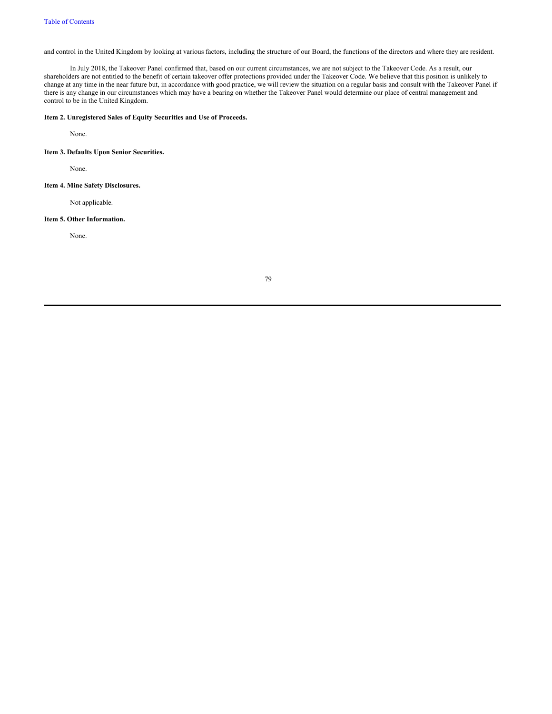and control in the United Kingdom by looking at various factors, including the structure of our Board, the functions of the directors and where they are resident.

In July 2018, the Takeover Panel confirmed that, based on our current circumstances, we are not subject to the Takeover Code. As a result, our shareholders are not entitled to the benefit of certain takeover offer protections provided under the Takeover Code. We believe that this position is unlikely to change at any time in the near future but, in accordance with good practice, we will review the situation on a regular basis and consult with the Takeover Panel if there is any change in our circumstances which may have a bearing on whether the Takeover Panel would determine our place of central management and control to be in the United Kingdom.

# **Item 2. Unregistered Sales of Equity Securities and Use of Proceeds.**

None.

**Item 3. Defaults Upon Senior Securities.**

None.

#### **Item 4. Mine Safety Disclosures.**

Not applicable.

# **Item 5. Other Information.**

None.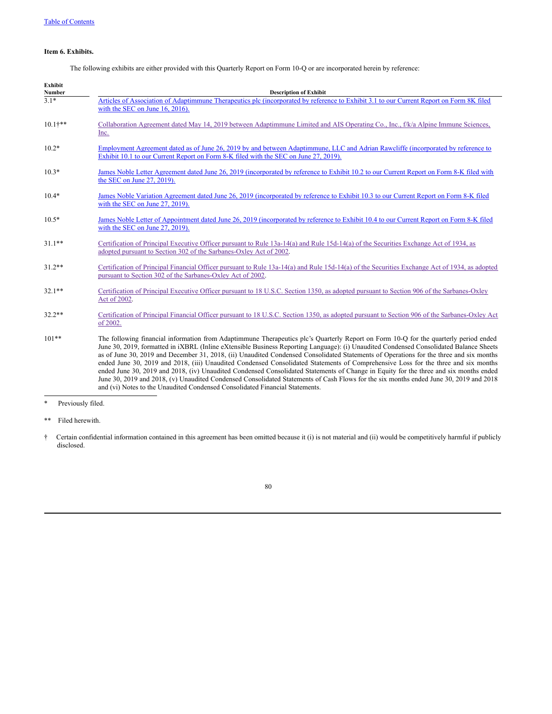# **Item 6. Exhibits.**

The following exhibits are either provided with this Quarterly Report on Form 10-Q or are incorporated herein by reference:

| <b>Exhibit</b><br>Number | <b>Description of Exhibit</b>                                                                                                                                                                                                                                                                                                                                                                                                                                                                                                                                                                                                                                                                                                                                                                                                                                                                                                    |
|--------------------------|----------------------------------------------------------------------------------------------------------------------------------------------------------------------------------------------------------------------------------------------------------------------------------------------------------------------------------------------------------------------------------------------------------------------------------------------------------------------------------------------------------------------------------------------------------------------------------------------------------------------------------------------------------------------------------------------------------------------------------------------------------------------------------------------------------------------------------------------------------------------------------------------------------------------------------|
| $3.1*$                   | Articles of Association of Adaptimmune Therapeutics plc (incorporated by reference to Exhibit 3.1 to our Current Report on Form 8K filed<br>with the SEC on June 16, 2016).                                                                                                                                                                                                                                                                                                                                                                                                                                                                                                                                                                                                                                                                                                                                                      |
| $10.1$ <sup>***</sup>    | Collaboration Agreement dated May 14, 2019 between Adaptimmune Limited and AIS Operating Co., Inc., f/k/a Alpine Immune Sciences,<br>Inc.                                                                                                                                                                                                                                                                                                                                                                                                                                                                                                                                                                                                                                                                                                                                                                                        |
| $10.2*$                  | Employment Agreement dated as of June 26, 2019 by and between Adaptimmune, LLC and Adrian Rawcliffe (incorporated by reference to<br>Exhibit 10.1 to our Current Report on Form 8-K filed with the SEC on June 27, 2019).                                                                                                                                                                                                                                                                                                                                                                                                                                                                                                                                                                                                                                                                                                        |
| $10.3*$                  | James Noble Letter Agreement dated June 26, 2019 (incorporated by reference to Exhibit 10.2 to our Current Report on Form 8-K filed with<br>the SEC on June 27, 2019).                                                                                                                                                                                                                                                                                                                                                                                                                                                                                                                                                                                                                                                                                                                                                           |
| $10.4*$                  | James Noble Variation Agreement dated June 26, 2019 (incorporated by reference to Exhibit 10.3 to our Current Report on Form 8-K filed<br>with the SEC on June 27, 2019).                                                                                                                                                                                                                                                                                                                                                                                                                                                                                                                                                                                                                                                                                                                                                        |
| $10.5*$                  | James Noble Letter of Appointment dated June 26, 2019 (incorporated by reference to Exhibit 10.4 to our Current Report on Form 8-K filed<br>with the SEC on June 27, 2019).                                                                                                                                                                                                                                                                                                                                                                                                                                                                                                                                                                                                                                                                                                                                                      |
| $31.1**$                 | Certification of Principal Executive Officer pursuant to Rule 13a-14(a) and Rule 15d-14(a) of the Securities Exchange Act of 1934, as<br>adopted pursuant to Section 302 of the Sarbanes-Oxley Act of 2002.                                                                                                                                                                                                                                                                                                                                                                                                                                                                                                                                                                                                                                                                                                                      |
| $31.2**$                 | Certification of Principal Financial Officer pursuant to Rule 13a-14(a) and Rule 15d-14(a) of the Securities Exchange Act of 1934, as adopted<br>pursuant to Section 302 of the Sarbanes-Oxley Act of 2002.                                                                                                                                                                                                                                                                                                                                                                                                                                                                                                                                                                                                                                                                                                                      |
| $32.1**$                 | Certification of Principal Executive Officer pursuant to 18 U.S.C. Section 1350, as adopted pursuant to Section 906 of the Sarbanes-Oxley<br>Act of 2002.                                                                                                                                                                                                                                                                                                                                                                                                                                                                                                                                                                                                                                                                                                                                                                        |
| $32.2**$                 | Certification of Principal Financial Officer pursuant to 18 U.S.C. Section 1350, as adopted pursuant to Section 906 of the Sarbanes-Oxley Act<br>of 2002.                                                                                                                                                                                                                                                                                                                                                                                                                                                                                                                                                                                                                                                                                                                                                                        |
| $101**$                  | The following financial information from Adaptimmune Therapeutics plc's Quarterly Report on Form 10-Q for the quarterly period ended<br>June 30, 2019, formatted in iXBRL (Inline eXtensible Business Reporting Language): (i) Unaudited Condensed Consolidated Balance Sheets<br>as of June 30, 2019 and December 31, 2018, (ii) Unaudited Condensed Consolidated Statements of Operations for the three and six months<br>ended June 30, 2019 and 2018, (iii) Unaudited Condensed Consolidated Statements of Comprehensive Loss for the three and six months<br>ended June 30, 2019 and 2018, (iv) Unaudited Condensed Consolidated Statements of Change in Equity for the three and six months ended<br>June 30, 2019 and 2018, (v) Unaudited Condensed Consolidated Statements of Cash Flows for the six months ended June 30, 2019 and 2018<br>and (vi) Notes to the Unaudited Condensed Consolidated Financial Statements. |

\* Previously filed.

\*\* Filed herewith.

† Certain confidential information contained in this agreement has been omitted because it (i) is not material and (ii) would be competitively harmful if publicly disclosed.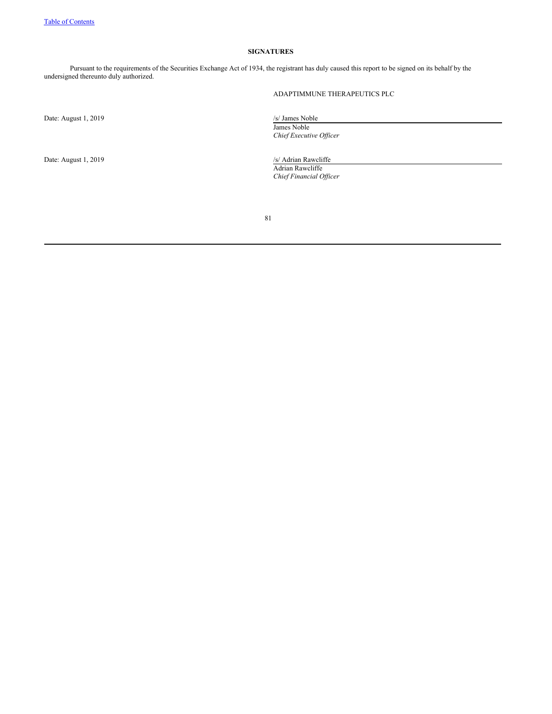# **SIGNATURES**

Pursuant to the requirements of the Securities Exchange Act of 1934, the registrant has duly caused this report to be signed on its behalf by the undersigned thereunto duly authorized.

# ADAPTIMMUNE THERAPEUTICS PLC

Date: August 1, 2019 /s/ James Noble

Date: August 1, 2019 /s/ Adrian Rawcliffe

James Noble *Chief Executive Of icer*

Adrian Rawcliffe *Chief Financial Of icer*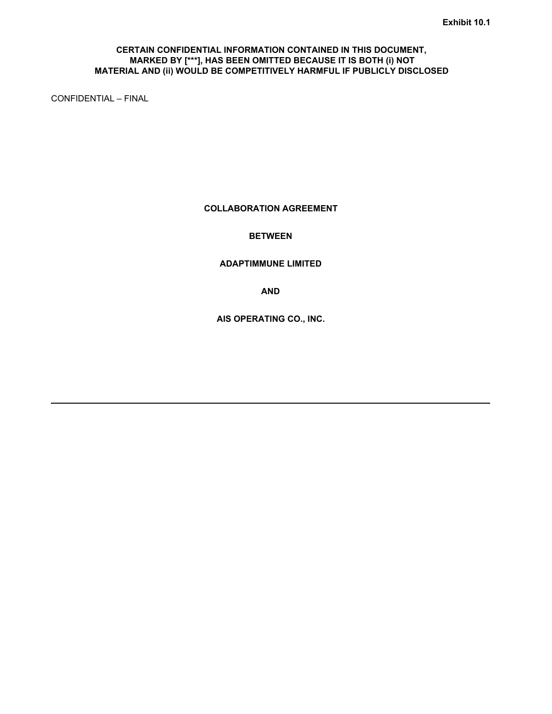# **CERTAIN CONFIDENTIAL INFORMATION CONTAINED IN THIS DOCUMENT, MARKED BY [\*\*\*], HAS BEEN OMITTED BECAUSE IT IS BOTH (i) NOT MATERIAL AND (ii) WOULD BE COMPETITIVELY HARMFUL IF PUBLICLY DISCLOSED**

CONFIDENTIAL – FINAL

# **COLLABORATION AGREEMENT**

# **BETWEEN**

# **ADAPTIMMUNE LIMITED**

**AND**

**AIS OPERATING CO., INC.**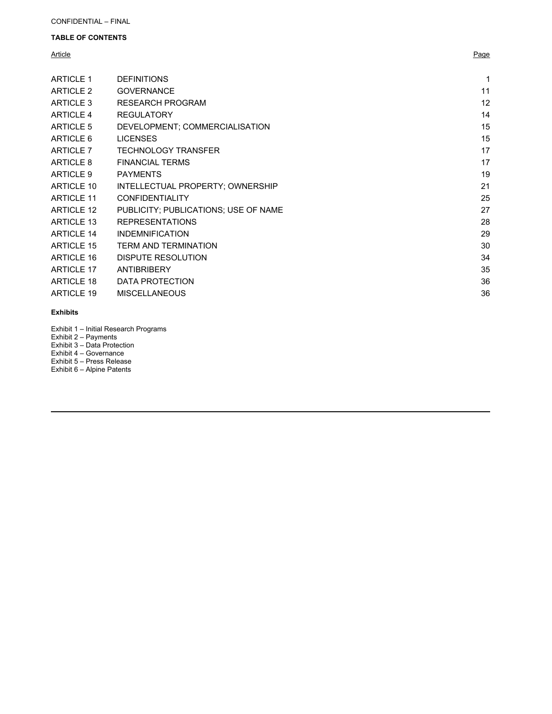# **TABLE OF CONTENTS**

## Article **Article** Page 2014 **Page 2014** Page 2014 12:00 Page 2014 2014 2015 2016 2017 2018 2019 2014 2015 2016

| <b>ARTICLE 1</b>  | <b>DEFINITIONS</b>                   | 1  |
|-------------------|--------------------------------------|----|
| <b>ARTICLE 2</b>  | <b>GOVERNANCE</b>                    | 11 |
| ARTICLE 3         | <b>RESEARCH PROGRAM</b>              | 12 |
| <b>ARTICLE 4</b>  | <b>REGULATORY</b>                    | 14 |
| ARTICLE 5         | DEVELOPMENT; COMMERCIALISATION       | 15 |
| ARTICLE 6         | <b>LICENSES</b>                      | 15 |
| <b>ARTICLE 7</b>  | <b>TECHNOLOGY TRANSFER</b>           | 17 |
| ARTICLE 8         | <b>FINANCIAL TERMS</b>               | 17 |
| ARTICLE 9         | <b>PAYMENTS</b>                      | 19 |
| ARTICLE 10        | INTELLECTUAL PROPERTY; OWNERSHIP     | 21 |
| <b>ARTICLE 11</b> | <b>CONFIDENTIALITY</b>               | 25 |
| <b>ARTICLE 12</b> | PUBLICITY; PUBLICATIONS; USE OF NAME | 27 |
| ARTICLE 13        | <b>REPRESENTATIONS</b>               | 28 |
| <b>ARTICLE 14</b> | <b>INDEMNIFICATION</b>               | 29 |
| <b>ARTICLE 15</b> | <b>TERM AND TERMINATION</b>          | 30 |
| <b>ARTICLE 16</b> | <b>DISPUTE RESOLUTION</b>            | 34 |
| <b>ARTICLE 17</b> | ANTIBRIBERY                          | 35 |
| <b>ARTICLE 18</b> | DATA PROTECTION                      | 36 |
| <b>ARTICLE 19</b> | <b>MISCELLANEOUS</b>                 | 36 |
|                   |                                      |    |

# **Exhibits**

Exhibit 1 – Initial Research Programs

Exhibit 2 – Payments

Exhibit 3 – Data Protection Exhibit 4 – Governance

Exhibit 5 – Press Release

Exhibit 6 – Alpine Patents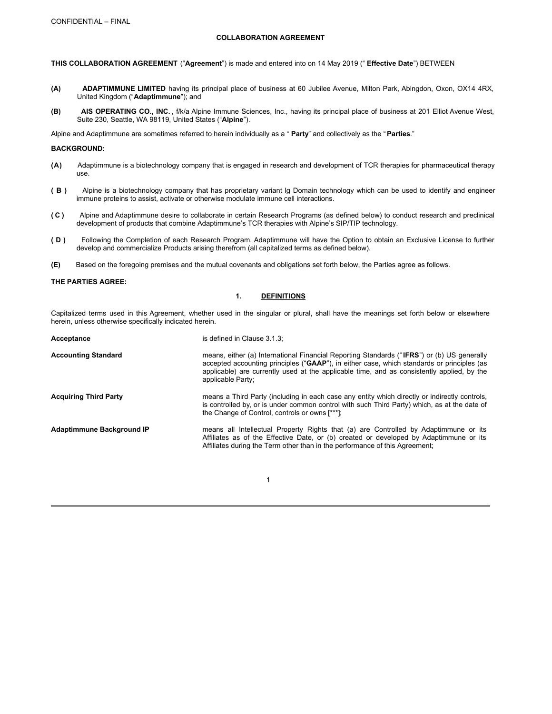## **COLLABORATION AGREEMENT**

**THIS COLLABORATION AGREEMENT** ("**Agreement**") is made and entered into on 14 May 2019 (" **Effective Date**") BETWEEN

- **(A) ADAPTIMMUNE LIMITED** having its principal place of business at 60 Jubilee Avenue, Milton Park, Abingdon, Oxon, OX14 4RX, United Kingdom ("**Adaptimmune**"); and
- **(B) AIS OPERATING CO., INC.** , f/k/a Alpine Immune Sciences, Inc., having its principal place of business at 201 Elliot Avenue West, Suite 230, Seattle, WA 98119, United States ("**Alpine**").

Alpine and Adaptimmune are sometimes referred to herein individually as a " **Party**" and collectively as the "**Parties**."

# **BACKGROUND:**

- **(A)** Adaptimmune is a biotechnology company that is engaged in research and development of TCR therapies for pharmaceutical therapy use.
- **( B )** Alpine is a biotechnology company that has proprietary variant lg Domain technology which can be used to identify and engineer immune proteins to assist, activate or otherwise modulate immune cell interactions.
- **( C )** Alpine and Adaptimmune desire to collaborate in certain Research Programs (as defined below) to conduct research and preclinical development of products that combine Adaptimmune's TCR therapies with Alpine's SIP/TIP technology.
- **( D )** Following the Completion of each Research Program, Adaptimmune will have the Option to obtain an Exclusive License to further develop and commercialize Products arising therefrom (all capitalized terms as defined below).
- **(E)** Based on the foregoing premises and the mutual covenants and obligations set forth below, the Parties agree as follows.

**THE PARTIES AGREE:**

# **1. DEFINITIONS**

Capitalized terms used in this Agreement, whether used in the singular or plural, shall have the meanings set forth below or elsewhere herein, unless otherwise specifically indicated herein.

| Acceptance                   | is defined in Clause 3.1.3:                                                                                                                                                                                                                                                                                 |
|------------------------------|-------------------------------------------------------------------------------------------------------------------------------------------------------------------------------------------------------------------------------------------------------------------------------------------------------------|
| <b>Accounting Standard</b>   | means, either (a) International Financial Reporting Standards ("IFRS") or (b) US generally<br>accepted accounting principles ("GAAP"), in either case, which standards or principles (as<br>applicable) are currently used at the applicable time, and as consistently applied, by the<br>applicable Party; |
| <b>Acquiring Third Party</b> | means a Third Party (including in each case any entity which directly or indirectly controls,<br>is controlled by, or is under common control with such Third Party) which, as at the date of<br>the Change of Control, controls or owns [***];                                                             |
| Adaptimmune Background IP    | means all Intellectual Property Rights that (a) are Controlled by Adaptimmune or its<br>Affiliates as of the Effective Date, or (b) created or developed by Adaptimmune or its<br>Affiliates during the Term other than in the performance of this Agreement;                                               |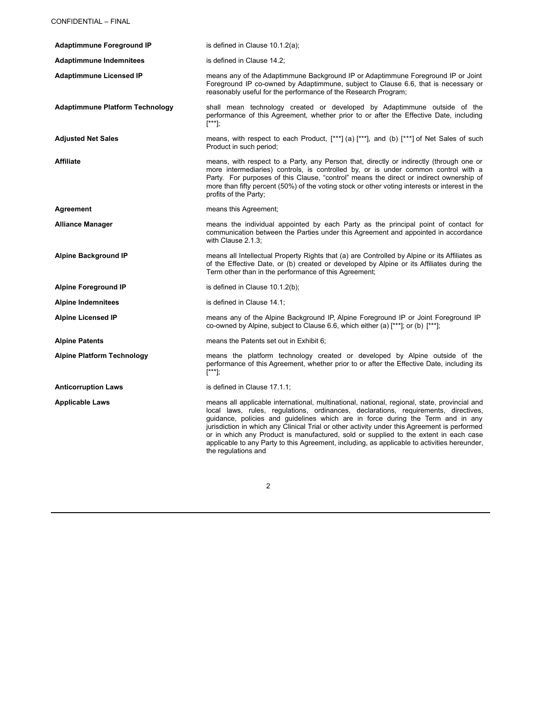| <b>Adaptimmune Foreground IP</b>       | is defined in Clause 10.1.2(a);                                                                                                                                                                                                                                                                                                                                                                                                                                                                                                                                                       |
|----------------------------------------|---------------------------------------------------------------------------------------------------------------------------------------------------------------------------------------------------------------------------------------------------------------------------------------------------------------------------------------------------------------------------------------------------------------------------------------------------------------------------------------------------------------------------------------------------------------------------------------|
| <b>Adaptimmune Indemnitees</b>         | is defined in Clause 14.2;                                                                                                                                                                                                                                                                                                                                                                                                                                                                                                                                                            |
| <b>Adaptimmune Licensed IP</b>         | means any of the Adaptimmune Background IP or Adaptimmune Foreground IP or Joint<br>Foreground IP co-owned by Adaptimmune, subject to Clause 6.6, that is necessary or<br>reasonably useful for the performance of the Research Program;                                                                                                                                                                                                                                                                                                                                              |
| <b>Adaptimmune Platform Technology</b> | shall mean technology created or developed by Adaptimmune outside of the<br>performance of this Agreement, whether prior to or after the Effective Date, including<br>[***];                                                                                                                                                                                                                                                                                                                                                                                                          |
| <b>Adjusted Net Sales</b>              | means, with respect to each Product, [***] (a) [***], and (b) [***] of Net Sales of such<br>Product in such period;                                                                                                                                                                                                                                                                                                                                                                                                                                                                   |
| <b>Affiliate</b>                       | means, with respect to a Party, any Person that, directly or indirectly (through one or<br>more intermediaries) controls, is controlled by, or is under common control with a<br>Party. For purposes of this Clause, "control" means the direct or indirect ownership of<br>more than fifty percent (50%) of the voting stock or other voting interests or interest in the<br>profits of the Party;                                                                                                                                                                                   |
| Agreement                              | means this Agreement:                                                                                                                                                                                                                                                                                                                                                                                                                                                                                                                                                                 |
| <b>Alliance Manager</b>                | means the individual appointed by each Party as the principal point of contact for<br>communication between the Parties under this Agreement and appointed in accordance<br>with Clause 2.1.3;                                                                                                                                                                                                                                                                                                                                                                                        |
| <b>Alpine Background IP</b>            | means all Intellectual Property Rights that (a) are Controlled by Alpine or its Affiliates as<br>of the Effective Date, or (b) created or developed by Alpine or its Affiliates during the<br>Term other than in the performance of this Agreement;                                                                                                                                                                                                                                                                                                                                   |
| <b>Alpine Foreground IP</b>            | is defined in Clause 10.1.2(b);                                                                                                                                                                                                                                                                                                                                                                                                                                                                                                                                                       |
| <b>Alpine Indemnitees</b>              | is defined in Clause 14.1;                                                                                                                                                                                                                                                                                                                                                                                                                                                                                                                                                            |
| <b>Alpine Licensed IP</b>              | means any of the Alpine Background IP, Alpine Foreground IP or Joint Foreground IP<br>co-owned by Alpine, subject to Clause 6.6, which either (a) [***]; or (b) [***];                                                                                                                                                                                                                                                                                                                                                                                                                |
| <b>Alpine Patents</b>                  | means the Patents set out in Exhibit 6;                                                                                                                                                                                                                                                                                                                                                                                                                                                                                                                                               |
| <b>Alpine Platform Technology</b>      | means the platform technology created or developed by Alpine outside of the<br>performance of this Agreement, whether prior to or after the Effective Date, including its<br>$\left[\begin{smallmatrix} \star \star \star \\ & \end{smallmatrix}\right];$                                                                                                                                                                                                                                                                                                                             |
| <b>Anticorruption Laws</b>             | is defined in Clause 17.1.1;                                                                                                                                                                                                                                                                                                                                                                                                                                                                                                                                                          |
| <b>Applicable Laws</b>                 | means all applicable international, multinational, national, regional, state, provincial and<br>local laws, rules, regulations, ordinances, declarations, requirements, directives,<br>guidance, policies and guidelines which are in force during the Term and in any<br>jurisdiction in which any Clinical Trial or other activity under this Agreement is performed<br>or in which any Product is manufactured, sold or supplied to the extent in each case<br>applicable to any Party to this Agreement, including, as applicable to activities hereunder,<br>the regulations and |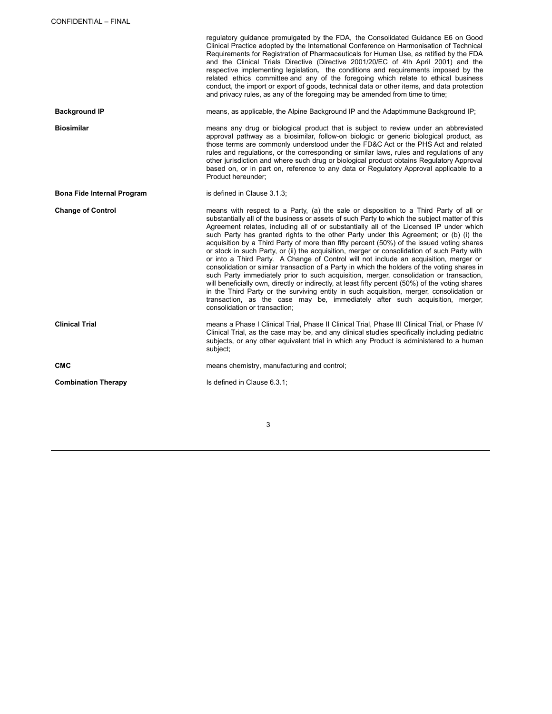|                                   | regulatory guidance promulgated by the FDA, the Consolidated Guidance E6 on Good<br>Clinical Practice adopted by the International Conference on Harmonisation of Technical<br>Requirements for Registration of Pharmaceuticals for Human Use, as ratified by the FDA<br>and the Clinical Trials Directive (Directive 2001/20/EC of 4th April 2001) and the<br>respective implementing legislation, the conditions and requirements imposed by the<br>related ethics committee and any of the foregoing which relate to ethical business<br>conduct, the import or export of goods, technical data or other items, and data protection<br>and privacy rules, as any of the foregoing may be amended from time to time;                                                                                                                                                                                                                                                                                                                                                                                                                                                      |
|-----------------------------------|-----------------------------------------------------------------------------------------------------------------------------------------------------------------------------------------------------------------------------------------------------------------------------------------------------------------------------------------------------------------------------------------------------------------------------------------------------------------------------------------------------------------------------------------------------------------------------------------------------------------------------------------------------------------------------------------------------------------------------------------------------------------------------------------------------------------------------------------------------------------------------------------------------------------------------------------------------------------------------------------------------------------------------------------------------------------------------------------------------------------------------------------------------------------------------|
| <b>Background IP</b>              | means, as applicable, the Alpine Background IP and the Adaptimmune Background IP;                                                                                                                                                                                                                                                                                                                                                                                                                                                                                                                                                                                                                                                                                                                                                                                                                                                                                                                                                                                                                                                                                           |
| <b>Biosimilar</b>                 | means any drug or biological product that is subject to review under an abbreviated<br>approval pathway as a biosimilar, follow-on biologic or generic biological product, as<br>those terms are commonly understood under the FD&C Act or the PHS Act and related<br>rules and regulations, or the corresponding or similar laws, rules and regulations of any<br>other jurisdiction and where such drug or biological product obtains Regulatory Approval<br>based on, or in part on, reference to any data or Regulatory Approval applicable to a<br>Product hereunder;                                                                                                                                                                                                                                                                                                                                                                                                                                                                                                                                                                                                  |
| <b>Bona Fide Internal Program</b> | is defined in Clause 3.1.3;                                                                                                                                                                                                                                                                                                                                                                                                                                                                                                                                                                                                                                                                                                                                                                                                                                                                                                                                                                                                                                                                                                                                                 |
| <b>Change of Control</b>          | means with respect to a Party, (a) the sale or disposition to a Third Party of all or<br>substantially all of the business or assets of such Party to which the subject matter of this<br>Agreement relates, including all of or substantially all of the Licensed IP under which<br>such Party has granted rights to the other Party under this Agreement; or (b) (i) the<br>acquisition by a Third Party of more than fifty percent (50%) of the issued voting shares<br>or stock in such Party, or (ii) the acquisition, merger or consolidation of such Party with<br>or into a Third Party. A Change of Control will not include an acquisition, merger or<br>consolidation or similar transaction of a Party in which the holders of the voting shares in<br>such Party immediately prior to such acquisition, merger, consolidation or transaction,<br>will beneficially own, directly or indirectly, at least fifty percent (50%) of the voting shares<br>in the Third Party or the surviving entity in such acquisition, merger, consolidation or<br>transaction, as the case may be, immediately after such acquisition, merger,<br>consolidation or transaction; |
| <b>Clinical Trial</b>             | means a Phase I Clinical Trial, Phase II Clinical Trial, Phase III Clinical Trial, or Phase IV<br>Clinical Trial, as the case may be, and any clinical studies specifically including pediatric<br>subjects, or any other equivalent trial in which any Product is administered to a human<br>subject;                                                                                                                                                                                                                                                                                                                                                                                                                                                                                                                                                                                                                                                                                                                                                                                                                                                                      |
| <b>CMC</b>                        | means chemistry, manufacturing and control;                                                                                                                                                                                                                                                                                                                                                                                                                                                                                                                                                                                                                                                                                                                                                                                                                                                                                                                                                                                                                                                                                                                                 |
| <b>Combination Therapy</b>        | Is defined in Clause 6.3.1;                                                                                                                                                                                                                                                                                                                                                                                                                                                                                                                                                                                                                                                                                                                                                                                                                                                                                                                                                                                                                                                                                                                                                 |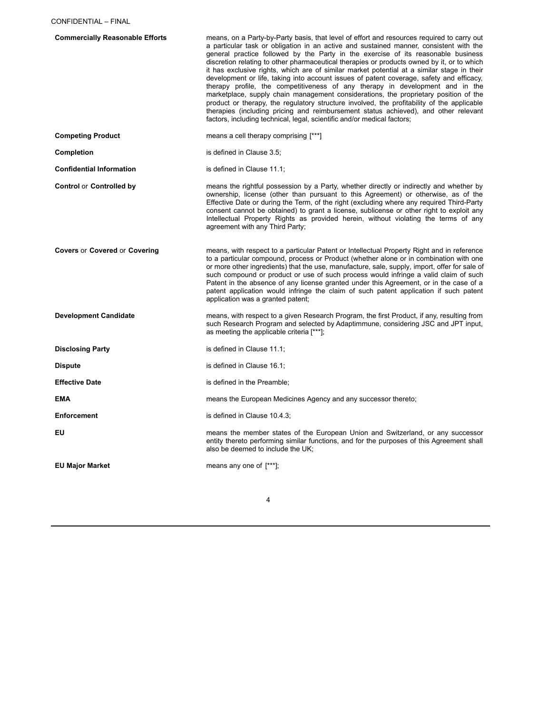| <b>Commercially Reasonable Efforts</b> | means, on a Party-by-Party basis, that level of effort and resources required to carry out<br>a particular task or obligation in an active and sustained manner, consistent with the<br>general practice followed by the Party in the exercise of its reasonable business<br>discretion relating to other pharmaceutical therapies or products owned by it, or to which<br>it has exclusive rights, which are of similar market potential at a similar stage in their<br>development or life, taking into account issues of patent coverage, safety and efficacy,<br>therapy profile, the competitiveness of any therapy in development and in the<br>marketplace, supply chain management considerations, the proprietary position of the<br>product or therapy, the regulatory structure involved, the profitability of the applicable<br>therapies (including pricing and reimbursement status achieved), and other relevant<br>factors, including technical, legal, scientific and/or medical factors; |
|----------------------------------------|------------------------------------------------------------------------------------------------------------------------------------------------------------------------------------------------------------------------------------------------------------------------------------------------------------------------------------------------------------------------------------------------------------------------------------------------------------------------------------------------------------------------------------------------------------------------------------------------------------------------------------------------------------------------------------------------------------------------------------------------------------------------------------------------------------------------------------------------------------------------------------------------------------------------------------------------------------------------------------------------------------|
| <b>Competing Product</b>               | means a cell therapy comprising [***]                                                                                                                                                                                                                                                                                                                                                                                                                                                                                                                                                                                                                                                                                                                                                                                                                                                                                                                                                                      |
| <b>Completion</b>                      | is defined in Clause 3.5;                                                                                                                                                                                                                                                                                                                                                                                                                                                                                                                                                                                                                                                                                                                                                                                                                                                                                                                                                                                  |
| <b>Confidential Information</b>        | is defined in Clause 11.1;                                                                                                                                                                                                                                                                                                                                                                                                                                                                                                                                                                                                                                                                                                                                                                                                                                                                                                                                                                                 |
| <b>Control or Controlled by</b>        | means the rightful possession by a Party, whether directly or indirectly and whether by<br>ownership, license (other than pursuant to this Agreement) or otherwise, as of the<br>Effective Date or during the Term, of the right (excluding where any required Third-Party<br>consent cannot be obtained) to grant a license, sublicense or other right to exploit any<br>Intellectual Property Rights as provided herein, without violating the terms of any<br>agreement with any Third Party;                                                                                                                                                                                                                                                                                                                                                                                                                                                                                                           |
| <b>Covers or Covered or Covering</b>   | means, with respect to a particular Patent or Intellectual Property Right and in reference<br>to a particular compound, process or Product (whether alone or in combination with one<br>or more other ingredients) that the use, manufacture, sale, supply, import, offer for sale of<br>such compound or product or use of such process would infringe a valid claim of such<br>Patent in the absence of any license granted under this Agreement, or in the case of a<br>patent application would infringe the claim of such patent application if such patent<br>application was a granted patent;                                                                                                                                                                                                                                                                                                                                                                                                      |
| <b>Development Candidate</b>           | means, with respect to a given Research Program, the first Product, if any, resulting from<br>such Research Program and selected by Adaptimmune, considering JSC and JPT input,<br>as meeting the applicable criteria [***];                                                                                                                                                                                                                                                                                                                                                                                                                                                                                                                                                                                                                                                                                                                                                                               |
| <b>Disclosing Party</b>                | is defined in Clause 11.1;                                                                                                                                                                                                                                                                                                                                                                                                                                                                                                                                                                                                                                                                                                                                                                                                                                                                                                                                                                                 |
| <b>Dispute</b>                         | is defined in Clause 16.1;                                                                                                                                                                                                                                                                                                                                                                                                                                                                                                                                                                                                                                                                                                                                                                                                                                                                                                                                                                                 |
| <b>Effective Date</b>                  | is defined in the Preamble;                                                                                                                                                                                                                                                                                                                                                                                                                                                                                                                                                                                                                                                                                                                                                                                                                                                                                                                                                                                |
| <b>EMA</b>                             | means the European Medicines Agency and any successor thereto;                                                                                                                                                                                                                                                                                                                                                                                                                                                                                                                                                                                                                                                                                                                                                                                                                                                                                                                                             |
| <b>Enforcement</b>                     | is defined in Clause 10.4.3;                                                                                                                                                                                                                                                                                                                                                                                                                                                                                                                                                                                                                                                                                                                                                                                                                                                                                                                                                                               |
| EU                                     | means the member states of the European Union and Switzerland, or any successor<br>entity thereto performing similar functions, and for the purposes of this Agreement shall<br>also be deemed to include the UK;                                                                                                                                                                                                                                                                                                                                                                                                                                                                                                                                                                                                                                                                                                                                                                                          |
| <b>EU Major Market</b>                 | means any one of [***];                                                                                                                                                                                                                                                                                                                                                                                                                                                                                                                                                                                                                                                                                                                                                                                                                                                                                                                                                                                    |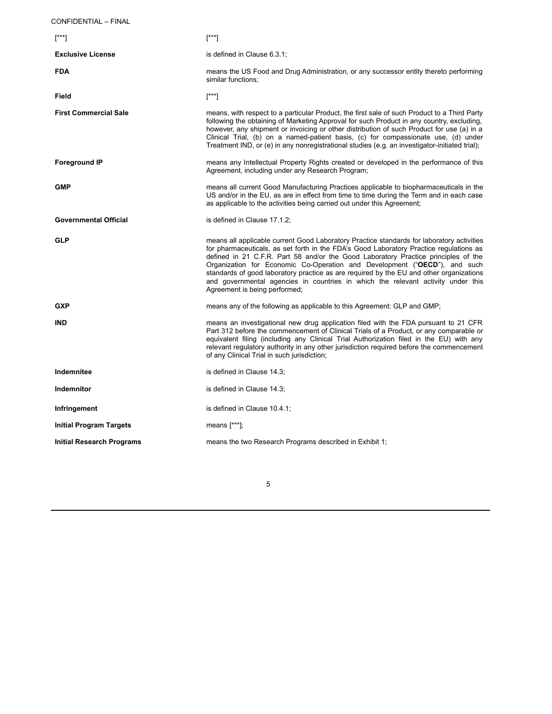| $[^{***}]$                       | [***]                                                                                                                                                                                                                                                                                                                                                                                                                                                                                                                                                                  |
|----------------------------------|------------------------------------------------------------------------------------------------------------------------------------------------------------------------------------------------------------------------------------------------------------------------------------------------------------------------------------------------------------------------------------------------------------------------------------------------------------------------------------------------------------------------------------------------------------------------|
| <b>Exclusive License</b>         | is defined in Clause 6.3.1;                                                                                                                                                                                                                                                                                                                                                                                                                                                                                                                                            |
| <b>FDA</b>                       | means the US Food and Drug Administration, or any successor entity thereto performing<br>similar functions;                                                                                                                                                                                                                                                                                                                                                                                                                                                            |
| Field                            | $[^{***}]$                                                                                                                                                                                                                                                                                                                                                                                                                                                                                                                                                             |
| <b>First Commercial Sale</b>     | means, with respect to a particular Product, the first sale of such Product to a Third Party<br>following the obtaining of Marketing Approval for such Product in any country, excluding,<br>however, any shipment or invoicing or other distribution of such Product for use (a) in a<br>Clinical Trial, (b) on a named-patient basis, (c) for compassionate use, (d) under<br>Treatment IND, or (e) in any nonregistrational studies (e.g. an investigator-initiated trial);                                                                                         |
| <b>Foreground IP</b>             | means any Intellectual Property Rights created or developed in the performance of this<br>Agreement, including under any Research Program;                                                                                                                                                                                                                                                                                                                                                                                                                             |
| <b>GMP</b>                       | means all current Good Manufacturing Practices applicable to biopharmaceuticals in the<br>US and/or in the EU, as are in effect from time to time during the Term and in each case<br>as applicable to the activities being carried out under this Agreement;                                                                                                                                                                                                                                                                                                          |
| <b>Governmental Official</b>     | is defined in Clause 17.1.2;                                                                                                                                                                                                                                                                                                                                                                                                                                                                                                                                           |
| <b>GLP</b>                       | means all applicable current Good Laboratory Practice standards for laboratory activities<br>for pharmaceuticals, as set forth in the FDA's Good Laboratory Practice regulations as<br>defined in 21 C.F.R. Part 58 and/or the Good Laboratory Practice principles of the<br>Organization for Economic Co-Operation and Development ("OECD"), and such<br>standards of good laboratory practice as are required by the EU and other organizations<br>and governmental agencies in countries in which the relevant activity under this<br>Agreement is being performed; |
| <b>GXP</b>                       | means any of the following as applicable to this Agreement: GLP and GMP;                                                                                                                                                                                                                                                                                                                                                                                                                                                                                               |
| <b>IND</b>                       | means an investigational new drug application filed with the FDA pursuant to 21 CFR<br>Part 312 before the commencement of Clinical Trials of a Product, or any comparable or<br>equivalent filing (including any Clinical Trial Authorization filed in the EU) with any<br>relevant regulatory authority in any other jurisdiction required before the commencement<br>of any Clinical Trial in such jurisdiction;                                                                                                                                                    |
| Indemnitee                       | is defined in Clause 14.3;                                                                                                                                                                                                                                                                                                                                                                                                                                                                                                                                             |
| Indemnitor                       | is defined in Clause 14.3;                                                                                                                                                                                                                                                                                                                                                                                                                                                                                                                                             |
| Infringement                     | is defined in Clause 10.4.1;                                                                                                                                                                                                                                                                                                                                                                                                                                                                                                                                           |
| <b>Initial Program Targets</b>   | means $[**!]$ ;                                                                                                                                                                                                                                                                                                                                                                                                                                                                                                                                                        |
| <b>Initial Research Programs</b> | means the two Research Programs described in Exhibit 1;                                                                                                                                                                                                                                                                                                                                                                                                                                                                                                                |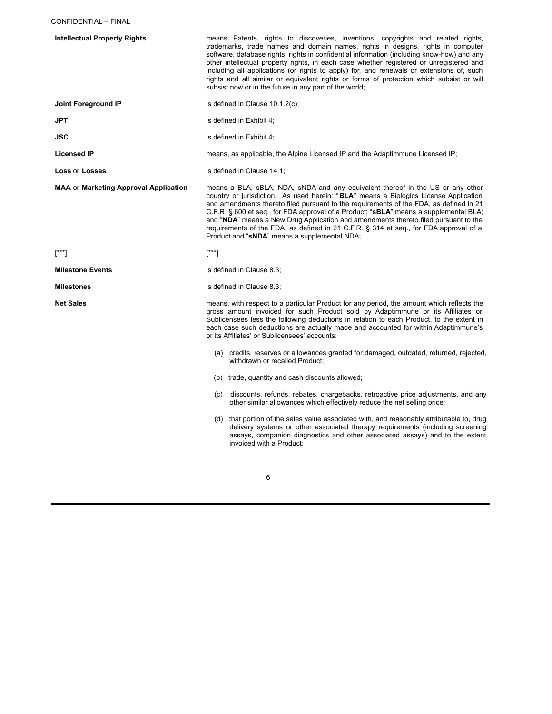| <b>Intellectual Property Rights</b>          | means Patents, rights to discoveries, inventions, copyrights and related rights,<br>trademarks, trade names and domain names, rights in designs, rights in computer<br>software, database rights, rights in confidential information (including know-how) and any<br>other intellectual property rights, in each case whether registered or unregistered and<br>including all applications (or rights to apply) for, and renewals or extensions of, such<br>rights and all similar or equivalent rights or forms of protection which subsist or will<br>subsist now or in the future in any part of the world;                                                                                                                                                                                                                                                                                                                                    |
|----------------------------------------------|---------------------------------------------------------------------------------------------------------------------------------------------------------------------------------------------------------------------------------------------------------------------------------------------------------------------------------------------------------------------------------------------------------------------------------------------------------------------------------------------------------------------------------------------------------------------------------------------------------------------------------------------------------------------------------------------------------------------------------------------------------------------------------------------------------------------------------------------------------------------------------------------------------------------------------------------------|
| Joint Foreground IP                          | is defined in Clause 10.1.2(c);                                                                                                                                                                                                                                                                                                                                                                                                                                                                                                                                                                                                                                                                                                                                                                                                                                                                                                                   |
| JPT                                          | is defined in Exhibit 4;                                                                                                                                                                                                                                                                                                                                                                                                                                                                                                                                                                                                                                                                                                                                                                                                                                                                                                                          |
| JSC                                          | is defined in Exhibit 4;                                                                                                                                                                                                                                                                                                                                                                                                                                                                                                                                                                                                                                                                                                                                                                                                                                                                                                                          |
| <b>Licensed IP</b>                           | means, as applicable, the Alpine Licensed IP and the Adaptimmune Licensed IP;                                                                                                                                                                                                                                                                                                                                                                                                                                                                                                                                                                                                                                                                                                                                                                                                                                                                     |
| <b>Loss or Losses</b>                        | is defined in Clause 14.1;                                                                                                                                                                                                                                                                                                                                                                                                                                                                                                                                                                                                                                                                                                                                                                                                                                                                                                                        |
| <b>MAA or Marketing Approval Application</b> | means a BLA, sBLA, NDA, sNDA and any equivalent thereof in the US or any other<br>country or jurisdiction. As used herein: "BLA" means a Biologics License Application<br>and amendments thereto filed pursuant to the requirements of the FDA, as defined in 21<br>C.F.R. § 600 et seq., for FDA approval of a Product; "sBLA" means a supplemental BLA;<br>and "NDA" means a New Drug Application and amendments thereto filed pursuant to the<br>requirements of the FDA, as defined in 21 C.F.R. § 314 et seq., for FDA approval of a<br>Product and "sNDA" means a supplemental NDA;                                                                                                                                                                                                                                                                                                                                                         |
| $\lceil$ **1                                 | $[^{***}]$                                                                                                                                                                                                                                                                                                                                                                                                                                                                                                                                                                                                                                                                                                                                                                                                                                                                                                                                        |
| <b>Milestone Events</b>                      | is defined in Clause 8.3;                                                                                                                                                                                                                                                                                                                                                                                                                                                                                                                                                                                                                                                                                                                                                                                                                                                                                                                         |
| <b>Milestones</b>                            | is defined in Clause 8.3;                                                                                                                                                                                                                                                                                                                                                                                                                                                                                                                                                                                                                                                                                                                                                                                                                                                                                                                         |
| <b>Net Sales</b>                             | means, with respect to a particular Product for any period, the amount which reflects the<br>gross amount invoiced for such Product sold by Adaptimmune or its Affiliates or<br>Sublicensees less the following deductions in relation to each Product, to the extent in<br>each case such deductions are actually made and accounted for within Adaptimmune's<br>or its Affiliates' or Sublicensees' accounts:<br>(a) credits, reserves or allowances granted for damaged, outdated, returned, rejected,<br>withdrawn or recalled Product;<br>(b) trade, quantity and cash discounts allowed;<br>(c) discounts, refunds, rebates, chargebacks, retroactive price adjustments, and any<br>other similar allowances which effectively reduce the net selling price;<br>(d) that portion of the sales value associated with, and reasonably attributable to, drug<br>delivery systems or other associated therapy requirements (including screening |
|                                              | assays, companion diagnostics and other associated assays) and to the extent<br>invoiced with a Product:                                                                                                                                                                                                                                                                                                                                                                                                                                                                                                                                                                                                                                                                                                                                                                                                                                          |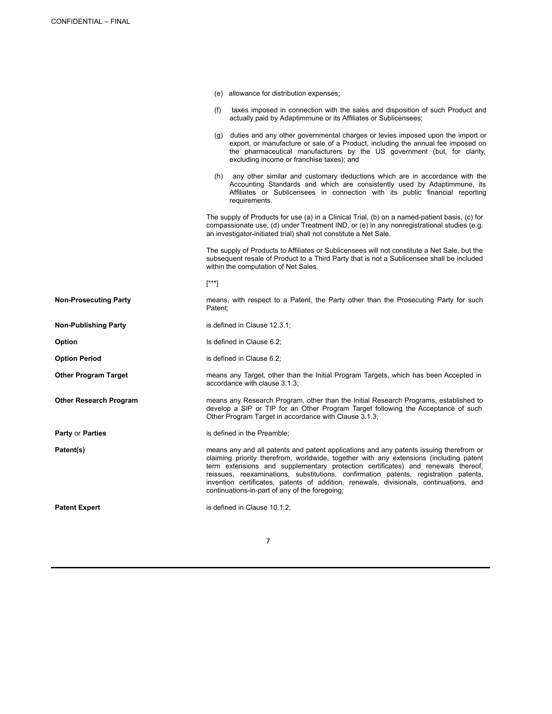|                               | (e) allowance for distribution expenses;                                                                                                                                                                                                                                                                                                                                                                                                                                                                 |
|-------------------------------|----------------------------------------------------------------------------------------------------------------------------------------------------------------------------------------------------------------------------------------------------------------------------------------------------------------------------------------------------------------------------------------------------------------------------------------------------------------------------------------------------------|
|                               | taxes imposed in connection with the sales and disposition of such Product and<br>(f)<br>actually paid by Adaptimmune or its Affiliates or Sublicensees;                                                                                                                                                                                                                                                                                                                                                 |
|                               | (g) duties and any other governmental charges or levies imposed upon the import or<br>export, or manufacture or sale of a Product, including the annual fee imposed on<br>the pharmaceutical manufacturers by the US government (but, for clarity,<br>excluding income or franchise taxes); and                                                                                                                                                                                                          |
|                               | any other similar and customary deductions which are in accordance with the<br>(h)<br>Accounting Standards and which are consistently used by Adaptimmune, its<br>Affiliates or Sublicensees in connection with its public financial reporting<br>requirements.                                                                                                                                                                                                                                          |
|                               | The supply of Products for use (a) in a Clinical Trial, (b) on a named-patient basis, (c) for<br>compassionate use, (d) under Treatment IND, or (e) in any nonregistrational studies (e.g.<br>an investigator-initiated trial) shall not constitute a Net Sale.                                                                                                                                                                                                                                          |
|                               | The supply of Products to Affiliates or Sublicensees will not constitute a Net Sale, but the<br>subsequent resale of Product to a Third Party that is not a Sublicensee shall be included<br>within the computation of Net Sales.                                                                                                                                                                                                                                                                        |
|                               | $[^{***}]$                                                                                                                                                                                                                                                                                                                                                                                                                                                                                               |
| <b>Non-Prosecuting Party</b>  | means, with respect to a Patent, the Party other than the Prosecuting Party for such<br>Patent:                                                                                                                                                                                                                                                                                                                                                                                                          |
| <b>Non-Publishing Party</b>   | is defined in Clause 12.3.1;                                                                                                                                                                                                                                                                                                                                                                                                                                                                             |
| Option                        | Is defined in Clause 6.2;                                                                                                                                                                                                                                                                                                                                                                                                                                                                                |
| <b>Option Period</b>          | is defined in Clause 6.2;                                                                                                                                                                                                                                                                                                                                                                                                                                                                                |
| Other Program Target          | means any Target, other than the Initial Program Targets, which has been Accepted in<br>accordance with clause 3.1.3;                                                                                                                                                                                                                                                                                                                                                                                    |
| <b>Other Research Program</b> | means any Research Program, other than the Initial Research Programs, established to<br>develop a SIP or TIP for an Other Program Target following the Acceptance of such<br>Other Program Target in accordance with Clause 3.1.3;                                                                                                                                                                                                                                                                       |
| <b>Party or Parties</b>       | is defined in the Preamble;                                                                                                                                                                                                                                                                                                                                                                                                                                                                              |
| Patent(s)                     | means any and all patents and patent applications and any patents issuing therefrom or<br>claiming priority therefrom, worldwide, together with any extensions (including patent<br>term extensions and supplementary protection certificates) and renewals thereof,<br>reissues, reexaminations, substitutions, confirmation patents, registration patents,<br>invention certificates, patents of addition, renewals, divisionals, continuations, and<br>continuations-in-part of any of the foregoing; |
| <b>Patent Expert</b>          | is defined in Clause 10.1.2;                                                                                                                                                                                                                                                                                                                                                                                                                                                                             |
|                               |                                                                                                                                                                                                                                                                                                                                                                                                                                                                                                          |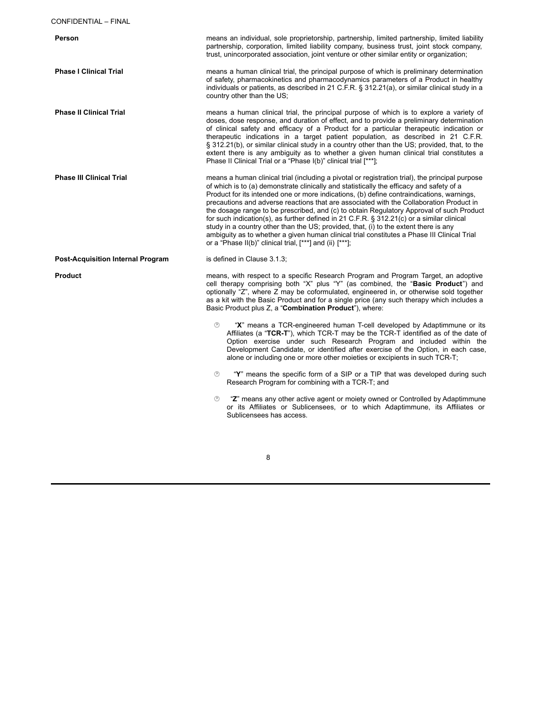| means an individual, sole proprietorship, partnership, limited partnership, limited liability<br>partnership, corporation, limited liability company, business trust, joint stock company,<br>trust, unincorporated association, joint venture or other similar entity or organization;                                                                                                                                                                                                                                                                                                                                                                                                                                                                                                                                         |
|---------------------------------------------------------------------------------------------------------------------------------------------------------------------------------------------------------------------------------------------------------------------------------------------------------------------------------------------------------------------------------------------------------------------------------------------------------------------------------------------------------------------------------------------------------------------------------------------------------------------------------------------------------------------------------------------------------------------------------------------------------------------------------------------------------------------------------|
| means a human clinical trial, the principal purpose of which is preliminary determination<br>of safety, pharmacokinetics and pharmacodynamics parameters of a Product in healthy<br>individuals or patients, as described in 21 C.F.R. § 312.21(a), or similar clinical study in a<br>country other than the US;                                                                                                                                                                                                                                                                                                                                                                                                                                                                                                                |
| means a human clinical trial, the principal purpose of which is to explore a variety of<br>doses, dose response, and duration of effect, and to provide a preliminary determination<br>of clinical safety and efficacy of a Product for a particular therapeutic indication or<br>therapeutic indications in a target patient population, as described in 21 C.F.R.<br>§ 312.21(b), or similar clinical study in a country other than the US; provided, that, to the<br>extent there is any ambiguity as to whether a given human clinical trial constitutes a<br>Phase II Clinical Trial or a "Phase I(b)" clinical trial [***];                                                                                                                                                                                               |
| means a human clinical trial (including a pivotal or registration trial), the principal purpose<br>of which is to (a) demonstrate clinically and statistically the efficacy and safety of a<br>Product for its intended one or more indications, (b) define contraindications, warnings,<br>precautions and adverse reactions that are associated with the Collaboration Product in<br>the dosage range to be prescribed, and (c) to obtain Regulatory Approval of such Product<br>for such indication(s), as further defined in 21 C.F.R. § 312.21(c) or a similar clinical<br>study in a country other than the US; provided, that, (i) to the extent there is any<br>ambiguity as to whether a given human clinical trial constitutes a Phase III Clinical Trial<br>or a "Phase II(b)" clinical trial, [***] and (ii) [***]; |
| is defined in Clause 3.1.3;                                                                                                                                                                                                                                                                                                                                                                                                                                                                                                                                                                                                                                                                                                                                                                                                     |
| means, with respect to a specific Research Program and Program Target, an adoptive<br>cell therapy comprising both "X" plus "Y" (as combined, the "Basic Product") and<br>optionally "Z", where Z may be coformulated, engineered in, or otherwise sold together<br>as a kit with the Basic Product and for a single price (any such therapy which includes a<br>Basic Product plus Z, a "Combination Product"), where:                                                                                                                                                                                                                                                                                                                                                                                                         |
| $\circled{r}$<br>"X" means a TCR-engineered human T-cell developed by Adaptimmune or its<br>Affiliates (a "TCR-T"), which TCR-T may be the TCR-T identified as of the date of<br>Option exercise under such Research Program and included within the<br>Development Candidate, or identified after exercise of the Option, in each case,<br>alone or including one or more other moieties or excipients in such TCR-T;                                                                                                                                                                                                                                                                                                                                                                                                          |
| $(\mathcal{F})$<br>"Y" means the specific form of a SIP or a TIP that was developed during such<br>Research Program for combining with a TCR-T; and                                                                                                                                                                                                                                                                                                                                                                                                                                                                                                                                                                                                                                                                             |
|                                                                                                                                                                                                                                                                                                                                                                                                                                                                                                                                                                                                                                                                                                                                                                                                                                 |
|                                                                                                                                                                                                                                                                                                                                                                                                                                                                                                                                                                                                                                                                                                                                                                                                                                 |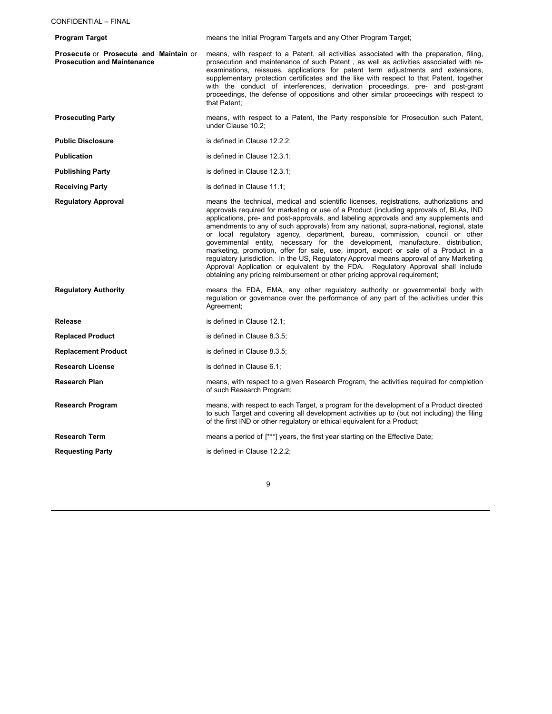| <b>Program Target</b>                                                        | means the Initial Program Targets and any Other Program Target;                                                                                                                                                                                                                                                                                                                                                                                                                                                                                                                                                                                                                                                                                                                                                                                                                              |
|------------------------------------------------------------------------------|----------------------------------------------------------------------------------------------------------------------------------------------------------------------------------------------------------------------------------------------------------------------------------------------------------------------------------------------------------------------------------------------------------------------------------------------------------------------------------------------------------------------------------------------------------------------------------------------------------------------------------------------------------------------------------------------------------------------------------------------------------------------------------------------------------------------------------------------------------------------------------------------|
| Prosecute or Prosecute and Maintain or<br><b>Prosecution and Maintenance</b> | means, with respect to a Patent, all activities associated with the preparation, filing,<br>prosecution and maintenance of such Patent, as well as activities associated with re-<br>examinations, reissues, applications for patent term adjustments and extensions,<br>supplementary protection certificates and the like with respect to that Patent, together<br>with the conduct of interferences, derivation proceedings, pre- and post-grant<br>proceedings, the defense of oppositions and other similar proceedings with respect to<br>that Patent;                                                                                                                                                                                                                                                                                                                                 |
| <b>Prosecuting Party</b>                                                     | means, with respect to a Patent, the Party responsible for Prosecution such Patent,<br>under Clause 10.2:                                                                                                                                                                                                                                                                                                                                                                                                                                                                                                                                                                                                                                                                                                                                                                                    |
| <b>Public Disclosure</b>                                                     | is defined in Clause 12.2.2;                                                                                                                                                                                                                                                                                                                                                                                                                                                                                                                                                                                                                                                                                                                                                                                                                                                                 |
| <b>Publication</b>                                                           | is defined in Clause 12.3.1;                                                                                                                                                                                                                                                                                                                                                                                                                                                                                                                                                                                                                                                                                                                                                                                                                                                                 |
| <b>Publishing Party</b>                                                      | is defined in Clause 12.3.1;                                                                                                                                                                                                                                                                                                                                                                                                                                                                                                                                                                                                                                                                                                                                                                                                                                                                 |
| <b>Receiving Party</b>                                                       | is defined in Clause 11.1;                                                                                                                                                                                                                                                                                                                                                                                                                                                                                                                                                                                                                                                                                                                                                                                                                                                                   |
| <b>Regulatory Approval</b>                                                   | means the technical, medical and scientific licenses, registrations, authorizations and<br>approvals required for marketing or use of a Product (including approvals of, BLAs, IND<br>applications, pre- and post-approvals, and labeling approvals and any supplements and<br>amendments to any of such approvals) from any national, supra-national, regional, state<br>or local regulatory agency, department, bureau, commission, council or other<br>governmental entity, necessary for the development, manufacture, distribution,<br>marketing, promotion, offer for sale, use, import, export or sale of a Product in a<br>regulatory jurisdiction. In the US, Regulatory Approval means approval of any Marketing<br>Approval Application or equivalent by the FDA. Regulatory Approval shall include<br>obtaining any pricing reimbursement or other pricing approval requirement; |
| <b>Regulatory Authority</b>                                                  | means the FDA, EMA, any other regulatory authority or governmental body with<br>regulation or governance over the performance of any part of the activities under this<br>Agreement;                                                                                                                                                                                                                                                                                                                                                                                                                                                                                                                                                                                                                                                                                                         |
| Release                                                                      | is defined in Clause 12.1;                                                                                                                                                                                                                                                                                                                                                                                                                                                                                                                                                                                                                                                                                                                                                                                                                                                                   |
| <b>Replaced Product</b>                                                      | is defined in Clause 8.3.5;                                                                                                                                                                                                                                                                                                                                                                                                                                                                                                                                                                                                                                                                                                                                                                                                                                                                  |
| <b>Replacement Product</b>                                                   | is defined in Clause 8.3.5;                                                                                                                                                                                                                                                                                                                                                                                                                                                                                                                                                                                                                                                                                                                                                                                                                                                                  |
| <b>Research License</b>                                                      | is defined in Clause 6.1;                                                                                                                                                                                                                                                                                                                                                                                                                                                                                                                                                                                                                                                                                                                                                                                                                                                                    |
| <b>Research Plan</b>                                                         | means, with respect to a given Research Program, the activities required for completion<br>of such Research Program;                                                                                                                                                                                                                                                                                                                                                                                                                                                                                                                                                                                                                                                                                                                                                                         |
| <b>Research Program</b>                                                      | means, with respect to each Target, a program for the development of a Product directed<br>to such Target and covering all development activities up to (but not including) the filing<br>of the first IND or other regulatory or ethical equivalent for a Product;                                                                                                                                                                                                                                                                                                                                                                                                                                                                                                                                                                                                                          |
| <b>Research Term</b>                                                         | means a period of [***] years, the first year starting on the Effective Date;                                                                                                                                                                                                                                                                                                                                                                                                                                                                                                                                                                                                                                                                                                                                                                                                                |
| <b>Requesting Party</b>                                                      | is defined in Clause 12.2.2;                                                                                                                                                                                                                                                                                                                                                                                                                                                                                                                                                                                                                                                                                                                                                                                                                                                                 |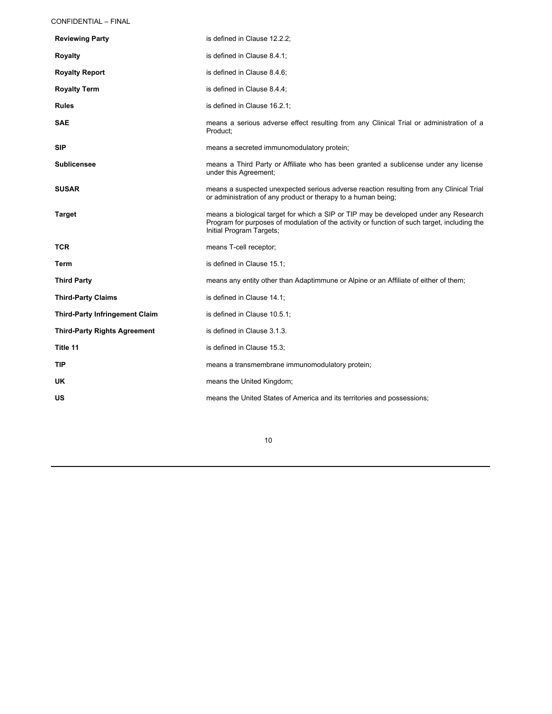| <b>Reviewing Party</b>                | is defined in Clause 12.2.2;                                                                                                                                                                                     |
|---------------------------------------|------------------------------------------------------------------------------------------------------------------------------------------------------------------------------------------------------------------|
| <b>Royalty</b>                        | is defined in Clause 8.4.1;                                                                                                                                                                                      |
| <b>Royalty Report</b>                 | is defined in Clause 8.4.6;                                                                                                                                                                                      |
| <b>Royalty Term</b>                   | is defined in Clause 8.4.4;                                                                                                                                                                                      |
| <b>Rules</b>                          | is defined in Clause 16.2.1;                                                                                                                                                                                     |
| <b>SAE</b>                            | means a serious adverse effect resulting from any Clinical Trial or administration of a<br>Product;                                                                                                              |
| <b>SIP</b>                            | means a secreted immunomodulatory protein;                                                                                                                                                                       |
| <b>Sublicensee</b>                    | means a Third Party or Affiliate who has been granted a sublicense under any license<br>under this Agreement;                                                                                                    |
| <b>SUSAR</b>                          | means a suspected unexpected serious adverse reaction resulting from any Clinical Trial<br>or administration of any product or therapy to a human being;                                                         |
| <b>Target</b>                         | means a biological target for which a SIP or TIP may be developed under any Research<br>Program for purposes of modulation of the activity or function of such target, including the<br>Initial Program Targets; |
| TCR                                   | means T-cell receptor;                                                                                                                                                                                           |
| Term                                  | is defined in Clause 15.1;                                                                                                                                                                                       |
| <b>Third Party</b>                    | means any entity other than Adaptimmune or Alpine or an Affiliate of either of them;                                                                                                                             |
| <b>Third-Party Claims</b>             | is defined in Clause 14.1;                                                                                                                                                                                       |
| <b>Third-Party Infringement Claim</b> | is defined in Clause 10.5.1;                                                                                                                                                                                     |
| <b>Third-Party Rights Agreement</b>   | is defined in Clause 3.1.3.                                                                                                                                                                                      |
| Title 11                              | is defined in Clause 15.3;                                                                                                                                                                                       |
| TIP                                   | means a transmembrane immunomodulatory protein;                                                                                                                                                                  |
| UK                                    | means the United Kingdom;                                                                                                                                                                                        |
| US                                    | means the United States of America and its territories and possessions;                                                                                                                                          |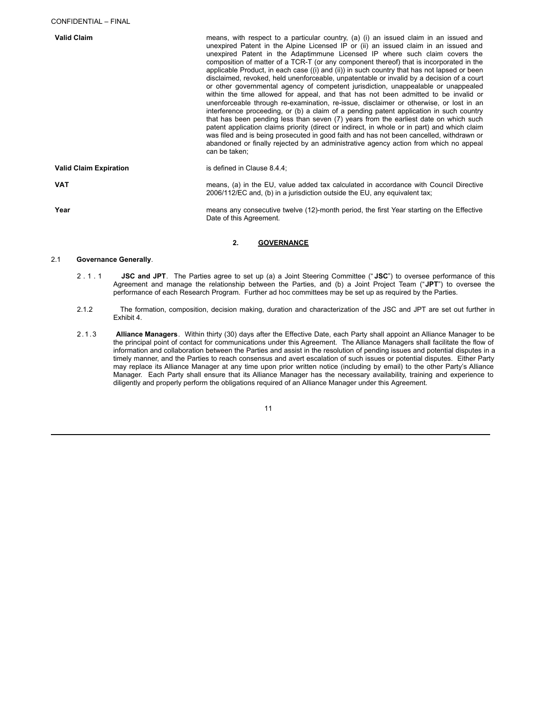| <b>Valid Claim</b>            | means, with respect to a particular country, (a) (i) an issued claim in an issued and<br>unexpired Patent in the Alpine Licensed IP or (ii) an issued claim in an issued and<br>unexpired Patent in the Adaptimmune Licensed IP where such claim covers the<br>composition of matter of a TCR-T (or any component thereof) that is incorporated in the<br>applicable Product, in each case ((i) and (ii)) in such country that has not lapsed or been<br>disclaimed, revoked, held unenforceable, unpatentable or invalid by a decision of a court<br>or other governmental agency of competent jurisdiction, unappealable or unappealed<br>within the time allowed for appeal, and that has not been admitted to be invalid or<br>unenforceable through re-examination, re-issue, disclaimer or otherwise, or lost in an<br>interference proceeding, or (b) a claim of a pending patent application in such country<br>that has been pending less than seven (7) years from the earliest date on which such<br>patent application claims priority (direct or indirect, in whole or in part) and which claim<br>was filed and is being prosecuted in good faith and has not been cancelled, withdrawn or<br>abandoned or finally rejected by an administrative agency action from which no appeal<br>can be taken; |
|-------------------------------|--------------------------------------------------------------------------------------------------------------------------------------------------------------------------------------------------------------------------------------------------------------------------------------------------------------------------------------------------------------------------------------------------------------------------------------------------------------------------------------------------------------------------------------------------------------------------------------------------------------------------------------------------------------------------------------------------------------------------------------------------------------------------------------------------------------------------------------------------------------------------------------------------------------------------------------------------------------------------------------------------------------------------------------------------------------------------------------------------------------------------------------------------------------------------------------------------------------------------------------------------------------------------------------------------------------------|
| <b>Valid Claim Expiration</b> | is defined in Clause 8.4.4;                                                                                                                                                                                                                                                                                                                                                                                                                                                                                                                                                                                                                                                                                                                                                                                                                                                                                                                                                                                                                                                                                                                                                                                                                                                                                        |
| <b>VAT</b>                    | means, (a) in the EU, value added tax calculated in accordance with Council Directive<br>2006/112/EC and, (b) in a jurisdiction outside the EU, any equivalent tax;                                                                                                                                                                                                                                                                                                                                                                                                                                                                                                                                                                                                                                                                                                                                                                                                                                                                                                                                                                                                                                                                                                                                                |
| Year                          | means any consecutive twelve (12)-month period, the first Year starting on the Effective<br>Date of this Agreement.                                                                                                                                                                                                                                                                                                                                                                                                                                                                                                                                                                                                                                                                                                                                                                                                                                                                                                                                                                                                                                                                                                                                                                                                |

# **2. GOVERNANCE**

# 2.1 **Governance Generally**.

- 2 . 1 . 1 **JSC and JPT**. The Parties agree to set up (a) a Joint Steering Committee (" **JSC**") to oversee performance of this Agreement and manage the relationship between the Parties, and (b) a Joint Project Team ("**JPT**") to oversee the performance of each Research Program. Further ad hoc committees may be set up as required by the Parties.
- 2.1.2 The formation, composition, decision making, duration and characterization of the JSC and JPT are set out further in Exhibit 4.
- 2.1.3 **Alliance Managers**. Within thirty (30) days after the Effective Date, each Party shall appoint an Alliance Manager to be the principal point of contact for communications under this Agreement. The Alliance Managers shall facilitate the flow of information and collaboration between the Parties and assist in the resolution of pending issues and potential disputes in a timely manner, and the Parties to reach consensus and avert escalation of such issues or potential disputes. Either Party may replace its Alliance Manager at any time upon prior written notice (including by email) to the other Party's Alliance Manager. Each Party shall ensure that its Alliance Manager has the necessary availability, training and experience to diligently and properly perform the obligations required of an Alliance Manager under this Agreement.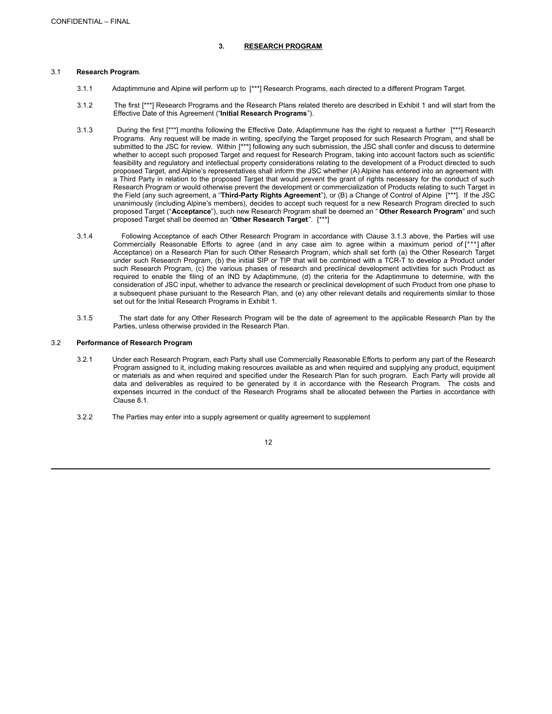# **3. RESEARCH PROGRAM**

#### 3.1 **Research Program**.

- 3.1.1 Adaptimmune and Alpine will perform up to [\*\*\*] Research Programs, each directed to a different Program Target.
- 3.1.2 The first [\*\*\*] Research Programs and the Research Plans related thereto are described in Exhibit 1 and will start from the Effective Date of this Agreement ("**Initial Research Programs**").
- 3.1.3 During the first [\*\*\*] months following the Effective Date, Adaptimmune has the right to request a further [\*\*\*] Research Programs. Any request will be made in writing, specifying the Target proposed for such Research Program, and shall be submitted to the JSC for review. Within [\*\*\*] following any such submission, the JSC shall confer and discuss to determine whether to accept such proposed Target and request for Research Program, taking into account factors such as scientific feasibility and regulatory and intellectual property considerations relating to the development of a Product directed to such proposed Target, and Alpine's representatives shall inform the JSC whether (A) Alpine has entered into an agreement with a Third Party in relation to the proposed Target that would prevent the grant of rights necessary for the conduct of such Research Program or would otherwise prevent the development or commercialization of Products relating to such Target in the Field (any such agreement, a "**Third-Party Rights Agreement**"), or (B) a Change of Control of Alpine [\*\*\*]. If the JSC unanimously (including Alpine's members), decides to accept such request for a new Research Program directed to such proposed Target ("**Acceptance**"), such new Research Program shall be deemed an " **Other Research Program**" and such proposed Target shall be deemed an "**Other Research Target**". [\*\*\*]
- 3.1.4 Following Acceptance of each Other Research Program in accordance with Clause 3.1.3 above, the Parties will use Commercially Reasonable Efforts to agree (and in any case aim to agree within a maximum period of [\*\*\*] after Acceptance) on a Research Plan for such Other Research Program, which shall set forth (a) the Other Research Target under such Research Program, (b) the initial SIP or TIP that will be combined with a TCR-T to develop a Product under such Research Program, (c) the various phases of research and preclinical development activities for such Product as required to enable the filing of an IND by Adaptimmune, (d) the criteria for the Adaptimmune to determine, with the consideration of JSC input, whether to advance the research or preclinical development of such Product from one phase to a subsequent phase pursuant to the Research Plan, and (e) any other relevant details and requirements similar to those set out for the Initial Research Programs in Exhibit 1.
- 3.1.5 The start date for any Other Research Program will be the date of agreement to the applicable Research Plan by the Parties, unless otherwise provided in the Research Plan.

#### 3.2 **Performance of Research Program**

- 3.2.1 Under each Research Program, each Party shall use Commercially Reasonable Efforts to perform any part of the Research Program assigned to it, including making resources available as and when required and supplying any product, equipment or materials as and when required and specified under the Research Plan for such program. Each Party will provide all data and deliverables as required to be generated by it in accordance with the Research Program. The costs and expenses incurred in the conduct of the Research Programs shall be allocated between the Parties in accordance with Clause 8.1.
- 3.2.2 The Parties may enter into a supply agreement or quality agreement to supplement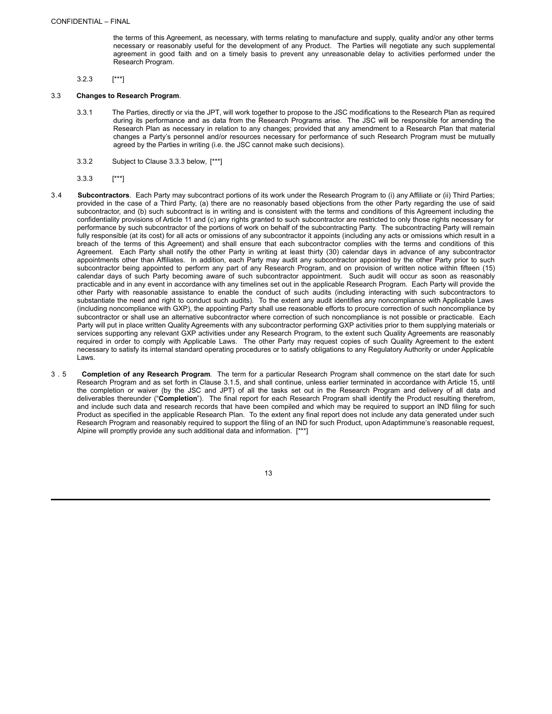the terms of this Agreement, as necessary, with terms relating to manufacture and supply, quality and/or any other terms necessary or reasonably useful for the development of any Product. The Parties will negotiate any such supplemental agreement in good faith and on a timely basis to prevent any unreasonable delay to activities performed under the Research Program.

3.2.3 [\*\*\*]

#### 3.3 **Changes to Research Program**.

- 3.3.1 The Parties, directly or via the JPT, will work together to propose to the JSC modifications to the Research Plan as required during its performance and as data from the Research Programs arise. The JSC will be responsible for amending the Research Plan as necessary in relation to any changes; provided that any amendment to a Research Plan that material changes a Party's personnel and/or resources necessary for performance of such Research Program must be mutually agreed by the Parties in writing (i.e. the JSC cannot make such decisions).
- 3.3.2 Subject to Clause 3.3.3 below, [\*\*\*]
- 3.3.3 [\*\*\*]
- 3.4 **Subcontractors**. Each Party may subcontract portions of its work under the Research Program to (i) any Affiliate or (ii) Third Parties; provided in the case of a Third Party, (a) there are no reasonably based objections from the other Party regarding the use of said subcontractor, and (b) such subcontract is in writing and is consistent with the terms and conditions of this Agreement including the confidentiality provisions of Article 11 and (c) any rights granted to such subcontractor are restricted to only those rights necessary for performance by such subcontractor of the portions of work on behalf of the subcontracting Party. The subcontracting Party will remain fully responsible (at its cost) for all acts or omissions of any subcontractor it appoints (including any acts or omissions which result in a breach of the terms of this Agreement) and shall ensure that each subcontractor complies with the terms and conditions of this Agreement. Each Party shall notify the other Party in writing at least thirty (30) calendar days in advance of any subcontractor appointments other than Affiliates. In addition, each Party may audit any subcontractor appointed by the other Party prior to such subcontractor being appointed to perform any part of any Research Program, and on provision of written notice within fifteen (15) calendar days of such Party becoming aware of such subcontractor appointment. Such audit will occur as soon as reasonably practicable and in any event in accordance with any timelines set out in the applicable Research Program. Each Party will provide the other Party with reasonable assistance to enable the conduct of such audits (including interacting with such subcontractors to substantiate the need and right to conduct such audits). To the extent any audit identifies any noncompliance with Applicable Laws (including noncompliance with GXP), the appointing Party shall use reasonable efforts to procure correction of such noncompliance by subcontractor or shall use an alternative subcontractor where correction of such noncompliance is not possible or practicable. Each Party will put in place written Quality Agreements with any subcontractor performing GXP activities prior to them supplying materials or services supporting any relevant GXP activities under any Research Program, to the extent such Quality Agreements are reasonably required in order to comply with Applicable Laws. The other Party may request copies of such Quality Agreement to the extent necessary to satisfy its internal standard operating procedures or to satisfy obligations to any Regulatory Authority or under Applicable Laws.
- 3 . 5 **Completion of any Research Program**. The term for a particular Research Program shall commence on the start date for such Research Program and as set forth in Clause 3.1.5, and shall continue, unless earlier terminated in accordance with Article 15, until the completion or waiver (by the JSC and JPT) of all the tasks set out in the Research Program and delivery of all data and deliverables thereunder ("**Completion**"). The final report for each Research Program shall identify the Product resulting therefrom, and include such data and research records that have been compiled and which may be required to support an IND filing for such Product as specified in the applicable Research Plan. To the extent any final report does not include any data generated under such Research Program and reasonably required to support the filing of an IND for such Product, upon Adaptimmune's reasonable request, Alpine will promptly provide any such additional data and information. [\*\*\*]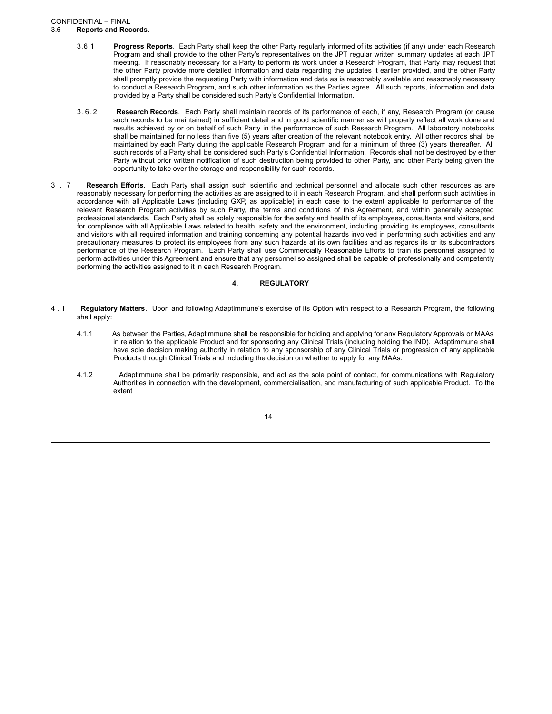# CONFIDENTIAL – FINAL 3.6 **Reports and Records**.

- 3.6.1 **Progress Reports**. Each Party shall keep the other Party regularly informed of its activities (if any) under each Research Program and shall provide to the other Party's representatives on the JPT regular written summary updates at each JPT meeting. If reasonably necessary for a Party to perform its work under a Research Program, that Party may request that the other Party provide more detailed information and data regarding the updates it earlier provided, and the other Party shall promptly provide the requesting Party with information and data as is reasonably available and reasonably necessary to conduct a Research Program, and such other information as the Parties agree. All such reports, information and data provided by a Party shall be considered such Party's Confidential Information.
- 3 . 6 . 2 **Research Records**. Each Party shall maintain records of its performance of each, if any, Research Program (or cause such records to be maintained) in sufficient detail and in good scientific manner as will properly reflect all work done and results achieved by or on behalf of such Party in the performance of such Research Program. All laboratory notebooks shall be maintained for no less than five (5) years after creation of the relevant notebook entry. All other records shall be maintained by each Party during the applicable Research Program and for a minimum of three (3) years thereafter. All such records of a Party shall be considered such Party's Confidential Information. Records shall not be destroyed by either Party without prior written notification of such destruction being provided to other Party, and other Party being given the opportunity to take over the storage and responsibility for such records.
- 3 . 7 **Research Efforts**. Each Party shall assign such scientific and technical personnel and allocate such other resources as are reasonably necessary for performing the activities as are assigned to it in each Research Program, and shall perform such activities in accordance with all Applicable Laws (including GXP, as applicable) in each case to the extent applicable to performance of the relevant Research Program activities by such Party, the terms and conditions of this Agreement, and within generally accepted professional standards. Each Party shall be solely responsible for the safety and health of its employees, consultants and visitors, and for compliance with all Applicable Laws related to health, safety and the environment, including providing its employees, consultants and visitors with all required information and training concerning any potential hazards involved in performing such activities and any precautionary measures to protect its employees from any such hazards at its own facilities and as regards its or its subcontractors performance of the Research Program. Each Party shall use Commercially Reasonable Efforts to train its personnel assigned to perform activities under this Agreement and ensure that any personnel so assigned shall be capable of professionally and competently performing the activities assigned to it in each Research Program.

# **4. REGULATORY**

- 4 . 1 **Regulatory Matters**. Upon and following Adaptimmune's exercise of its Option with respect to a Research Program, the following shall apply:
	- 4.1.1 As between the Parties, Adaptimmune shall be responsible for holding and applying for any Regulatory Approvals or MAAs in relation to the applicable Product and for sponsoring any Clinical Trials (including holding the IND). Adaptimmune shall have sole decision making authority in relation to any sponsorship of any Clinical Trials or progression of any applicable Products through Clinical Trials and including the decision on whether to apply for any MAAs.
	- 4.1.2 Adaptimmune shall be primarily responsible, and act as the sole point of contact, for communications with Regulatory Authorities in connection with the development, commercialisation, and manufacturing of such applicable Product. To the extent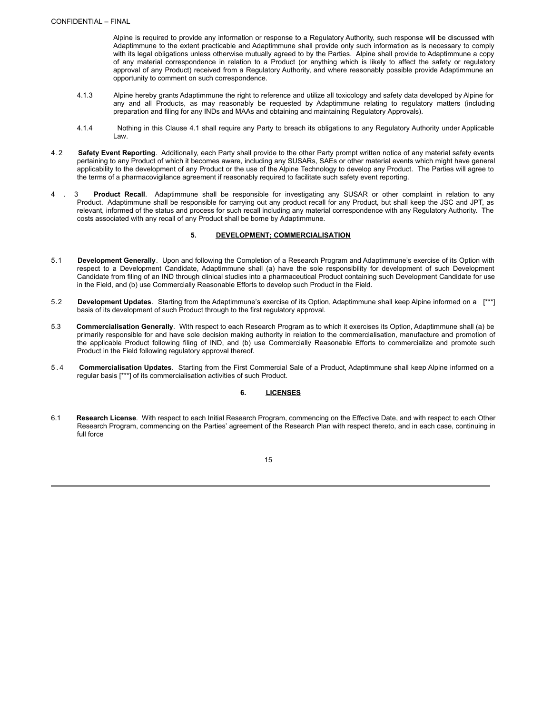Alpine is required to provide any information or response to a Regulatory Authority, such response will be discussed with Adaptimmune to the extent practicable and Adaptimmune shall provide only such information as is necessary to comply with its legal obligations unless otherwise mutually agreed to by the Parties. Alpine shall provide to Adaptimmune a copy of any material correspondence in relation to a Product (or anything which is likely to affect the safety or regulatory approval of any Product) received from a Regulatory Authority, and where reasonably possible provide Adaptimmune an opportunity to comment on such correspondence.

- 4.1.3 Alpine hereby grants Adaptimmune the right to reference and utilize all toxicology and safety data developed by Alpine for any and all Products, as may reasonably be requested by Adaptimmune relating to regulatory matters (including preparation and filing for any INDs and MAAs and obtaining and maintaining Regulatory Approvals).
- 4.1.4 Nothing in this Clause 4.1 shall require any Party to breach its obligations to any Regulatory Authority under Applicable Law.
- 4.2 **Safety Event Reporting**. Additionally, each Party shall provide to the other Party prompt written notice of any material safety events pertaining to any Product of which it becomes aware, including any SUSARs, SAEs or other material events which might have general applicability to the development of any Product or the use of the Alpine Technology to develop any Product. The Parties will agree to the terms of a pharmacovigilance agreement if reasonably required to facilitate such safety event reporting.
- 4 . 3 **Product Recall**. Adaptimmune shall be responsible for investigating any SUSAR or other complaint in relation to any Product. Adaptimmune shall be responsible for carrying out any product recall for any Product, but shall keep the JSC and JPT, as relevant, informed of the status and process for such recall including any material correspondence with any Regulatory Authority. The costs associated with any recall of any Product shall be borne by Adaptimmune.

# **5. DEVELOPMENT; COMMERCIALISATION**

- 5.1 **Development Generally**. Upon and following the Completion of a Research Program and Adaptimmune's exercise of its Option with respect to a Development Candidate, Adaptimmune shall (a) have the sole responsibility for development of such Development Candidate from filing of an IND through clinical studies into a pharmaceutical Product containing such Development Candidate for use in the Field, and (b) use Commercially Reasonable Efforts to develop such Product in the Field.
- 5.2 **Development Updates**. Starting from the Adaptimmune's exercise of its Option, Adaptimmune shall keep Alpine informed on a [\*\*\*] basis of its development of such Product through to the first regulatory approval.
- 5.3 **Commercialisation Generally**. With respect to each Research Program as to which it exercises its Option, Adaptimmune shall (a) be primarily responsible for and have sole decision making authority in relation to the commercialisation, manufacture and promotion of the applicable Product following filing of IND, and (b) use Commercially Reasonable Efforts to commercialize and promote such Product in the Field following regulatory approval thereof.
- 5 . 4 **Commercialisation Updates**. Starting from the First Commercial Sale of a Product, Adaptimmune shall keep Alpine informed on a regular basis [\*\*\*] of its commercialisation activities of such Product.

# **6. LICENSES**

6.1 **Research License**. With respect to each Initial Research Program, commencing on the Effective Date, and with respect to each Other Research Program, commencing on the Parties' agreement of the Research Plan with respect thereto, and in each case, continuing in full force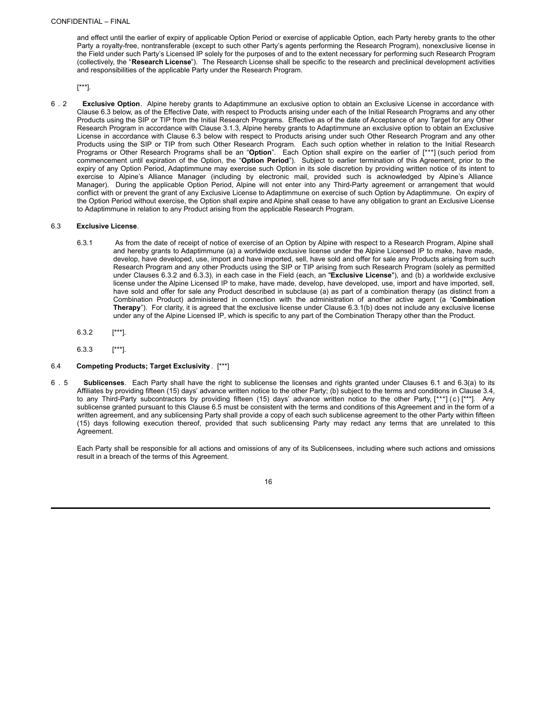and effect until the earlier of expiry of applicable Option Period or exercise of applicable Option, each Party hereby grants to the other Party a royalty-free, nontransferable (except to such other Party's agents performing the Research Program), nonexclusive license in the Field under such Party's Licensed IP solely for the purposes of and to the extent necessary for performing such Research Program (collectively, the "**Research License**"). The Research License shall be specific to the research and preclinical development activities and responsibilities of the applicable Party under the Research Program.

[\*\*\*].

6 . 2 **Exclusive Option**. Alpine hereby grants to Adaptimmune an exclusive option to obtain an Exclusive License in accordance with Clause 6.3 below, as of the Effective Date, with respect to Products arising under each of the Initial Research Programs and any other Products using the SIP or TIP from the Initial Research Programs. Effective as of the date of Acceptance of any Target for any Other Research Program in accordance with Clause 3.1.3, Alpine hereby grants to Adaptimmune an exclusive option to obtain an Exclusive License in accordance with Clause 6.3 below with respect to Products arising under such Other Research Program and any other Products using the SIP or TIP from such Other Research Program. Each such option whether in relation to the Initial Research Programs or Other Research Programs shall be an "**Option**". Each Option shall expire on the earlier of [\*\*\*] (such period from commencement until expiration of the Option, the "**Option Period**"). Subject to earlier termination of this Agreement, prior to the expiry of any Option Period, Adaptimmune may exercise such Option in its sole discretion by providing written notice of its intent to exercise to Alpine's Alliance Manager (including by electronic mail, provided such is acknowledged by Alpine's Alliance Manager). During the applicable Option Period, Alpine will not enter into any Third-Party agreement or arrangement that would conflict with or prevent the grant of any Exclusive License to Adaptimmune on exercise of such Option by Adaptimmune. On expiry of the Option Period without exercise, the Option shall expire and Alpine shall cease to have any obligation to grant an Exclusive License to Adaptimmune in relation to any Product arising from the applicable Research Program.

#### 6.3 **Exclusive License**.

- 6.3.1 As from the date of receipt of notice of exercise of an Option by Alpine with respect to a Research Program, Alpine shall and hereby grants to Adaptimmune (a) a worldwide exclusive license under the Alpine Licensed IP to make, have made, develop, have developed, use, import and have imported, sell, have sold and offer for sale any Products arising from such Research Program and any other Products using the SIP or TIP arising from such Research Program (solely as permitted under Clauses 6.3.2 and 6.3.3), in each case in the Field (each, an "**Exclusive License**"), and (b) a worldwide exclusive license under the Alpine Licensed IP to make, have made, develop, have developed, use, import and have imported, sell, have sold and offer for sale any Product described in subclause (a) as part of a combination therapy (as distinct from a Combination Product) administered in connection with the administration of another active agent (a "**Combination Therapy**"). For clarity, it is agreed that the exclusive license under Clause 6.3.1(b) does not include any exclusive license under any of the Alpine Licensed IP, which is specific to any part of the Combination Therapy other than the Product.
- 6.3.2 [\*\*\*].
- 6.3.3 [\*\*\*].

## 6.4 **Competing Products; Target Exclusivity** . [\*\*\*]

6 . 5 **Sublicenses**. Each Party shall have the right to sublicense the licenses and rights granted under Clauses 6.1 and 6.3(a) to its Affiliates by providing fifteen (15) days' advance written notice to the other Party; (b) subject to the terms and conditions in Clause 3.4, to any Third-Party subcontractors by providing fifteen (15) days' advance written notice to the other Party, [\*\*\*] (c) [\*\*\*]. Any sublicense granted pursuant to this Clause 6.5 must be consistent with the terms and conditions of this Agreement and in the form of a written agreement, and any sublicensing Party shall provide a copy of each such sublicense agreement to the other Party within fifteen (15) days following execution thereof, provided that such sublicensing Party may redact any terms that are unrelated to this Agreement.

Each Party shall be responsible for all actions and omissions of any of its Sublicensees, including where such actions and omissions result in a breach of the terms of this Agreement.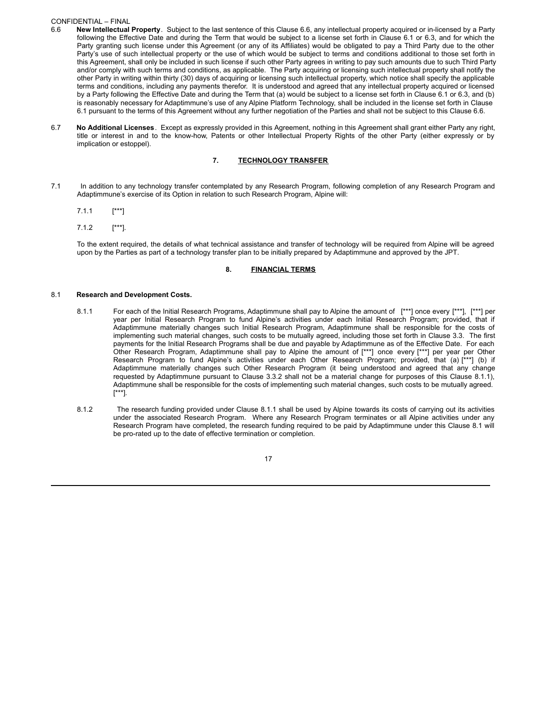- 6.6 **New Intellectual Property**. Subject to the last sentence of this Clause 6.6, any intellectual property acquired or in-licensed by a Party following the Effective Date and during the Term that would be subject to a license set forth in Clause 6.1 or 6.3, and for which the Party granting such license under this Agreement (or any of its Affiliates) would be obligated to pay a Third Party due to the other Party's use of such intellectual property or the use of which would be subject to terms and conditions additional to those set forth in this Agreement, shall only be included in such license if such other Party agrees in writing to pay such amounts due to such Third Party and/or comply with such terms and conditions, as applicable. The Party acquiring or licensing such intellectual property shall notify the other Party in writing within thirty (30) days of acquiring or licensing such intellectual property, which notice shall specify the applicable terms and conditions, including any payments therefor. It is understood and agreed that any intellectual property acquired or licensed by a Party following the Effective Date and during the Term that (a) would be subject to a license set forth in Clause 6.1 or 6.3, and (b) is reasonably necessary for Adaptimmune's use of any Alpine Platform Technology, shall be included in the license set forth in Clause 6.1 pursuant to the terms of this Agreement without any further negotiation of the Parties and shall not be subject to this Clause 6.6.
- 6.7 **No Additional Licenses**. Except as expressly provided in this Agreement, nothing in this Agreement shall grant either Party any right, title or interest in and to the know-how, Patents or other Intellectual Property Rights of the other Party (either expressly or by implication or estoppel).

#### **7. TECHNOLOGY TRANSFER**

- 7.1 In addition to any technology transfer contemplated by any Research Program, following completion of any Research Program and Adaptimmune's exercise of its Option in relation to such Research Program, Alpine will:
	- 7.1.1 [\*\*\*]
	- 7.1.2 [\*\*\*].

To the extent required, the details of what technical assistance and transfer of technology will be required from Alpine will be agreed upon by the Parties as part of a technology transfer plan to be initially prepared by Adaptimmune and approved by the JPT.

#### **8. FINANCIAL TERMS**

#### 8.1 **Research and Development Costs.**

- 8.1.1 For each of the Initial Research Programs, Adaptimmune shall pay to Alpine the amount of [\*\*\*] once every [\*\*\*], [\*\*\*] per year per Initial Research Program to fund Alpine's activities under each Initial Research Program; provided, that if Adaptimmune materially changes such Initial Research Program, Adaptimmune shall be responsible for the costs of implementing such material changes, such costs to be mutually agreed, including those set forth in Clause 3.3. The first payments for the Initial Research Programs shall be due and payable by Adaptimmune as of the Effective Date. For each Other Research Program, Adaptimmune shall pay to Alpine the amount of [\*\*\*] once every [\*\*\*] per year per Other Research Program to fund Alpine's activities under each Other Research Program; provided, that (a) [\*\*\*] (b) if Adaptimmune materially changes such Other Research Program (it being understood and agreed that any change requested by Adaptimmune pursuant to Clause 3.3.2 shall not be a material change for purposes of this Clause 8.1.1), Adaptimmune shall be responsible for the costs of implementing such material changes, such costs to be mutually agreed. [\*\*\*].
- 8.1.2 The research funding provided under Clause 8.1.1 shall be used by Alpine towards its costs of carrying out its activities under the associated Research Program. Where any Research Program terminates or all Alpine activities under any Research Program have completed, the research funding required to be paid by Adaptimmune under this Clause 8.1 will be pro-rated up to the date of effective termination or completion.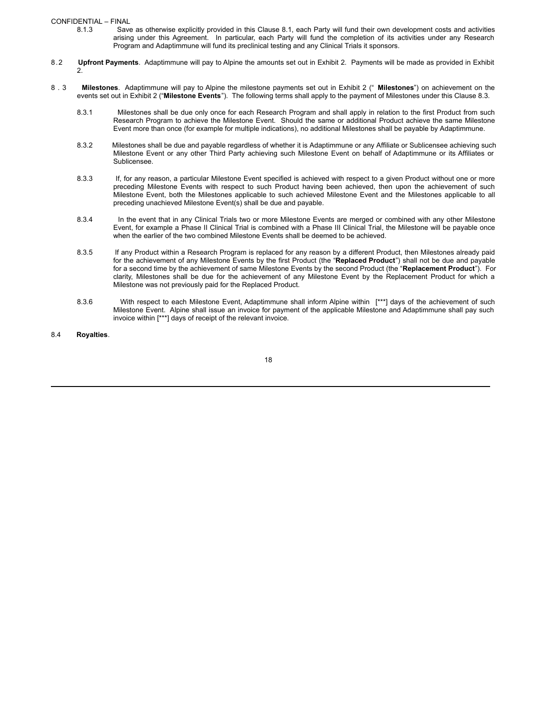- 8.1.3 Save as otherwise explicitly provided in this Clause 8.1, each Party will fund their own development costs and activities arising under this Agreement. In particular, each Party will fund the completion of its activities under any Research Program and Adaptimmune will fund its preclinical testing and any Clinical Trials it sponsors.
- 8.2 **Upfront Payments**. Adaptimmune will pay to Alpine the amounts set out in Exhibit 2. Payments will be made as provided in Exhibit  $\mathfrak{p}$
- 8 . 3 **Milestones**. Adaptimmune will pay to Alpine the milestone payments set out in Exhibit 2 (" **Milestones**") on achievement on the events set out in Exhibit 2 ("**Milestone Events**"). The following terms shall apply to the payment of Milestones under this Clause 8.3.
	- 8.3.1 Milestones shall be due only once for each Research Program and shall apply in relation to the first Product from such Research Program to achieve the Milestone Event. Should the same or additional Product achieve the same Milestone Event more than once (for example for multiple indications), no additional Milestones shall be payable by Adaptimmune.
	- 8.3.2 Milestones shall be due and payable regardless of whether it is Adaptimmune or any Affiliate or Sublicensee achieving such Milestone Event or any other Third Party achieving such Milestone Event on behalf of Adaptimmune or its Affiliates or Sublicensee.
	- 8.3.3 If, for any reason, a particular Milestone Event specified is achieved with respect to a given Product without one or more preceding Milestone Events with respect to such Product having been achieved, then upon the achievement of such Milestone Event, both the Milestones applicable to such achieved Milestone Event and the Milestones applicable to all preceding unachieved Milestone Event(s) shall be due and payable.
	- 8.3.4 In the event that in any Clinical Trials two or more Milestone Events are merged or combined with any other Milestone Event, for example a Phase II Clinical Trial is combined with a Phase III Clinical Trial, the Milestone will be payable once when the earlier of the two combined Milestone Events shall be deemed to be achieved.
	- 8.3.5 If any Product within a Research Program is replaced for any reason by a different Product, then Milestones already paid for the achievement of any Milestone Events by the first Product (the "**Replaced Product**") shall not be due and payable for a second time by the achievement of same Milestone Events by the second Product (the "**Replacement Product**"). For clarity, Milestones shall be due for the achievement of any Milestone Event by the Replacement Product for which a Milestone was not previously paid for the Replaced Product.
	- 8.3.6 With respect to each Milestone Event, Adaptimmune shall inform Alpine within [\*\*\*] days of the achievement of such Milestone Event. Alpine shall issue an invoice for payment of the applicable Milestone and Adaptimmune shall pay such invoice within [\*\*\*] days of receipt of the relevant invoice.

8.4 **Royalties**.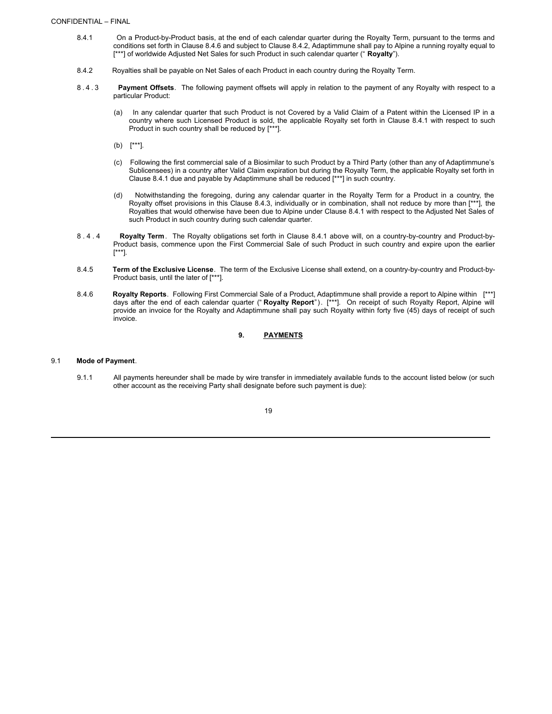- 8.4.1 On a Product-by-Product basis, at the end of each calendar quarter during the Royalty Term, pursuant to the terms and conditions set forth in Clause 8.4.6 and subject to Clause 8.4.2, Adaptimmune shall pay to Alpine a running royalty equal to [\*\*\*] of worldwide Adjusted Net Sales for such Product in such calendar quarter (" Royalty").
- 8.4.2 Royalties shall be payable on Net Sales of each Product in each country during the Royalty Term.
- 8 . 4 . 3 **Payment Offsets**. The following payment offsets will apply in relation to the payment of any Royalty with respect to a particular Product:
	- (a) In any calendar quarter that such Product is not Covered by a Valid Claim of a Patent within the Licensed IP in a country where such Licensed Product is sold, the applicable Royalty set forth in Clause 8.4.1 with respect to such Product in such country shall be reduced by [\*\*\*].
	- (b) [\*\*\*].
	- (c) Following the first commercial sale of a Biosimilar to such Product by a Third Party (other than any of Adaptimmune's Sublicensees) in a country after Valid Claim expiration but during the Royalty Term, the applicable Royalty set forth in Clause 8.4.1 due and payable by Adaptimmune shall be reduced [\*\*\*] in such country.
	- (d) Notwithstanding the foregoing, during any calendar quarter in the Royalty Term for a Product in a country, the Royalty offset provisions in this Clause 8.4.3, individually or in combination, shall not reduce by more than [\*\*\*], the Royalties that would otherwise have been due to Alpine under Clause 8.4.1 with respect to the Adjusted Net Sales of such Product in such country during such calendar quarter.
- 8 . 4 . 4 **Royalty Term**. The Royalty obligations set forth in Clause 8.4.1 above will, on a country-by-country and Product-by-Product basis, commence upon the First Commercial Sale of such Product in such country and expire upon the earlier [\*\*\*].
- 8.4.5 **Term of the Exclusive License**. The term of the Exclusive License shall extend, on a country-by-country and Product-by-Product basis, until the later of [\*\*\*].
- 8.4.6 **Royalty Reports**. Following First Commercial Sale of a Product, Adaptimmune shall provide a report to Alpine within [\*\*\*] days after the end of each calendar quarter (" **Royalty Report**"). [\*\*\*]. On receipt of such Royalty Report, Alpine will provide an invoice for the Royalty and Adaptimmune shall pay such Royalty within forty five (45) days of receipt of such invoice.

# **9. PAYMENTS**

# 9.1 **Mode of Payment**.

9.1.1 All payments hereunder shall be made by wire transfer in immediately available funds to the account listed below (or such other account as the receiving Party shall designate before such payment is due):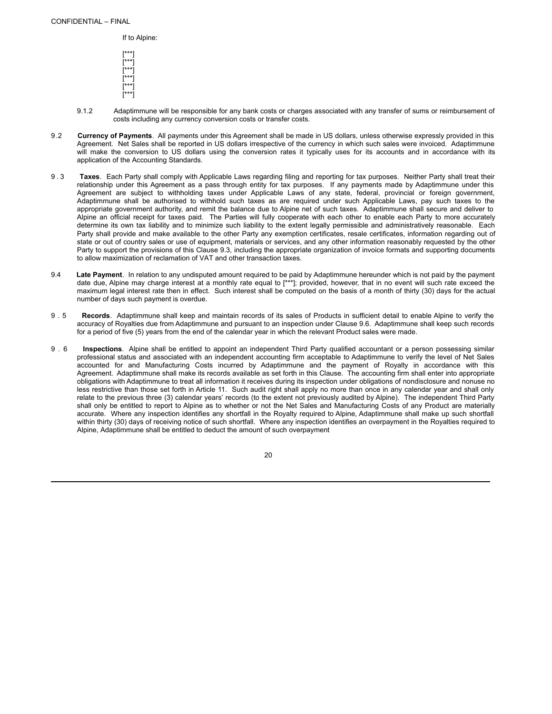If to Alpine:



- 9.1.2 Adaptimmune will be responsible for any bank costs or charges associated with any transfer of sums or reimbursement of costs including any currency conversion costs or transfer costs.
- 9.2 **Currency of Payments**. All payments under this Agreement shall be made in US dollars, unless otherwise expressly provided in this Agreement. Net Sales shall be reported in US dollars irrespective of the currency in which such sales were invoiced. Adaptimmune will make the conversion to US dollars using the conversion rates it typically uses for its accounts and in accordance with its application of the Accounting Standards.
- 9 . 3 **Taxes**. Each Party shall comply with Applicable Laws regarding filing and reporting for tax purposes. Neither Party shall treat their relationship under this Agreement as a pass through entity for tax purposes. If any payments made by Adaptimmune under this Agreement are subject to withholding taxes under Applicable Laws of any state, federal, provincial or foreign government, Adaptimmune shall be authorised to withhold such taxes as are required under such Applicable Laws, pay such taxes to the appropriate government authority, and remit the balance due to Alpine net of such taxes. Adaptimmune shall secure and deliver to Alpine an official receipt for taxes paid. The Parties will fully cooperate with each other to enable each Party to more accurately determine its own tax liability and to minimize such liability to the extent legally permissible and administratively reasonable. Each Party shall provide and make available to the other Party any exemption certificates, resale certificates, information regarding out of state or out of country sales or use of equipment, materials or services, and any other information reasonably requested by the other Party to support the provisions of this Clause 9.3, including the appropriate organization of invoice formats and supporting documents to allow maximization of reclamation of VAT and other transaction taxes.
- 9.4 **Late Payment**. In relation to any undisputed amount required to be paid by Adaptimmune hereunder which is not paid by the payment date due, Alpine may charge interest at a monthly rate equal to [\*\*\*]; provided, however, that in no event will such rate exceed the maximum legal interest rate then in effect. Such interest shall be computed on the basis of a month of thirty (30) days for the actual number of days such payment is overdue.
- 9 . 5 **Records**. Adaptimmune shall keep and maintain records of its sales of Products in sufficient detail to enable Alpine to verify the accuracy of Royalties due from Adaptimmune and pursuant to an inspection under Clause 9.6. Adaptimmune shall keep such records for a period of five (5) years from the end of the calendar year in which the relevant Product sales were made.
- 9 . 6 **Inspections**. Alpine shall be entitled to appoint an independent Third Party qualified accountant or a person possessing similar professional status and associated with an independent accounting firm acceptable to Adaptimmune to verify the level of Net Sales accounted for and Manufacturing Costs incurred by Adaptimmune and the payment of Royalty in accordance with this Agreement. Adaptimmune shall make its records available as set forth in this Clause. The accounting firm shall enter into appropriate obligations with Adaptimmune to treat all information it receives during its inspection under obligations of nondisclosure and nonuse no less restrictive than those set forth in Article 11. Such audit right shall apply no more than once in any calendar year and shall only relate to the previous three (3) calendar years' records (to the extent not previously audited by Alpine). The independent Third Party shall only be entitled to report to Alpine as to whether or not the Net Sales and Manufacturing Costs of any Product are materially accurate. Where any inspection identifies any shortfall in the Royalty required to Alpine, Adaptimmune shall make up such shortfall within thirty (30) days of receiving notice of such shortfall. Where any inspection identifies an overpayment in the Royalties required to Alpine, Adaptimmune shall be entitled to deduct the amount of such overpayment

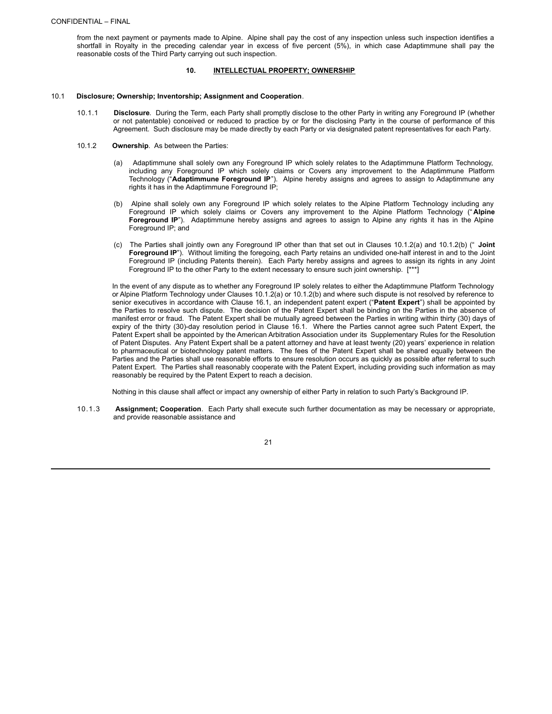from the next payment or payments made to Alpine. Alpine shall pay the cost of any inspection unless such inspection identifies a shortfall in Royalty in the preceding calendar year in excess of five percent (5%), in which case Adaptimmune shall pay the reasonable costs of the Third Party carrying out such inspection.

#### **10. INTELLECTUAL PROPERTY; OWNERSHIP**

#### 10.1 **Disclosure; Ownership; Inventorship; Assignment and Cooperation**.

- 10.1.1 **Disclosure**. During the Term, each Party shall promptly disclose to the other Party in writing any Foreground IP (whether or not patentable) conceived or reduced to practice by or for the disclosing Party in the course of performance of this Agreement. Such disclosure may be made directly by each Party or via designated patent representatives for each Party.
- 10.1.2 **Ownership**. As between the Parties:
	- (a) Adaptimmune shall solely own any Foreground IP which solely relates to the Adaptimmune Platform Technology, including any Foreground IP which solely claims or Covers any improvement to the Adaptimmune Platform Technology ("**Adaptimmune Foreground IP**"). Alpine hereby assigns and agrees to assign to Adaptimmune any rights it has in the Adaptimmune Foreground IP;
	- (b) Alpine shall solely own any Foreground IP which solely relates to the Alpine Platform Technology including any Foreground IP which solely claims or Covers any improvement to the Alpine Platform Technology (" **Alpine Foreground IP**"). Adaptimmune hereby assigns and agrees to assign to Alpine any rights it has in the Alpine Foreground IP; and
	- (c) The Parties shall jointly own any Foreground IP other than that set out in Clauses 10.1.2(a) and 10.1.2(b) (" **Joint Foreground IP**"). Without limiting the foregoing, each Party retains an undivided one-half interest in and to the Joint Foreground IP (including Patents therein). Each Party hereby assigns and agrees to assign its rights in any Joint Foreground IP to the other Party to the extent necessary to ensure such joint ownership. [\*\*\*]

In the event of any dispute as to whether any Foreground IP solely relates to either the Adaptimmune Platform Technology or Alpine Platform Technology under Clauses 10.1.2(a) or 10.1.2(b) and where such dispute is not resolved by reference to senior executives in accordance with Clause 16.1, an independent patent expert ("**Patent Expert**") shall be appointed by the Parties to resolve such dispute. The decision of the Patent Expert shall be binding on the Parties in the absence of manifest error or fraud. The Patent Expert shall be mutually agreed between the Parties in writing within thirty (30) days of expiry of the thirty (30)-day resolution period in Clause 16.1. Where the Parties cannot agree such Patent Expert, the Patent Expert shall be appointed by the American Arbitration Association under its Supplementary Rules for the Resolution of Patent Disputes. Any Patent Expert shall be a patent attorney and have at least twenty (20) years' experience in relation to pharmaceutical or biotechnology patent matters. The fees of the Patent Expert shall be shared equally between the Parties and the Parties shall use reasonable efforts to ensure resolution occurs as quickly as possible after referral to such Patent Expert. The Parties shall reasonably cooperate with the Patent Expert, including providing such information as may reasonably be required by the Patent Expert to reach a decision.

Nothing in this clause shall affect or impact any ownership of either Party in relation to such Party's Background IP.

10.1.3 **Assignment; Cooperation**. Each Party shall execute such further documentation as may be necessary or appropriate, and provide reasonable assistance and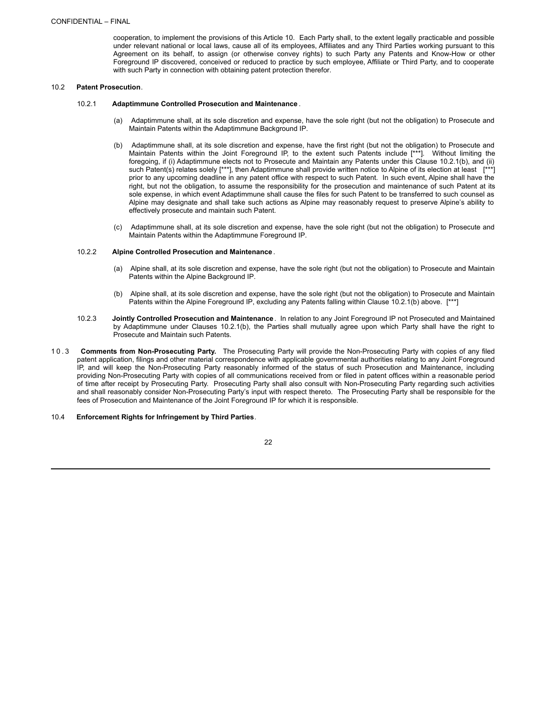cooperation, to implement the provisions of this Article 10. Each Party shall, to the extent legally practicable and possible under relevant national or local laws, cause all of its employees, Affiliates and any Third Parties working pursuant to this Agreement on its behalf, to assign (or otherwise convey rights) to such Party any Patents and Know-How or other Foreground IP discovered, conceived or reduced to practice by such employee, Affiliate or Third Party, and to cooperate with such Party in connection with obtaining patent protection therefor.

# 10.2 **Patent Prosecution**.

# 10.2.1 **Adaptimmune Controlled Prosecution and Maintenance** .

- (a) Adaptimmune shall, at its sole discretion and expense, have the sole right (but not the obligation) to Prosecute and Maintain Patents within the Adaptimmune Background IP.
- (b) Adaptimmune shall, at its sole discretion and expense, have the first right (but not the obligation) to Prosecute and Maintain Patents within the Joint Foreground IP, to the extent such Patents include [\*\*\*]. Without limiting the foregoing, if (i) Adaptimmune elects not to Prosecute and Maintain any Patents under this Clause 10.2.1(b), and (ii) such Patent(s) relates solely [\*\*\*], then Adaptimmune shall provide written notice to Alpine of its election at least [\*\*\*] prior to any upcoming deadline in any patent office with respect to such Patent. In such event, Alpine shall have the right, but not the obligation, to assume the responsibility for the prosecution and maintenance of such Patent at its sole expense, in which event Adaptimmune shall cause the files for such Patent to be transferred to such counsel as Alpine may designate and shall take such actions as Alpine may reasonably request to preserve Alpine's ability to effectively prosecute and maintain such Patent.
- (c) Adaptimmune shall, at its sole discretion and expense, have the sole right (but not the obligation) to Prosecute and Maintain Patents within the Adaptimmune Foreground IP.

## 10.2.2 **Alpine Controlled Prosecution and Maintenance** .

- (a) Alpine shall, at its sole discretion and expense, have the sole right (but not the obligation) to Prosecute and Maintain Patents within the Alpine Background IP.
- (b) Alpine shall, at its sole discretion and expense, have the sole right (but not the obligation) to Prosecute and Maintain Patents within the Alpine Foreground IP, excluding any Patents falling within Clause 10.2.1(b) above. [\*\*\*]
- 10.2.3 **Jointly Controlled Prosecution and Maintenance** . In relation to any Joint Foreground IP not Prosecuted and Maintained by Adaptimmune under Clauses 10.2.1(b), the Parties shall mutually agree upon which Party shall have the right to Prosecute and Maintain such Patents.
- 1 0 . 3 **Comments from Non-Prosecuting Party.** The Prosecuting Party will provide the Non-Prosecuting Party with copies of any filed patent application, filings and other material correspondence with applicable governmental authorities relating to any Joint Foreground IP, and will keep the Non-Prosecuting Party reasonably informed of the status of such Prosecution and Maintenance, including providing Non-Prosecuting Party with copies of all communications received from or filed in patent offices within a reasonable period of time after receipt by Prosecuting Party. Prosecuting Party shall also consult with Non-Prosecuting Party regarding such activities and shall reasonably consider Non-Prosecuting Party's input with respect thereto. The Prosecuting Party shall be responsible for the fees of Prosecution and Maintenance of the Joint Foreground IP for which it is responsible.
- 10.4 **Enforcement Rights for Infringement by Third Parties**.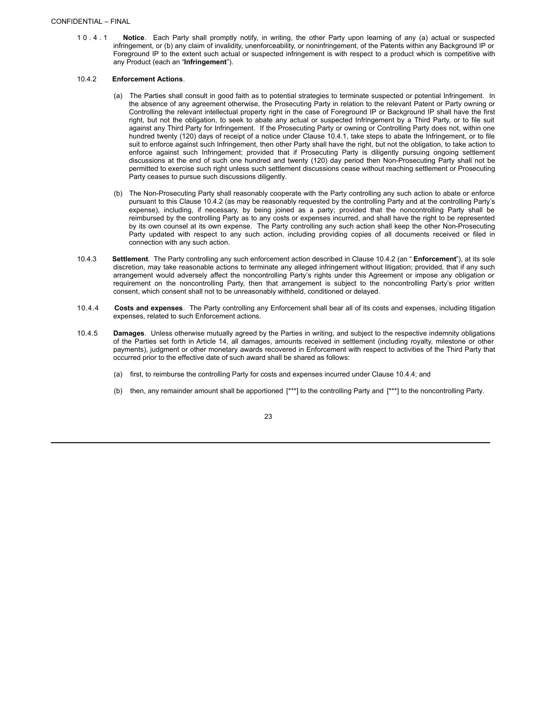1 0 . 4 . 1 **Notice**. Each Party shall promptly notify, in writing, the other Party upon learning of any (a) actual or suspected infringement, or (b) any claim of invalidity, unenforceability, or noninfringement, of the Patents within any Background IP or Foreground IP to the extent such actual or suspected infringement is with respect to a product which is competitive with any Product (each an "**Infringement**").

## 10.4.2 **Enforcement Actions**.

- (a) The Parties shall consult in good faith as to potential strategies to terminate suspected or potential Infringement. In the absence of any agreement otherwise, the Prosecuting Party in relation to the relevant Patent or Party owning or Controlling the relevant intellectual property right in the case of Foreground IP or Background IP shall have the first right, but not the obligation, to seek to abate any actual or suspected Infringement by a Third Party, or to file suit against any Third Party for Infringement. If the Prosecuting Party or owning or Controlling Party does not, within one hundred twenty (120) days of receipt of a notice under Clause 10.4.1, take steps to abate the Infringement, or to file suit to enforce against such Infringement, then other Party shall have the right, but not the obligation, to take action to enforce against such Infringement; provided that if Prosecuting Party is diligently pursuing ongoing settlement discussions at the end of such one hundred and twenty (120) day period then Non-Prosecuting Party shall not be permitted to exercise such right unless such settlement discussions cease without reaching settlement or Prosecuting Party ceases to pursue such discussions diligently.
- (b) The Non-Prosecuting Party shall reasonably cooperate with the Party controlling any such action to abate or enforce pursuant to this Clause 10.4.2 (as may be reasonably requested by the controlling Party and at the controlling Party's expense), including, if necessary, by being joined as a party; provided that the noncontrolling Party shall be reimbursed by the controlling Party as to any costs or expenses incurred, and shall have the right to be represented by its own counsel at its own expense. The Party controlling any such action shall keep the other Non-Prosecuting Party updated with respect to any such action, including providing copies of all documents received or filed in connection with any such action.
- 10.4.3 **Settlement**. The Party controlling any such enforcement action described in Clause 10.4.2 (an " **Enforcement**"), at its sole discretion, may take reasonable actions to terminate any alleged infringement without litigation; provided, that if any such arrangement would adversely affect the noncontrolling Party's rights under this Agreement or impose any obligation or requirement on the noncontrolling Party, then that arrangement is subject to the noncontrolling Party's prior written consent, which consent shall not to be unreasonably withheld, conditioned or delayed.
- 10.4.4 **Costs and expenses**. The Party controlling any Enforcement shall bear all of its costs and expenses, including litigation expenses, related to such Enforcement actions.
- 10.4.5 **Damages**. Unless otherwise mutually agreed by the Parties in writing, and subject to the respective indemnity obligations of the Parties set forth in Article 14, all damages, amounts received in settlement (including royalty, milestone or other payments), judgment or other monetary awards recovered in Enforcement with respect to activities of the Third Party that occurred prior to the effective date of such award shall be shared as follows:
	- (a) first, to reimburse the controlling Party for costs and expenses incurred under Clause 10.4.4; and
	- (b) then, any remainder amount shall be apportioned [\*\*\*] to the controlling Party and [\*\*\*] to the noncontrolling Party.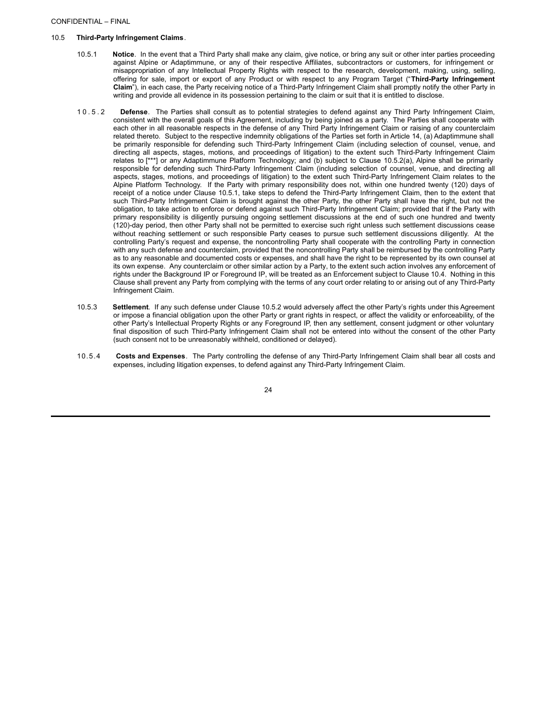## 10.5 **Third-Party Infringement Claims**.

- 10.5.1 **Notice**. In the event that a Third Party shall make any claim, give notice, or bring any suit or other inter parties proceeding against Alpine or Adaptimmune, or any of their respective Affiliates, subcontractors or customers, for infringement or misappropriation of any Intellectual Property Rights with respect to the research, development, making, using, selling, offering for sale, import or export of any Product or with respect to any Program Target ("**Third-Party Infringement Claim**"), in each case, the Party receiving notice of a Third-Party Infringement Claim shall promptly notify the other Party in writing and provide all evidence in its possession pertaining to the claim or suit that it is entitled to disclose.
- 1 0 . 5 . 2 **Defense**. The Parties shall consult as to potential strategies to defend against any Third Party Infringement Claim, consistent with the overall goals of this Agreement, including by being joined as a party. The Parties shall cooperate with each other in all reasonable respects in the defense of any Third Party Infringement Claim or raising of any counterclaim related thereto. Subject to the respective indemnity obligations of the Parties set forth in Article 14, (a) Adaptimmune shall be primarily responsible for defending such Third-Party Infringement Claim (including selection of counsel, venue, and directing all aspects, stages, motions, and proceedings of litigation) to the extent such Third-Party Infringement Claim relates to [\*\*\*] or any Adaptimmune Platform Technology; and (b) subject to Clause 10.5.2(a), Alpine shall be primarily responsible for defending such Third-Party Infringement Claim (including selection of counsel, venue, and directing all aspects, stages, motions, and proceedings of litigation) to the extent such Third-Party Infringement Claim relates to the Alpine Platform Technology. If the Party with primary responsibility does not, within one hundred twenty (120) days of receipt of a notice under Clause 10.5.1, take steps to defend the Third-Party Infringement Claim, then to the extent that such Third-Party Infringement Claim is brought against the other Party, the other Party shall have the right, but not the obligation, to take action to enforce or defend against such Third-Party Infringement Claim; provided that if the Party with primary responsibility is diligently pursuing ongoing settlement discussions at the end of such one hundred and twenty (120)-day period, then other Party shall not be permitted to exercise such right unless such settlement discussions cease without reaching settlement or such responsible Party ceases to pursue such settlement discussions diligently. At the controlling Party's request and expense, the noncontrolling Party shall cooperate with the controlling Party in connection with any such defense and counterclaim, provided that the noncontrolling Party shall be reimbursed by the controlling Party as to any reasonable and documented costs or expenses, and shall have the right to be represented by its own counsel at its own expense. Any counterclaim or other similar action by a Party, to the extent such action involves any enforcement of rights under the Background IP or Foreground IP, will be treated as an Enforcement subject to Clause 10.4. Nothing in this Clause shall prevent any Party from complying with the terms of any court order relating to or arising out of any Third-Party Infringement Claim.
- 10.5.3 **Settlement**. If any such defense under Clause 10.5.2 would adversely affect the other Party's rights under this Agreement or impose a financial obligation upon the other Party or grant rights in respect, or affect the validity or enforceability, of the other Party's Intellectual Property Rights or any Foreground IP, then any settlement, consent judgment or other voluntary final disposition of such Third-Party Infringement Claim shall not be entered into without the consent of the other Party (such consent not to be unreasonably withheld, conditioned or delayed).
- 10.5.4 **Costs and Expenses**. The Party controlling the defense of any Third-Party Infringement Claim shall bear all costs and expenses, including litigation expenses, to defend against any Third-Party Infringement Claim.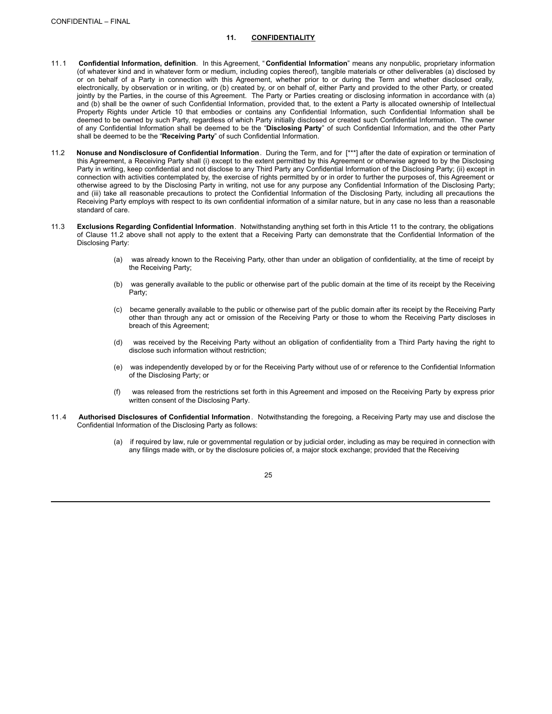## **11. CONFIDENTIALITY**

- 11.1 **Confidential Information, definition**. In this Agreement, " **Confidential Information**" means any nonpublic, proprietary information (of whatever kind and in whatever form or medium, including copies thereof), tangible materials or other deliverables (a) disclosed by or on behalf of a Party in connection with this Agreement, whether prior to or during the Term and whether disclosed orally, electronically, by observation or in writing, or (b) created by, or on behalf of, either Party and provided to the other Party, or created jointly by the Parties, in the course of this Agreement. The Party or Parties creating or disclosing information in accordance with (a) and (b) shall be the owner of such Confidential Information, provided that, to the extent a Party is allocated ownership of Intellectual Property Rights under Article 10 that embodies or contains any Confidential Information, such Confidential Information shall be deemed to be owned by such Party, regardless of which Party initially disclosed or created such Confidential Information. The owner of any Confidential Information shall be deemed to be the "**Disclosing Party**" of such Confidential Information, and the other Party shall be deemed to be the "**Receiving Party**" of such Confidential Information.
- 11.2 **Nonuse and Nondisclosure of Confidential Information**. During the Term, and for [\*\*\*] after the date of expiration or termination of this Agreement, a Receiving Party shall (i) except to the extent permitted by this Agreement or otherwise agreed to by the Disclosing Party in writing, keep confidential and not disclose to any Third Party any Confidential Information of the Disclosing Party; (ii) except in connection with activities contemplated by, the exercise of rights permitted by or in order to further the purposes of, this Agreement or otherwise agreed to by the Disclosing Party in writing, not use for any purpose any Confidential Information of the Disclosing Party; and (iii) take all reasonable precautions to protect the Confidential Information of the Disclosing Party, including all precautions the Receiving Party employs with respect to its own confidential information of a similar nature, but in any case no less than a reasonable standard of care.
- 11.3 **Exclusions Regarding Confidential Information**. Notwithstanding anything set forth in this Article 11 to the contrary, the obligations of Clause 11.2 above shall not apply to the extent that a Receiving Party can demonstrate that the Confidential Information of the Disclosing Party:
	- (a) was already known to the Receiving Party, other than under an obligation of confidentiality, at the time of receipt by the Receiving Party;
	- (b) was generally available to the public or otherwise part of the public domain at the time of its receipt by the Receiving Party;
	- (c) became generally available to the public or otherwise part of the public domain after its receipt by the Receiving Party other than through any act or omission of the Receiving Party or those to whom the Receiving Party discloses in breach of this Agreement;
	- (d) was received by the Receiving Party without an obligation of confidentiality from a Third Party having the right to disclose such information without restriction;
	- (e) was independently developed by or for the Receiving Party without use of or reference to the Confidential Information of the Disclosing Party; or
	- (f) was released from the restrictions set forth in this Agreement and imposed on the Receiving Party by express prior written consent of the Disclosing Party.
- 11.4 **Authorised Disclosures of Confidential Information**. Notwithstanding the foregoing, a Receiving Party may use and disclose the Confidential Information of the Disclosing Party as follows:
	- (a) if required by law, rule or governmental regulation or by judicial order, including as may be required in connection with any filings made with, or by the disclosure policies of, a major stock exchange; provided that the Receiving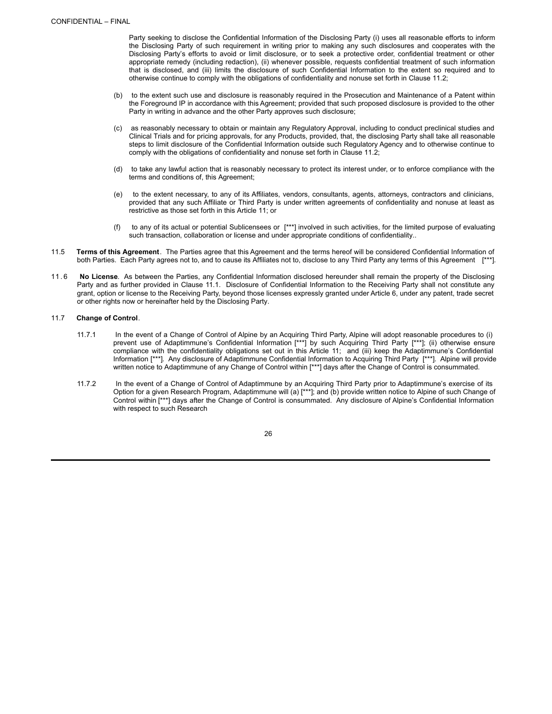Party seeking to disclose the Confidential Information of the Disclosing Party (i) uses all reasonable efforts to inform the Disclosing Party of such requirement in writing prior to making any such disclosures and cooperates with the Disclosing Party's efforts to avoid or limit disclosure, or to seek a protective order, confidential treatment or other appropriate remedy (including redaction), (ii) whenever possible, requests confidential treatment of such information that is disclosed, and (iii) limits the disclosure of such Confidential Information to the extent so required and to otherwise continue to comply with the obligations of confidentiality and nonuse set forth in Clause 11.2;

- (b) to the extent such use and disclosure is reasonably required in the Prosecution and Maintenance of a Patent within the Foreground IP in accordance with this Agreement; provided that such proposed disclosure is provided to the other Party in writing in advance and the other Party approves such disclosure;
- (c) as reasonably necessary to obtain or maintain any Regulatory Approval, including to conduct preclinical studies and Clinical Trials and for pricing approvals, for any Products, provided, that, the disclosing Party shall take all reasonable steps to limit disclosure of the Confidential Information outside such Regulatory Agency and to otherwise continue to comply with the obligations of confidentiality and nonuse set forth in Clause 11.2;
- (d) to take any lawful action that is reasonably necessary to protect its interest under, or to enforce compliance with the terms and conditions of, this Agreement;
- (e) to the extent necessary, to any of its Affiliates, vendors, consultants, agents, attorneys, contractors and clinicians, provided that any such Affiliate or Third Party is under written agreements of confidentiality and nonuse at least as restrictive as those set forth in this Article 11; or
- (f) to any of its actual or potential Sublicensees or [\*\*\*] involved in such activities, for the limited purpose of evaluating such transaction, collaboration or license and under appropriate conditions of confidentiality..
- 11.5 **Terms of this Agreement**. The Parties agree that this Agreement and the terms hereof will be considered Confidential Information of both Parties. Each Party agrees not to, and to cause its Affiliates not to, disclose to any Third Party any terms of this Agreement [\*\*\*].
- 11 . 6 **No License**. As between the Parties, any Confidential Information disclosed hereunder shall remain the property of the Disclosing Party and as further provided in Clause 11.1. Disclosure of Confidential Information to the Receiving Party shall not constitute any grant, option or license to the Receiving Party, beyond those licenses expressly granted under Article 6, under any patent, trade secret or other rights now or hereinafter held by the Disclosing Party.

# 11.7 **Change of Control**.

- 11.7.1 In the event of a Change of Control of Alpine by an Acquiring Third Party, Alpine will adopt reasonable procedures to (i) prevent use of Adaptimmune's Confidential Information [\*\*\*] by such Acquiring Third Party [\*\*\*]; (ii) otherwise ensure compliance with the confidentiality obligations set out in this Article 11; and (iii) keep the Adaptimmune's Confidential Information [\*\*\*]. Any disclosure of Adaptimmune Confidential Information to Acquiring Third Party [\*\*\*]. Alpine will provide written notice to Adaptimmune of any Change of Control within [\*\*\*] days after the Change of Control is consummated.
- 11.7.2 In the event of a Change of Control of Adaptimmune by an Acquiring Third Party prior to Adaptimmune's exercise of its Option for a given Research Program, Adaptimmune will (a) [\*\*\*]; and (b) provide written notice to Alpine of such Change of Control within [\*\*\*] days after the Change of Control is consummated. Any disclosure of Alpine's Confidential Information with respect to such Research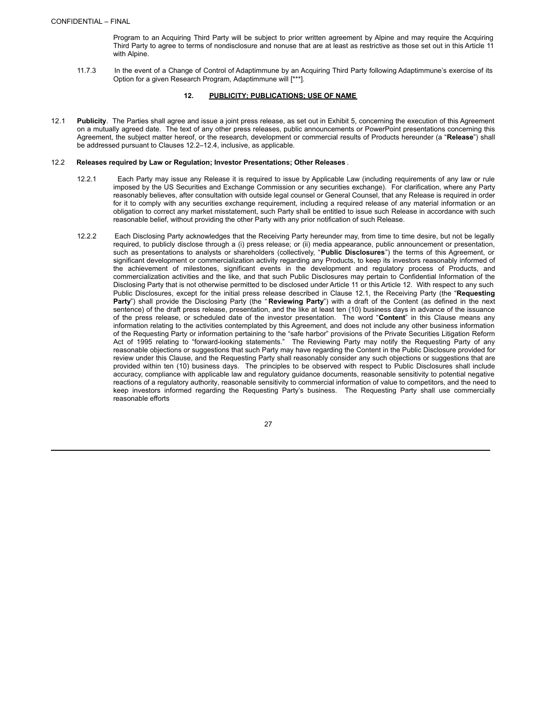Program to an Acquiring Third Party will be subject to prior written agreement by Alpine and may require the Acquiring Third Party to agree to terms of nondisclosure and nonuse that are at least as restrictive as those set out in this Article 11 with Alpine.

11.7.3 In the event of a Change of Control of Adaptimmune by an Acquiring Third Party following Adaptimmune's exercise of its Option for a given Research Program, Adaptimmune will [\*\*\*].

# **12. PUBLICITY; PUBLICATIONS; USE OF NAME**

12.1 **Publicity**. The Parties shall agree and issue a joint press release, as set out in Exhibit 5, concerning the execution of this Agreement on a mutually agreed date. The text of any other press releases, public announcements or PowerPoint presentations concerning this Agreement, the subject matter hereof, or the research, development or commercial results of Products hereunder (a "**Release**") shall be addressed pursuant to Clauses 12.2–12.4, inclusive, as applicable.

## 12.2 **Releases required by Law or Regulation; Investor Presentations; Other Releases** .

- 12.2.1 Each Party may issue any Release it is required to issue by Applicable Law (including requirements of any law or rule imposed by the US Securities and Exchange Commission or any securities exchange). For clarification, where any Party reasonably believes, after consultation with outside legal counsel or General Counsel, that any Release is required in order for it to comply with any securities exchange requirement, including a required release of any material information or an obligation to correct any market misstatement, such Party shall be entitled to issue such Release in accordance with such reasonable belief, without providing the other Party with any prior notification of such Release.
- 12.2.2 Each Disclosing Party acknowledges that the Receiving Party hereunder may, from time to time desire, but not be legally required, to publicly disclose through a (i) press release; or (ii) media appearance, public announcement or presentation, such as presentations to analysts or shareholders (collectively, "**Public Disclosures**") the terms of this Agreement, or significant development or commercialization activity regarding any Products, to keep its investors reasonably informed of the achievement of milestones, significant events in the development and regulatory process of Products, and commercialization activities and the like, and that such Public Disclosures may pertain to Confidential Information of the Disclosing Party that is not otherwise permitted to be disclosed under Article 11 or this Article 12. With respect to any such Public Disclosures, except for the initial press release described in Clause 12.1, the Receiving Party (the "**Requesting Party**") shall provide the Disclosing Party (the " **Reviewing Party**") with a draft of the Content (as defined in the next sentence) of the draft press release, presentation, and the like at least ten (10) business days in advance of the issuance of the press release, or scheduled date of the investor presentation. The word "**Content**" in this Clause means any information relating to the activities contemplated by this Agreement, and does not include any other business information of the Requesting Party or information pertaining to the "safe harbor" provisions of the Private Securities Litigation Reform Act of 1995 relating to "forward-looking statements." The Reviewing Party may notify the Requesting Party of any reasonable objections or suggestions that such Party may have regarding the Content in the Public Disclosure provided for review under this Clause, and the Requesting Party shall reasonably consider any such objections or suggestions that are provided within ten (10) business days. The principles to be observed with respect to Public Disclosures shall include accuracy, compliance with applicable law and regulatory guidance documents, reasonable sensitivity to potential negative reactions of a regulatory authority, reasonable sensitivity to commercial information of value to competitors, and the need to keep investors informed regarding the Requesting Party's business. The Requesting Party shall use commercially reasonable efforts

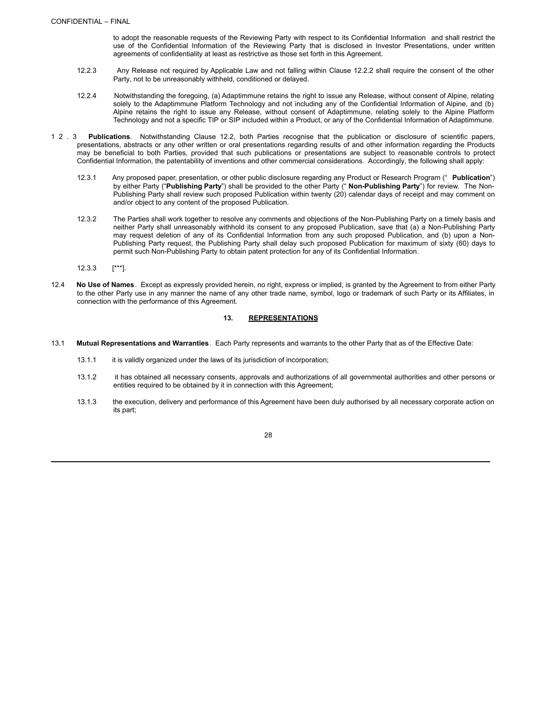to adopt the reasonable requests of the Reviewing Party with respect to its Confidential Information and shall restrict the use of the Confidential Information of the Reviewing Party that is disclosed in Investor Presentations, under written agreements of confidentiality at least as restrictive as those set forth in this Agreement.

- 12.2.3 Any Release not required by Applicable Law and not falling within Clause 12.2.2 shall require the consent of the other Party, not to be unreasonably withheld, conditioned or delayed.
- 12.2.4 Notwithstanding the foregoing, (a) Adaptimmune retains the right to issue any Release, without consent of Alpine, relating solely to the Adaptimmune Platform Technology and not including any of the Confidential Information of Alpine, and (b) Alpine retains the right to issue any Release, without consent of Adaptimmune, relating solely to the Alpine Platform Technology and not a specific TIP or SIP included within a Product, or any of the Confidential Information of Adaptimmune.
- 1 2 . 3 **Publications**. Notwithstanding Clause 12.2, both Parties recognise that the publication or disclosure of scientific papers, presentations, abstracts or any other written or oral presentations regarding results of and other information regarding the Products may be beneficial to both Parties, provided that such publications or presentations are subject to reasonable controls to protect Confidential Information, the patentability of inventions and other commercial considerations. Accordingly, the following shall apply:
	- 12.3.1 Any proposed paper, presentation, or other public disclosure regarding any Product or Research Program (" **Publication**") by either Party ("**Publishing Party**") shall be provided to the other Party (" **Non-Publishing Party**") for review. The Non-Publishing Party shall review such proposed Publication within twenty (20) calendar days of receipt and may comment on and/or object to any content of the proposed Publication.
	- 12.3.2 The Parties shall work together to resolve any comments and objections of the Non-Publishing Party on a timely basis and neither Party shall unreasonably withhold its consent to any proposed Publication, save that (a) a Non-Publishing Party may request deletion of any of its Confidential Information from any such proposed Publication, and (b) upon a Non-Publishing Party request, the Publishing Party shall delay such proposed Publication for maximum of sixty (60) days to permit such Non-Publishing Party to obtain patent protection for any of its Confidential Information.
	- 12.3.3 [\*\*\*].
- 12.4 **No Use of Names**. Except as expressly provided herein, no right, express or implied, is granted by the Agreement to from either Party to the other Party use in any manner the name of any other trade name, symbol, logo or trademark of such Party or its Affiliates, in connection with the performance of this Agreement.

# **13. REPRESENTATIONS**

- 13.1 **Mutual Representations and Warranties**. Each Party represents and warrants to the other Party that as of the Effective Date:
	- 13.1.1 it is validly organized under the laws of its jurisdiction of incorporation;
	- 13.1.2 it has obtained all necessary consents, approvals and authorizations of all governmental authorities and other persons or entities required to be obtained by it in connection with this Agreement;
	- 13.1.3 the execution, delivery and performance of this Agreement have been duly authorised by all necessary corporate action on its part;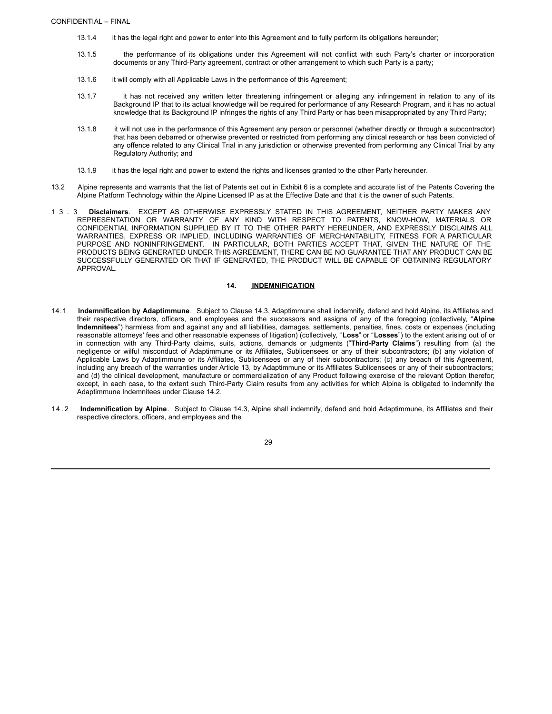- 13.1.4 it has the legal right and power to enter into this Agreement and to fully perform its obligations hereunder;
- 13.1.5 the performance of its obligations under this Agreement will not conflict with such Party's charter or incorporation documents or any Third-Party agreement, contract or other arrangement to which such Party is a party;
- 13.1.6 it will comply with all Applicable Laws in the performance of this Agreement;
- 13.1.7 it has not received any written letter threatening infringement or alleging any infringement in relation to any of its Background IP that to its actual knowledge will be required for performance of any Research Program, and it has no actual knowledge that its Background IP infringes the rights of any Third Party or has been misappropriated by any Third Party;
- 13.1.8 it will not use in the performance of this Agreement any person or personnel (whether directly or through a subcontractor) that has been debarred or otherwise prevented or restricted from performing any clinical research or has been convicted of any offence related to any Clinical Trial in any jurisdiction or otherwise prevented from performing any Clinical Trial by any Regulatory Authority; and
- 13.1.9 it has the legal right and power to extend the rights and licenses granted to the other Party hereunder.
- 13.2 Alpine represents and warrants that the list of Patents set out in Exhibit 6 is a complete and accurate list of the Patents Covering the Alpine Platform Technology within the Alpine Licensed IP as at the Effective Date and that it is the owner of such Patents.
- 1 3 . 3 **Disclaimers**. EXCEPT AS OTHERWISE EXPRESSLY STATED IN THIS AGREEMENT, NEITHER PARTY MAKES ANY REPRESENTATION OR WARRANTY OF ANY KIND WITH RESPECT TO PATENTS, KNOW-HOW, MATERIALS OR CONFIDENTIAL INFORMATION SUPPLIED BY IT TO THE OTHER PARTY HEREUNDER, AND EXPRESSLY DISCLAIMS ALL WARRANTIES, EXPRESS OR IMPLIED, INCLUDING WARRANTIES OF MERCHANTABILITY, FITNESS FOR A PARTICULAR PURPOSE AND NONINFRINGEMENT. IN PARTICULAR, BOTH PARTIES ACCEPT THAT, GIVEN THE NATURE OF THE PRODUCTS BEING GENERATED UNDER THIS AGREEMENT, THERE CAN BE NO GUARANTEE THAT ANY PRODUCT CAN BE SUCCESSFULLY GENERATED OR THAT IF GENERATED, THE PRODUCT WILL BE CAPABLE OF OBTAINING REGULATORY APPROVAL.

# **14. INDEMNIFICATION**

- 14.1 **Indemnification by Adaptimmune**. Subject to Clause 14.3, Adaptimmune shall indemnify, defend and hold Alpine, its Affiliates and their respective directors, officers, and employees and the successors and assigns of any of the foregoing (collectively, "**Alpine Indemnitees**") harmless from and against any and all liabilities, damages, settlements, penalties, fines, costs or expenses (including reasonable attorneys' fees and other reasonable expenses of litigation) (collectively, "**Loss**" or "**Losses**") to the extent arising out of or in connection with any Third-Party claims, suits, actions, demands or judgments ("**Third-Party Claims**") resulting from (a) the negligence or wilful misconduct of Adaptimmune or its Affiliates, Sublicensees or any of their subcontractors; (b) any violation of Applicable Laws by Adaptimmune or its Affiliates, Sublicensees or any of their subcontractors; (c) any breach of this Agreement, including any breach of the warranties under Article 13, by Adaptimmune or its Affiliates Sublicensees or any of their subcontractors; and (d) the clinical development, manufacture or commercialization of any Product following exercise of the relevant Option therefor; except, in each case, to the extent such Third-Party Claim results from any activities for which Alpine is obligated to indemnify the Adaptimmune Indemnitees under Clause 14.2.
- 1 4 . 2 **Indemnification by Alpine**. Subject to Clause 14.3, Alpine shall indemnify, defend and hold Adaptimmune, its Affiliates and their respective directors, officers, and employees and the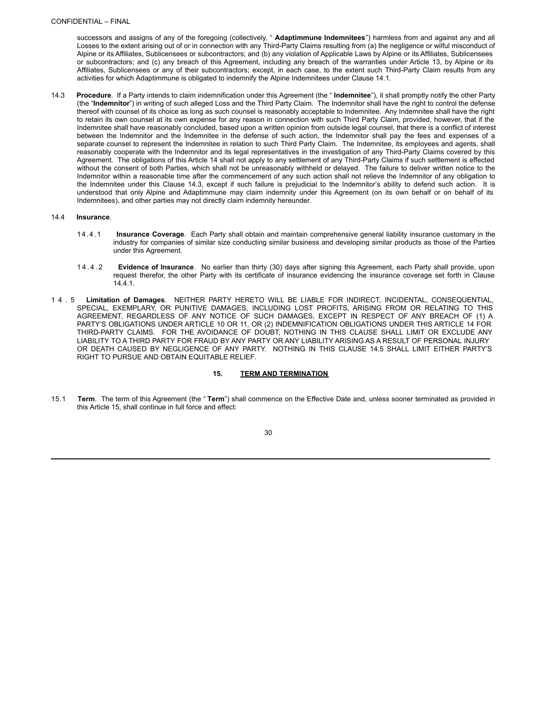successors and assigns of any of the foregoing (collectively, " **Adaptimmune Indemnitees**") harmless from and against any and all Losses to the extent arising out of or in connection with any Third-Party Claims resulting from (a) the negligence or wilful misconduct of Alpine or its Affiliates, Sublicensees or subcontractors; and (b) any violation of Applicable Laws by Alpine or its Affiliates, Sublicensees or subcontractors; and (c) any breach of this Agreement, including any breach of the warranties under Article 13, by Alpine or its Affiliates, Sublicensees or any of their subcontractors; except, in each case, to the extent such Third-Party Claim results from any activities for which Adaptimmune is obligated to indemnify the Alpine Indemnitees under Clause 14.1.

14.3 **Procedure**. If a Party intends to claim indemnification under this Agreement (the " **Indemnitee**"), it shall promptly notify the other Party (the "**Indemnitor**") in writing of such alleged Loss and the Third Party Claim. The Indemnitor shall have the right to control the defense thereof with counsel of its choice as long as such counsel is reasonably acceptable to Indemnitee. Any Indemnitee shall have the right to retain its own counsel at its own expense for any reason in connection with such Third Party Claim, provided, however, that if the Indemnitee shall have reasonably concluded, based upon a written opinion from outside legal counsel, that there is a conflict of interest between the Indemnitor and the Indemnitee in the defense of such action, the Indemnitor shall pay the fees and expenses of a separate counsel to represent the Indemnitee in relation to such Third Party Claim. The Indemnitee, its employees and agents, shall reasonably cooperate with the Indemnitor and its legal representatives in the investigation of any Third-Party Claims covered by this Agreement. The obligations of this Article 14 shall not apply to any settlement of any Third-Party Claims if such settlement is effected without the consent of both Parties, which shall not be unreasonably withheld or delayed. The failure to deliver written notice to the Indemnitor within a reasonable time after the commencement of any such action shall not relieve the Indemnitor of any obligation to the Indemnitee under this Clause 14.3, except if such failure is prejudicial to the Indemnitor's ability to defend such action. It is understood that only Alpine and Adaptimmune may claim indemnity under this Agreement (on its own behalf or on behalf of its Indemnitees), and other parties may not directly claim indemnity hereunder.

#### 14.4 **Insurance**.

- 14.4.1 **Insurance Coverage**. Each Party shall obtain and maintain comprehensive general liability insurance customary in the industry for companies of similar size conducting similar business and developing similar products as those of the Parties under this Agreement.
- 1 4 . 4 . 2 **Evidence of Insurance**. No earlier than thirty (30) days after signing this Agreement, each Party shall provide, upon request therefor, the other Party with its certificate of insurance evidencing the insurance coverage set forth in Clause 14.4.1.
- 1 4 . 5 **Limitation of Damages**. NEITHER PARTY HERETO WILL BE LIABLE FOR INDIRECT, INCIDENTAL, CONSEQUENTIAL, SPECIAL, EXEMPLARY, OR PUNITIVE DAMAGES, INCLUDING LOST PROFITS, ARISING FROM OR RELATING TO THIS AGREEMENT, REGARDLESS OF ANY NOTICE OF SUCH DAMAGES, EXCEPT IN RESPECT OF ANY BREACH OF (1) A PARTY'S OBLIGATIONS UNDER ARTICLE 10 OR 11, OR (2) INDEMNIFICATION OBLIGATIONS UNDER THIS ARTICLE 14 FOR THIRD-PARTY CLAIMS. FOR THE AVOIDANCE OF DOUBT, NOTHING IN THIS CLAUSE SHALL LIMIT OR EXCLUDE ANY LIABILITY TO A THIRD PARTY FOR FRAUD BY ANY PARTY OR ANY LIABILITY ARISING AS A RESULT OF PERSONAL INJURY OR DEATH CAUSED BY NEGLIGENCE OF ANY PARTY. NOTHING IN THIS CLAUSE 14.5 SHALL LIMIT EITHER PARTY'S RIGHT TO PURSUE AND OBTAIN EQUITABLE RELIEF.

## **15. TERM AND TERMINATION**

15.1 **Term**. The term of this Agreement (the " **Term**") shall commence on the Effective Date and, unless sooner terminated as provided in this Article 15, shall continue in full force and effect: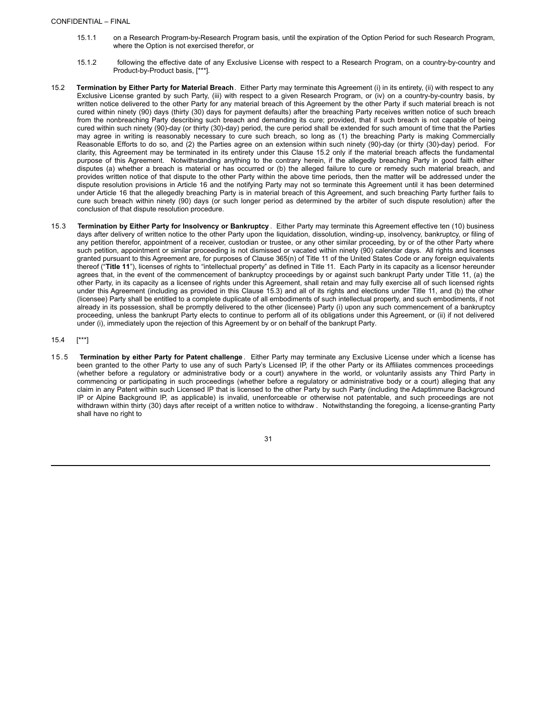- 15.1.1 on a Research Program-by-Research Program basis, until the expiration of the Option Period for such Research Program, where the Option is not exercised therefor, or
- 15.1.2 following the effective date of any Exclusive License with respect to a Research Program, on a country-by-country and Product-by-Product basis, [\*\*\*].
- 15.2 **Termination by Either Party for Material Breach**. Either Party may terminate this Agreement (i) in its entirety, (ii) with respect to any Exclusive License granted by such Party, (iii) with respect to a given Research Program, or (iv) on a country-by-country basis, by written notice delivered to the other Party for any material breach of this Agreement by the other Party if such material breach is not cured within ninety (90) days (thirty (30) days for payment defaults) after the breaching Party receives written notice of such breach from the nonbreaching Party describing such breach and demanding its cure; provided, that if such breach is not capable of being cured within such ninety (90)-day (or thirty (30)-day) period, the cure period shall be extended for such amount of time that the Parties may agree in writing is reasonably necessary to cure such breach, so long as (1) the breaching Party is making Commercially Reasonable Efforts to do so, and (2) the Parties agree on an extension within such ninety (90)-day (or thirty (30)-day) period. For clarity, this Agreement may be terminated in its entirety under this Clause 15.2 only if the material breach affects the fundamental purpose of this Agreement. Notwithstanding anything to the contrary herein, if the allegedly breaching Party in good faith either disputes (a) whether a breach is material or has occurred or (b) the alleged failure to cure or remedy such material breach, and provides written notice of that dispute to the other Party within the above time periods, then the matter will be addressed under the dispute resolution provisions in Article 16 and the notifying Party may not so terminate this Agreement until it has been determined under Article 16 that the allegedly breaching Party is in material breach of this Agreement, and such breaching Party further fails to cure such breach within ninety (90) days (or such longer period as determined by the arbiter of such dispute resolution) after the conclusion of that dispute resolution procedure.
- 15.3 **Termination by Either Party for Insolvency or Bankruptcy** . Either Party may terminate this Agreement effective ten (10) business days after delivery of written notice to the other Party upon the liquidation, dissolution, winding-up, insolvency, bankruptcy, or filing of any petition therefor, appointment of a receiver, custodian or trustee, or any other similar proceeding, by or of the other Party where such petition, appointment or similar proceeding is not dismissed or vacated within ninety (90) calendar days. All rights and licenses granted pursuant to this Agreement are, for purposes of Clause 365(n) of Title 11 of the United States Code or any foreign equivalents thereof ("**Title 11**"), licenses of rights to "intellectual property" as defined in Title 11. Each Party in its capacity as a licensor hereunder agrees that, in the event of the commencement of bankruptcy proceedings by or against such bankrupt Party under Title 11, (a) the other Party, in its capacity as a licensee of rights under this Agreement, shall retain and may fully exercise all of such licensed rights under this Agreement (including as provided in this Clause 15.3) and all of its rights and elections under Title 11, and (b) the other (licensee) Party shall be entitled to a complete duplicate of all embodiments of such intellectual property, and such embodiments, if not already in its possession, shall be promptly delivered to the other (licensee) Party (i) upon any such commencement of a bankruptcy proceeding, unless the bankrupt Party elects to continue to perform all of its obligations under this Agreement, or (ii) if not delivered under (i), immediately upon the rejection of this Agreement by or on behalf of the bankrupt Party.
- 15.4 [\*\*\*]
- 1 5 . 5 **Termination by either Party for Patent challenge** . Either Party may terminate any Exclusive License under which a license has been granted to the other Party to use any of such Party's Licensed IP, if the other Party or its Affiliates commences proceedings (whether before a regulatory or administrative body or a court) anywhere in the world, or voluntarily assists any Third Party in commencing or participating in such proceedings (whether before a regulatory or administrative body or a court) alleging that any claim in any Patent within such Licensed IP that is licensed to the other Party by such Party (including the Adaptimmune Background IP or Alpine Background IP, as applicable) is invalid, unenforceable or otherwise not patentable, and such proceedings are not withdrawn within thirty (30) days after receipt of a written notice to withdraw . Notwithstanding the foregoing, a license-granting Party shall have no right to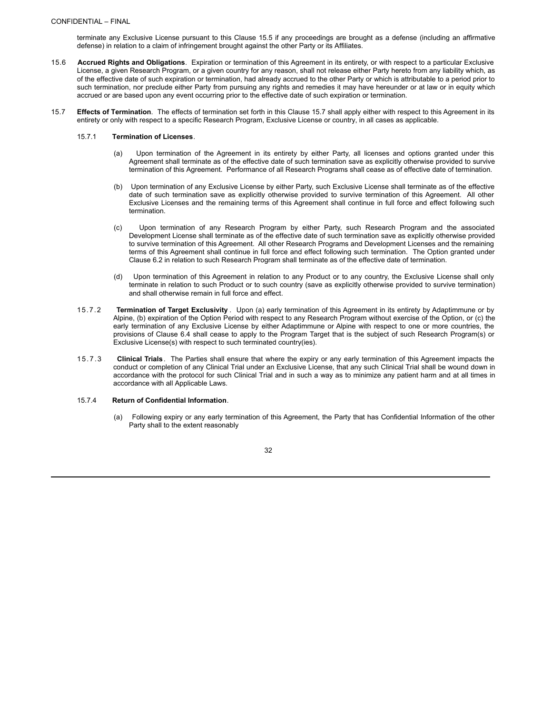#### CONFIDENTIAL – FINAL

terminate any Exclusive License pursuant to this Clause 15.5 if any proceedings are brought as a defense (including an affirmative defense) in relation to a claim of infringement brought against the other Party or its Affiliates.

- 15.6 **Accrued Rights and Obligations**. Expiration or termination of this Agreement in its entirety, or with respect to a particular Exclusive License, a given Research Program, or a given country for any reason, shall not release either Party hereto from any liability which, as of the effective date of such expiration or termination, had already accrued to the other Party or which is attributable to a period prior to such termination, nor preclude either Party from pursuing any rights and remedies it may have hereunder or at law or in equity which accrued or are based upon any event occurring prior to the effective date of such expiration or termination.
- 15.7 **Effects of Termination**. The effects of termination set forth in this Clause 15.7 shall apply either with respect to this Agreement in its entirety or only with respect to a specific Research Program, Exclusive License or country, in all cases as applicable.

## 15.7.1 **Termination of Licenses**.

- (a) Upon termination of the Agreement in its entirety by either Party, all licenses and options granted under this Agreement shall terminate as of the effective date of such termination save as explicitly otherwise provided to survive termination of this Agreement. Performance of all Research Programs shall cease as of effective date of termination.
- (b) Upon termination of any Exclusive License by either Party, such Exclusive License shall terminate as of the effective date of such termination save as explicitly otherwise provided to survive termination of this Agreement. All other Exclusive Licenses and the remaining terms of this Agreement shall continue in full force and effect following such termination.
- (c) Upon termination of any Research Program by either Party, such Research Program and the associated Development License shall terminate as of the effective date of such termination save as explicitly otherwise provided to survive termination of this Agreement. All other Research Programs and Development Licenses and the remaining terms of this Agreement shall continue in full force and effect following such termination. The Option granted under Clause 6.2 in relation to such Research Program shall terminate as of the effective date of termination.
- (d) Upon termination of this Agreement in relation to any Product or to any country, the Exclusive License shall only terminate in relation to such Product or to such country (save as explicitly otherwise provided to survive termination) and shall otherwise remain in full force and effect.
- 15.7.2 **Termination of Target Exclusivity** . Upon (a) early termination of this Agreement in its entirety by Adaptimmune or by Alpine, (b) expiration of the Option Period with respect to any Research Program without exercise of the Option, or (c) the early termination of any Exclusive License by either Adaptimmune or Alpine with respect to one or more countries, the provisions of Clause 6.4 shall cease to apply to the Program Target that is the subject of such Research Program(s) or Exclusive License(s) with respect to such terminated country(ies).
- 1 5 . 7 . 3 **Clinical Trials**. The Parties shall ensure that where the expiry or any early termination of this Agreement impacts the conduct or completion of any Clinical Trial under an Exclusive License, that any such Clinical Trial shall be wound down in accordance with the protocol for such Clinical Trial and in such a way as to minimize any patient harm and at all times in accordance with all Applicable Laws.

# 15.7.4 **Return of Confidential Information**.

(a) Following expiry or any early termination of this Agreement, the Party that has Confidential Information of the other Party shall to the extent reasonably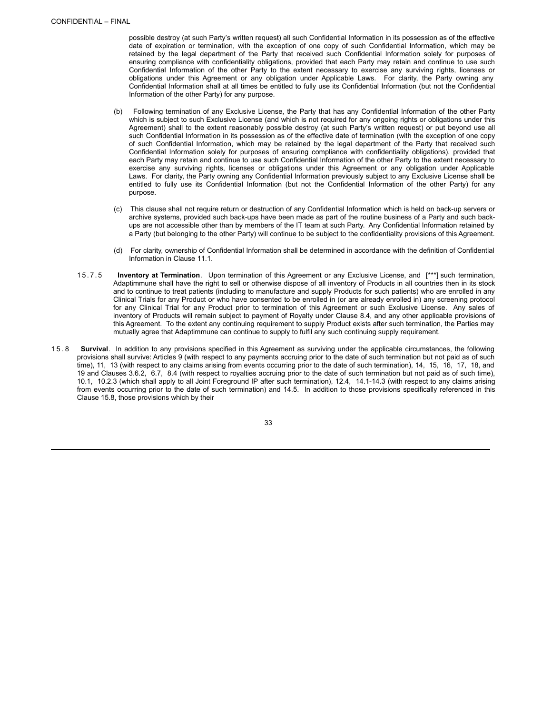possible destroy (at such Party's written request) all such Confidential Information in its possession as of the effective date of expiration or termination, with the exception of one copy of such Confidential Information, which may be retained by the legal department of the Party that received such Confidential Information solely for purposes of ensuring compliance with confidentiality obligations, provided that each Party may retain and continue to use such Confidential Information of the other Party to the extent necessary to exercise any surviving rights, licenses or obligations under this Agreement or any obligation under Applicable Laws. For clarity, the Party owning any Confidential Information shall at all times be entitled to fully use its Confidential Information (but not the Confidential Information of the other Party) for any purpose.

- (b) Following termination of any Exclusive License, the Party that has any Confidential Information of the other Party which is subject to such Exclusive License (and which is not required for any ongoing rights or obligations under this Agreement) shall to the extent reasonably possible destroy (at such Party's written request) or put beyond use all such Confidential Information in its possession as of the effective date of termination (with the exception of one copy of such Confidential Information, which may be retained by the legal department of the Party that received such Confidential Information solely for purposes of ensuring compliance with confidentiality obligations), provided that each Party may retain and continue to use such Confidential Information of the other Party to the extent necessary to exercise any surviving rights, licenses or obligations under this Agreement or any obligation under Applicable Laws. For clarity, the Party owning any Confidential Information previously subject to any Exclusive License shall be entitled to fully use its Confidential Information (but not the Confidential Information of the other Party) for any purpose.
- (c) This clause shall not require return or destruction of any Confidential Information which is held on back-up servers or archive systems, provided such back-ups have been made as part of the routine business of a Party and such backups are not accessible other than by members of the IT team at such Party. Any Confidential Information retained by a Party (but belonging to the other Party) will continue to be subject to the confidentiality provisions of this Agreement.
- (d) For clarity, ownership of Confidential Information shall be determined in accordance with the definition of Confidential Information in Clause 11.1.
- 1 5 . 7 . 5 **Inventory at Termination**. Upon termination of this Agreement or any Exclusive License, and [\*\*\*] such termination, Adaptimmune shall have the right to sell or otherwise dispose of all inventory of Products in all countries then in its stock and to continue to treat patients (including to manufacture and supply Products for such patients) who are enrolled in any Clinical Trials for any Product or who have consented to be enrolled in (or are already enrolled in) any screening protocol for any Clinical Trial for any Product prior to termination of this Agreement or such Exclusive License. Any sales of inventory of Products will remain subject to payment of Royalty under Clause 8.4, and any other applicable provisions of this Agreement. To the extent any continuing requirement to supply Product exists after such termination, the Parties may mutually agree that Adaptimmune can continue to supply to fulfil any such continuing supply requirement.
- 1 5 . 8 **Survival**. In addition to any provisions specified in this Agreement as surviving under the applicable circumstances, the following provisions shall survive: Articles 9 (with respect to any payments accruing prior to the date of such termination but not paid as of such time), 11, 13 (with respect to any claims arising from events occurring prior to the date of such termination), 14, 15, 16, 17, 18, and 19 and Clauses 3.6.2, 6.7, 8.4 (with respect to royalties accruing prior to the date of such termination but not paid as of such time), 10.1, 10.2.3 (which shall apply to all Joint Foreground IP after such termination), 12.4, 14.1-14.3 (with respect to any claims arising from events occurring prior to the date of such termination) and 14.5. In addition to those provisions specifically referenced in this Clause 15.8, those provisions which by their

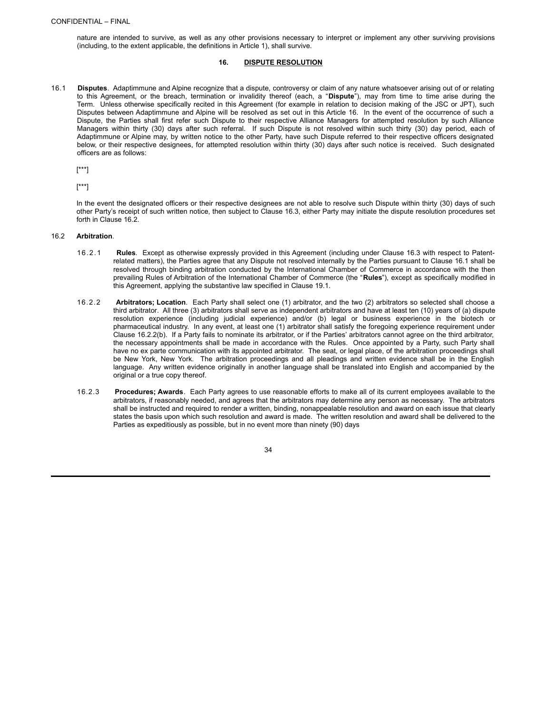nature are intended to survive, as well as any other provisions necessary to interpret or implement any other surviving provisions (including, to the extent applicable, the definitions in Article 1), shall survive.

# **16. DISPUTE RESOLUTION**

16.1 **Disputes**. Adaptimmune and Alpine recognize that a dispute, controversy or claim of any nature whatsoever arising out of or relating to this Agreement, or the breach, termination or invalidity thereof (each, a "**Dispute**"), may from time to time arise during the Term. Unless otherwise specifically recited in this Agreement (for example in relation to decision making of the JSC or JPT), such Disputes between Adaptimmune and Alpine will be resolved as set out in this Article 16. In the event of the occurrence of such a Dispute, the Parties shall first refer such Dispute to their respective Alliance Managers for attempted resolution by such Alliance Managers within thirty (30) days after such referral. If such Dispute is not resolved within such thirty (30) day period, each of Adaptimmune or Alpine may, by written notice to the other Party, have such Dispute referred to their respective officers designated below, or their respective designees, for attempted resolution within thirty (30) days after such notice is received. Such designated officers are as follows:

 $[$ \*\*\*]

[\*\*\*]

In the event the designated officers or their respective designees are not able to resolve such Dispute within thirty (30) days of such other Party's receipt of such written notice, then subject to Clause 16.3, either Party may initiate the dispute resolution procedures set forth in Clause 16.2.

#### 16.2 **Arbitration**.

- 16.2.1 **Rules**. Except as otherwise expressly provided in this Agreement (including under Clause 16.3 with respect to Patentrelated matters), the Parties agree that any Dispute not resolved internally by the Parties pursuant to Clause 16.1 shall be resolved through binding arbitration conducted by the International Chamber of Commerce in accordance with the then prevailing Rules of Arbitration of the International Chamber of Commerce (the "**Rules**"), except as specifically modified in this Agreement, applying the substantive law specified in Clause 19.1.
- 16.2.2 **Arbitrators; Location**. Each Party shall select one (1) arbitrator, and the two (2) arbitrators so selected shall choose a third arbitrator. All three (3) arbitrators shall serve as independent arbitrators and have at least ten (10) years of (a) dispute resolution experience (including judicial experience) and/or (b) legal or business experience in the biotech or pharmaceutical industry. In any event, at least one (1) arbitrator shall satisfy the foregoing experience requirement under Clause 16.2.2(b). If a Party fails to nominate its arbitrator, or if the Parties' arbitrators cannot agree on the third arbitrator, the necessary appointments shall be made in accordance with the Rules. Once appointed by a Party, such Party shall have no ex parte communication with its appointed arbitrator. The seat, or legal place, of the arbitration proceedings shall be New York, New York. The arbitration proceedings and all pleadings and written evidence shall be in the English language. Any written evidence originally in another language shall be translated into English and accompanied by the original or a true copy thereof.
- 16.2.3 **Procedures; Awards**. Each Party agrees to use reasonable efforts to make all of its current employees available to the arbitrators, if reasonably needed, and agrees that the arbitrators may determine any person as necessary. The arbitrators shall be instructed and required to render a written, binding, nonappealable resolution and award on each issue that clearly states the basis upon which such resolution and award is made. The written resolution and award shall be delivered to the Parties as expeditiously as possible, but in no event more than ninety (90) days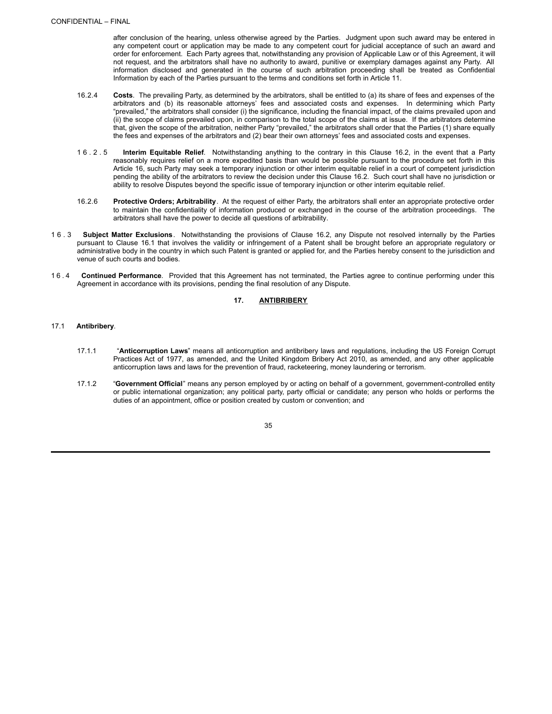after conclusion of the hearing, unless otherwise agreed by the Parties. Judgment upon such award may be entered in any competent court or application may be made to any competent court for judicial acceptance of such an award and order for enforcement. Each Party agrees that, notwithstanding any provision of Applicable Law or of this Agreement, it will not request, and the arbitrators shall have no authority to award, punitive or exemplary damages against any Party. All information disclosed and generated in the course of such arbitration proceeding shall be treated as Confidential Information by each of the Parties pursuant to the terms and conditions set forth in Article 11.

- 16.2.4 **Costs**. The prevailing Party, as determined by the arbitrators, shall be entitled to (a) its share of fees and expenses of the arbitrators and (b) its reasonable attorneys' fees and associated costs and expenses. In determining which Party "prevailed," the arbitrators shall consider (i) the significance, including the financial impact, of the claims prevailed upon and (ii) the scope of claims prevailed upon, in comparison to the total scope of the claims at issue. If the arbitrators determine that, given the scope of the arbitration, neither Party "prevailed," the arbitrators shall order that the Parties (1) share equally the fees and expenses of the arbitrators and (2) bear their own attorneys' fees and associated costs and expenses.
- 1 6 . 2 . 5 **Interim Equitable Relief**. Notwithstanding anything to the contrary in this Clause 16.2, in the event that a Party reasonably requires relief on a more expedited basis than would be possible pursuant to the procedure set forth in this Article 16, such Party may seek a temporary injunction or other interim equitable relief in a court of competent jurisdiction pending the ability of the arbitrators to review the decision under this Clause 16.2. Such court shall have no jurisdiction or ability to resolve Disputes beyond the specific issue of temporary injunction or other interim equitable relief.
- 16.2.6 **Protective Orders; Arbitrability**. At the request of either Party, the arbitrators shall enter an appropriate protective order to maintain the confidentiality of information produced or exchanged in the course of the arbitration proceedings. The arbitrators shall have the power to decide all questions of arbitrability.
- 1 6 . 3 **Subject Matter Exclusions**. Notwithstanding the provisions of Clause 16.2, any Dispute not resolved internally by the Parties pursuant to Clause 16.1 that involves the validity or infringement of a Patent shall be brought before an appropriate regulatory or administrative body in the country in which such Patent is granted or applied for, and the Parties hereby consent to the jurisdiction and venue of such courts and bodies.
- 1 6 . 4 **Continued Performance**. Provided that this Agreement has not terminated, the Parties agree to continue performing under this Agreement in accordance with its provisions, pending the final resolution of any Dispute.

# **17. ANTIBRIBERY**

## 17.1 **Antibribery**.

- 17.1.1 "**Anticorruption Laws**" means all anticorruption and antibribery laws and regulations, including the US Foreign Corrupt Practices Act of 1977, as amended, and the United Kingdom Bribery Act 2010, as amended, and any other applicable anticorruption laws and laws for the prevention of fraud, racketeering, money laundering or terrorism.
- 17.1.2 "**Government Official**" means any person employed by or acting on behalf of a government, government-controlled entity or public international organization; any political party, party official or candidate; any person who holds or performs the duties of an appointment, office or position created by custom or convention; and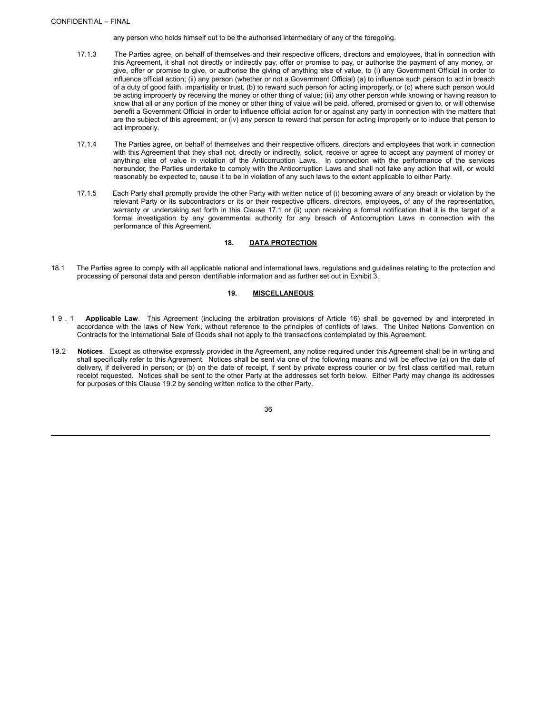#### CONFIDENTIAL – FINAL

any person who holds himself out to be the authorised intermediary of any of the foregoing.

- 17.1.3 The Parties agree, on behalf of themselves and their respective officers, directors and employees, that in connection with this Agreement, it shall not directly or indirectly pay, offer or promise to pay, or authorise the payment of any money, or give, offer or promise to give, or authorise the giving of anything else of value, to (i) any Government Official in order to influence official action; (ii) any person (whether or not a Government Official) (a) to influence such person to act in breach of a duty of good faith, impartiality or trust, (b) to reward such person for acting improperly, or (c) where such person would be acting improperly by receiving the money or other thing of value; (iii) any other person while knowing or having reason to know that all or any portion of the money or other thing of value will be paid, offered, promised or given to, or will otherwise benefit a Government Official in order to influence official action for or against any party in connection with the matters that are the subject of this agreement; or (iv) any person to reward that person for acting improperly or to induce that person to act improperly.
- 17.1.4 The Parties agree, on behalf of themselves and their respective officers, directors and employees that work in connection with this Agreement that they shall not, directly or indirectly, solicit, receive or agree to accept any payment of money or anything else of value in violation of the Anticorruption Laws. In connection with the performance of the services hereunder, the Parties undertake to comply with the Anticorruption Laws and shall not take any action that will, or would reasonably be expected to, cause it to be in violation of any such laws to the extent applicable to either Party.
- 17.1.5 Each Party shall promptly provide the other Party with written notice of (i) becoming aware of any breach or violation by the relevant Party or its subcontractors or its or their respective officers, directors, employees, of any of the representation, warranty or undertaking set forth in this Clause 17.1 or (ii) upon receiving a formal notification that it is the target of a formal investigation by any governmental authority for any breach of Anticorruption Laws in connection with the performance of this Agreement.

### **18. DATA PROTECTION**

18.1 The Parties agree to comply with all applicable national and international laws, regulations and guidelines relating to the protection and processing of personal data and person identifiable information and as further set out in Exhibit 3.

# **19. MISCELLANEOUS**

- 1 9 . 1 **Applicable Law**. This Agreement (including the arbitration provisions of Article 16) shall be governed by and interpreted in accordance with the laws of New York, without reference to the principles of conflicts of laws. The United Nations Convention on Contracts for the International Sale of Goods shall not apply to the transactions contemplated by this Agreement.
- 19.2 **Notices**. Except as otherwise expressly provided in the Agreement, any notice required under this Agreement shall be in writing and shall specifically refer to this Agreement. Notices shall be sent via one of the following means and will be effective (a) on the date of delivery, if delivered in person; or (b) on the date of receipt, if sent by private express courier or by first class certified mail, return receipt requested. Notices shall be sent to the other Party at the addresses set forth below. Either Party may change its addresses for purposes of this Clause 19.2 by sending written notice to the other Party.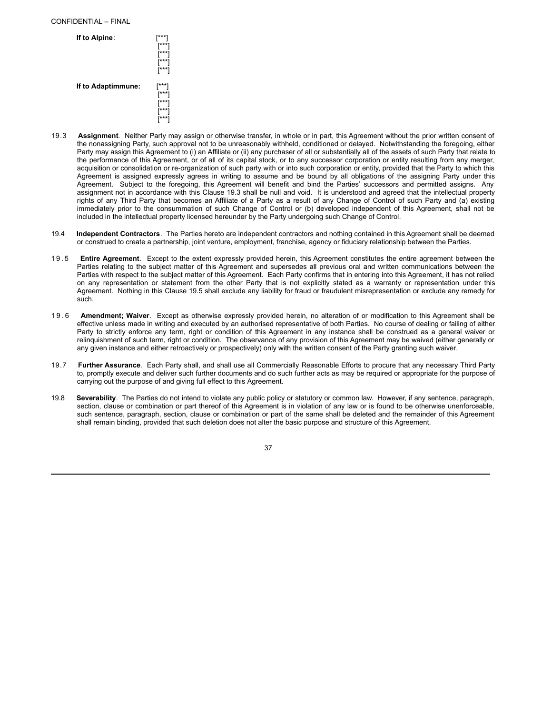| If to Alpine:      | [***'<br>$F***1$<br>[***]<br>[***]   |
|--------------------|--------------------------------------|
| If to Adaptimmune: | [***]<br>[***]<br>***<br><b>T***</b> |

- 19.3 **Assignment**. Neither Party may assign or otherwise transfer, in whole or in part, this Agreement without the prior written consent of the nonassigning Party, such approval not to be unreasonably withheld, conditioned or delayed. Notwithstanding the foregoing, either Party may assign this Agreement to (i) an Affiliate or (ii) any purchaser of all or substantially all of the assets of such Party that relate to the performance of this Agreement, or of all of its capital stock, or to any successor corporation or entity resulting from any merger, acquisition or consolidation or re-organization of such party with or into such corporation or entity, provided that the Party to which this Agreement is assigned expressly agrees in writing to assume and be bound by all obligations of the assigning Party under this Agreement. Subject to the foregoing, this Agreement will benefit and bind the Parties' successors and permitted assigns. Any assignment not in accordance with this Clause 19.3 shall be null and void. It is understood and agreed that the intellectual property rights of any Third Party that becomes an Affiliate of a Party as a result of any Change of Control of such Party and (a) existing immediately prior to the consummation of such Change of Control or (b) developed independent of this Agreement, shall not be included in the intellectual property licensed hereunder by the Party undergoing such Change of Control.
- 19.4 **Independent Contractors**. The Parties hereto are independent contractors and nothing contained in this Agreement shall be deemed or construed to create a partnership, joint venture, employment, franchise, agency or fiduciary relationship between the Parties.
- 1 9 . 5 **Entire Agreement**. Except to the extent expressly provided herein, this Agreement constitutes the entire agreement between the Parties relating to the subject matter of this Agreement and supersedes all previous oral and written communications between the Parties with respect to the subject matter of this Agreement. Each Party confirms that in entering into this Agreement, it has not relied on any representation or statement from the other Party that is not explicitly stated as a warranty or representation under this Agreement. Nothing in this Clause 19.5 shall exclude any liability for fraud or fraudulent misrepresentation or exclude any remedy for such.
- 1 9 . 6 **Amendment; Waiver**. Except as otherwise expressly provided herein, no alteration of or modification to this Agreement shall be effective unless made in writing and executed by an authorised representative of both Parties. No course of dealing or failing of either Party to strictly enforce any term, right or condition of this Agreement in any instance shall be construed as a general waiver or relinquishment of such term, right or condition. The observance of any provision of this Agreement may be waived (either generally or any given instance and either retroactively or prospectively) only with the written consent of the Party granting such waiver.
- 19.7 **Further Assurance**. Each Party shall, and shall use all Commercially Reasonable Efforts to procure that any necessary Third Party to, promptly execute and deliver such further documents and do such further acts as may be required or appropriate for the purpose of carrying out the purpose of and giving full effect to this Agreement.
- 19.8 **Severability**. The Parties do not intend to violate any public policy or statutory or common law. However, if any sentence, paragraph, section, clause or combination or part thereof of this Agreement is in violation of any law or is found to be otherwise unenforceable, such sentence, paragraph, section, clause or combination or part of the same shall be deleted and the remainder of this Agreement shall remain binding, provided that such deletion does not alter the basic purpose and structure of this Agreement.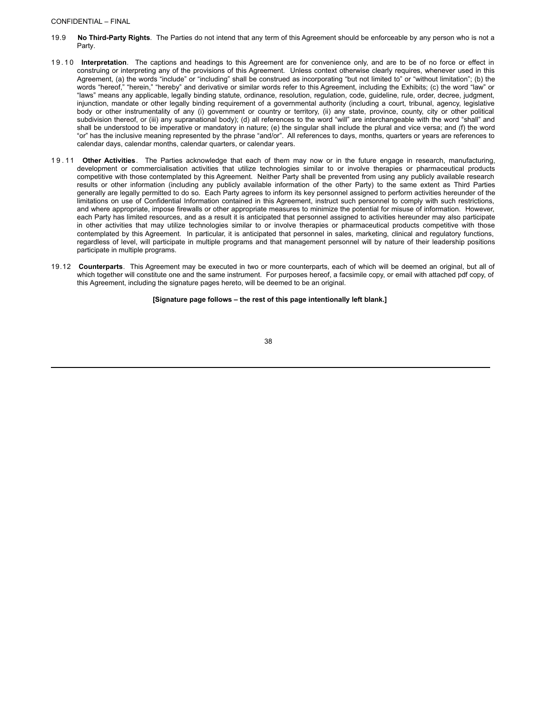## CONFIDENTIAL – FINAL

- 19.9 **No Third-Party Rights**. The Parties do not intend that any term of this Agreement should be enforceable by any person who is not a Party.
- 1 9 . 1 0 **Interpretation**. The captions and headings to this Agreement are for convenience only, and are to be of no force or effect in construing or interpreting any of the provisions of this Agreement. Unless context otherwise clearly requires, whenever used in this Agreement, (a) the words "include" or "including" shall be construed as incorporating "but not limited to" or "without limitation"; (b) the words "hereof," "herein," "hereby" and derivative or similar words refer to this Agreement, including the Exhibits; (c) the word "law" or "laws" means any applicable, legally binding statute, ordinance, resolution, regulation, code, guideline, rule, order, decree, judgment, injunction, mandate or other legally binding requirement of a governmental authority (including a court, tribunal, agency, legislative body or other instrumentality of any (i) government or country or territory, (ii) any state, province, county, city or other political subdivision thereof, or (iii) any supranational body); (d) all references to the word "will" are interchangeable with the word "shall" and shall be understood to be imperative or mandatory in nature; (e) the singular shall include the plural and vice versa; and (f) the word "or" has the inclusive meaning represented by the phrase "and/or". All references to days, months, quarters or years are references to calendar days, calendar months, calendar quarters, or calendar years.
- 1 9 . 11 **Other Activities**. The Parties acknowledge that each of them may now or in the future engage in research, manufacturing, development or commercialisation activities that utilize technologies similar to or involve therapies or pharmaceutical products competitive with those contemplated by this Agreement. Neither Party shall be prevented from using any publicly available research results or other information (including any publicly available information of the other Party) to the same extent as Third Parties generally are legally permitted to do so. Each Party agrees to inform its key personnel assigned to perform activities hereunder of the limitations on use of Confidential Information contained in this Agreement, instruct such personnel to comply with such restrictions, and where appropriate, impose firewalls or other appropriate measures to minimize the potential for misuse of information. However, each Party has limited resources, and as a result it is anticipated that personnel assigned to activities hereunder may also participate in other activities that may utilize technologies similar to or involve therapies or pharmaceutical products competitive with those contemplated by this Agreement. In particular, it is anticipated that personnel in sales, marketing, clinical and regulatory functions, regardless of level, will participate in multiple programs and that management personnel will by nature of their leadership positions participate in multiple programs.
- 19.12 **Counterparts**. This Agreement may be executed in two or more counterparts, each of which will be deemed an original, but all of which together will constitute one and the same instrument. For purposes hereof, a facsimile copy, or email with attached pdf copy, of this Agreement, including the signature pages hereto, will be deemed to be an original.

**[Signature page follows – the rest of this page intentionally left blank.]**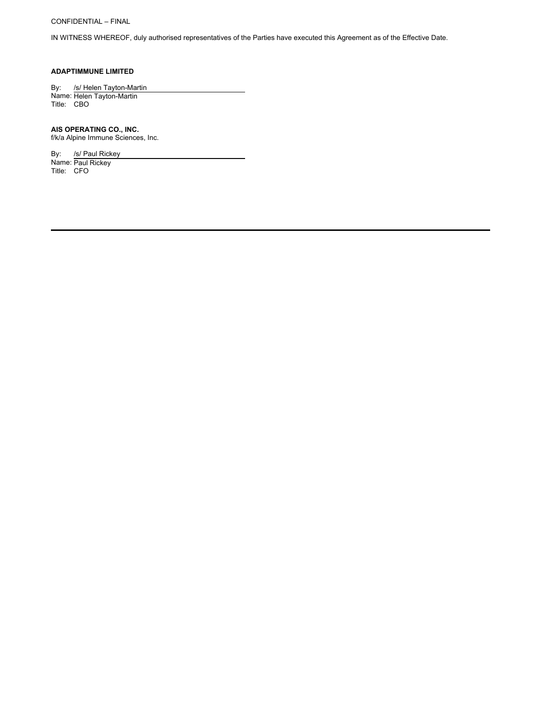CONFIDENTIAL – FINAL

IN WITNESS WHEREOF, duly authorised representatives of the Parties have executed this Agreement as of the Effective Date.

# **ADAPTIMMUNE LIMITED**

By: /s/ Helen Tayton-Martin Name: Helen Tayton-Martin Title: CBO

**AIS OPERATING CO., INC.** f/k/a Alpine Immune Sciences, Inc.

By: /s/ Paul Rickey

Name: Paul Rickey Title: CFO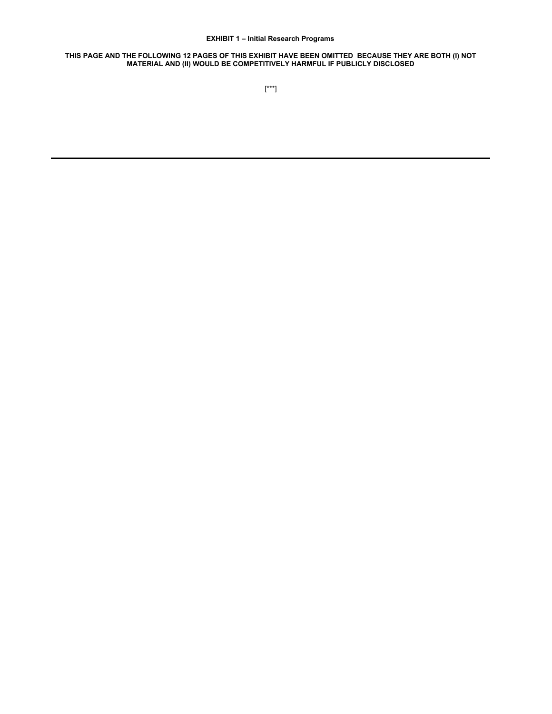# **EXHIBIT 1 – Initial Research Programs**

THIS PAGE AND THE FOLLOWING 12 PAGES OF THIS EXHIBIT HAVE BEEN OMITTED BECAUSE THEY ARE BOTH (I) NOT **MATERIAL AND (II) WOULD BE COMPETITIVELY HARMFUL IF PUBLICLY DISCLOSED**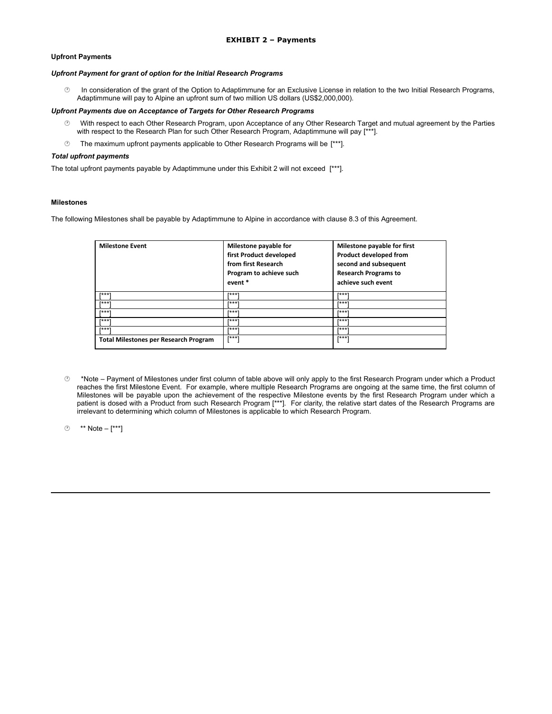# **Upfront Payments**

## *Upfront Payment for grant of option for the Initial Research Programs*

· In consideration of the grant of the Option to Adaptimmune for an Exclusive License in relation to the two Initial Research Programs, Adaptimmune will pay to Alpine an upfront sum of two million US dollars (US\$2,000,000).

## *Upfront Payments due on Acceptance of Targets for Other Research Programs*

- · With respect to each Other Research Program, upon Acceptance of any Other Research Target and mutual agreement by the Parties with respect to the Research Plan for such Other Research Program, Adaptimmune will pay [\*\*\*].
- <sup>1</sup> The maximum upfront payments applicable to Other Research Programs will be [\*\*\*].

## *Total upfront payments*

The total upfront payments payable by Adaptimmune under this Exhibit 2 will not exceed [\*\*\*].

# **Milestones**

The following Milestones shall be payable by Adaptimmune to Alpine in accordance with clause 8.3 of this Agreement.

| <b>Milestone Event</b>                       | Milestone payable for<br>first Product developed<br>from first Research<br>Program to achieve such<br>event * | Milestone payable for first<br>Product developed from<br>second and subsequent<br><b>Research Programs to</b><br>achieve such event |
|----------------------------------------------|---------------------------------------------------------------------------------------------------------------|-------------------------------------------------------------------------------------------------------------------------------------|
| <b>T***1</b>                                 | <b>F***1</b>                                                                                                  | <b>F***1</b>                                                                                                                        |
| <b>T***</b>                                  | <b>T****</b>                                                                                                  | <b>F***</b>                                                                                                                         |
| <b>T***</b>                                  | <b>F***1</b>                                                                                                  | <b>F***</b>                                                                                                                         |
| <b>F***1</b>                                 | <b>F***1</b>                                                                                                  | <b>F***1</b>                                                                                                                        |
| <b>T***1</b>                                 | <b>F***1</b>                                                                                                  | <b>F***1</b>                                                                                                                        |
| <b>Total Milestones per Research Program</b> | <b>F***1</b>                                                                                                  | <b>T***1</b>                                                                                                                        |

· \*Note – Payment of Milestones under first column of table above will only apply to the first Research Program under which a Product reaches the first Milestone Event. For example, where multiple Research Programs are ongoing at the same time, the first column of Milestones will be payable upon the achievement of the respective Milestone events by the first Research Program under which a patient is dosed with a Product from such Research Program [\*\*\*]. For clarity, the relative start dates of the Research Programs are irrelevant to determining which column of Milestones is applicable to which Research Program.

 $\circledcirc$  \*\* Note – [\*\*\*]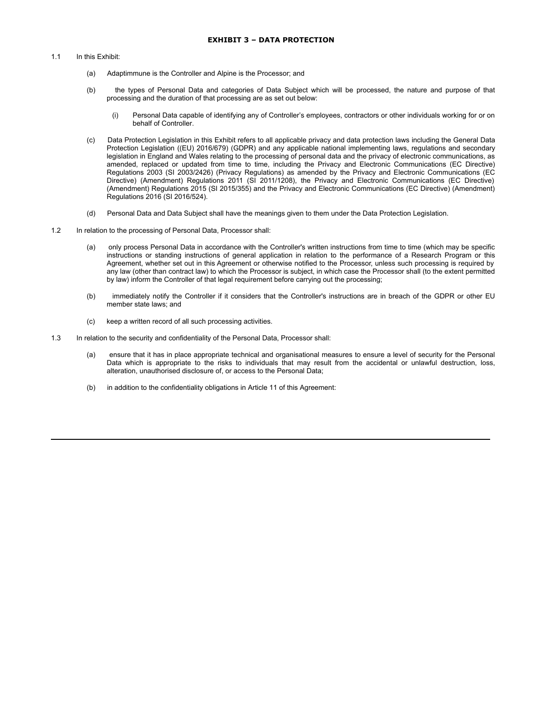# **EXHIBIT 3 – DATA PROTECTION**

#### 1.1 In this Exhibit:

- (a) Adaptimmune is the Controller and Alpine is the Processor; and
- (b) the types of Personal Data and categories of Data Subject which will be processed, the nature and purpose of that processing and the duration of that processing are as set out below:
	- (i) Personal Data capable of identifying any of Controller's employees, contractors or other individuals working for or on behalf of Controller.
- (c) Data Protection Legislation in this Exhibit refers to all applicable privacy and data protection laws including the General Data Protection Legislation ((EU) 2016/679) (GDPR) and any applicable national implementing laws, regulations and secondary legislation in England and Wales relating to the processing of personal data and the privacy of electronic communications, as amended, replaced or updated from time to time, including the Privacy and Electronic Communications (EC Directive) Regulations 2003 (SI 2003/2426) (Privacy Regulations) as amended by the Privacy and Electronic Communications (EC Directive) (Amendment) Regulations 2011 (SI 2011/1208), the Privacy and Electronic Communications (EC Directive) (Amendment) Regulations 2015 (SI 2015/355) and the Privacy and Electronic Communications (EC Directive) (Amendment) Regulations 2016 (SI 2016/524).
- (d) Personal Data and Data Subject shall have the meanings given to them under the Data Protection Legislation.
- 1.2 In relation to the processing of Personal Data, Processor shall:
	- (a) only process Personal Data in accordance with the Controller's written instructions from time to time (which may be specific instructions or standing instructions of general application in relation to the performance of a Research Program or this Agreement, whether set out in this Agreement or otherwise notified to the Processor, unless such processing is required by any law (other than contract law) to which the Processor is subject, in which case the Processor shall (to the extent permitted by law) inform the Controller of that legal requirement before carrying out the processing;
	- (b) immediately notify the Controller if it considers that the Controller's instructions are in breach of the GDPR or other EU member state laws; and
	- (c) keep a written record of all such processing activities.
- 1.3 In relation to the security and confidentiality of the Personal Data, Processor shall:
	- (a) ensure that it has in place appropriate technical and organisational measures to ensure a level of security for the Personal Data which is appropriate to the risks to individuals that may result from the accidental or unlawful destruction, loss, alteration, unauthorised disclosure of, or access to the Personal Data;
	- (b) in addition to the confidentiality obligations in Article 11 of this Agreement: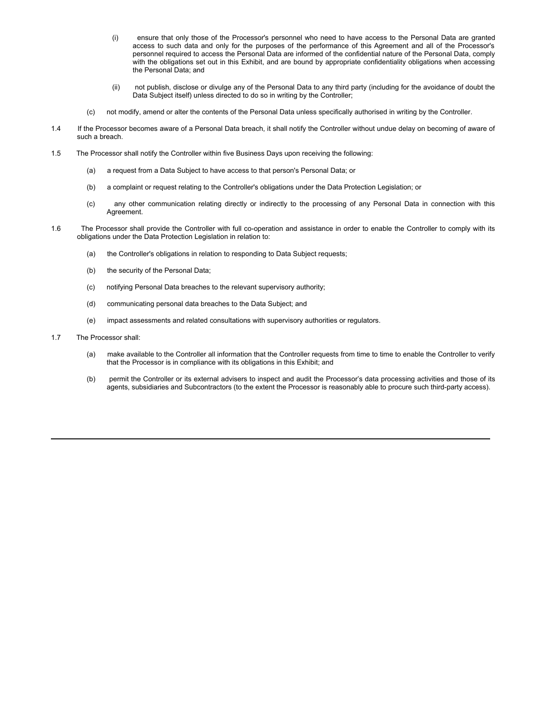- (i) ensure that only those of the Processor's personnel who need to have access to the Personal Data are granted access to such data and only for the purposes of the performance of this Agreement and all of the Processor's personnel required to access the Personal Data are informed of the confidential nature of the Personal Data, comply with the obligations set out in this Exhibit, and are bound by appropriate confidentiality obligations when accessing the Personal Data; and
- (ii) not publish, disclose or divulge any of the Personal Data to any third party (including for the avoidance of doubt the Data Subject itself) unless directed to do so in writing by the Controller;
- (c) not modify, amend or alter the contents of the Personal Data unless specifically authorised in writing by the Controller.
- 1.4 If the Processor becomes aware of a Personal Data breach, it shall notify the Controller without undue delay on becoming of aware of such a breach.
- 1.5 The Processor shall notify the Controller within five Business Days upon receiving the following:
	- (a) a request from a Data Subject to have access to that person's Personal Data; or
	- (b) a complaint or request relating to the Controller's obligations under the Data Protection Legislation; or
	- (c) any other communication relating directly or indirectly to the processing of any Personal Data in connection with this Agreement.
- 1.6 The Processor shall provide the Controller with full co-operation and assistance in order to enable the Controller to comply with its obligations under the Data Protection Legislation in relation to:
	- (a) the Controller's obligations in relation to responding to Data Subject requests;
	- (b) the security of the Personal Data;
	- (c) notifying Personal Data breaches to the relevant supervisory authority;
	- (d) communicating personal data breaches to the Data Subject; and
	- (e) impact assessments and related consultations with supervisory authorities or regulators.
- 1.7 The Processor shall:
	- (a) make available to the Controller all information that the Controller requests from time to time to enable the Controller to verify that the Processor is in compliance with its obligations in this Exhibit; and
	- (b) permit the Controller or its external advisers to inspect and audit the Processor's data processing activities and those of its agents, subsidiaries and Subcontractors (to the extent the Processor is reasonably able to procure such third-party access).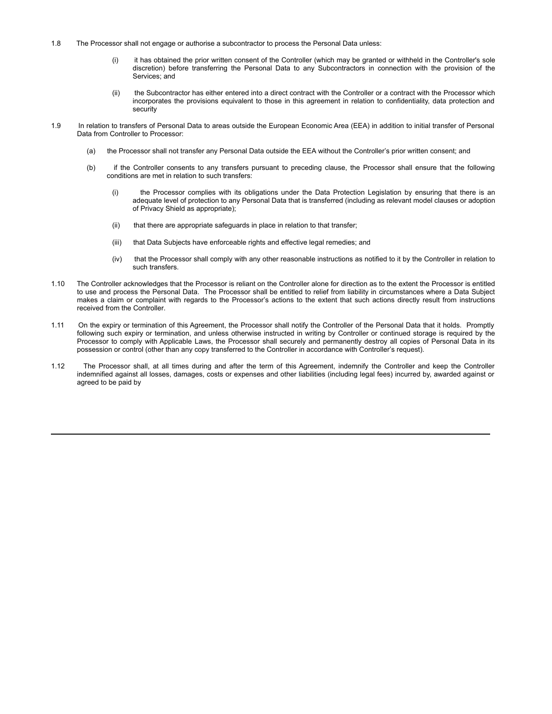- 1.8 The Processor shall not engage or authorise a subcontractor to process the Personal Data unless:
	- (i) it has obtained the prior written consent of the Controller (which may be granted or withheld in the Controller's sole discretion) before transferring the Personal Data to any Subcontractors in connection with the provision of the Services; and
	- (ii) the Subcontractor has either entered into a direct contract with the Controller or a contract with the Processor which incorporates the provisions equivalent to those in this agreement in relation to confidentiality, data protection and security
- 1.9 In relation to transfers of Personal Data to areas outside the European Economic Area (EEA) in addition to initial transfer of Personal Data from Controller to Processor:
	- (a) the Processor shall not transfer any Personal Data outside the EEA without the Controller's prior written consent; and
	- (b) if the Controller consents to any transfers pursuant to preceding clause, the Processor shall ensure that the following conditions are met in relation to such transfers:
		- (i) the Processor complies with its obligations under the Data Protection Legislation by ensuring that there is an adequate level of protection to any Personal Data that is transferred (including as relevant model clauses or adoption of Privacy Shield as appropriate);
		- (ii) that there are appropriate safeguards in place in relation to that transfer;
		- (iii) that Data Subjects have enforceable rights and effective legal remedies; and
		- (iv) that the Processor shall comply with any other reasonable instructions as notified to it by the Controller in relation to such transfers.
- 1.10 The Controller acknowledges that the Processor is reliant on the Controller alone for direction as to the extent the Processor is entitled to use and process the Personal Data. The Processor shall be entitled to relief from liability in circumstances where a Data Subject makes a claim or complaint with regards to the Processor's actions to the extent that such actions directly result from instructions received from the Controller.
- 1.11 On the expiry or termination of this Agreement, the Processor shall notify the Controller of the Personal Data that it holds. Promptly following such expiry or termination, and unless otherwise instructed in writing by Controller or continued storage is required by the Processor to comply with Applicable Laws, the Processor shall securely and permanently destroy all copies of Personal Data in its possession or control (other than any copy transferred to the Controller in accordance with Controller's request).
- 1.12 The Processor shall, at all times during and after the term of this Agreement, indemnify the Controller and keep the Controller indemnified against all losses, damages, costs or expenses and other liabilities (including legal fees) incurred by, awarded against or agreed to be paid by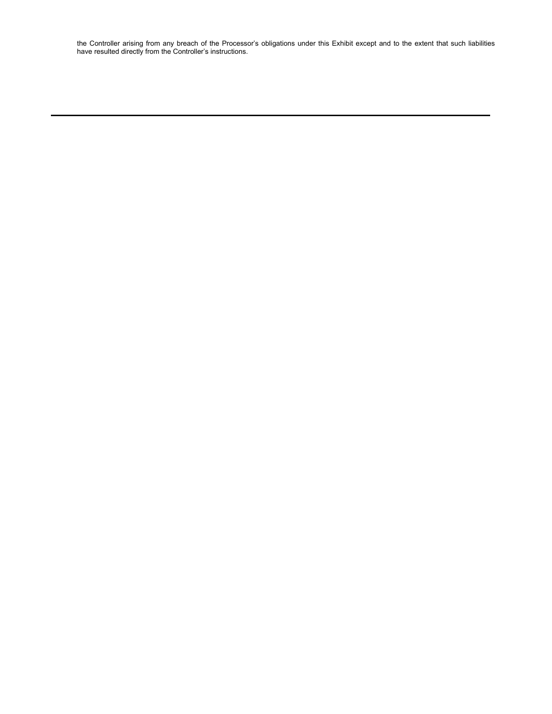the Controller arising from any breach of the Processor's obligations under this Exhibit except and to the extent that such liabilities have resulted directly from the Controller's instructions.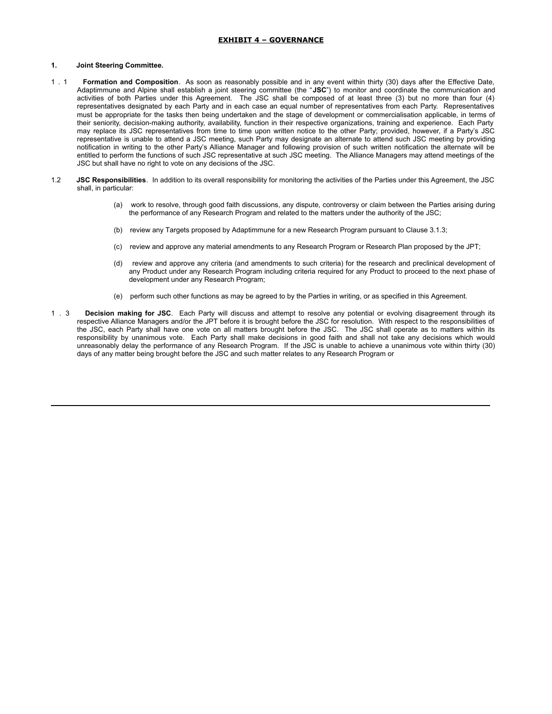# **EXHIBIT 4 – GOVERNANCE**

# **1. Joint Steering Committee.**

- 1 . 1 **Formation and Composition**. As soon as reasonably possible and in any event within thirty (30) days after the Effective Date, Adaptimmune and Alpine shall establish a joint steering committee (the "**JSC**") to monitor and coordinate the communication and activities of both Parties under this Agreement. The JSC shall be composed of at least three (3) but no more than four (4) representatives designated by each Party and in each case an equal number of representatives from each Party. Representatives must be appropriate for the tasks then being undertaken and the stage of development or commercialisation applicable, in terms of their seniority, decision-making authority, availability, function in their respective organizations, training and experience. Each Party may replace its JSC representatives from time to time upon written notice to the other Party; provided, however, if a Party's JSC representative is unable to attend a JSC meeting, such Party may designate an alternate to attend such JSC meeting by providing notification in writing to the other Party's Alliance Manager and following provision of such written notification the alternate will be entitled to perform the functions of such JSC representative at such JSC meeting. The Alliance Managers may attend meetings of the JSC but shall have no right to vote on any decisions of the JSC.
- 1.2 **JSC Responsibilities**. In addition to its overall responsibility for monitoring the activities of the Parties under this Agreement, the JSC shall, in particular:
	- (a) work to resolve, through good faith discussions, any dispute, controversy or claim between the Parties arising during the performance of any Research Program and related to the matters under the authority of the JSC;
	- (b) review any Targets proposed by Adaptimmune for a new Research Program pursuant to Clause 3.1.3;
	- (c) review and approve any material amendments to any Research Program or Research Plan proposed by the JPT;
	- (d) review and approve any criteria (and amendments to such criteria) for the research and preclinical development of any Product under any Research Program including criteria required for any Product to proceed to the next phase of development under any Research Program;
	- (e) perform such other functions as may be agreed to by the Parties in writing, or as specified in this Agreement.
- 1 . 3 **Decision making for JSC**. Each Party will discuss and attempt to resolve any potential or evolving disagreement through its respective Alliance Managers and/or the JPT before it is brought before the JSC for resolution. With respect to the responsibilities of the JSC, each Party shall have one vote on all matters brought before the JSC. The JSC shall operate as to matters within its responsibility by unanimous vote. Each Party shall make decisions in good faith and shall not take any decisions which would unreasonably delay the performance of any Research Program. If the JSC is unable to achieve a unanimous vote within thirty (30) days of any matter being brought before the JSC and such matter relates to any Research Program or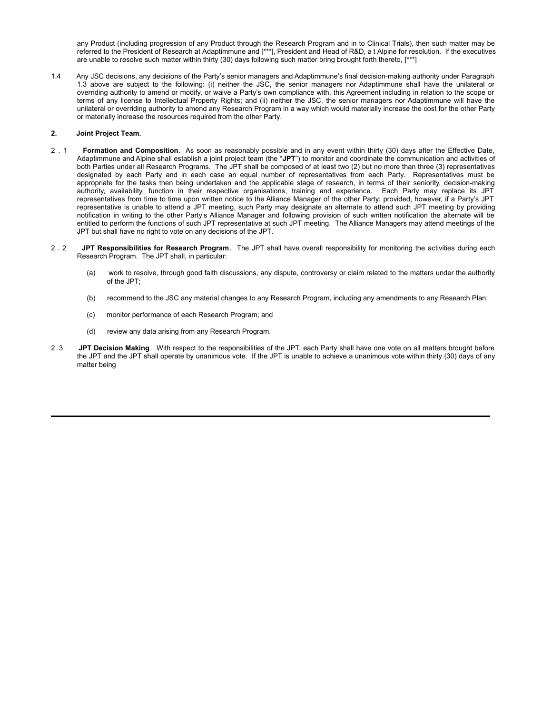any Product (including progression of any Product through the Research Program and in to Clinical Trials), then such matter may be referred to the President of Research at Adaptimmune and [\*\*\*], President and Head of R&D, a t Alpine for resolution. If the executives are unable to resolve such matter within thirty (30) days following such matter bring brought forth thereto, [\*\*\*]

1.4 Any JSC decisions, any decisions of the Party's senior managers and Adaptimmune's final decision-making authority under Paragraph 1.3 above are subject to the following: (i) neither the JSC, the senior managers nor Adaptimmune shall have the unilateral or overriding authority to amend or modify, or waive a Party's own compliance with, this Agreement including in relation to the scope or terms of any license to Intellectual Property Rights; and (ii) neither the JSC, the senior managers nor Adaptimmune will have the unilateral or overriding authority to amend any Research Program in a way which would materially increase the cost for the other Party or materially increase the resources required from the other Party.

## **2. Joint Project Team.**

- 2 . 1 **Formation and Composition**. As soon as reasonably possible and in any event within thirty (30) days after the Effective Date, Adaptimmune and Alpine shall establish a joint project team (the "**JPT**") to monitor and coordinate the communication and activities of both Parties under all Research Programs. The JPT shall be composed of at least two (2) but no more than three (3) representatives designated by each Party and in each case an equal number of representatives from each Party. Representatives must be appropriate for the tasks then being undertaken and the applicable stage of research, in terms of their seniority, decision-making authority, availability, function in their respective organisations, training and experience. Each Party may replace its JPT representatives from time to time upon written notice to the Alliance Manager of the other Party; provided, however, if a Party's JPT representative is unable to attend a JPT meeting, such Party may designate an alternate to attend such JPT meeting by providing notification in writing to the other Party's Alliance Manager and following provision of such written notification the alternate will be entitled to perform the functions of such JPT representative at such JPT meeting. The Alliance Managers may attend meetings of the JPT but shall have no right to vote on any decisions of the JPT.
- 2 . 2 **JPT Responsibilities for Research Program**. The JPT shall have overall responsibility for monitoring the activities during each Research Program. The JPT shall, in particular:
	- (a) work to resolve, through good faith discussions, any dispute, controversy or claim related to the matters under the authority of the JPT;
	- (b) recommend to the JSC any material changes to any Research Program, including any amendments to any Research Plan;
	- (c) monitor performance of each Research Program; and
	- (d) review any data arising from any Research Program.
- 2 . 3 **JPT Decision Making**. With respect to the responsibilities of the JPT, each Party shall have one vote on all matters brought before the JPT and the JPT shall operate by unanimous vote. If the JPT is unable to achieve a unanimous vote within thirty (30) days of any matter being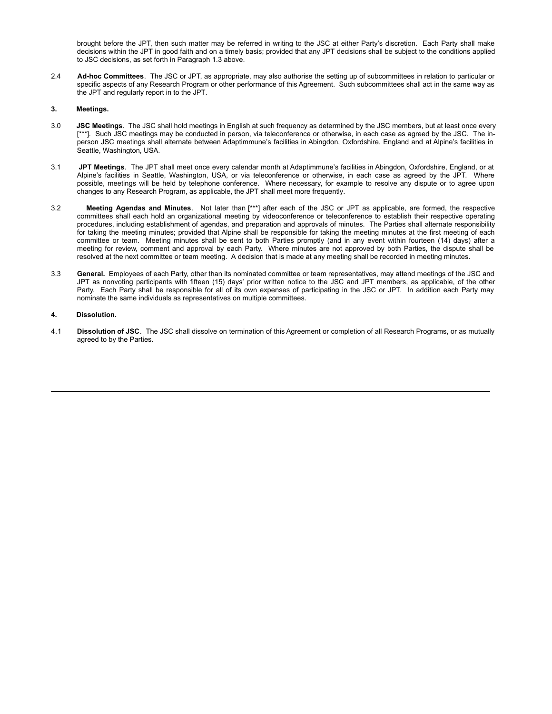brought before the JPT, then such matter may be referred in writing to the JSC at either Party's discretion. Each Party shall make decisions within the JPT in good faith and on a timely basis; provided that any JPT decisions shall be subject to the conditions applied to JSC decisions, as set forth in Paragraph 1.3 above.

2.4 **Ad-hoc Committees**. The JSC or JPT, as appropriate, may also authorise the setting up of subcommittees in relation to particular or specific aspects of any Research Program or other performance of this Agreement. Such subcommittees shall act in the same way as the JPT and regularly report in to the JPT.

## **3. Meetings.**

- 3.0 **JSC Meetings**. The JSC shall hold meetings in English at such frequency as determined by the JSC members, but at least once every [\*\*\*]. Such JSC meetings may be conducted in person, via teleconference or otherwise, in each case as agreed by the JSC. The inperson JSC meetings shall alternate between Adaptimmune's facilities in Abingdon, Oxfordshire, England and at Alpine's facilities in Seattle, Washington, USA.
- 3.1 **JPT Meetings**. The JPT shall meet once every calendar month at Adaptimmune's facilities in Abingdon, Oxfordshire, England, or at Alpine's facilities in Seattle, Washington, USA, or via teleconference or otherwise, in each case as agreed by the JPT. Where possible, meetings will be held by telephone conference. Where necessary, for example to resolve any dispute or to agree upon changes to any Research Program, as applicable, the JPT shall meet more frequently.
- 3.2 **Meeting Agendas and Minutes**. Not later than [\*\*\*] after each of the JSC or JPT as applicable, are formed, the respective committees shall each hold an organizational meeting by videoconference or teleconference to establish their respective operating procedures, including establishment of agendas, and preparation and approvals of minutes. The Parties shall alternate responsibility for taking the meeting minutes; provided that Alpine shall be responsible for taking the meeting minutes at the first meeting of each committee or team. Meeting minutes shall be sent to both Parties promptly (and in any event within fourteen (14) days) after a meeting for review, comment and approval by each Party. Where minutes are not approved by both Parties, the dispute shall be resolved at the next committee or team meeting. A decision that is made at any meeting shall be recorded in meeting minutes.
- 3.3 **General.** Employees of each Party, other than its nominated committee or team representatives, may attend meetings of the JSC and JPT as nonvoting participants with fifteen (15) days' prior written notice to the JSC and JPT members, as applicable, of the other Party. Each Party shall be responsible for all of its own expenses of participating in the JSC or JPT. In addition each Party may nominate the same individuals as representatives on multiple committees.

# **4. Dissolution.**

4.1 **Dissolution of JSC**. The JSC shall dissolve on termination of this Agreement or completion of all Research Programs, or as mutually agreed to by the Parties.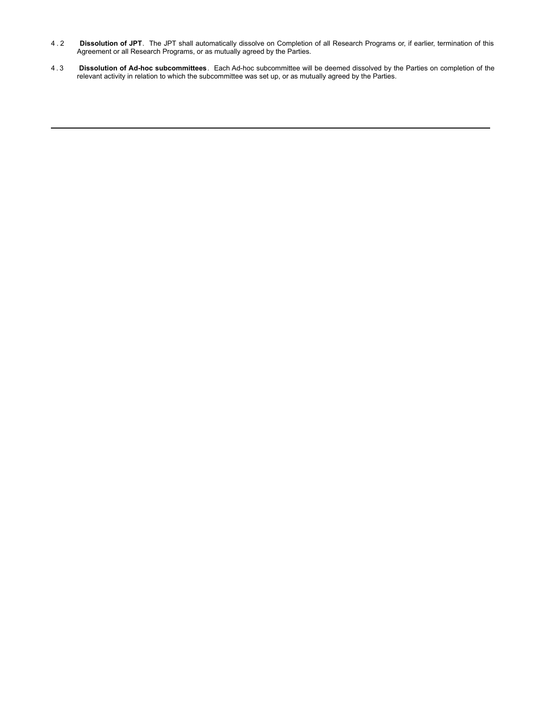- 4 . 2 **Dissolution of JPT**. The JPT shall automatically dissolve on Completion of all Research Programs or, if earlier, termination of this Agreement or all Research Programs, or as mutually agreed by the Parties.
- 4 . 3 **Dissolution of Ad-hoc subcommittees**. Each Ad-hoc subcommittee will be deemed dissolved by the Parties on completion of the relevant activity in relation to which the subcommittee was set up, or as mutually agreed by the Parties.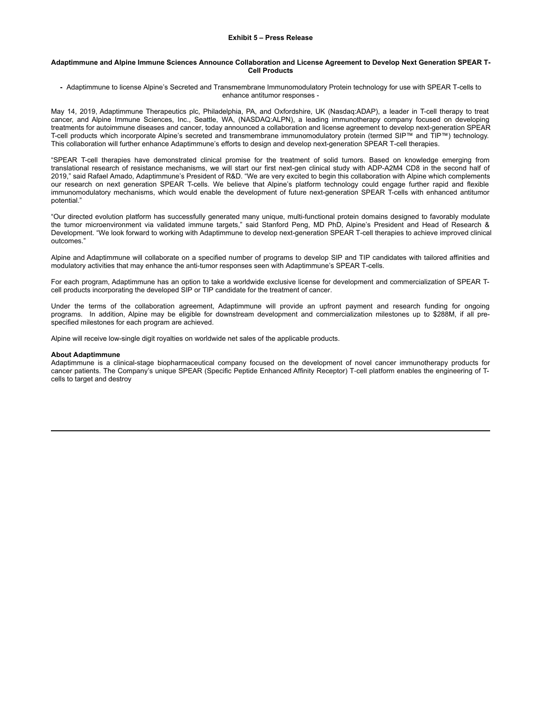### Adaptimmune and Alpine Immune Sciences Announce Collaboration and License Agreement to Develop Next Generation SPEAR T-**Cell Products**

**-** Adaptimmune to license Alpine's Secreted and Transmembrane Immunomodulatory Protein technology for use with SPEAR T-cells to enhance antitumor responses -

May 14, 2019, Adaptimmune Therapeutics plc, Philadelphia, PA, and Oxfordshire, UK (Nasdaq:ADAP), a leader in T-cell therapy to treat cancer, and Alpine Immune Sciences, Inc., Seattle, WA, (NASDAQ:ALPN), a leading immunotherapy company focused on developing treatments for autoimmune diseases and cancer, today announced a collaboration and license agreement to develop next-generation SPEAR T-cell products which incorporate Alpine's secreted and transmembrane immunomodulatory protein (termed SIP™ and TIP™) technology. This collaboration will further enhance Adaptimmune's efforts to design and develop next-generation SPEAR T-cell therapies.

"SPEAR T-cell therapies have demonstrated clinical promise for the treatment of solid tumors. Based on knowledge emerging from translational research of resistance mechanisms, we will start our first next-gen clinical study with ADP-A2M4 CD8 in the second half of 2019," said Rafael Amado, Adaptimmune's President of R&D. "We are very excited to begin this collaboration with Alpine which complements our research on next generation SPEAR T-cells. We believe that Alpine's platform technology could engage further rapid and flexible immunomodulatory mechanisms, which would enable the development of future next-generation SPEAR T-cells with enhanced antitumor potential."

"Our directed evolution platform has successfully generated many unique, multi-functional protein domains designed to favorably modulate the tumor microenvironment via validated immune targets," said Stanford Peng, MD PhD, Alpine's President and Head of Research & Development. "We look forward to working with Adaptimmune to develop next-generation SPEAR T-cell therapies to achieve improved clinical outcomes."

Alpine and Adaptimmune will collaborate on a specified number of programs to develop SIP and TIP candidates with tailored affinities and modulatory activities that may enhance the anti-tumor responses seen with Adaptimmune's SPEAR T-cells.

For each program, Adaptimmune has an option to take a worldwide exclusive license for development and commercialization of SPEAR Tcell products incorporating the developed SIP or TIP candidate for the treatment of cancer.

Under the terms of the collaboration agreement, Adaptimmune will provide an upfront payment and research funding for ongoing programs. In addition, Alpine may be eligible for downstream development and commercialization milestones up to \$288M, if all prespecified milestones for each program are achieved.

Alpine will receive low-single digit royalties on worldwide net sales of the applicable products.

#### **About Adaptimmune**

Adaptimmune is a clinical-stage biopharmaceutical company focused on the development of novel cancer immunotherapy products for cancer patients. The Company's unique SPEAR (Specific Peptide Enhanced Affinity Receptor) T-cell platform enables the engineering of Tcells to target and destroy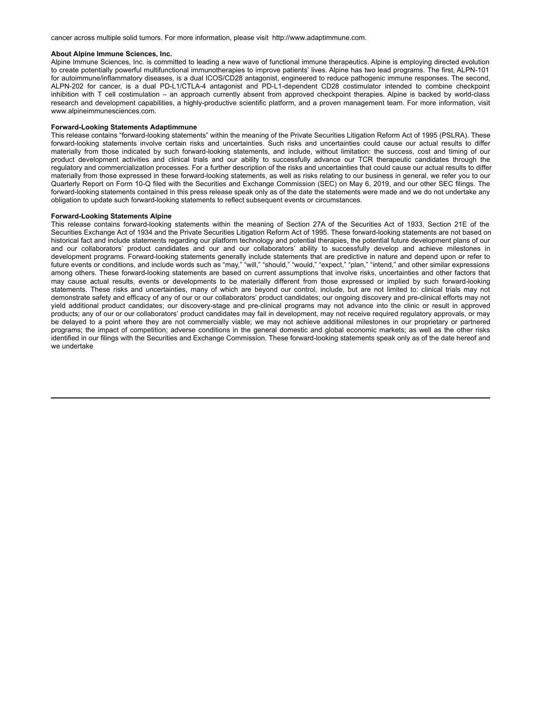cancer across multiple solid tumors. For more information, please visit http://www.adaptimmune.com.

### **About Alpine Immune Sciences, Inc.**

Alpine Immune Sciences, Inc. is committed to leading a new wave of functional immune therapeutics. Alpine is employing directed evolution to create potentially powerful multifunctional immunotherapies to improve patients' lives. Alpine has two lead programs. The first, ALPN-101 for autoimmune/inflammatory diseases, is a dual ICOS/CD28 antagonist, engineered to reduce pathogenic immune responses. The second, ALPN-202 for cancer, is a dual PD-L1/CTLA-4 antagonist and PD-L1-dependent CD28 costimulator intended to combine checkpoint inhibition with T cell costimulation – an approach currently absent from approved checkpoint therapies. Alpine is backed by world-class research and development capabilities, a highly-productive scientific platform, and a proven management team. For more information, visit www.alpineimmunesciences.com.

### **Forward-Looking Statements Adaptimmune**

This release contains "forward-looking statements" within the meaning of the Private Securities Litigation Reform Act of 1995 (PSLRA). These forward-looking statements involve certain risks and uncertainties. Such risks and uncertainties could cause our actual results to differ materially from those indicated by such forward-looking statements, and include, without limitation: the success, cost and timing of our product development activities and clinical trials and our ability to successfully advance our TCR therapeutic candidates through the regulatory and commercialization processes. For a further description of the risks and uncertainties that could cause our actual results to differ materially from those expressed in these forward-looking statements, as well as risks relating to our business in general, we refer you to our Quarterly Report on Form 10-Q filed with the Securities and Exchange Commission (SEC) on May 6, 2019, and our other SEC filings. The forward-looking statements contained in this press release speak only as of the date the statements were made and we do not undertake any obligation to update such forward-looking statements to reflect subsequent events or circumstances.

#### **Forward-Looking Statements Alpine**

This release contains forward-looking statements within the meaning of Section 27A of the Securities Act of 1933, Section 21E of the Securities Exchange Act of 1934 and the Private Securities Litigation Reform Act of 1995. These forward-looking statements are not based on historical fact and include statements regarding our platform technology and potential therapies, the potential future development plans of our and our collaborators' product candidates and our and our collaborators' ability to successfully develop and achieve milestones in development programs. Forward-looking statements generally include statements that are predictive in nature and depend upon or refer to future events or conditions, and include words such as "may," "will," "should," "would," "expect," "plan," "intend," and other similar expressions among others. These forward-looking statements are based on current assumptions that involve risks, uncertainties and other factors that may cause actual results, events or developments to be materially different from those expressed or implied by such forward-looking statements. These risks and uncertainties, many of which are beyond our control, include, but are not limited to: clinical trials may not demonstrate safety and efficacy of any of our or our collaborators' product candidates; our ongoing discovery and pre-clinical efforts may not yield additional product candidates; our discovery-stage and pre-clinical programs may not advance into the clinic or result in approved products; any of our or our collaborators' product candidates may fail in development, may not receive required regulatory approvals, or may be delayed to a point where they are not commercially viable; we may not achieve additional milestones in our proprietary or partnered programs; the impact of competition; adverse conditions in the general domestic and global economic markets; as well as the other risks identified in our filings with the Securities and Exchange Commission. These forward-looking statements speak only as of the date hereof and we undertake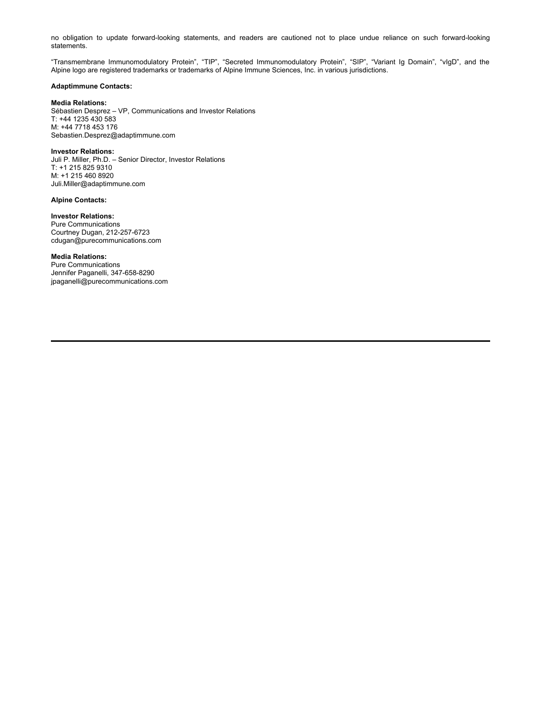no obligation to update forward-looking statements, and readers are cautioned not to place undue reliance on such forward-looking statements.

"Transmembrane Immunomodulatory Protein", "TIP", "Secreted Immunomodulatory Protein", "SIP", "Variant Ig Domain", "vIgD", and the Alpine logo are registered trademarks or trademarks of Alpine Immune Sciences, Inc. in various jurisdictions.

### **Adaptimmune Contacts:**

# **Media Relations:**

Sébastien Desprez – VP, Communications and Investor Relations T: +44 1235 430 583 M: +44 7718 453 176 Sebastien.Desprez@adaptimmune.com

### **Investor Relations:**

Juli P. Miller, Ph.D. – Senior Director, Investor Relations T: +1 215 825 9310 M: +1 215 460 8920 Juli.Miller@adaptimmune.com

# **Alpine Contacts:**

**Investor Relations:** Pure Communications Courtney Dugan, 212-257-6723 cdugan@purecommunications.com

### **Media Relations:**

Pure Communications Jennifer Paganelli, 347-658-8290 jpaganelli@purecommunications.com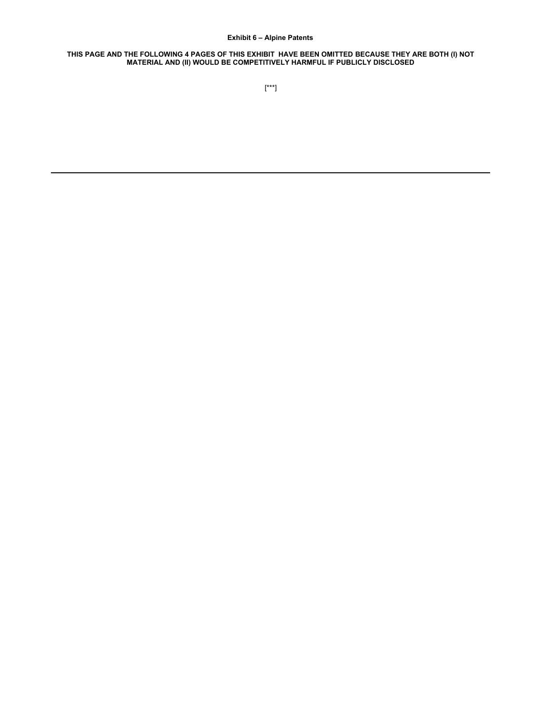# **Exhibit 6 – Alpine Patents**

THIS PAGE AND THE FOLLOWING 4 PAGES OF THIS EXHIBIT HAVE BEEN OMITTED BECAUSE THEY ARE BOTH (I) NOT **MATERIAL AND (II) WOULD BE COMPETITIVELY HARMFUL IF PUBLICLY DISCLOSED**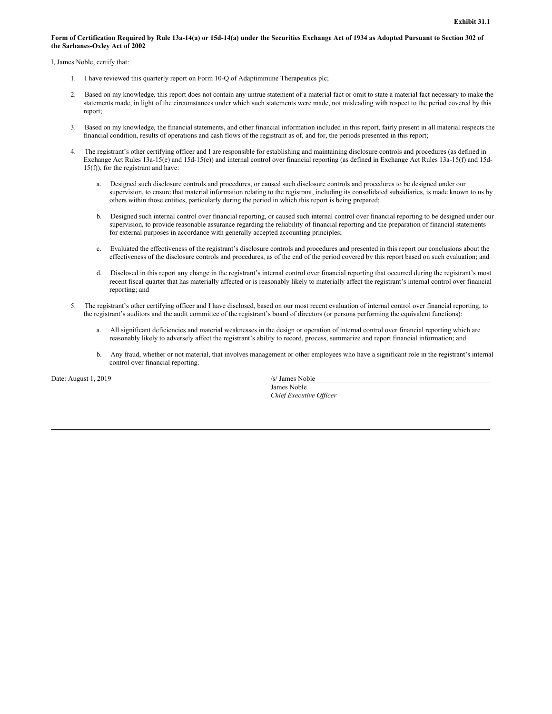### Form of Certification Required by Rule 13a-14(a) or 15d-14(a) under the Securities Exchange Act of 1934 as Adopted Pursuant to Section 302 of **the Sarbanes-Oxley Act of 2002**

I, James Noble, certify that:

- 1. I have reviewed this quarterly report on Form 10-Q of Adaptimmune Therapeutics plc;
- 2. Based on my knowledge, this report does not contain any untrue statement of a material fact or omit to state a material fact necessary to make the statements made, in light of the circumstances under which such statements were made, not misleading with respect to the period covered by this report;
- 3. Based on my knowledge, the financial statements, and other financial information included in this report, fairly present in all material respects the financial condition, results of operations and cash flows of the registrant as of, and for, the periods presented in this report;
- 4. The registrant's other certifying officer and I are responsible for establishing and maintaining disclosure controls and procedures (as defined in Exchange Act Rules 13a-15(e) and 15d-15(e)) and internal control over financial reporting (as defined in Exchange Act Rules 13a-15(f) and 15d-15(f)), for the registrant and have:
	- a. Designed such disclosure controls and procedures, or caused such disclosure controls and procedures to be designed under our supervision, to ensure that material information relating to the registrant, including its consolidated subsidiaries, is made known to us by others within those entities, particularly during the period in which this report is being prepared;
	- b. Designed such internal control over financial reporting, or caused such internal control over financial reporting to be designed under our supervision, to provide reasonable assurance regarding the reliability of financial reporting and the preparation of financial statements for external purposes in accordance with generally accepted accounting principles;
	- c. Evaluated the effectiveness of the registrant's disclosure controls and procedures and presented in this report our conclusions about the effectiveness of the disclosure controls and procedures, as of the end of the period covered by this report based on such evaluation; and
	- d. Disclosed in this report any change in the registrant's internal control over financial reporting that occurred during the registrant's most recent fiscal quarter that has materially affected or is reasonably likely to materially affect the registrant's internal control over financial reporting; and
- 5. The registrant's other certifying officer and I have disclosed, based on our most recent evaluation of internal control over financial reporting, to the registrant's auditors and the audit committee of the registrant's board of directors (or persons performing the equivalent functions):
	- All significant deficiencies and material weaknesses in the design or operation of internal control over financial reporting which are reasonably likely to adversely affect the registrant's ability to record, process, summarize and report financial information; and
	- b. Any fraud, whether or not material, that involves management or other employees who have a significant role in the registrant's internal control over financial reporting.

Date: August 1, 2019 /s/ James Noble

James Noble *Chief Executive Of icer*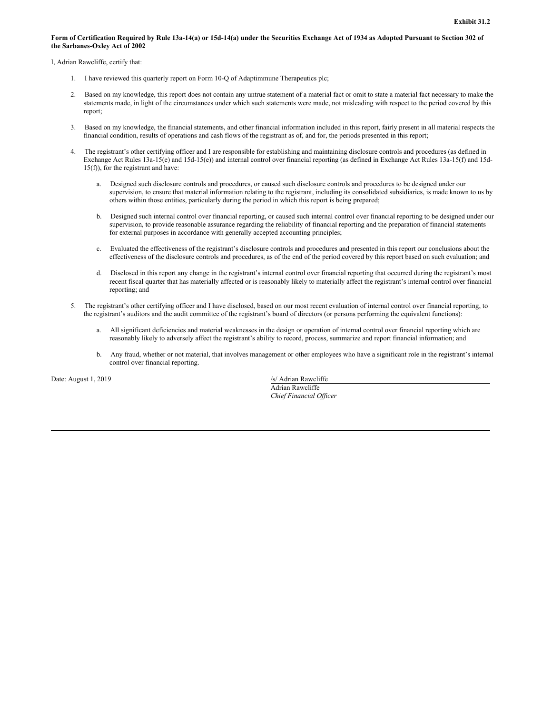### Form of Certification Required by Rule 13a-14(a) or 15d-14(a) under the Securities Exchange Act of 1934 as Adopted Pursuant to Section 302 of **the Sarbanes-Oxley Act of 2002**

I, Adrian Rawcliffe, certify that:

- 1. I have reviewed this quarterly report on Form 10-Q of Adaptimmune Therapeutics plc;
- 2. Based on my knowledge, this report does not contain any untrue statement of a material fact or omit to state a material fact necessary to make the statements made, in light of the circumstances under which such statements were made, not misleading with respect to the period covered by this report;
- 3. Based on my knowledge, the financial statements, and other financial information included in this report, fairly present in all material respects the financial condition, results of operations and cash flows of the registrant as of, and for, the periods presented in this report;
- 4. The registrant's other certifying officer and I are responsible for establishing and maintaining disclosure controls and procedures (as defined in Exchange Act Rules 13a-15(e) and 15d-15(e)) and internal control over financial reporting (as defined in Exchange Act Rules 13a-15(f) and 15d-15(f)), for the registrant and have:
	- a. Designed such disclosure controls and procedures, or caused such disclosure controls and procedures to be designed under our supervision, to ensure that material information relating to the registrant, including its consolidated subsidiaries, is made known to us by others within those entities, particularly during the period in which this report is being prepared;
	- b. Designed such internal control over financial reporting, or caused such internal control over financial reporting to be designed under our supervision, to provide reasonable assurance regarding the reliability of financial reporting and the preparation of financial statements for external purposes in accordance with generally accepted accounting principles;
	- c. Evaluated the effectiveness of the registrant's disclosure controls and procedures and presented in this report our conclusions about the effectiveness of the disclosure controls and procedures, as of the end of the period covered by this report based on such evaluation; and
	- d. Disclosed in this report any change in the registrant's internal control over financial reporting that occurred during the registrant's most recent fiscal quarter that has materially affected or is reasonably likely to materially affect the registrant's internal control over financial reporting; and
- 5. The registrant's other certifying officer and I have disclosed, based on our most recent evaluation of internal control over financial reporting, to the registrant's auditors and the audit committee of the registrant's board of directors (or persons performing the equivalent functions):
	- All significant deficiencies and material weaknesses in the design or operation of internal control over financial reporting which are reasonably likely to adversely affect the registrant's ability to record, process, summarize and report financial information; and
	- b. Any fraud, whether or not material, that involves management or other employees who have a significant role in the registrant's internal control over financial reporting.

Date: August 1, 2019 /s/ Adrian Rawcliffe

Adrian Rawcliffe *Chief Financial Of icer*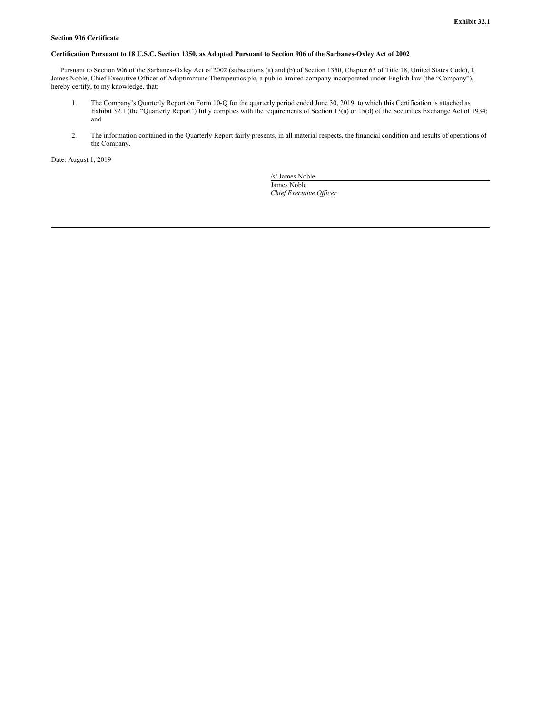## **Section 906 Certificate**

### Certification Pursuant to 18 U.S.C. Section 1350, as Adopted Pursuant to Section 906 of the Sarbanes-Oxley Act of 2002

Pursuant to Section 906 of the Sarbanes-Oxley Act of 2002 (subsections (a) and (b) of Section 1350, Chapter 63 of Title 18, United States Code), I, James Noble, Chief Executive Officer of Adaptimmune Therapeutics plc, a public limited company incorporated under English law (the "Company"), hereby certify, to my knowledge, that:

- 1. The Company's Quarterly Report on Form 10-Q for the quarterly period ended June 30, 2019, to which this Certification is attached as Exhibit 32.1 (the "Quarterly Report") fully complies with the requirements of Section 13(a) or 15(d) of the Securities Exchange Act of 1934; and
- 2. The information contained in the Quarterly Report fairly presents, in all material respects, the financial condition and results of operations of the Company.

Date: August 1, 2019

/s/ James Noble James Noble *Chief Executive Of icer*